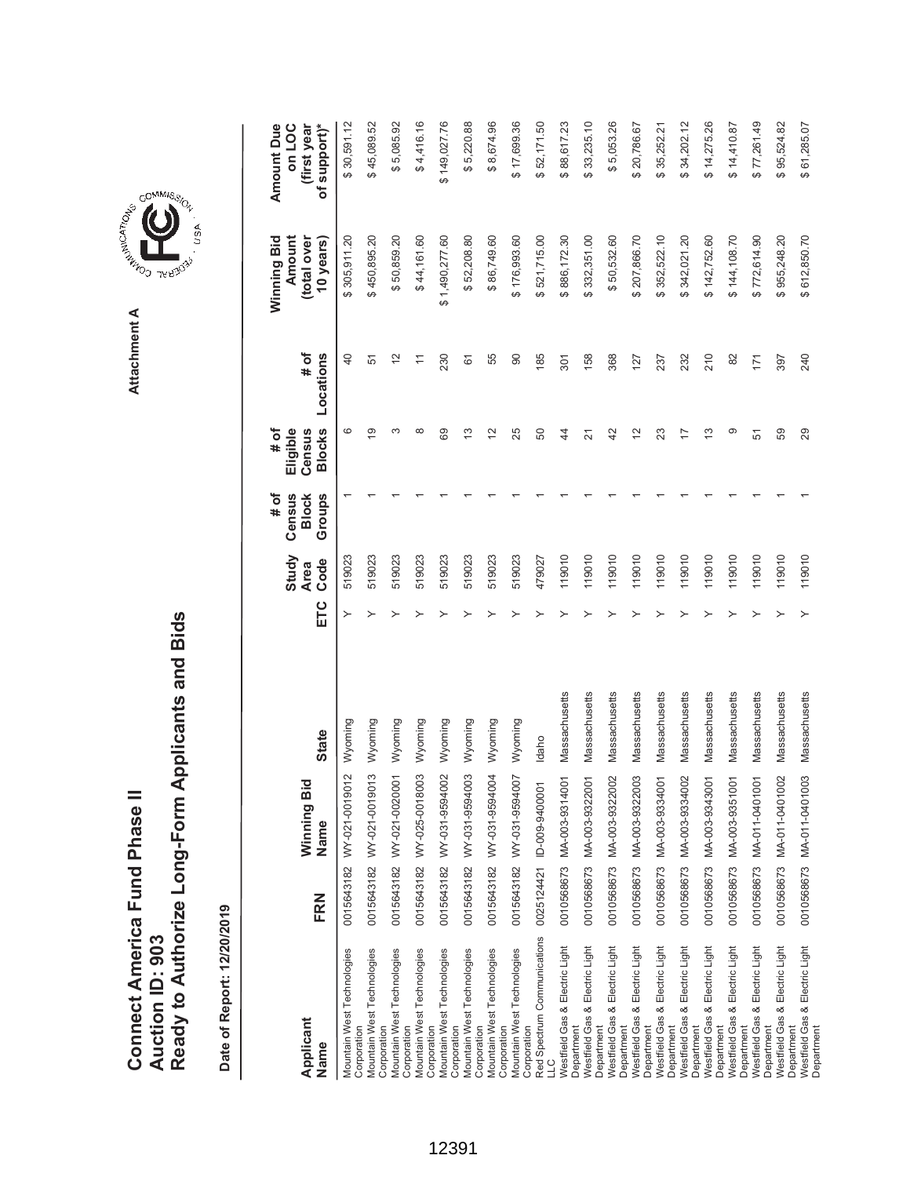Ready to Authorize Long-Form Applicants and Bids **Ready to Authorize Long-Form Applicants and Bids** Connect America Fund Phase II **Connect America Fund Phase II Auction ID: 903 Auction ID: 903**

Date of Report: 12/20/2019 **Date of Report: 12/20/2019**

**ETC Ode Oode Slocks Locations Blows Blows Sears)** \$5,085.92  $$4,416.16$ \$149,027.76 \$8,674.96 \$88,617.23 \$33,235.10 \$5,053.26 \$34,202.12 \$77,261.49 \$95,524.82 **(first year** \$30,591.12 0011.051.05643 WY-021.001.000 S 30,000 D 4 30,000.00 A 30,000 A 50,000.00 A 50,000 A 50,000 A 50,000 A 50,000 A \$45,089.52 0015765656564548 WW. What's Marting States of the States of the States of the States of the States of the States of the States of the States of the States of the States of the States of the States of the States of the Stat 0015643182 WY-021-0020001 Wyoming Y \$ 50,859.20 \$ 5,085.92 519023 1 3 12 001914544 WY-025-0018201920-027-027 WAS NOT A 44,416 51902100-020-020-020-020-020 1 8 116.161.60 \$ 4,416.161.6 0015643182 WY-031-9594002 Wyoming Y \$ 1,490,277.60 \$ 149,027.76 519023 1 69 230 \$5,220.88 0015643182 WAT-031202 WAT-031-952 WAT-031-952 Wyoming Y 50201-952 1 13 526156-001-001-001-001-001-00 5000000-00 0015643182 WY-031-9594004 Wyoming Y \$ 86,749.60 \$ 8,674.96 519023 1 12 55 \$17,699.36 0015643182 WY-031-9594007 Wyoming Y \$ 176,993.60 \$ 17,699.36 519023 1 25 90 \$52,171.50 0025124421 ID-0000-9400001 Idaho Y \$ 521,715.00 \$ 50 1 50 1 50 1 50 1 52,171.50 1 52,171.50 1 52,171.50 185 17 0010568673 MA-003-9314001 Massachusetts Y \$ 886,172.30 \$ 88,617.23 119010 1 44 301 0010568673 MA-003-9322001 Massachusetts Y 1 12 1 1580 104-00322001 1580 1581.00 1581.00 158.10 158.10 158.10 1 0010568673 MA-003-9322002 Massachusetts 1 42 42 42 368 368 \$ 50,532.60 \$ 50,532.60 \$ 50,532.60 \$20,786.67 0010010568673 MA-003-93222003 Massachusetts Y 12 12 12 12 12 12 127 1286.70 1286.70 127 127 127 127 127 127 12 0010568673 MA-003-9334002 Massachusetts Y \$ 342,021.20 \$ 34,202.12 119010 1 17 232 \$14,275.26 0010568673 MA-003-9343001 Massachusetts Y 13 14,275.9343001 Massachusetts 13 210 13 210 14,275.26 14,275.26 11 \$14,410.87 0010568673 MA-003-9351001 Massachusetts Y \$ 144,108.70 \$ 14,410.87 119010 1 9 82 0010568673 MA-011-0401001 Massachusetts Y \$ 772,614.90 \$ 77,261.49 119010 1 51 171 0010568673 MA-011-0401002 Massachusetts Y \$ 955,248.20 \$ 95,524.82 119010 1 59 397 \$61,285.07 0010568673 MA-011-0401003 Massachusetts Y \$ 612,850.70 \$ 61,285.07 119010 1 29 240 **Amount Due Amount Due on LOC** \$35,252.21 0010568673 MA-003-9334001 Massachusetts Y \$ 35,252.21 19010 19010 19010 19010 19010 237 237 2382.21 237 2382. **(total over**  \$50,859.20 \$1,490,277.60 \$176,993.60 207,866.70 \$352,522.10 \$44,161.60 \$52,208.80 \$886,172.30 \$332,351.00 \$50,532.60 \$342,021.20 \$144,108.70 \$612,850.70 Winning Bid **Winning Bid Amount** total over **10 years)** \$305,911.20 \$450,895.20 \$86,749.60 \$521,715.00 \$142,752.60 \$772,614.90 \$955,248.20 **# of** Locations  $\frac{1}{2}$  $\overline{\overline{a}}$  $210$ **Locations**  $\overline{4}$ 51 230  $\overline{6}$ 55  $90$ 85  $301$ 158 368 127 237 232 82  $171$ 397 240 **# of Eligible Census Blocks**  $\circ$  $\overline{9}$ ന  $\infty$  $\frac{1}{2}$  $\tilde{c}$  $\tilde{c}$  $\circ$ 29 89 25 50  $\ddot{a}$  $\overline{z}$  $42$  $23$  $\overline{1}$  $\tilde{c}$ 51 59 **# of Block Census Groups Study** 519023 119010 119010 119010 119010 119010 119010 119010 119010 119010 119010 519023 519023 519023 519023 519023 519023 519023 479027 119010 **Code Area** ETC  $\rightarrow$ Massachusetts Massachusetts Massachusetts Massachusetts Massachusetts Massachusetts Massachusetts Massachusetts Massachusetts Massachusetts 0010568673 MA-011-0401003 Massachusetts 0015643182 WY-021-0019012 Wyoming 0015643182 WY-021-0019013 Wyoming 0015643182 WY-031-9594003 Wyoming 0015643182 WY-031-9594004 Wyoming Wyoming Wyoming Wyoming Wyoming **State Name State** Idaho 0015643182 WY-021-0020001 0015643182 WY-025-0018003 0015643182 WY-031-9594002 0010568673 MA-003-9322003 0015643182 WY-031-9594007 0010568673 MA-003-9314001 0010568673 MA-003-9322001 0010568673 MA-003-9322002 0010568673 MA-003-9334001 0010568673 MA-003-9334002 0010568673 MA-003-9343001 0010568673 MA-003-9351001 0010568673 MA-011-0401001 0010568673 MA-011-0401002 Winning Bid 0025124421 ID-009-9400001 **Winning Bid** Name FRN **Name FRN** Red Spectrum Communications Red Spectrum Communications LLC<br>Nestfield Gas & Electric Light Westfield Gas & Electric Light **Nestfield Gas & Electric Light** Westfield Gas & Electric Light **Nestfield Gas & Electric Light** Westfield Gas & Electric Light Westfield Gas & Electric Light Westfield Gas & Electric Light **Nestfield Gas & Electric Light** Westfield Gas & Electric Light **Nestfield Gas & Electric Light** Westfield Gas & Electric Light **Nestfield Gas & Electric Light** Westfield Gas & Electric Light Westfield Gas & Electric Light **Nestfield Gas & Electric Light** Westfield Gas & Electric Light **Nestfield Gas & Electric Light** Westfield Gas & Electric Light Mountain West Technologies Mountain West Technologies Mountain West Technologies Mountain West Technologies Mountain West Technologies Mountain West Technologies Mountain West Technologies Mountain West Technologies **Nestfield Gas & Electric Light Nestfield Gas & Electric Light Nestfield Gas & Electric Light Vlountain West Technologies Mountain West Technologies Mountain West Technologies** Mountain West Technologies Mountain West Technologies Mountain West Technologies Mountain West Technologies **Vlountain West Technologies Applicant** Corporation Corporation Corporation Corporation Corporation Corporation Corporation Corporation Department Department Department Department **Department** Department **Department** Department Department **Department** Department Department **Department** Department **Department** Department Department Department **Department** Department Corporation Corporation Corporation Corporation Corporation Corporation Corporation Corporation Name

**Department** 

Department



**Attachment A**

Attachment A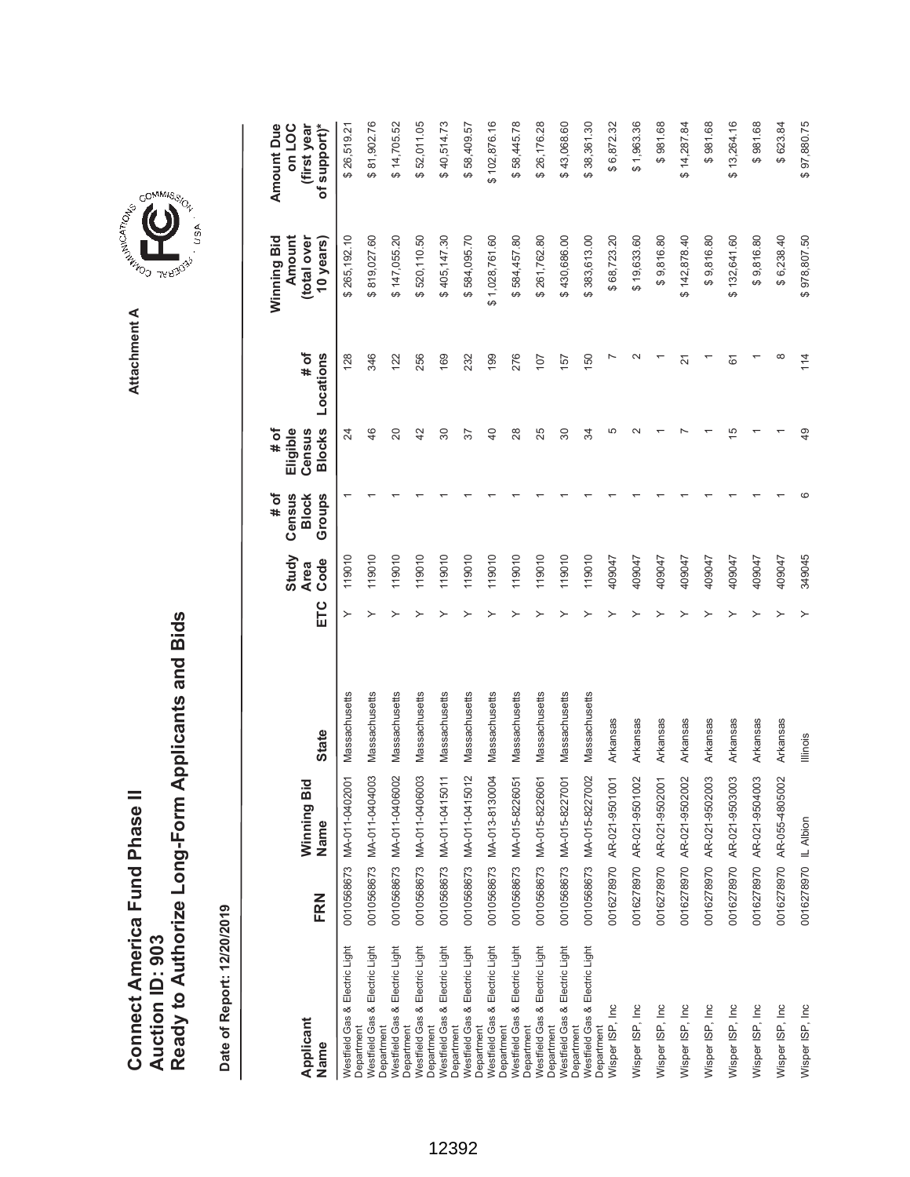|                               |                 | Ready to Authorize Long-Form Applicants and Bids |
|-------------------------------|-----------------|--------------------------------------------------|
| Connect America Fund Phase II | Auction ID: 903 |                                                  |

Date of Report: 12/20/2019 **Date of Report: 12/20/2019**

| Applicant<br>Name                                                     | FRN                  | ठ<br>Winning Bi<br>Name   | <b>State</b>    | ETC | Study<br>Code<br><b>Area</b> | Census<br># of<br><b>Block</b><br>Groups | <b>Blocks</b><br># of<br>Eligible<br>Census | # of<br>Locations | Amount<br>(total over<br>Winning Bid<br>10 years) | (first year<br>of support)*<br>on LOC<br><b>Amount Due</b> |
|-----------------------------------------------------------------------|----------------------|---------------------------|-----------------|-----|------------------------------|------------------------------------------|---------------------------------------------|-------------------|---------------------------------------------------|------------------------------------------------------------|
| Westfield Gas & Electric Light<br>Department                          |                      | 0010568673 MA-011-0402001 | Massachusetts   | ≻   | 119010                       |                                          | 24                                          | 128               | \$265,192.10                                      | \$26,519.21                                                |
| <b>Nestfield Gas &amp; Electric Light</b><br>Department               |                      | 0010568673 MA-011-0404003 | Massachusetts   |     | 119010                       |                                          | 46                                          | 346               | \$819,027.60                                      | \$81,902.76                                                |
| <b>Nestfield Gas &amp; Electric Light</b>                             |                      | 0010568673 MA-011-0406002 | Massachusetts   |     | 119010                       |                                          | 20                                          | 122               | \$147,055.20                                      | \$14,705.52                                                |
| Westfield Gas & Electric Light<br>Department<br>Department            | 0010568673           | MA-011-0406003            | Massachusetts   |     | 119010                       |                                          | 42                                          | 256               | \$520,110.50                                      | \$52,011.05                                                |
| Westfield Gas & Electric Light                                        |                      | 0010568673 MA-011-04150   | Massachusetts   |     | 119010                       |                                          | 30                                          | 169               | \$405,147.30                                      | \$40,514.73                                                |
| <b>Nestfield Gas &amp; Electric Light</b><br>Department<br>Department |                      | 0010568673 MA-011-0415012 | Massachusetts   |     | 119010                       |                                          | 57                                          | 232               | \$584,095.70                                      | \$58,409.57                                                |
| Westfield Gas & Electric Light                                        | 0010568673           | MA-013-8130004            | Massachusetts   |     | 119010                       |                                          | $\overline{40}$                             | 199               | \$1,028,761.60                                    | \$102,876.16                                               |
| Westfield Gas & Electric Light<br>Department                          |                      | 0010568673 MA-015-8226051 | Massachusetts   |     | 119010                       |                                          | 28                                          | 276               | \$584,457.80                                      | \$58,445.78                                                |
| <b>Nestfield Gas &amp; Electric Light</b><br>Department               | 0010568673           | MA-015-8226061            | Massachusetts   |     | 119010                       |                                          | 25                                          | 107               | \$261,762.80                                      | \$26,176.28                                                |
| Westfield Gas & Electric Light<br>Department                          | 0010568673           | MA-015-8227001            | Massachusetts   |     | 119010                       |                                          | 30                                          | 157               | \$430,686.00                                      | \$43,068.60                                                |
| Westfield Gas & Electric Light<br>Department<br>Department            |                      | 0010568673 MA-015-8227002 | Massachusetts   |     | 119010                       |                                          | 34                                          | 150               | \$383,613.00                                      | \$38,361.30                                                |
| Wisper ISP, Inc                                                       |                      | 0016278970 AR-021-9501001 | Arkansas        |     | 409047                       |                                          | 5                                           |                   | \$68,723.20                                       | \$6,872.32                                                 |
| Wisper ISP, Inc                                                       |                      | 0016278970 AR-021-9501002 | Arkansas        |     | 409047                       |                                          |                                             |                   | \$19,633.60                                       | \$1,963.36                                                 |
| Wisper ISP, Inc                                                       |                      | 0016278970 AR-021-9502001 | Arkansas        |     | 409047                       |                                          |                                             |                   | \$9,816.80                                        | \$981.68                                                   |
| Wisper ISP, Inc                                                       |                      | 0016278970 AR-021-9502002 | Arkansas        |     | 409047                       |                                          |                                             | 21                | \$142,878.40                                      | \$14,287.84                                                |
| Wisper ISP, Inc                                                       |                      | 0016278970 AR-021-9502003 | Arkansas        |     | 409047                       |                                          |                                             |                   | \$9,816.80                                        | \$981.68                                                   |
| Wisper ISP, Inc                                                       |                      | 0016278970 AR-021-9503003 | Arkansas        |     | 409047                       |                                          | 15                                          | 61                | \$132,641.60                                      | \$13,264.16                                                |
| Wisper ISP, Inc                                                       | 0016278970           | AR-021-9504003            | Arkansas        |     | 409047                       |                                          |                                             |                   | \$9,816.80                                        | \$981.68                                                   |
| Wisper ISP, Inc                                                       |                      | 0016278970 AR-055-4805002 | Arkansas        |     | 409047                       |                                          |                                             | $\infty$          | \$6,238.40                                        | \$623.84                                                   |
| Wisper ISP, Inc                                                       | 0016278970 IL Albion |                           | <b>Illinois</b> |     | 349045                       |                                          | 49                                          | 114               | \$978,807.50                                      | \$97,880.75                                                |



**Attachment A**

Attachment A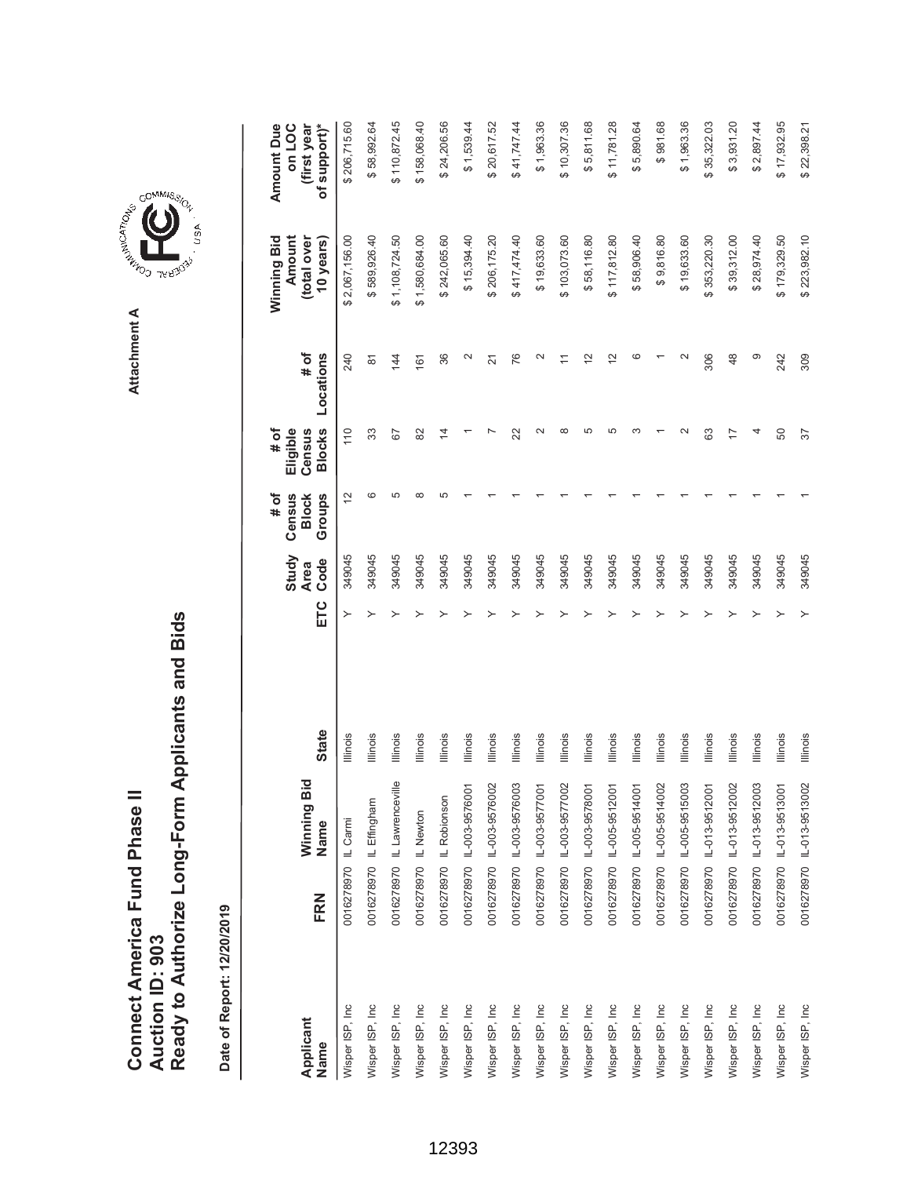Attachment A **Attachment A**



|                   |                      |                             |                 |     |                              | # of                             | # of                                |                    | Winning Bid                        | <b>Amount Due</b>                     |
|-------------------|----------------------|-----------------------------|-----------------|-----|------------------------------|----------------------------------|-------------------------------------|--------------------|------------------------------------|---------------------------------------|
| Applicant<br>Name | FRN                  | Winning Bid<br>Name         | <b>State</b>    | ETC | Study<br>Code<br><b>Area</b> | Census<br><b>Block</b><br>Groups | <b>Blocks</b><br>Eligible<br>Census | # of<br>Locations  | Amount<br>(total over<br>10 years) | of support)*<br>on LOC<br>(first year |
| Wisper ISP, Inc   | 0016278970 IL Carmi  |                             | Illinois        |     | 349045                       | $\overline{c}$                   | 110                                 | 240                | 2,067,156.00                       | \$206,715.60                          |
| Wisper ISP, Inc   |                      | 0016278970 IL Effingham     | Illinois        |     | 349045                       | ဖ                                | 33                                  | $\overline{\circ}$ | \$589,926.40                       | \$58,992.64                           |
| Wisper ISP, Inc   |                      | 0016278970 IL Lawrenceville | Illinois        |     | 349045                       | 5                                | 52                                  | 144                | \$1,108,724.50                     | \$110,872.45                          |
| Wisper ISP, Inc   | 0016278970 IL Newton |                             | Illinois        |     | 349045                       |                                  | 82                                  | 161                | \$1,580,684.00                     | \$158,068.40                          |
| Wisper ISP, Inc   |                      | 0016278970 IL Robionson     | lllinois        |     | 349045                       |                                  | $\overline{4}$                      | 36                 | \$242,065.60                       | \$24,206.56                           |
| Wisper ISP, Inc   |                      | 0016278970 IL-003-9576001   | lllinois        |     | 349045                       |                                  |                                     | $\sim$             | \$15,394.40                        | \$1,539.44                            |
| Wisper ISP, Inc   |                      | 0016278970 IL-003-9576002   | Illinois        |     | 349045                       |                                  |                                     | $\overline{2}$     | \$206,175.20                       | \$20,617.52                           |
| Wisper ISP, Inc.  |                      | 0016278970 IL-003-9576003   | Illinois        |     | 349045                       |                                  | 22                                  | 76                 | \$417,474.40                       | \$41,747.44                           |
| Wisper ISP, Inc   |                      | 0016278970 IL-003-9577001   | lllinois        |     | 349045                       |                                  | $\scriptstyle\sim$                  |                    | \$19,633.60                        | \$1,963.36                            |
| Wisper ISP, Inc   |                      | 0016278970 IL-003-9577002   | Illinois        |     | 349045                       |                                  | $\infty$                            |                    | \$103,073.60                       | \$10,307.36                           |
| Wisper ISP, Inc   |                      | 0016278970 IL-003-9578001   | Illinois        |     | 349045                       |                                  | 5                                   | $\frac{2}{3}$      | \$58,116.80                        | \$5,811.68                            |
| Wisper ISP, Inc   |                      | 0016278970 IL-005-9512001   | Illinois        |     | 349045                       |                                  | 5                                   | $\tilde{c}$        | \$117,812.80                       | \$11,781.28                           |
| Wisper ISP, Inc   |                      | 0016278970 IL-005-9514001   | lllinois        |     | 349045                       |                                  |                                     | ဖ                  | \$58,906.40                        | \$5,890.64                            |
| Wisper ISP, Inc   |                      | 0016278970 IL-005-9514002   | Illinois        |     | 349045                       |                                  |                                     |                    | \$9,816.80                         | \$981.68                              |
| Wisper ISP, Inc   |                      | 0016278970 IL-005-9515003   | Illinois        |     | 349045                       |                                  |                                     |                    | \$19,633.60                        | \$1,963.36                            |
| Wisper ISP, Inc   |                      | 0016278970 IL-013-9512001   | Illinois        |     | 349045                       |                                  | 63                                  | 306                | \$353,220.30                       | \$35,322.03                           |
| Wisper ISP, Inc   |                      | 0016278970 IL-013-9512002   | Illinois        |     | 349045                       |                                  | 7                                   | 48                 | \$39,312.00                        | \$3,931.20                            |
| Wisper ISP, Inc   |                      | 0016278970 IL-013-9512003   | Illinois        |     | 349045                       |                                  |                                     | တ                  | \$28,974.40                        | \$2,897.44                            |
| Wisper ISP, Inc   |                      | 0016278970 L-013-9513001    | Illinois        |     | 349045                       |                                  | 50                                  | 242                | \$179,329.50                       | \$17,932.95                           |
| Wisper ISP, Inc   |                      | 0016278970 IL-013-9513002   | <b>Illinois</b> |     | 349045                       |                                  | 57                                  | 309                | \$223,982.10                       | \$22,398.21                           |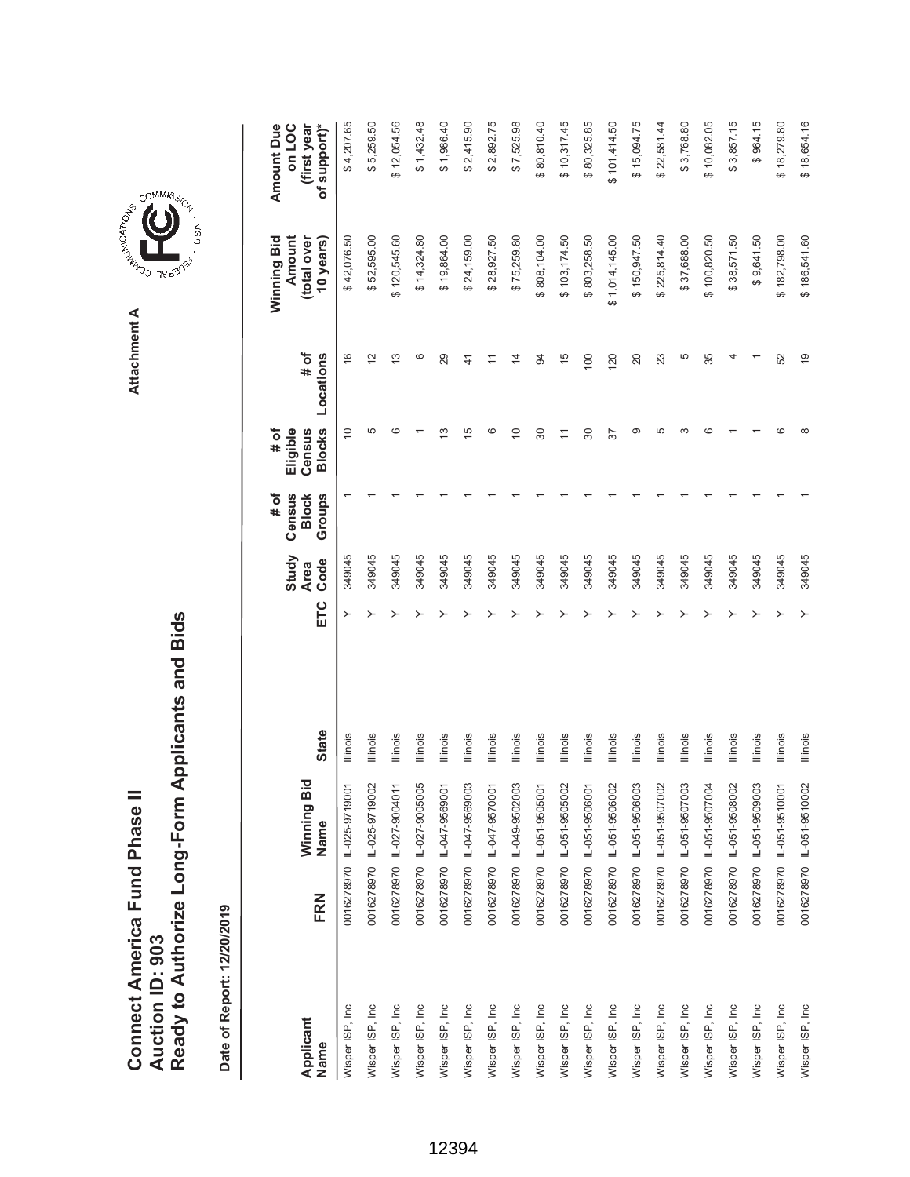**A A LAND THERE** Attachment A **Attachment A**

GOMMIS<sub>SION</sub>

, usA

| ź         |
|-----------|
|           |
| חריהמוימו |
| ۹         |
| è         |
|           |
|           |
|           |

| Applicant       |     | Winning Bid               |              |     | Study<br><b>Area</b> | Census<br># of<br><b>Block</b> | # of<br>Eligible<br>Census | $#$ of         | Winning Bid<br>Amount<br>(total over | Amount Due<br>on LOC<br>(first year |
|-----------------|-----|---------------------------|--------------|-----|----------------------|--------------------------------|----------------------------|----------------|--------------------------------------|-------------------------------------|
| Name            | FRN | Name                      | <b>State</b> | ETC | Code                 | Groups                         | <b>Blocks</b>              | Locations      | 10 years)                            | of support)*                        |
| Wisper ISP, Inc |     | 0016278970 L-025-9719001  | Illinois     | ≻   | 349045               |                                | $\widetilde{C}$            | $\frac{6}{5}$  | \$42,076.50                          | \$4,207.65                          |
| Wisper ISP, Inc |     | 0016278970 IL-025-9719002 | Illinois     |     | 349045               |                                | 5                          | $\tilde{c}$    | \$52,595.00                          | \$5,259.50                          |
| Wisper ISP, Inc |     | 0016278970 IL-027-9004011 | lllinois     |     | 349045               |                                | ca                         | $\frac{3}{2}$  | \$120,545.60                         | \$12,054.56                         |
| Wisper ISP, Inc |     | 0016278970 IL-027-9005005 | lllinois     |     | 349045               |                                |                            | ဖ              | \$14,324.80                          | \$1,432.48                          |
| Wisper ISP, Inc |     | 0016278970 IL-047-9569001 | Illinois     |     | 349045               |                                | ≌                          | 29             | \$19,864.00                          | \$1,986.40                          |
| Wisper ISP, Inc |     | 0016278970 IL-047-9569003 | lllinois     |     | 349045               |                                | 15                         | $\frac{4}{1}$  | \$24,159.00                          | \$2,415.90                          |
| Wisper ISP, Inc |     | 0016278970 IL-047-9570001 | Illinois     |     | 349045               |                                | ဖ                          | $\overline{1}$ | \$28,927.50                          | \$2,892.75                          |
| Wisper ISP, Inc |     | 0016278970 1L-049-9502003 | Illinois     |     | 349045               |                                | $\Rightarrow$              | $\overline{4}$ | \$75,259.80                          | \$7,525.98                          |
| Wisper ISP, Inc |     | 0016278970 IL-051-9505001 | llinois      |     | 349045               |                                | 30                         | $\overline{5}$ | \$808,104.00                         | \$80,810.40                         |
| Wisper ISP, Inc |     | 0016278970 IL-051-9505002 | Illinois     |     | 349045               |                                | $\overline{a}$             | 45             | \$103,174.50                         | \$10,317.45                         |
| Wisper ISP, Inc |     | 0016278970 IL-051-9506001 | lllinois     |     | 349045               |                                | 80                         | 100            | \$803,258.50                         | \$80,325.85                         |
| Wisper ISP, Inc |     | 0016278970 IL-051-9506002 | llinois      |     | 349045               |                                | 57                         | 120            | \$1,014,145.00                       | \$101,414.50                        |
| Wisper ISP, Inc |     | 0016278970 1L-051-9506003 | lllinois     |     | 349045               |                                | σ                          | 20             | \$150,947.50                         | \$15,094.75                         |
| Wisper ISP, Inc |     | 0016278970 IL-051-9507002 | Illinois     |     | 349045               |                                | Ю                          | 23             | \$225,814.40                         | \$22,581.44                         |
| Wisper ISP, Inc |     | 0016278970 1L-051-9507003 | lllinois     |     | 349045               |                                |                            | 5              | \$37,688.00                          | \$3,768.80                          |
| Wisper ISP, Inc |     | 0016278970 L-051-9507004  | lllinois     |     | 349045               |                                | c                          | 35             | \$100,820.50                         | \$10,082.05                         |
| Wisper ISP, Inc |     | 0016278970 IL-051-9508002 | Illinois     |     | 349045               |                                |                            |                | \$38,571.50                          | \$3,857.15                          |
| Wisper ISP, Inc |     | 0016278970 IL-051-9509003 | Illinois     |     | 349045               |                                |                            |                | \$9,641.50                           | \$964.15                            |
| Wisper ISP, Inc |     | 0016278970 1L-051-9510001 | Illinois     |     | 349045               |                                | ca                         | 52             | \$182,798.00                         | \$18,279.80                         |
| Wisper ISP, Inc |     | 0016278970 IL-051-9510002 | Illinois     | ≻   | 349045               |                                | ∞                          | $\overline{6}$ | \$186,541.60                         | \$18,654.16                         |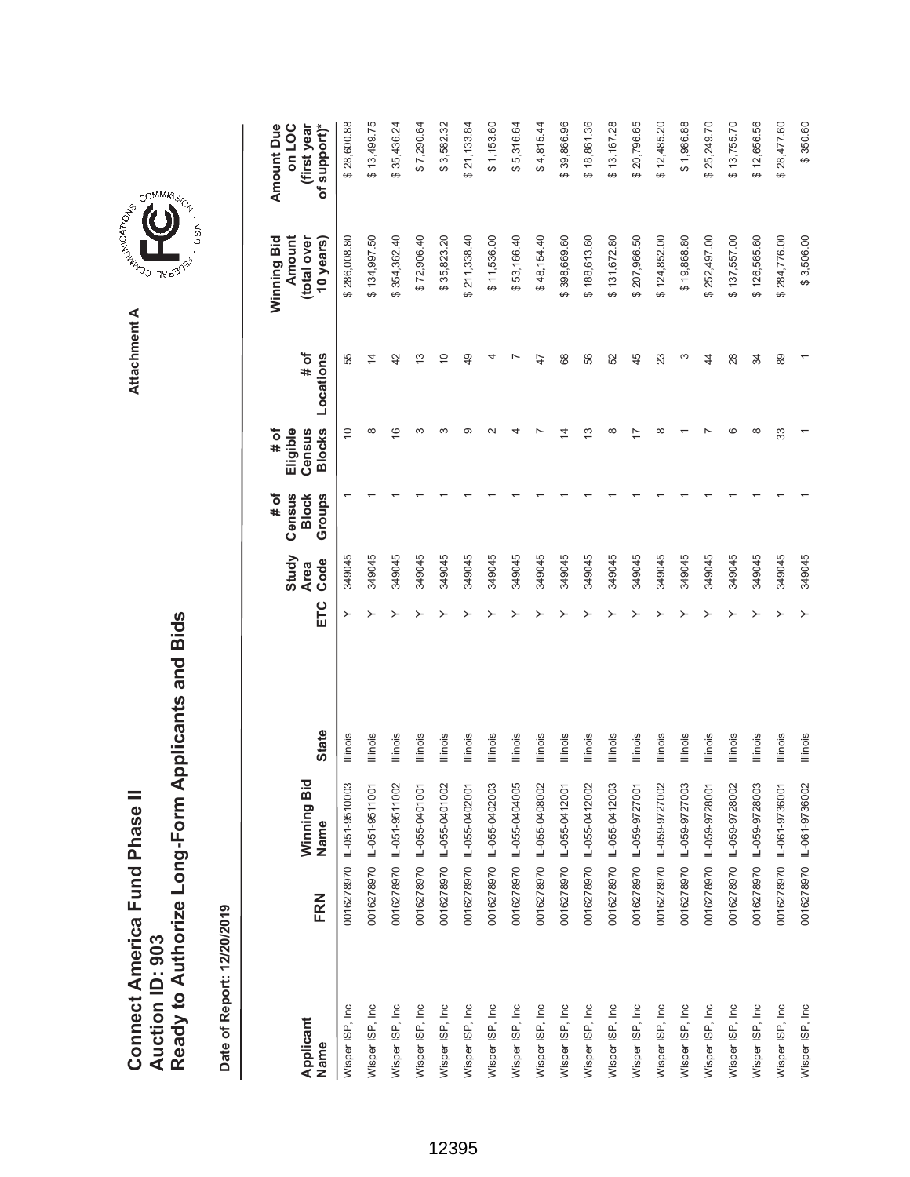|                                      |                 | Ready to Authorize Long-Form Applicants and Bids |
|--------------------------------------|-----------------|--------------------------------------------------|
|                                      |                 |                                                  |
| <b>Connect America Fund Phase II</b> |                 |                                                  |
|                                      |                 |                                                  |
|                                      | Auction ID: 903 |                                                  |
|                                      |                 |                                                  |



COMMIS<sub>SION</sub>

USA

|                   |     |                           |                 |     | Study               | Census<br># of         | # of<br>Eligible        |                   | Winning Bid<br>Amount    | <b>Amount Due</b><br>on LOC |
|-------------------|-----|---------------------------|-----------------|-----|---------------------|------------------------|-------------------------|-------------------|--------------------------|-----------------------------|
| Applicant<br>Name | FRN | Winning Bid<br>Name       | <b>State</b>    | ETC | Code<br><b>Area</b> | Groups<br><b>Block</b> | <b>Blocks</b><br>Census | Locations<br># of | (total over<br>10 years) | of support)*<br>(first year |
| Wisper ISP, Inc   |     | 0016278970 IL-051-9510003 | Illinois        | ≻   | 349045              |                        | $\tilde{0}$             | 55                | \$286,008.80             | \$28,600.88                 |
| Wisper ISP, Inc   |     | 0016278970 IL-051-9511001 | Illinois        |     | 349045              |                        | ∞                       | $\overline{4}$    | \$134,997.50             | \$13,499.75                 |
| Wisper ISP, Inc   |     | 0016278970 IL-051-9511002 | Illinois        |     | 349045              |                        | $\overline{\circ}$      | 42                | \$354,362.40             | \$35,436.24                 |
| Wisper ISP, Inc   |     | 0016278970 IL-055-0401001 | Illinois        |     | 349045              |                        | ო                       | $\frac{3}{2}$     | \$72,906.40              | \$7,290.64                  |
| Wisper ISP, Inc   |     | 0016278970 IL-055-0401002 | lllinois        |     | 349045              |                        | ო                       | $\overline{C}$    | \$35,823.20              | \$3,582.32                  |
| Wisper ISP, Inc   |     | 0016278970 IL-055-0402001 | lllinois        |     | 349045              |                        | ග                       | 49                | \$211,338.40             | \$21,133.84                 |
| Wisper ISP, Inc   |     | 0016278970 IL-055-0402003 | Illinois        |     | 349045              |                        |                         |                   | \$11,536.00              | \$1,153.60                  |
| Wisper ISP, Inc   |     | 0016278970 IL-055-0404005 | Illinois        |     | 349045              |                        |                         |                   | \$53,166.40              | \$5,316.64                  |
| Wisper ISP, Inc   |     | 0016278970 IL-055-0408002 | Illinois        |     | 349045              |                        |                         | 47                | \$48,154.40              | \$4,815.44                  |
| Wisper ISP, Inc   |     | 0016278970 IL-055-0412001 | Illinois        |     | 349045              |                        |                         | 68                | \$398,669.60             | \$39,866.96                 |
| Wisper ISP, Inc   |     | 0016278970 IL-055-0412002 | Illinois        |     | 349045              |                        | ო                       | 56                | \$188,613.60             | \$18,861.36                 |
| Wisper ISP, Inc   |     | 0016278970 IL-055-0412003 | lllinois        |     | 349045              |                        | ∞                       | 52                | \$131,672.80             | \$13,167.28                 |
| Wisper ISP, Inc   |     | 0016278970 IL-059-9727001 | Illinois        |     | 349045              |                        |                         | 45                | \$207,966.50             | \$20,796.65                 |
| Wisper ISP, Inc.  |     | 0016278970 IL-059-9727002 | Illinois        |     | 349045              |                        | $\infty$                | 23                | \$124,852.00             | \$12,485.20                 |
| Wisper ISP, Inc   |     | 0016278970 L-059-9727003  | lllinois        |     | 349045              |                        |                         | ω                 | \$19,868.80              | \$1,986.88                  |
| Wisper ISP, Inc   |     | 0016278970 1L-059-9728001 | Illinois        |     | 349045              |                        |                         | $\overline{4}$    | \$252,497.00             | \$25,249.70                 |
| Wisper ISP, Inc   |     | 0016278970 IL-059-9728002 | Illinois        |     | 349045              |                        | G                       | 28                | \$137,557.00             | \$13,755.70                 |
| Wisper ISP, Inc   |     | 0016278970 L-059-9728003  | lllinois        |     | 349045              |                        | $\infty$                | 34                | \$126,565.60             | \$12,656.56                 |
| Wisper ISP, Inc   |     | 0016278970 1L-061-9736001 | Illinois        |     | 349045              |                        | 33                      | 89                | \$284,776.00             | \$28,477.60                 |
| Wisper ISP, Inc   |     | 0016278970 IL-061-9736002 | <b>Illinois</b> |     | 349045              |                        |                         |                   | \$3,506.00               | \$350.60                    |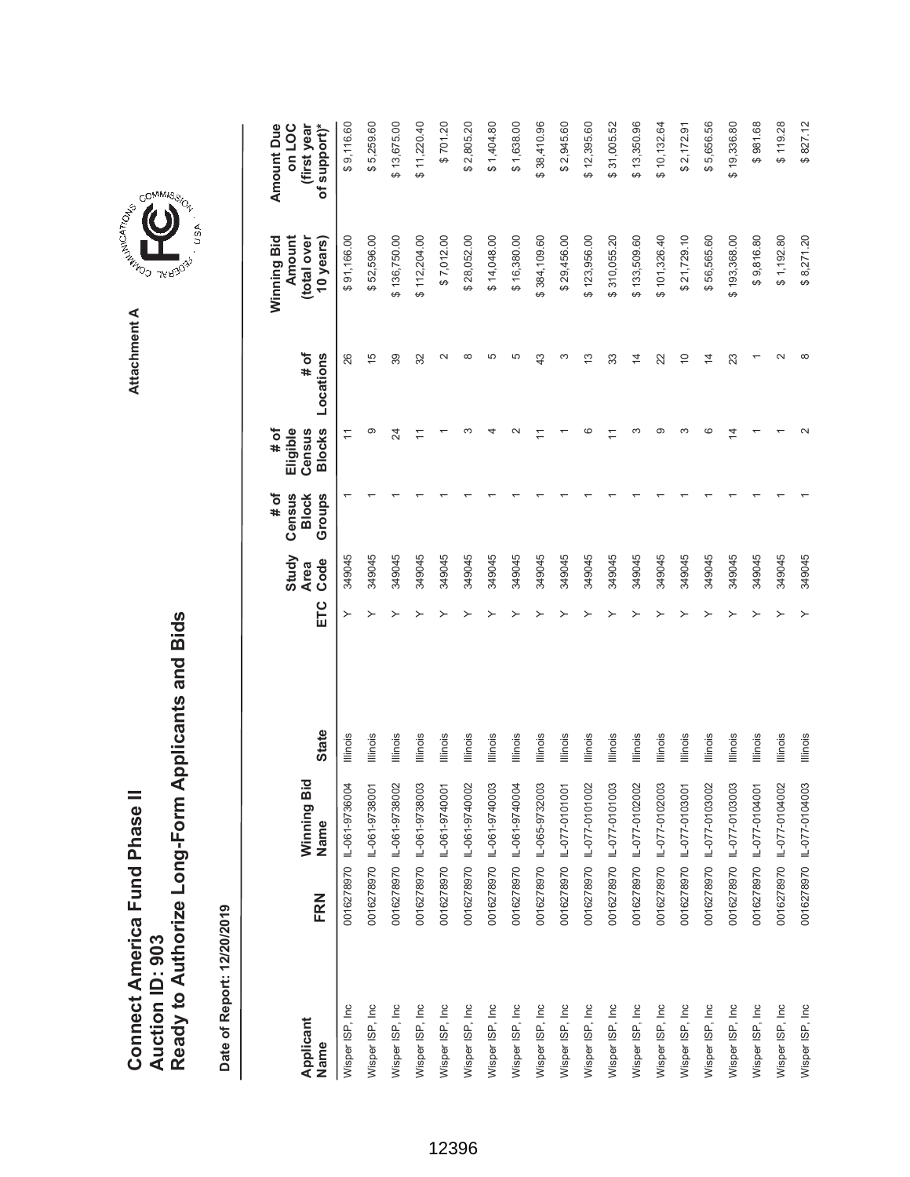| Connect America Fund Phase II |                 | Ready to Authorize Long-Form Applicants and Bids |
|-------------------------------|-----------------|--------------------------------------------------|
|                               | Auction ID: 903 |                                                  |

**COMMISSIC**<br>SIRING THESE Attachment A **Attachment A**

GOMMIS<sub>SION</sub>

USA

| Applicant<br>Name | FRN | Winning Bid<br>Name       | <b>State</b>    | ETC | Study<br>Code<br><b>Area</b> | # of<br>Census<br><b>Block</b><br>Groups | <b>Blocks</b><br># of<br>Eligible<br>Census | Locations<br># of | Winning Bid<br>Amount<br>(total over<br>10 years) | <b>Amount Due</b><br>of support)*<br>on LOC<br>(first year |
|-------------------|-----|---------------------------|-----------------|-----|------------------------------|------------------------------------------|---------------------------------------------|-------------------|---------------------------------------------------|------------------------------------------------------------|
|                   |     |                           |                 |     |                              |                                          |                                             |                   |                                                   |                                                            |
| Wisper ISP, Inc.  |     | 0016278970 L-061-9736004  | Illinois        | ≻   | 349045                       |                                          | $\overline{1}$                              | 26                | \$91,166.00                                       | \$9,116.60                                                 |
| Wisper ISP, Inc   |     | 0016278970 IL-061-9738001 | Illinois        |     | 349045                       |                                          | ග                                           | $\frac{5}{1}$     | \$52,596.00                                       | \$5,259.60                                                 |
| Wisper ISP, Inc.  |     | 0016278970 IL-061-9738002 | Illinois        |     | 349045                       |                                          | 24                                          | 39                | \$136,750.00                                      | \$13,675.00                                                |
| Wisper ISP, Inc   |     | 0016278970 IL-061-9738003 | Illinois        |     | 349045                       |                                          | Ξ                                           | 32                | \$112,204.00                                      | \$11,220.40                                                |
| Wisper ISP, Inc   |     | 0016278970 IL-061-9740001 | Illinois        |     | 349045                       |                                          |                                             |                   | \$7,012.00                                        | \$701.20                                                   |
| Wisper ISP, Inc   |     | 0016278970 IL-061-9740002 | lllinois        |     | 349045                       |                                          |                                             | ∞                 | \$28,052.00                                       | \$2,805.20                                                 |
| Wisper ISP, Inc   |     | 0016278970 1L-061-9740003 | lllinois        |     | 349045                       |                                          |                                             | 5                 | \$14,048.00                                       | \$1,404.80                                                 |
| Wisper ISP, Inc   |     | 0016278970 IL-061-9740004 | Illinois        |     | 349045                       |                                          |                                             | LO                | \$16,380.00                                       | \$1,638.00                                                 |
| Wisper ISP, Inc.  |     | 0016278970 IL-065-9732003 | <b>Illinois</b> |     | 349045                       |                                          |                                             | $\frac{3}{4}$     | \$384,109.60                                      | \$38,410.96                                                |
| Wisper ISP, Inc   |     | 0016278970 IL-077-0101001 | Illinois        |     | 349045                       |                                          |                                             | ∞                 | \$29,456.00                                       | \$2,945.60                                                 |
| Wisper ISP, Inc   |     | 0016278970 IL-077-0101002 | Illinois        |     | 349045                       |                                          | c                                           | $\frac{3}{2}$     | \$123,956.00                                      | \$12,395.60                                                |
| Wisper ISP, Inc   |     | 0016278970 IL-077-0101003 | Illinois        |     | 349045                       |                                          |                                             | 33                | \$310,055.20                                      | \$31,005.52                                                |
| Wisper ISP, Inc   |     | 0016278970 IL-077-0102002 | Illinois        |     | 349045                       |                                          | ო                                           | $\frac{4}{3}$     | \$133,509.60                                      | \$13,350.96                                                |
| Wisper ISP, Inc   |     | 0016278970 IL-077-0102003 | <b>Illinois</b> |     | 349045                       |                                          | ග                                           | 22                | \$101,326.40                                      | \$10,132.64                                                |
| Wisper ISP, Inc   |     | 0016278970 IL-077-0103001 | Illinois        |     | 349045                       |                                          | ∞                                           | $\overline{C}$    | \$21,729.10                                       | \$2,172.91                                                 |
| Wisper ISP, Inc   |     | 0016278970 IL-077-0103002 | Illinois        |     | 349045                       |                                          | ဖ                                           | $\overline{4}$    | \$56,565.60                                       | \$5,656.56                                                 |
| Wisper ISP, Inc   |     | 0016278970 IL-077-0103003 | Illinois        |     | 349045                       |                                          | 4                                           | 23                | \$193,368.00                                      | \$19,336.80                                                |
| Wisper ISP, Inc   |     | 0016278970 IL-077-0104001 | Illinois        |     | 349045                       |                                          |                                             |                   | \$9,816.80                                        | \$981.68                                                   |
| Wisper ISP, Inc   |     | 0016278970 IL-077-0104002 | Illinois        |     | 349045                       |                                          |                                             |                   | \$1,192.80                                        | \$119.28                                                   |
| Wisper ISP, Inc   |     | 0016278970 IL-077-0104003 | <b>Illinois</b> |     | 349045                       |                                          |                                             | ∞                 | \$8,271.20                                        | \$827.12                                                   |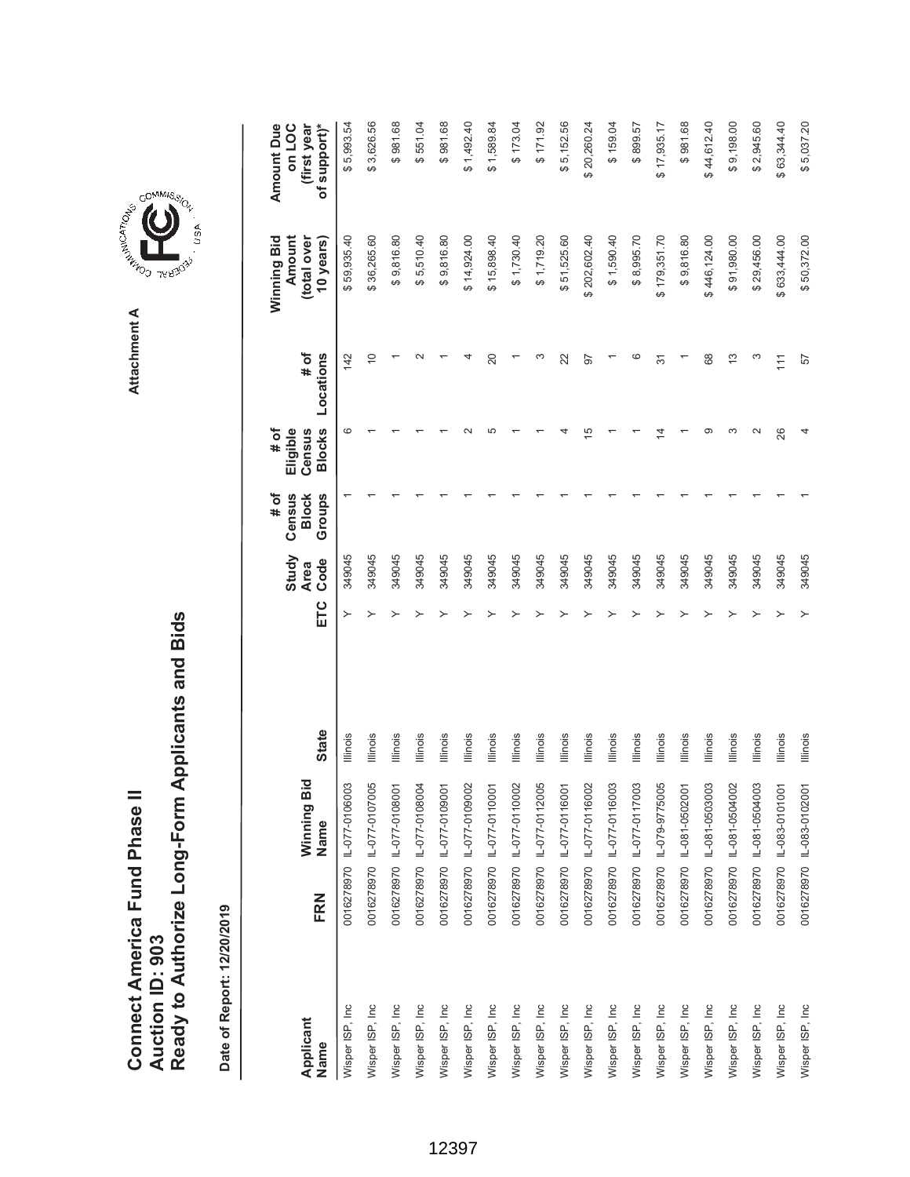|                                      |                 | Ready to Authorize Long-Form Applicants and Bids |
|--------------------------------------|-----------------|--------------------------------------------------|
| <b>Connect America Fund Phase II</b> | Auction ID: 903 |                                                  |

Date of Report: 12/20/2019 **Date of Report: 12/20/2019**

|                   |     |                           |                 |     | Study               | Census<br># of         | Eligible<br># of        |                   | Amount<br>Winning Bid    | <b>Amount Due</b><br>on LOC |
|-------------------|-----|---------------------------|-----------------|-----|---------------------|------------------------|-------------------------|-------------------|--------------------------|-----------------------------|
| Applicant<br>Name | FRN | Winning Bid<br>Name       | <b>State</b>    | ETC | Code<br><b>Area</b> | Groups<br><b>Block</b> | <b>Blocks</b><br>Census | # of<br>Locations | (total over<br>10 years) | (first year<br>of support)* |
| Wisper ISP, Inc   |     | 0016278970 IL-077-0106003 | Illinois        |     | 349045              |                        | ဖ                       | 142               | \$59,935.40              | \$5,993.54                  |
| Wisper ISP, Inc   |     | 0016278970 IL-077-0107005 | Illinois        |     | 349045              |                        |                         | $\overline{C}$    | \$36,265.60              | \$3,626.56                  |
| Wisper ISP, Inc   |     | 0016278970 L-077-0108001  | Illinois        |     | 349045              |                        |                         |                   | \$9,816.80               | \$981.68                    |
| Wisper ISP, Inc   |     | 0016278970 IL-077-0108004 | Illinois        |     | 349045              |                        |                         |                   | \$5,510.40               | \$551.04                    |
| Wisper ISP, Inc   |     | 0016278970 IL-077-0109001 | Illinois        |     | 349045              |                        |                         |                   | \$9,816.80               | \$981.68                    |
| Wisper ISP, Inc   |     | 0016278970 IL-077-0109002 | Illinois        |     | 349045              |                        |                         |                   | \$14,924.00              | $0 + 26 + 18$               |
| Wisper ISP, Inc   |     | 0016278970 IL-077-0110001 | Illinois        |     | 349045              |                        | Ю                       | 20                | \$15,898.40              | \$1,589.84                  |
| Wisper ISP, Inc   |     | 0016278970 IL-077-0110002 | Illinois        |     | 349045              |                        |                         |                   | \$1,730.40               | \$173.04                    |
| Wisper ISP, Inc   |     | 0016278970 IL-077-0112005 | <b>Illinois</b> |     | 349045              |                        |                         |                   | \$1,719.20               | \$171.92                    |
| Wisper ISP, Inc   |     | 0016278970 IL-077-0116001 | Illinois        |     | 349045              |                        |                         | 22                | \$51,525.60              | \$5,152.56                  |
| Wisper ISP, Inc.  |     | 0016278970 IL-077-0116002 | <b>Illinois</b> |     | 349045              |                        | c                       | 97                | \$202,602.40             | \$20,260.24                 |
| Wisper ISP, Inc   |     | 0016278970 IL-077-0116003 | <b>Illinois</b> |     | 349045              |                        |                         |                   | \$1,590.40               | \$159.04                    |
| Wisper ISP, Inc   |     | 0016278970 IL-077-0117003 | <b>Illinois</b> |     | 349045              |                        |                         |                   | \$8,995.70               | \$899.57                    |
| Wisper ISP, Inc.  |     | 0016278970 IL-079-9775005 | Illinois        |     | 349045              |                        |                         | 37                | \$179,351.70             | \$17,935.17                 |
| Wisper ISP, Inc   |     | 0016278970 IL-081-0502001 | Illinois        |     | 349045              |                        |                         |                   | \$9,816.80               | \$981.68                    |
| Wisper ISP, Inc   |     | 0016278970 IL-081-0503003 | Illinois        |     | 349045              |                        | σ.                      | 68                | \$446,124.00             | \$44,612.40                 |
| Wisper ISP, Inc   |     | 0016278970 IL-081-0504002 | Illinois        |     | 349045              |                        | S                       | 13                | \$91,980.00              | \$9,198.00                  |
| Wisper ISP, Inc   |     | 0016278970 IL-081-0504003 | Illinois        |     | 349045              |                        | $\sim$                  | ω                 | \$29,456.00              | \$2,945.60                  |
| Wisper ISP, Inc   |     | 0016278970 IL-083-0101001 | <b>Illinois</b> |     | 349045              |                        | 26                      | $\frac{1}{11}$    | \$633,444.00             | \$63,344.40                 |
| Wisper ISP, Inc   |     | 0016278970 IL-083-0102001 | <b>Illinois</b> |     | 349045              |                        |                         | 57                | \$50,372.00              | \$5,037.20                  |

**COMMISSION** Attachment A **Attachment A**

.<br>USA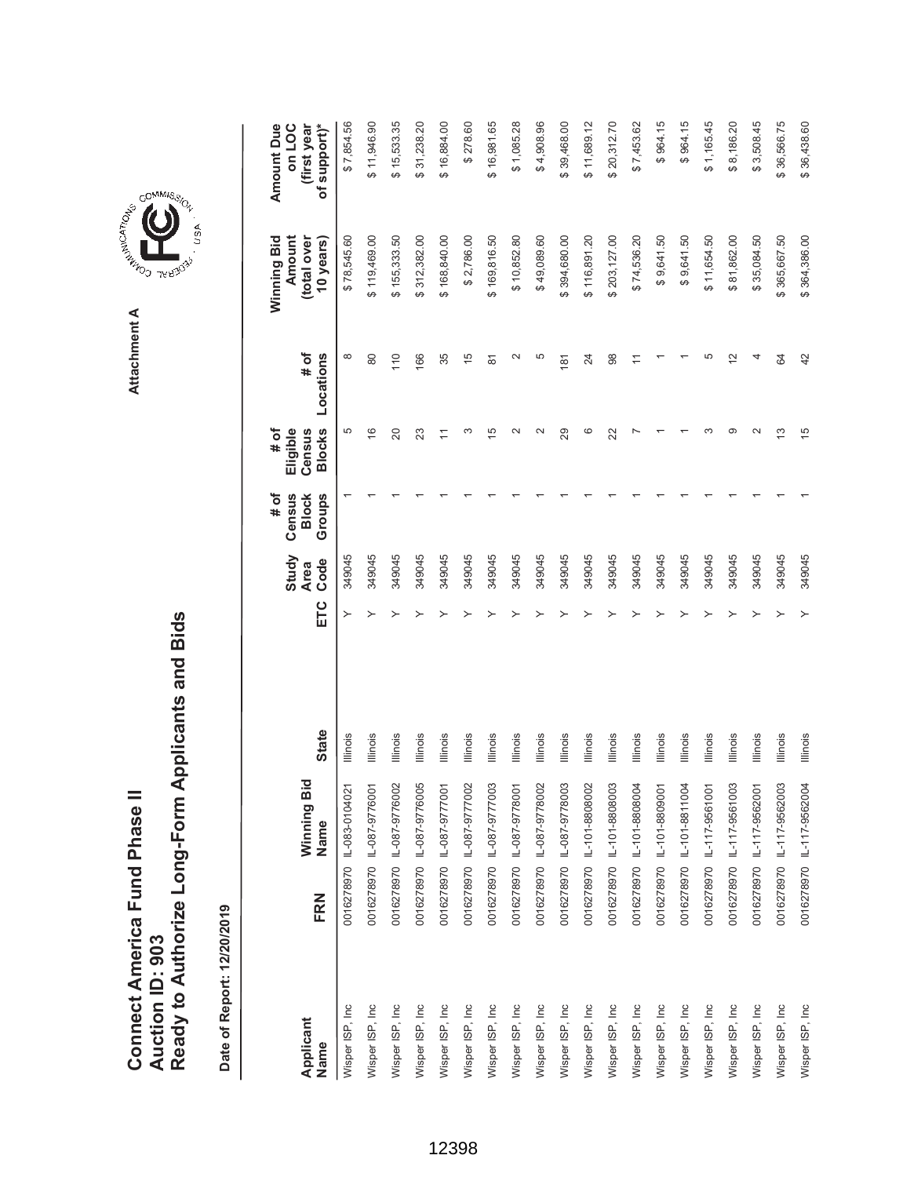|                               |                 | Ready to Authorize Long-Form Applicants and Bids |
|-------------------------------|-----------------|--------------------------------------------------|
| Connect America Fund Phase II |                 |                                                  |
|                               | Auction ID: 903 |                                                  |

COMMIS<sub>SION</sub>

USA

| Applicant        |     | Winning Bid               |                 |     | Study<br><b>Area</b> | # of<br>Census<br><b>Block</b> | # of<br>Eligible<br>Census | # of           | Winning Bid<br>Amount<br>(total over | <b>Amount Due</b><br>on LOC<br>(first year |
|------------------|-----|---------------------------|-----------------|-----|----------------------|--------------------------------|----------------------------|----------------|--------------------------------------|--------------------------------------------|
| Name             | FRN | Name                      | <b>State</b>    | ETC | Code                 | Groups                         | <b>Blocks</b>              | Locations      | 10 years)                            | of support)*                               |
| Wisper ISP, Inc  |     | 0016278970 IL-083-0104021 | Illinois        | ≻   | 349045               |                                | 5                          | $\infty$       | \$78,545.60                          | \$7,854.56                                 |
| Wisper ISP, Inc  |     | 0016278970 L-087-9776001  | Illinois        |     | 349045               |                                | $\frac{6}{5}$              | 80             | \$119,469.00                         | \$11,946.90                                |
| Wisper ISP, Inc  |     | 0016278970 IL-087-9776002 | Illinois        |     | 349045               |                                | $\overline{20}$            | 110            | \$155,333.50                         | \$15,533.35                                |
| Wisper ISP, Inc  |     | 0016278970 1L-087-9776005 | Illinois        |     | 349045               |                                | 23                         | 166            | 312,382.00                           | \$31,238.20                                |
| Wisper ISP, Inc  |     | 0016278970 L-087-9777001  | Illinois        |     | 349045               |                                | $\overline{1}$             | 35             | \$168,840.00                         | \$16,884.00                                |
| Wisper ISP, Inc  |     | 0016278970 L-087-9777002  | Illinois        |     | 349045               |                                | ∞                          | $\frac{5}{2}$  | \$2,786.00                           | \$278.60                                   |
| Wisper ISP, Inc  |     | 0016278970 1L-087-9777003 | lllinois        |     | 349045               |                                | 15                         | 81             | \$169,816.50                         | \$16,981.65                                |
| Wisper ISP, Inc  |     | 0016278970 L-087-9778001  | Illinois        |     | 349045               |                                | $\sim$                     | $\sim$         | \$10,852.80                          | \$1,085.28                                 |
| Wisper ISP, Inc  |     | 0016278970 IL-087-9778002 | Illinois        |     | 349045               |                                | $\sim$                     | 5              | \$49,089.60                          | \$4,908.96                                 |
| Wisper ISP, Inc  |     | 0016278970 1L-087-9778003 | Illinois        |     | 349045               |                                | 29                         | 181            | \$394,680.00                         | \$39,468.00                                |
| Wisper ISP, Inc  |     | 0016278970 IL-101-8808002 | Illinois        |     | 349045               |                                | ဖ                          | 24             | \$116,891.20                         | \$11,689.12                                |
| Wisper ISP, Inc  |     | 0016278970 1L-101-8808003 | Illinois        |     | 349045               |                                | 22                         | 98             | \$203,127.00                         | \$20,312.70                                |
| Wisper ISP, Inc. |     | 0016278970 L-101-8808004  | lllinois        |     | 349045               |                                |                            | $\overline{1}$ | \$74,536.20                          | \$7,453.62                                 |
| Wisper ISP, Inc  |     | 0016278970 1L-101-8809001 | Illinois        |     | 349045               |                                |                            |                | \$9,641.50                           | \$964.15                                   |
| Wisper ISP, Inc  |     | 0016278970 L-101-8811004  | Illinois        |     | 349045               |                                |                            |                | \$9,641.50                           | \$964.15                                   |
| Wisper ISP, Inc  |     | 0016278970 IL-117-9561001 | Illinois        |     | 349045               |                                |                            | 5              | \$11,654.50                          | \$1,165.45                                 |
| Wisper ISP, Inc  |     | 0016278970 IL-117-9561003 | <b>Illinois</b> |     | 349045               |                                | ග                          | $\frac{2}{3}$  | \$81,862.00                          | \$8,186.20                                 |
| Wisper ISP, Inc  |     | 0016278970 IL-117-9562001 | Illinois        |     | 349045               |                                | $\scriptstyle\sim$         |                | \$35,084.50                          | \$3,508.45                                 |
| Wisper ISP, Inc  |     | 0016278970 IL-117-9562003 | Illinois        |     | 349045               |                                | <u>ო</u>                   | 64             | \$365,667.50                         | \$36,566.75                                |
| Wisper ISP, Inc  |     | 0016278970 IL-117-9562004 | <b>Illinois</b> | ≻   | 349045               |                                | $\frac{5}{2}$              | 42             | \$364,386.00                         | \$36,438.60                                |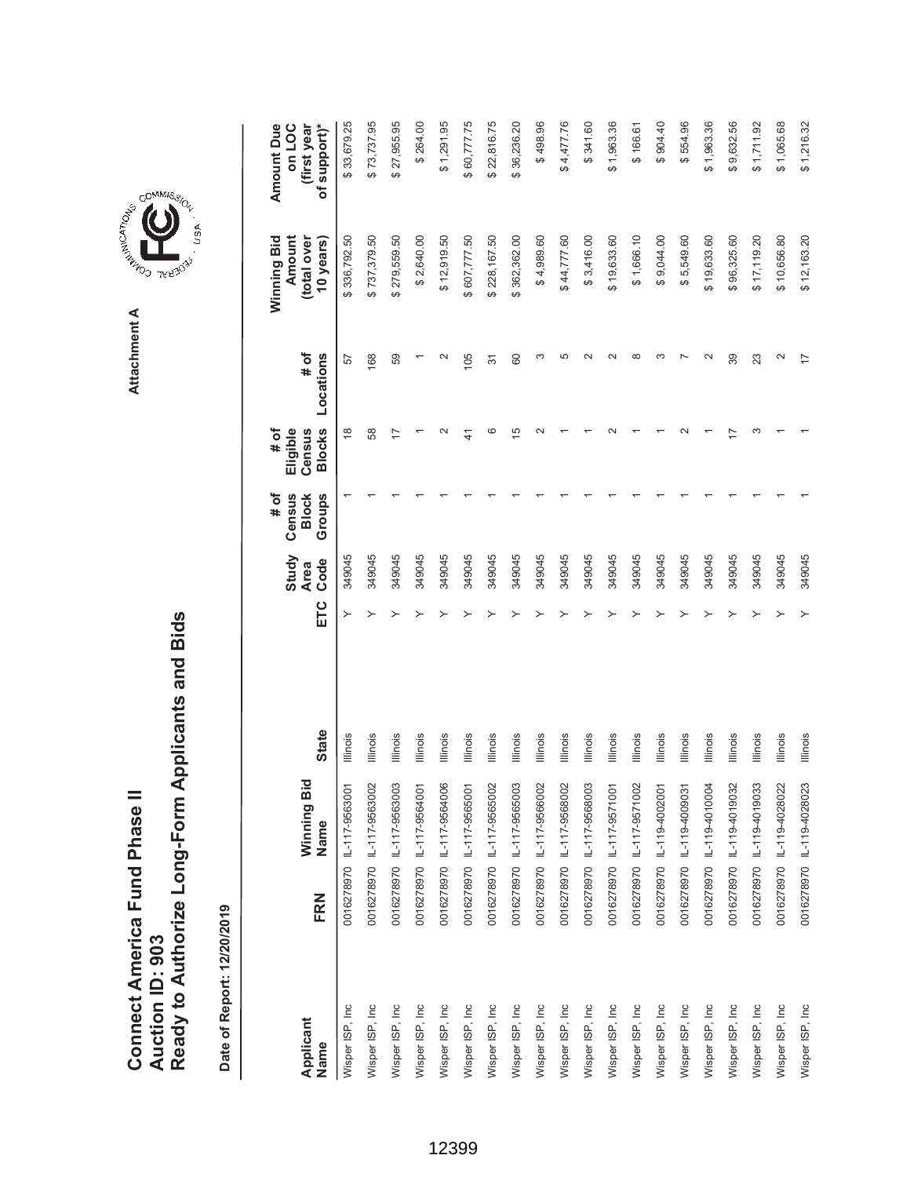|                               |                        | Ready to Authorize Long-Form Applicants and Bids |
|-------------------------------|------------------------|--------------------------------------------------|
| Connect America Fund Phase II |                        |                                                  |
|                               |                        |                                                  |
|                               | <b>Auction ID: 903</b> |                                                  |

Date of Report: 12/20/2019 **Date of Report: 12/20/2019**





GOMMIS<sub>SION</sub>

USA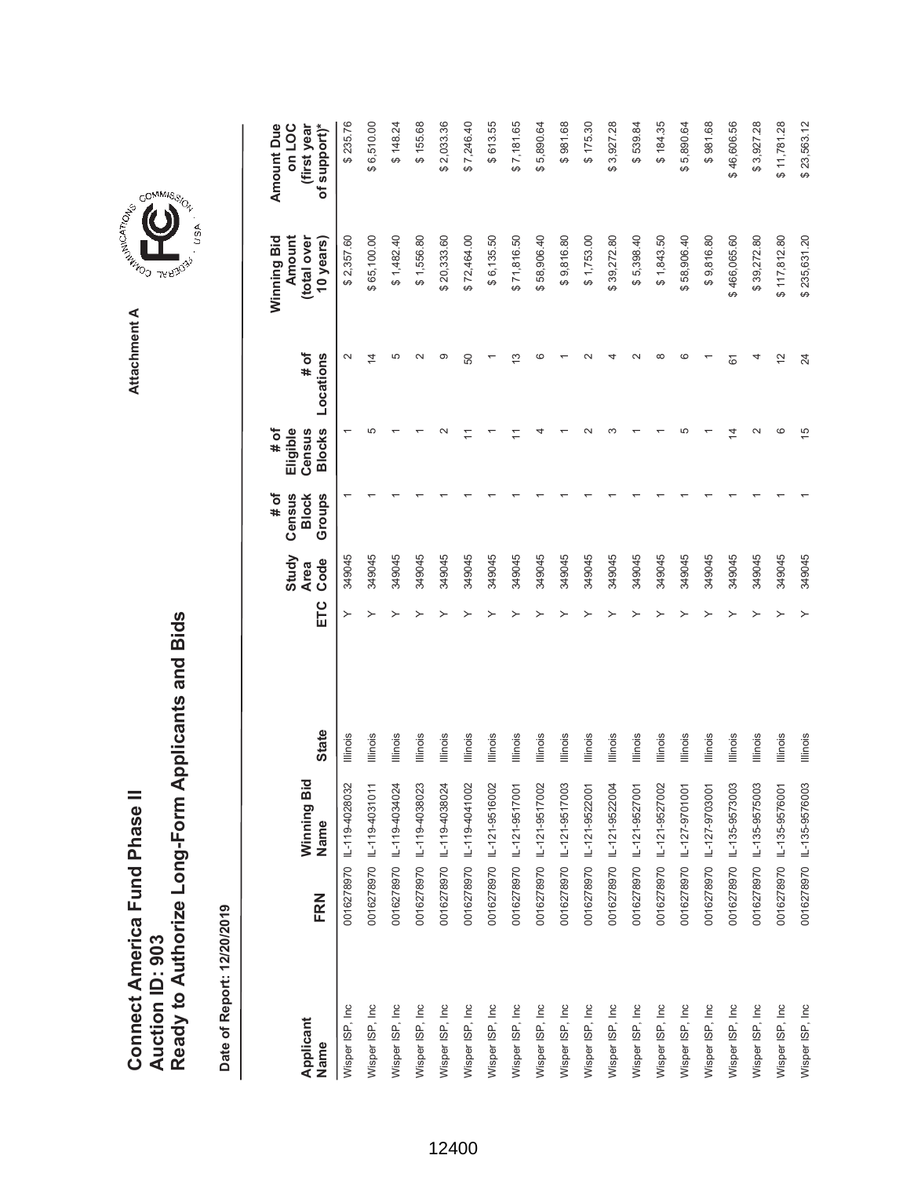Date of Report: 12/20/2019 **Date of Report: 12/20/2019**

|                   |     |                           |                 |     | Study               | Census<br># of         | Eligible<br># of        |                   | Winning Bid<br>Amount    | on LOC<br>Amount Due        |
|-------------------|-----|---------------------------|-----------------|-----|---------------------|------------------------|-------------------------|-------------------|--------------------------|-----------------------------|
| Applicant<br>Name | FRN | Winning Bid<br>Name       | <b>State</b>    | ETC | Code<br><b>Area</b> | <b>Block</b><br>Groups | <b>Blocks</b><br>Census | # of<br>Locations | (total over<br>10 years) | (first year<br>of support)* |
| Wisper ISP, Inc   |     | 0016278970 IL-119-4028032 | Illinois        |     | 349045              |                        |                         | $\sim$            | \$2,357.60               | \$235.76                    |
| Wisper ISP, Inc   |     | 0016278970 IL-119-4031011 | Illinois        |     | 349045              |                        | 5                       | $\overline{4}$    | \$65,100.00              | \$6,510.00                  |
| Wisper ISP, Inc   |     | 0016278970 IL-119-4034024 | Illinois        |     | 349045              |                        |                         | 5                 | \$1,482.40               | \$148.24                    |
| Wisper ISP, Inc   |     | 0016278970 IL-119-4038023 | Illinois        |     | 349045              |                        |                         | $\mathbf{\Omega}$ | \$1,556.80               | \$155.68                    |
| Wisper ISP, Inc   |     | 0016278970 IL-119-4038024 | Illinois        |     | 349045              |                        |                         | ග                 | \$20,333.60              | \$2,033.36                  |
| Wisper ISP, Inc   |     | 0016278970 IL-119-4041002 | Illinois        |     | 349045              |                        |                         | 50                | \$72,464.00              | \$7,246.40                  |
| Wisper ISP, Inc   |     | 0016278970 IL-121-9516002 | Illinois        |     | 349045              |                        |                         |                   | \$6,135.50               | \$613.55                    |
| Wisper ISP, Inc   |     | 0016278970 L-121-9517001  | Illinois        |     | 349045              |                        |                         | ო                 | \$71,816.50              | \$7,181.65                  |
| Wisper ISP, Inc   |     | 0016278970 IL-121-9517002 | Illinois        |     | 349045              |                        |                         | c                 | \$58,906.40              | \$5,890.64                  |
| Wisper ISP, Inc   |     | 0016278970 IL-121-9517003 | Illinois        |     | 349045              |                        |                         |                   | \$9,816.80               | \$981.68                    |
| Wisper ISP, Inc   |     | 0016278970 IL-121-9522001 | <b>Illinois</b> |     | 349045              |                        |                         |                   | \$1,753.00               | \$175.30                    |
| Wisper ISP, Inc   |     | 0016278970 IL-121-9522004 | Illinois        |     | 349045              |                        |                         |                   | \$39,272.80              | \$3,927.28                  |
| Wisper ISP, Inc   |     | 0016278970 IL-121-9527001 | Illinois        |     | 349045              |                        |                         |                   | \$5,398.40               | \$539.84                    |
| Wisper ISP, Inc   |     | 0016278970 IL-121-9527002 | <b>Illinois</b> |     | 349045              |                        |                         | ∞                 | \$1,843.50               | \$184.35                    |
| Wisper ISP, Inc   |     | 0016278970 IL-127-9701001 | Illinois        |     | 349045              |                        |                         | c                 | \$58,906.40              | \$5,890.64                  |
| Wisper ISP, Inc   |     | 0016278970 IL-127-9703001 | <b>Illinois</b> |     | 349045              |                        |                         |                   | \$9,816.80               | \$981.68                    |
| Wisper ISP, Inc   |     | 0016278970 IL-135-9573003 | Illinois        |     | 349045              |                        | 4                       | 61                | \$466,065.60             | \$46,606.56                 |
| Wisper ISP, Inc   |     | 0016278970 IL-135-9575003 | Illinois        |     | 349045              |                        |                         |                   | \$39,272.80              | \$3,927.28                  |
| Wisper ISP, Inc   |     | 0016278970 IL-135-9576001 | <b>Illinois</b> |     | 349045              |                        | ဖ                       | $\overline{c}$    | \$117,812.80             | \$11,781.28                 |
| Wisper ISP, Inc   |     | 0016278970 IL-135-9576003 | <b>Illinois</b> |     | 349045              |                        | 15                      | 24                | \$235,631.20             | \$23,563.12                 |



, usA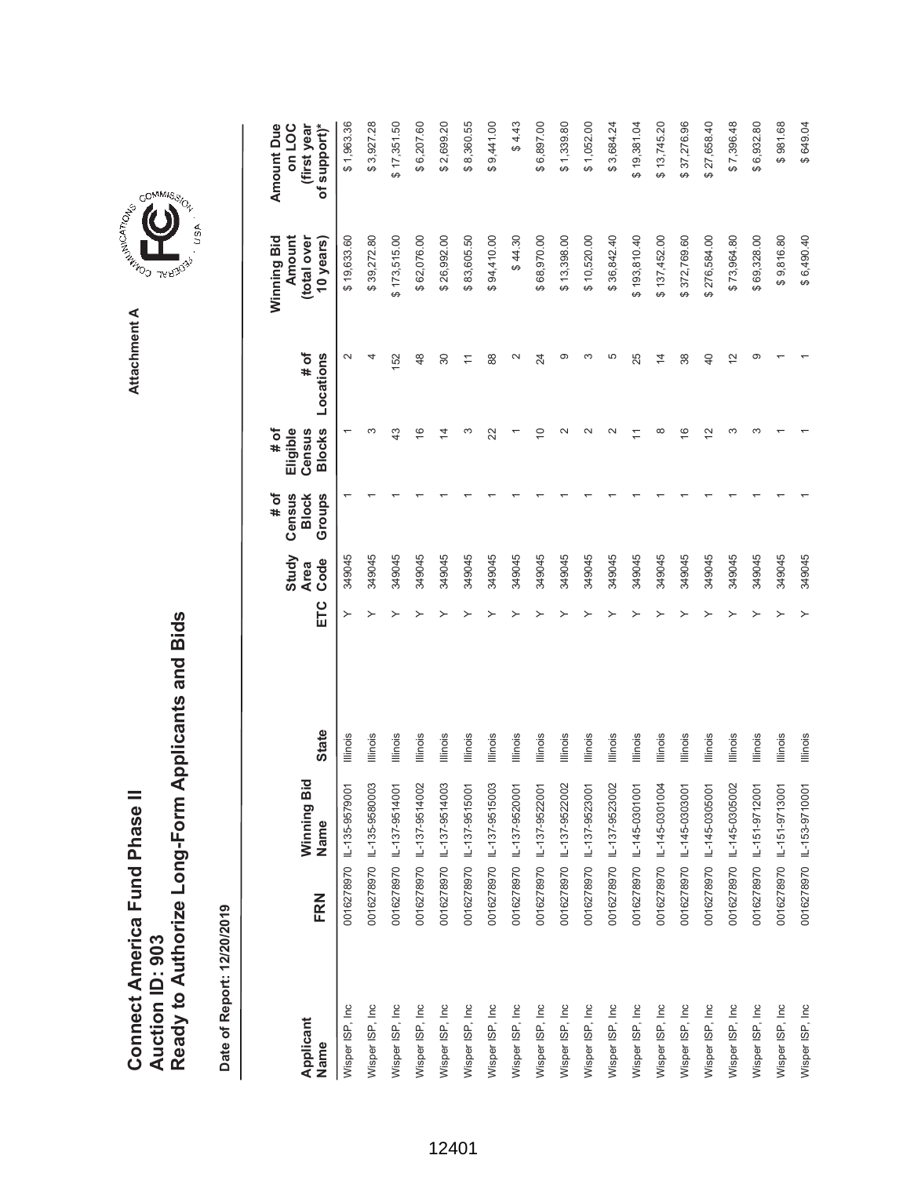| Connect America Fund Phase II |                 | Ready to Authorize Long-Form Applicants and Bids |
|-------------------------------|-----------------|--------------------------------------------------|
|                               | Auction ID: 903 |                                                  |



GOMMIS<sub>SION</sub>

USA

|                   |     |                           |                 |     | Study               | Census<br># of         | Eligible<br># of        |                   | Winning Bid<br>Amount    | <b>Amount Due</b><br>on LOC |
|-------------------|-----|---------------------------|-----------------|-----|---------------------|------------------------|-------------------------|-------------------|--------------------------|-----------------------------|
| Applicant<br>Name | FRN | Winning Bid<br>Name       | <b>State</b>    | ETC | Code<br><b>Area</b> | Groups<br><b>Block</b> | <b>Blocks</b><br>Census | Locations<br># of | (total over<br>10 years) | of support)*<br>(first year |
| Wisper ISP, Inc   |     | 0016278970 L-135-9579001  | Illinois        |     | 349045              |                        |                         | $\mathbf{\Omega}$ | \$19,633.60              | \$1,963.36                  |
| Wisper ISP, Inc   |     | 0016278970 IL-135-9580003 | Illinois        |     | 349045              |                        |                         |                   | \$39,272.80              | \$3,927.28                  |
| Wisper ISP, Inc   |     | 0016278970 IL-137-9514001 | Illinois        |     | 349045              |                        | $\frac{3}{4}$           | 152               | \$173,515.00             | \$17,351.50                 |
| Wisper ISP, Inc.  |     | 0016278970 L-137-9514002  | Illinois        |     | 349045              |                        | $\frac{6}{5}$           | 48                | \$62,076.00              | \$6,207.60                  |
| Wisper ISP, Inc   |     | 0016278970 1L-137-9514003 | Illinois        |     | 349045              |                        | $\overline{4}$          | 30                | \$26,992.00              | \$2,699.20                  |
| Wisper ISP, Inc   |     | 0016278970 IL-137-9515001 | Illinois        |     | 349045              |                        | S                       | $\overline{1}$    | \$83,605.50              | \$8,360.55                  |
| Wisper ISP, Inc   |     | 0016278970 IL-137-9515003 | Illinois        |     | 349045              |                        | 22                      | 88                | \$94,410.00              | \$9,441.00                  |
| Wisper ISP, Inc.  |     | 0016278970 L-137-9520001  | Illinois        |     | 349045              |                        |                         | $\mathbf{\Omega}$ | \$44.30                  | \$4.43                      |
| Wisper ISP, Inc   |     | 0016278970 IL-137-9522001 | Illinois        |     | 349045              |                        | S                       | 24                | \$68,970.00              | \$6,897.00                  |
| Wisper ISP, Inc   |     | 0016278970 IL-137-9522002 | Illinois        |     | 349045              |                        | $\sim$                  | ග                 | \$13,398.00              | \$1,339.80                  |
| Wisper ISP, Inc   |     | 0016278970 IL-137-9523001 | lllinois        |     | 349045              |                        |                         | S                 | \$10,520.00              | \$1,052.00                  |
| Wisper ISP, Inc   |     | 0016278970 IL-137-9523002 | Illinois        |     | 349045              |                        |                         | 5                 | \$36,842.40              | \$3,684.24                  |
| Wisper ISP, Inc   |     | 0016278970 1L-145-0301001 | Illinois        |     | 349045              |                        |                         | 25                | \$193,810.40             | \$19,381.04                 |
| Wisper ISP, Inc   |     | 0016278970 1L-145-0301004 | Illinois        |     | 349045              |                        | $\infty$                | $\overline{4}$    | \$137,452.00             | \$13,745.20                 |
| Wisper ISP, Inc   |     | 0016278970 L-145-0303001  | Illinois        |     | 349045              |                        | $\frac{6}{2}$           | 38                | \$372,769.60             | \$37,276.96                 |
| Wisper ISP, Inc   |     | 0016278970 IL-145-0305001 | Illinois        |     | 349045              |                        | 21                      | $\overline{4}$    | \$276,584.00             | \$27,658.40                 |
| Wisper ISP, Inc   |     | 0016278970 IL-145-0305002 | Illinois        |     | 349045              |                        | ᠬ                       | $\tilde{c}$       | \$73,964.80              | \$7,396.48                  |
| Wisper ISP, Inc   |     | 0016278970 L-151-9712001  | Illinois        |     | 349045              |                        |                         | ග                 | \$69,328.00              | \$6,932.80                  |
| Wisper ISP, Inc   |     | 0016278970 L-151-9713001  | Illinois        |     | 349045              |                        |                         |                   | \$9,816.80               | \$981.68                    |
| Wisper ISP, Inc   |     | 0016278970 IL-153-9710001 | <b>Illinois</b> |     | 349045              |                        |                         |                   | \$6,490.40               | \$649.04                    |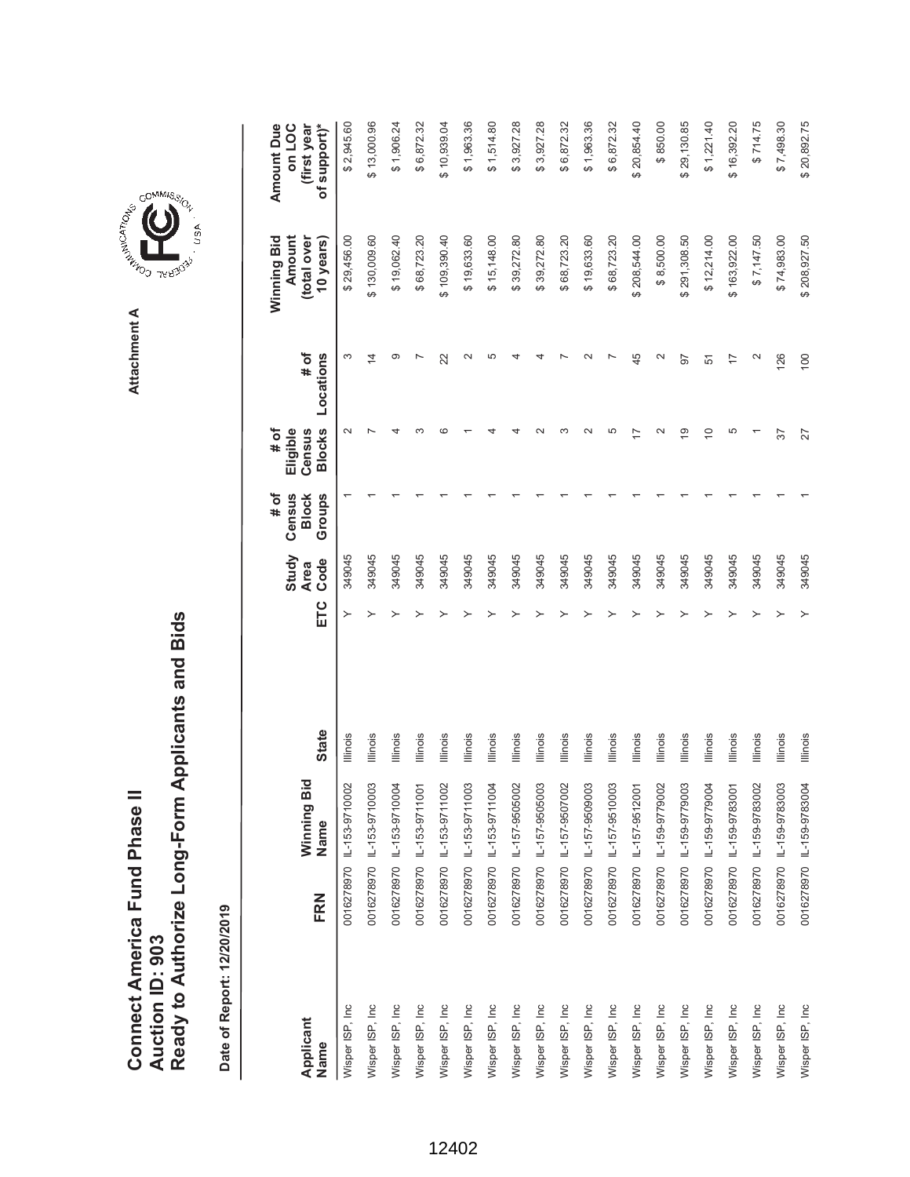**AREA COMMISSION** Attachment A **Attachment A**

COMMIS<sub>SION</sub>

, USA

| Applicant       |     | Winning Bid               |                 |     | Study<br><b>Area</b> | <b>Block</b><br># of<br>Census | Eligible<br>Census<br># of | # of                     | Winning Bid<br>Amount<br>(total over | <b>Amount Due</b><br>on LOC<br>(first year |
|-----------------|-----|---------------------------|-----------------|-----|----------------------|--------------------------------|----------------------------|--------------------------|--------------------------------------|--------------------------------------------|
| Name            | FRN | Name                      | <b>State</b>    | ETC | Code                 | Groups                         | <b>Blocks</b>              | Locations                | 10 years)                            | of support)*                               |
| Wisper ISP, Inc |     | 0016278970 IL-153-9710002 | Illinois        | ≻   | 349045               |                                | $\sim$                     | S                        | \$29,456.00                          | \$2,945.60                                 |
| Wisper ISP, Inc |     |                           | Illinois        |     | 349045               |                                |                            | 4                        | \$130,009.60                         | \$13,000.96                                |
| Wisper ISP, Inc |     | 0016278970 1L-153-9710004 | Illinois        |     | 349045               |                                |                            | တ                        | \$19,062.40                          | \$1,906.24                                 |
| Wisper ISP, Inc |     | 0016278970 L-153-9711001  | Illinois        |     | 349045               |                                |                            |                          | \$68,723.20                          | \$6,872.32                                 |
| Wisper ISP, Inc |     | 0016278970 L-153-9711002  | Illinois        |     | 349045               |                                | c                          | 22                       | \$109,390.40                         | \$10,939.04                                |
| Wisper ISP, Inc |     | 0016278970 L-153-9711003  | lllinois        |     | 349045               |                                |                            | $\sim$                   | \$19,633.60                          | \$1,963.36                                 |
| Wisper ISP, Inc |     | 0016278970 L-153-9711004  | Illinois        |     | 349045               |                                |                            | 5                        | \$15,148.00                          | \$1,514.80                                 |
| Wisper ISP, Inc |     | 0016278970 IL-157-9505002 | Illinois        |     | 349045               |                                |                            |                          | \$39,272.80                          | \$3,927.28                                 |
| Wisper ISP, Inc |     | 0016278970 L-157-9505003  | Illinois        |     | 349045               |                                |                            |                          | \$39,272.80                          | \$3,927.28                                 |
| Wisper ISP, Inc |     | 0016278970 IL-157-9507002 | Illinois        |     | 349045               |                                |                            |                          | \$68,723.20                          | \$6,872.32                                 |
| Wisper ISP, Inc |     | 0016278970 1L-157-9509003 | Illinois        |     | 349045               |                                |                            |                          | \$19,633.60                          | \$1,963.36                                 |
| Wisper ISP, Inc |     |                           | Illinois        |     | 349045               |                                | 5                          |                          | \$68,723.20                          | \$6,872.32                                 |
| Wisper ISP, Inc |     | 0016278970 1L-157-9512001 | lllinois        |     | 349045               |                                |                            | 45                       | \$208,544.00                         | \$20,854.40                                |
| Wisper ISP, Inc |     | 0016278970 L-159-9779002  | <b>Illinois</b> |     | 349045               |                                | $\scriptstyle\sim$         | $\scriptstyle\sim$       | \$8,500.00                           | \$850.00                                   |
| Wisper ISP, Inc |     | 0016278970 L-159-9779003  | Illinois        |     | 349045               |                                | ഇ                          | 57                       | \$291,308.50                         | \$29,130.85                                |
| Wisper ISP, Inc |     | 0016278970 L-159-9779004  | Illinois        |     | 349045               |                                | $\widetilde{C}$            | 51                       | \$12,214.00                          | \$1,221.40                                 |
| Wisper ISP, Inc |     | 0016278970 1L-159-9783001 | Illinois        |     | 349045               |                                | 5                          | $\overline{1}$           | \$163,922.00                         | \$16,392.20                                |
| Wisper ISP, Inc |     | 0016278970 IL-159-9783002 | Illinois        |     | 349045               |                                |                            | $\scriptstyle\mathtt{N}$ | \$7,147.50                           | \$714.75                                   |
| Wisper ISP, Inc |     | 0016278970 1L-159-9783003 | Illinois        |     | 349045               |                                | 57                         | 126                      | \$74,983.00                          | \$7,498.30                                 |
| Wisper ISP, Inc |     | 0016278970 IL-159-9783004 | <b>Illinois</b> |     | 349045               |                                | 27                         | 100                      | \$208,927.50                         | \$20,892.75                                |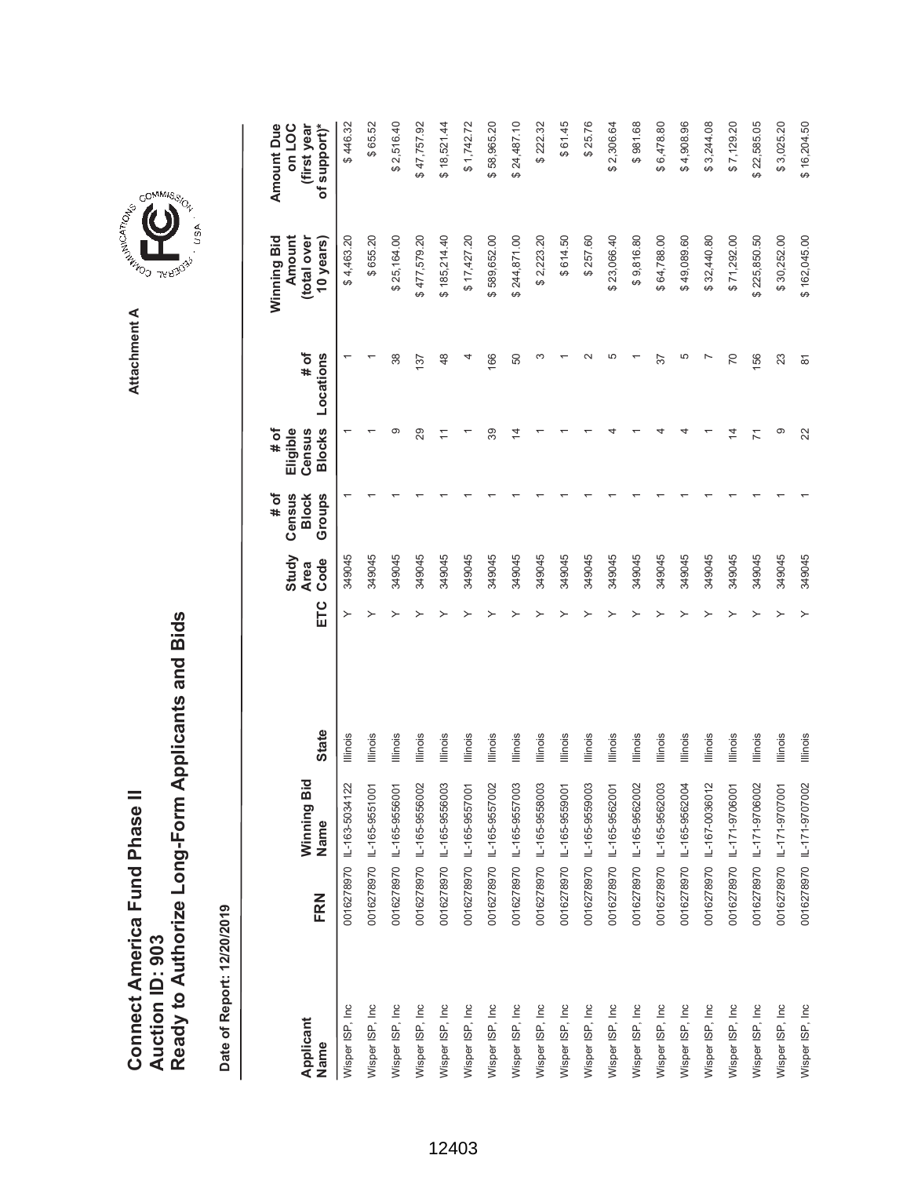| Connect America Fund Phase II |                 | Ready to Authorize Long-Form Applicants and Bids |
|-------------------------------|-----------------|--------------------------------------------------|
|                               | Auction ID: 903 |                                                  |

| Applicant        |     | Winning Bid               |                 |     | Study<br><b>Area</b> | Census<br># of<br><b>Block</b> | Eligible<br>Census<br># of | # of           | Amount<br>Winning Bid<br>(total over | <b>Amount Due</b><br>on LOC<br>(first year |
|------------------|-----|---------------------------|-----------------|-----|----------------------|--------------------------------|----------------------------|----------------|--------------------------------------|--------------------------------------------|
| Name             | FRN | Name                      | <b>State</b>    | ETC | Code                 | Groups                         | <b>Blocks</b>              | Locations      | 10 years)                            | of support)*                               |
| Wisper ISP, Inc  |     | 0016278970 IL-163-5034122 | Illinois        |     | 349045               |                                |                            |                | \$4,463.20                           | \$446.32                                   |
| Wisper ISP, Inc  |     | 0016278970 IL-165-9551001 | Illinois        |     | 349045               |                                |                            |                | \$655.20                             | \$65.52                                    |
| Wisper ISP, Inc  |     | 0016278970 IL-165-9556001 | Illinois        |     | 349045               |                                | တ                          | 38             | \$25,164.00                          | \$2,516.40                                 |
| Wisper ISP, Inc  |     | 0016278970 IL-165-9556002 | Illinois        |     | 349045               |                                | 29                         | 137            | \$477,579.20                         | \$47,757.92                                |
| Wisper ISP, Inc  |     | 0016278970 IL-165-9556003 | Illinois        |     | 349045               |                                |                            | 48             | \$185,214.40                         | \$18,521.44                                |
| Wisper ISP, Inc  |     | 0016278970 IL-165-9557001 | Illinois        |     | 349045               |                                |                            |                | \$17,427.20                          | \$1,742.72                                 |
| Wisper ISP, Inc  |     | 0016278970 IL-165-9557002 | <b>Illinois</b> |     | 349045               |                                | 39                         | 166            | \$589,652.00                         | 58,965.20<br>ക                             |
| Wisper ISP, Inc  |     | 0016278970 IL-165-9557003 | Illinois        |     | 349045               |                                | 4                          | 50             | \$244,871.00                         | \$24,487.10                                |
| Wisper ISP, Inc  |     | 0016278970 IL-165-9558003 | Illinois        |     | 349045               |                                |                            |                | \$2,223.20                           | \$222.32                                   |
| Wisper ISP, Inc  |     | 0016278970 IL-165-9559001 | <b>Illinois</b> |     | 349045               |                                |                            |                | \$614.50                             | \$61.45                                    |
| Wisper ISP, Inc  |     | 0016278970 IL-165-9559003 | Illinois        |     | 349045               |                                |                            |                | \$257.60                             | \$25.76                                    |
| Wisper ISP, Inc  |     | 0016278970 IL-165-9562001 | Illinois        |     | 349045               |                                |                            |                | \$23,066.40                          | \$2,306.64                                 |
| Wisper ISP, Inc  |     | 0016278970 IL-165-9562002 | <b>Illinois</b> |     | 349045               |                                |                            |                | \$9,816.80                           | \$981.68                                   |
| Wisper ISP, Inc  |     | 0016278970 IL-165-9562003 | Illinois        |     | 349045               |                                |                            | 57             | \$64,788.00                          | \$6,478.80                                 |
| Wisper ISP, Inc  |     | 0016278970 IL-165-9562004 | Illinois        |     | 349045               |                                |                            | 5              | \$49,089.60                          | \$4,908.96                                 |
| Wisper ISP, Inc  |     | 0016278970 IL-167-0036012 | Illinois        |     | 349045               |                                |                            |                | \$32,440.80                          | \$3,244.08                                 |
| Wisper ISP, Inc  |     | 0016278970 IL-171-9706001 | <b>Illinois</b> |     | 349045               |                                | 4                          | 70             | \$71,292.00                          | \$7,129.20                                 |
| Wisper ISP, Inc  |     | 0016278970 IL-171-9706002 | Illinois        |     | 349045               |                                |                            | 156            | \$225,850.50                         | \$22,585.05                                |
| Wisper ISP, Inc. |     | 0016278970 IL-171-9707001 | Illinois        |     | 349045               |                                | တ                          | 23             | \$30,252.00                          | \$3,025.20                                 |
| Wisper ISP, Inc  |     | 0016278970 IL-171-9707002 | Illinois        | ≻   | 349045               |                                | 22                         | $\overline{8}$ | \$162,045.00                         | \$16,204.50                                |

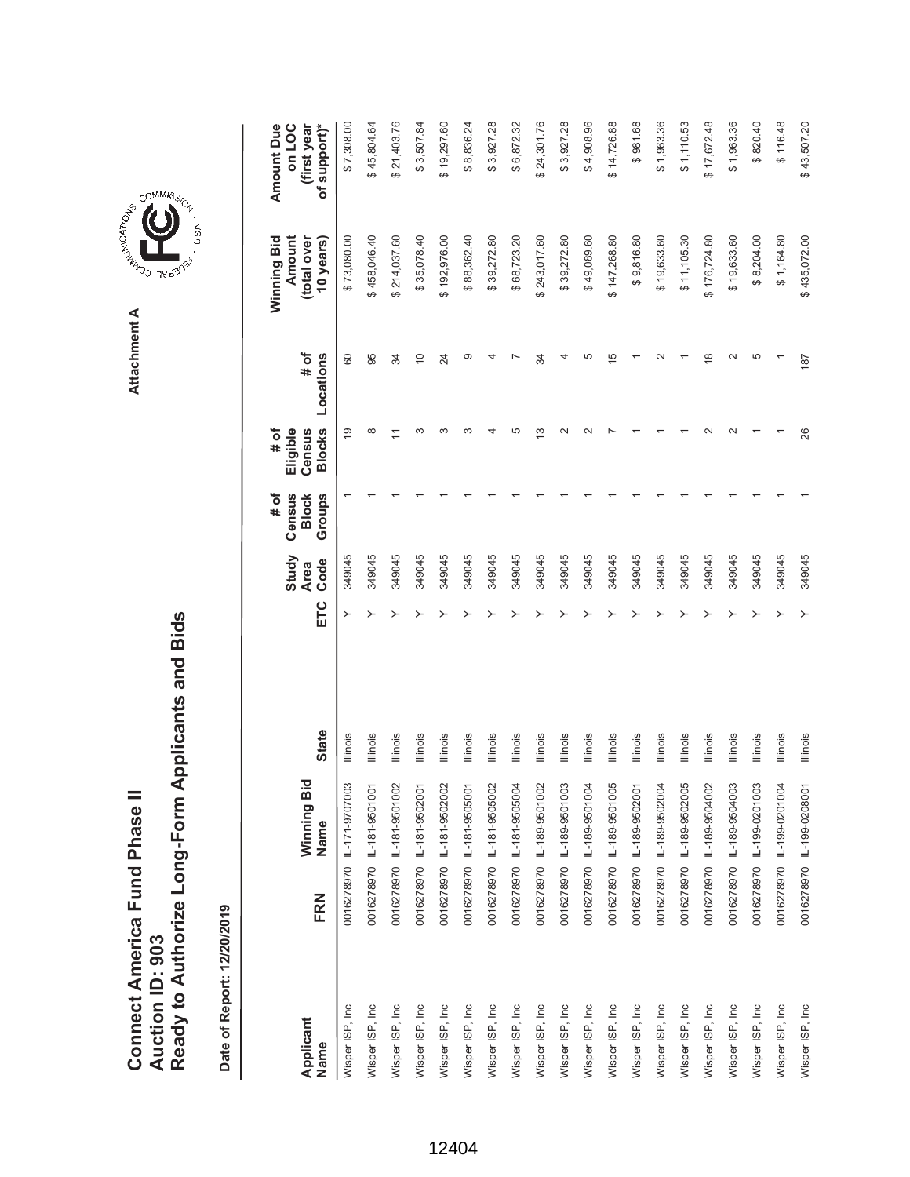**AREA COMMISSION** Attachment A **Attachment A**

COMMIS<sub>SION</sub>

, USA

| Applicant       |     | Winning Bid               |                 |     | Study<br><b>Area</b> | # of<br>Census<br><b>Block</b> | Eligible<br># of<br>Census | # of           | Winning Bid<br>Amount<br>(total over | <b>Amount Due</b><br>on LOC<br>(first year |
|-----------------|-----|---------------------------|-----------------|-----|----------------------|--------------------------------|----------------------------|----------------|--------------------------------------|--------------------------------------------|
| Name            | FRN | Name                      | <b>State</b>    | ETC | Code                 | Groups                         | <b>Blocks</b>              | Locations      | 10 years)                            | of support)*                               |
| Wisper ISP, Inc |     | 0016278970 IL-171-9707003 | Illinois        | ≻   | 349045               |                                | $\overline{9}$             | 80             | \$73,080.00                          | \$7,308.00                                 |
| Wisper ISP, Inc |     | 0016278970 IL-181-9501001 | Illinois        |     | 349045               |                                | $\infty$                   | 95             | \$458,046.40                         | \$45,804.64                                |
| Wisper ISP, Inc |     | 0016278970 L-181-9501002  | llinois         |     | 349045               |                                |                            | 34             | \$214,037.60                         | \$21,403.76                                |
| Wisper ISP, Inc |     | 0016278970 L-181-9502001  | Illinois        |     | 349045               |                                | ო                          | $\overline{C}$ | \$35,078.40                          | \$3,507.84                                 |
| Wisper ISP, Inc |     | 0016278970 IL-181-9502002 | Illinois        |     | 349045               |                                | ო                          | 24             | \$192,976.00                         | \$19,297.60                                |
| Wisper ISP, Inc |     | 0016278970 L-181-9505001  | lllinois        |     | 349045               |                                |                            | ග              | \$88,362.40                          | \$8,836.24                                 |
| Wisper ISP, Inc |     | 0016278970 IL-181-9505002 | lllinois        |     | 349045               |                                |                            |                | \$39,272.80                          | \$3,927.28                                 |
| Wisper ISP, Inc |     | 0016278970 L-181-9505004  | Illinois        |     | 349045               |                                | 5                          |                | \$68,723.20                          | \$6,872.32                                 |
| Wisper ISP, Inc |     | 0016278970 IL-189-9501002 | <b>Illinois</b> |     | 349045               |                                | ∞                          | 34             | \$243,017.60                         | \$24,301.76                                |
| Wisper ISP, Inc |     | 0016278970 L-189-9501003  | Illinois        |     | 349045               |                                | $\scriptstyle\sim$         |                | \$39,272.80                          | \$3,927.28                                 |
| Wisper ISP, Inc |     | 0016278970 L-189-9501004  | Illinois        |     | 349045               |                                |                            | 5              | \$49,089.60                          | \$4,908.96                                 |
| Wisper ISP, Inc |     | 0016278970 L-189-9501005  | Illinois        |     | 349045               |                                |                            | 5              | \$147,268.80                         | \$14,726.88                                |
| Wisper ISP, Inc |     | 0016278970 IL-189-9502001 | Illinois        |     | 349045               |                                |                            |                | \$9,816.80                           | \$981.68                                   |
| Wisper ISP, Inc |     | 0016278970 IL-189-9502004 | Illinois        |     | 349045               |                                |                            |                | \$19,633.60                          | \$1,963.36                                 |
| Wisper ISP, Inc |     | 0016278970 IL-189-9502005 | Illinois        |     | 349045               |                                |                            |                | \$11,105.30                          | \$1,110.53                                 |
| Wisper ISP, Inc |     | 0016278970 IL-189-9504002 | Illinois        |     | 349045               |                                |                            | $\infty$       | \$176,724.80                         | \$17,672.48                                |
| Wisper ISP, Inc |     | 0016278970 IL-189-9504003 | <b>Illinois</b> |     | 349045               |                                | $\scriptstyle\sim$         | $\sim$         | \$19,633.60                          | \$1,963.36                                 |
| Wisper ISP, Inc |     | 0016278970 IL-199-0201003 | Illinois        |     | 349045               |                                |                            | 5              | \$8,204.00                           | \$820.40                                   |
| Wisper ISP, Inc |     | 0016278970 IL-199-0201004 | Illinois        |     | 349045               |                                |                            |                | \$1,164.80                           | \$116.48                                   |
| Wisper ISP, Inc |     | 0016278970 IL-199-0208001 | <b>Illinois</b> |     | 349045               |                                | 26                         | 187            | \$435,072.00                         | \$43,507.20                                |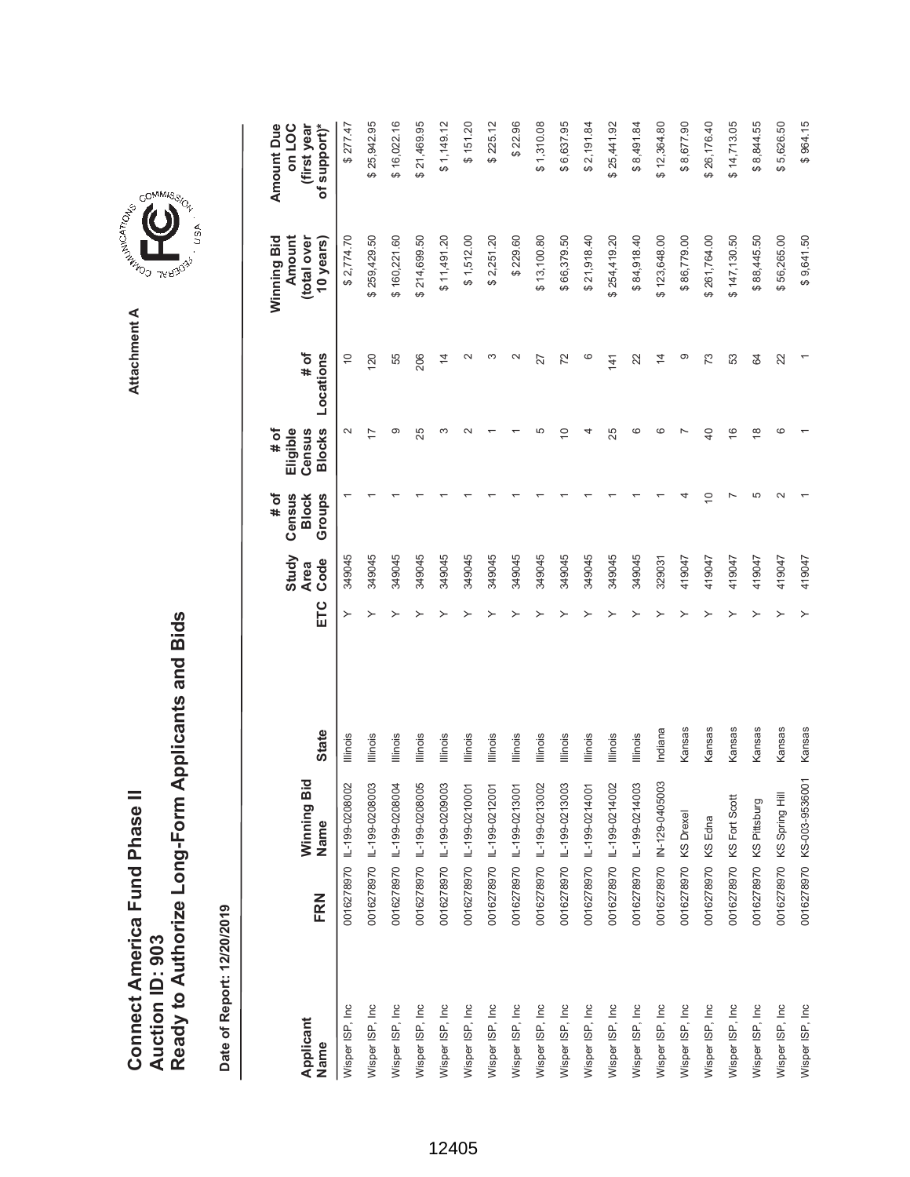|                                      |                 | Ready to Authorize Long-Form Applicants and Bids |
|--------------------------------------|-----------------|--------------------------------------------------|
| <b>Connect America Fund Phase II</b> |                 |                                                  |
|                                      | Auction ID: 903 |                                                  |
|                                      |                 |                                                  |

Date of Report: 12/20/2019 **Date of Report: 12/20/2019**



## **COMMISSION** USA

GOMMIS<sub>SION</sub>

**Attachment A**

Attachment A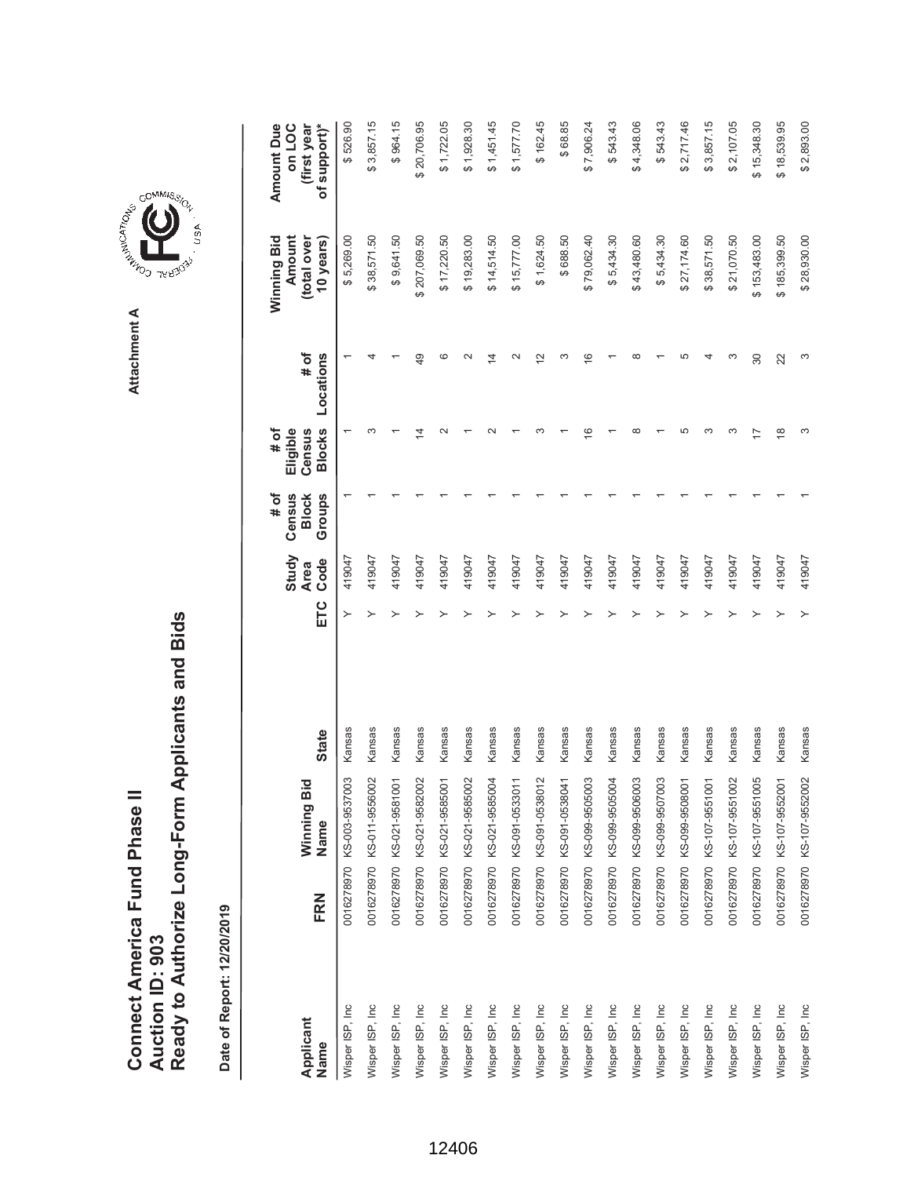**A A LAND THERE** Attachment A **Attachment A**

GOMMIS<sub>SION</sub>

, usA

|                   |     |                           |              |     | Study               | Census<br># of         | Eligible<br># of        |                    | Winning Bid<br>Amount    | Amount Due<br>on LOC        |
|-------------------|-----|---------------------------|--------------|-----|---------------------|------------------------|-------------------------|--------------------|--------------------------|-----------------------------|
| Applicant<br>Name | FRN | Winning Bid<br>Name       | <b>State</b> | ETC | Code<br><b>Area</b> | <b>Block</b><br>Groups | <b>Blocks</b><br>Census | # of<br>Locations  | (total over<br>10 years) | of support)*<br>(first year |
| Wisper ISP, Inc   |     | 0016278970 KS-003-9537003 | Kansas       | ≻   | 419047              |                        |                         |                    | \$5,269.00               | \$526.90                    |
| Wisper ISP, Inc   |     | 0016278970 KS-011-9556002 | Kansas       |     | 419047              |                        |                         |                    | \$38,571.50              | \$3,857.15                  |
| Wisper ISP, Inc   |     | 0016278970 KS-021-9581001 | Kansas       |     | 419047              |                        |                         |                    | \$9,641.50               | \$964.15                    |
| Wisper ISP, Inc   |     | 0016278970 KS-021-9582002 | Kansas       |     | 419047              |                        | ⋣                       | 49                 | \$207,069.50             | \$20,706.95                 |
| Wisper ISP, Inc   |     | 0016278970 KS-021-9585001 | Kansas       |     | 419047              |                        |                         | ဖ                  | \$17,220.50              | \$1,722.05                  |
| Wisper ISP, Inc   |     | 0016278970 KS-021-9585002 | Kansas       |     | 419047              |                        |                         |                    | \$19,283.00              | \$1,928.30                  |
| Wisper ISP, Inc   |     | 0016278970 KS-021-9585004 | Kansas       |     | 419047              |                        |                         | 4                  | \$14,514.50              | \$1,451.45                  |
| Wisper ISP, Inc   |     | 0016278970 KS-091-0533011 | Kansas       |     | 419047              |                        |                         |                    | \$15,777.00              | \$1,577.70                  |
| Wisper ISP, Inc   |     | 0016278970 KS-091-0538012 | Kansas       |     | 419047              |                        |                         | $\scriptstyle\sim$ | \$1,624.50               | \$162.45                    |
| Wisper ISP, Inc   |     | 0016278970 KS-091-0538041 | Kansas       |     | 419047              |                        |                         |                    | \$688.50                 | \$68.85                     |
| Wisper ISP, Inc   |     | 0016278970 KS-099-9505003 | Kansas       |     | 419047              |                        | $\overline{6}$          | ဖ                  | \$79,062.40              | \$7,906.24                  |
| Wisper ISP, Inc   |     | 0016278970 KS-099-9505004 | Kansas       |     | 419047              |                        |                         |                    | \$5,434.30               | \$543.43                    |
| Wisper ISP, Inc   |     | 0016278970 KS-099-9506003 | Kansas       |     | 419047              |                        | ∞                       |                    | \$43,480.60              | \$4,348.06                  |
| Wisper ISP, Inc   |     | 0016278970 KS-099-9507003 | Kansas       |     | 419047              |                        |                         |                    | \$5,434.30               | \$543.43                    |
| Wisper ISP, Inc   |     | 0016278970 KS-099-9508001 | Kansas       |     | 419047              |                        | ഥ                       |                    | \$27,174.60              | \$2,717.46                  |
| Wisper ISP, Inc   |     | 0016278970 KS-107-9551001 | Kansas       |     | 419047              |                        | ო                       |                    | \$38,571.50              | \$3,857.15                  |
| Wisper ISP, Inc   |     | 0016278970 KS-107-9551002 | Kansas       |     | 419047              |                        | ო                       |                    | \$21,070.50              | \$2,107.05                  |
| Wisper ISP, Inc   |     | 0016278970 KS-107-9551005 | Kansas       |     | 419047              |                        |                         | 30                 | \$153,483.00             | \$15,348.30                 |
| Wisper ISP, Inc   |     | 0016278970 KS-107-9552001 | Kansas       |     | 419047              |                        | $\frac{8}{1}$           | 22                 | \$185,399.50             | \$18,539.95                 |
| Wisper ISP, Inc   |     | 0016278970 KS-107-9552002 | Kansas       | ≻   | 419047              |                        | ω                       | ω                  | \$28,930.00              | \$2,893.00                  |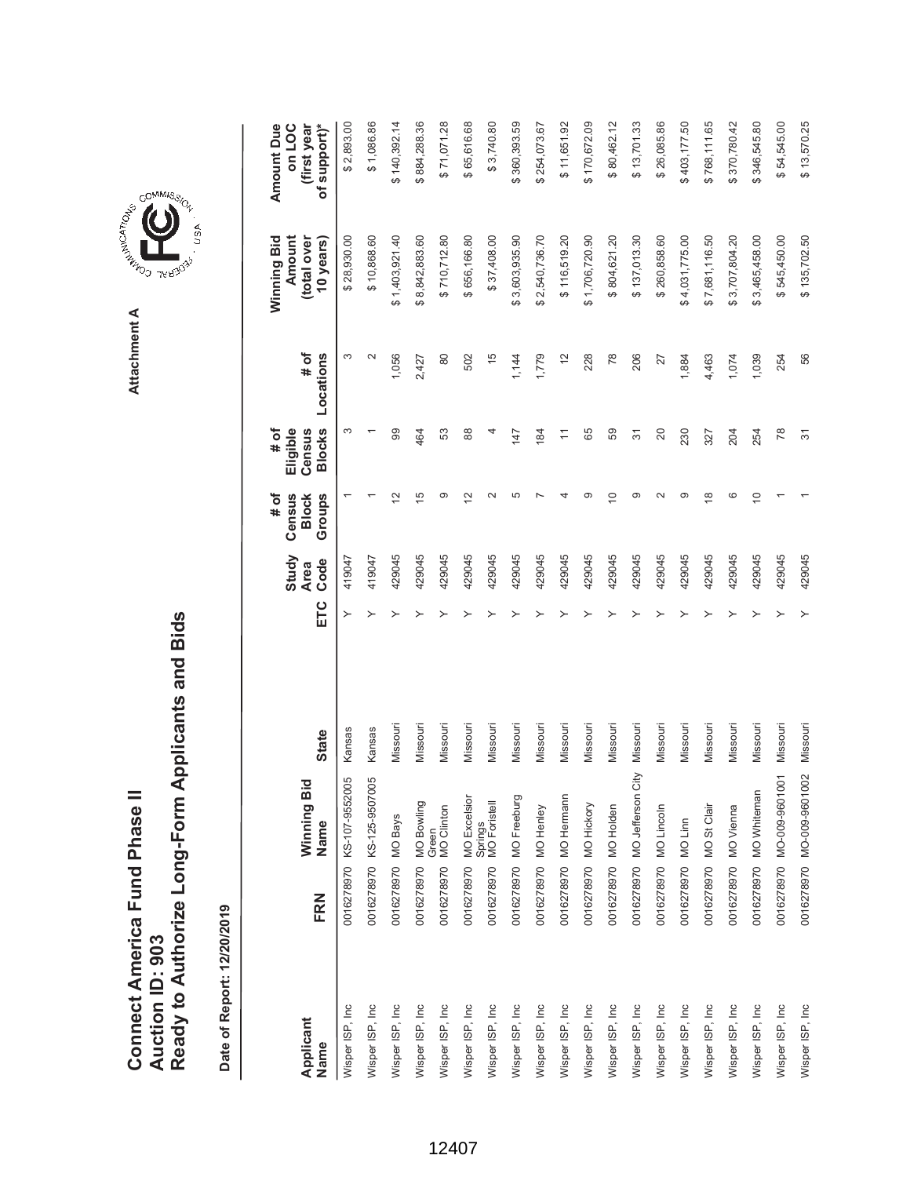| Connect America Fund Phase II |                 | Ready to Authorize Long-Form Applicants and Bids |
|-------------------------------|-----------------|--------------------------------------------------|
|                               | Auction ID: 903 |                                                  |

COMMIS<sub>SION</sub>

USA

|                   |                                                         |                                                               |              | Study                      | Census<br># of          | # of<br>Eligible                                              |                   | Winning Bid<br>Amount    | <b>Amount Due</b><br>on LOC |
|-------------------|---------------------------------------------------------|---------------------------------------------------------------|--------------|----------------------------|-------------------------|---------------------------------------------------------------|-------------------|--------------------------|-----------------------------|
| Applicant<br>Name | FRN                                                     | Winning Bid<br>Name                                           | <b>State</b> | Code<br><b>Area</b><br>ETC | Groups<br><b>Block</b>  | <b>Blocks</b><br>Census                                       | # of<br>Locations | (total over<br>10 years) | of support)*<br>(first year |
| Wisper ISP, Inc   |                                                         | 0016278970 KS-107-9552005                                     | Kansas       | 419047<br>≻                |                         | S                                                             | S                 | \$28,930.00              | \$2,893.00                  |
| Wisper ISP, Inc   |                                                         | 0016278970 KS-125-9507005                                     | Kansas       | 419047                     |                         |                                                               |                   | \$10,868.60              | \$1,086.86                  |
| Wisper ISP, Inc   | 0016278970 MO Bays                                      |                                                               | Missouri     | 429045                     | $\overline{\mathbf{C}}$ | 99                                                            | 1,056             | \$1,403,921.40           | \$140,392.14                |
| Wisper ISP, Inc   |                                                         |                                                               | Missouri     | 429045                     | $\frac{5}{2}$           | 464                                                           | 2,427             | \$8,842,883.60           | \$884,288.36                |
| Wisper ISP, Inc   | 0016278970 MO Bowling<br>Green<br>0016278970 MO Clinton |                                                               | Missouri     | 429045                     | ග                       | S3                                                            | 80                | \$710,712.80             | \$71,071.28                 |
| Wisper ISP, Inc   |                                                         |                                                               | Missouri     | 429045                     | $\mathbf{\Omega}$       | 88                                                            | 502               | \$656,166.80             | \$65,616.68                 |
| Wisper ISP, Inc   |                                                         | 0016278970 MO Excelsior<br>Springs<br>0016278970 MO Foristell | Missouri     | 429045                     | $\sim$                  | 4                                                             | $\frac{5}{5}$     | \$37,408.00              | \$3,740.80                  |
| Wisper ISP, Inc   |                                                         | 0016278970 MO Freeburg                                        | Missouri     | 429045                     | 5                       | 147                                                           | 1,144             | \$3,603,935.90           | \$360,393.59                |
| Wisper ISP, Inc   | 0016278970 MO Henley                                    |                                                               | Missouri     | 429045                     |                         | 184                                                           | 1,779             | \$2,540,736.70           | \$254,073.67                |
| Wisper ISP, Inc   |                                                         | 0016278970 MO Hermann                                         | Missouri     | 429045                     |                         | $\stackrel{\textstyle\scriptstyle\smile}{\scriptstyle\!\sim}$ | $\tilde{c}$       | \$116,519.20             | \$11,651.92                 |
| Wisper ISP, Inc   | 0016278970 MO Hickory                                   |                                                               | Missouri     | 429045                     | ာ                       | 89                                                            | 228               | \$1,706,720.90           | \$170,672.09                |
| Wisper ISP, Inc   | 0016278970 MO Holden                                    |                                                               | Missouri     | 429045                     | $\subseteq$             | 59                                                            | 78                | \$804,621.20             | \$80,462.12                 |
| Wisper ISP, Inc   |                                                         | 0016278970 MO Jefferson City                                  | Missouri     | 429045                     | ග                       | 57                                                            | 206               | \$137,013.30             | \$13,701.33                 |
| Wisper ISP, Inc   | 0016278970 MO Lincoln                                   |                                                               | Missouri     | 429045                     | $\sim$                  | 20                                                            | 27                | \$260,858.60             | \$26,085.86                 |
| Wisper ISP, Inc   | 0016278970 MO Linn                                      |                                                               | Missouri     | 429045                     | ග                       | 230                                                           | 1,884             | \$4,031,775.00           | \$403,177.50                |
| Wisper ISP, Inc   | 0016278970 MO St Clair                                  |                                                               | Missouri     | 429045                     | ∞                       | 327                                                           | 4,463             | \$7,681,116.50           | \$768,111.65                |
| Wisper ISP, Inc   | 0016278970 MO Vienna                                    |                                                               | Missouri     | 429045                     | ဖ                       | 204                                                           | 1,074             | \$3,707,804.20           | \$370,780.42                |
| Wisper ISP, Inc   |                                                         | 0016278970 MO Whiteman                                        | Missouri     | 429045                     | $\subseteq$             | 254                                                           | 1,039             | \$3,465,458.00           | \$346,545.80                |
| Wisper ISP, Inc   |                                                         | 0016278970 MO-009-9601001                                     | Missouri     | 429045                     |                         | 78                                                            | 254               | \$545,450.00             | \$54,545.00                 |
| Wisper ISP, Inc   |                                                         | 0016278970 MO-009-9601002                                     | Missouri     | 429045<br>≻                |                         | $\overline{5}$                                                | 56                | \$135,702.50             | \$13,570.25                 |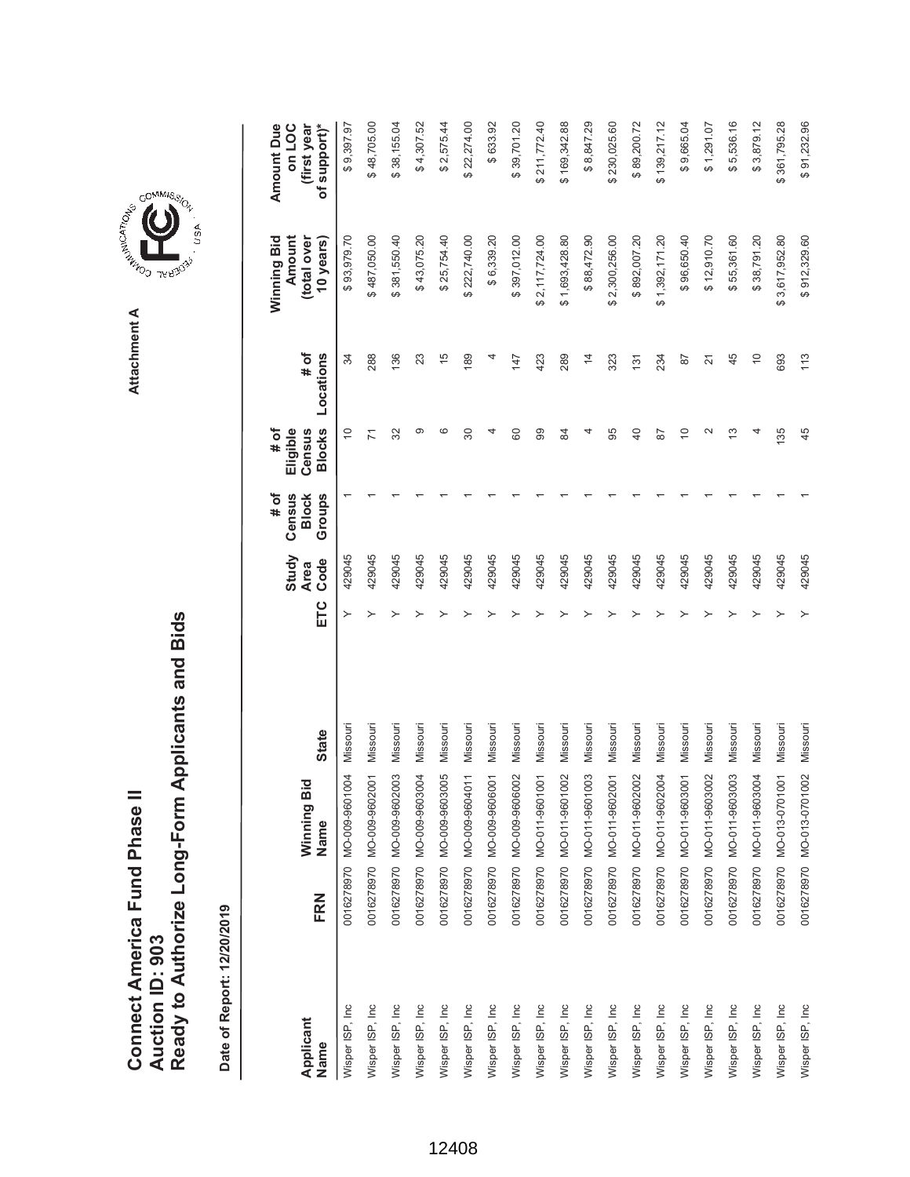| Connect America Fund Phase II |                 | Ready to Authorize Long-Form Applicants and Bids |
|-------------------------------|-----------------|--------------------------------------------------|
|                               | Auction ID: 903 |                                                  |

GOMMIS<sub>SION</sub>

USA

| Applicant<br>Name | FRN | Winning Bic<br>Name       | <b>State</b> | ETC | Study<br>Code<br><b>Area</b> | # of<br>Groups<br>Census<br><b>Block</b> | <b>Blocks</b><br># of<br>Eligible<br>Census | # of<br>Locations | Winning Bid<br>Amount<br>(total over<br>10 years) | <b>Amount Due</b><br>of support)*<br>on LOC<br>(first year |
|-------------------|-----|---------------------------|--------------|-----|------------------------------|------------------------------------------|---------------------------------------------|-------------------|---------------------------------------------------|------------------------------------------------------------|
| Wisper ISP, Inc   |     | 0016278970 MO-009-9601004 | Missouri     | ≻   | 429045                       |                                          | $\Rightarrow$                               | 34                | \$93,979.70                                       | \$9,397.97                                                 |
| Wisper ISP, Inc   |     | 0016278970 MO-009-9602001 | Missouri     |     | 429045                       |                                          | Σ                                           | 288               | \$487,050.00                                      | \$48,705.00                                                |
| Wisper ISP, Inc   |     | 0016278970 MO-009-9602003 | Missouri     |     | 429045                       |                                          | 32                                          | 136               | \$381,550.40                                      | \$38,155.04                                                |
| Wisper ISP, Inc   |     | 0016278970 MO-009-9603004 | Missouri     |     | 429045                       |                                          | ග                                           | 23                | \$43,075.20                                       | \$4,307.52                                                 |
| Wisper ISP, Inc   |     | 0016278970 MO-009-9603005 | Missouri     |     | 429045                       |                                          | ဖ                                           | $\frac{5}{1}$     | \$25,754.40                                       | \$2,575.44                                                 |
| Wisper ISP, Inc   |     | 0016278970 MO-009-9604011 | Missouri     |     | 429045                       |                                          | 30                                          | 189               | \$222,740.00                                      | \$22,274.00                                                |
| Wisper ISP, Inc   |     | 0016278970 MO-009-9606001 | Missouri     |     | 429045                       |                                          | 4                                           |                   | \$6,339.20                                        | \$633.92                                                   |
| Wisper ISP, Inc.  |     | 0016278970 MO-009-9606002 | Missouri     |     | 429045                       |                                          | 80                                          | 147               | \$397,012.00                                      | \$39,701.20                                                |
| Wisper ISP, Inc   |     | 0016278970 MO-011-9601001 | Missouri     |     | 429045                       |                                          | 8                                           | 423               | \$2,117,724.00                                    | \$211,772.40                                               |
| Wisper ISP, Inc   |     | 0016278970 MO-011-9601002 | Missouri     |     | 429045                       |                                          | æ                                           | 289               | \$1,693,428.80                                    | \$169,342.88                                               |
| Wisper ISP, Inc   |     | 0016278970 MO-011-9601003 | Missouri     |     | 429045                       |                                          |                                             | $\overline{4}$    | \$88,472.90                                       | \$8,847.29                                                 |
| Wisper ISP, Inc   |     | 0016278970 MO-011-9602001 | Missouri     |     | 429045                       |                                          | 95                                          | 323               | \$2,300,256.00                                    | \$230,025.60                                               |
| Wisper ISP, Inc   |     | 0016278970 MO-011-9602002 | Missouri     |     | 429045                       |                                          | $\overline{40}$                             | 131               | \$892,007.20                                      | \$89,200.72                                                |
| Wisper ISP, Inc   |     | 0016278970 MO-011-9602004 | Missouri     |     | 429045                       |                                          | 28                                          | 234               | \$1,392,171.20                                    | \$139,217.12                                               |
| Wisper ISP, Inc   |     | 0016278970 MO-011-9603001 | Missouri     |     | 429045                       |                                          | $\Rightarrow$                               | 57                | \$96,650.40                                       | \$9,665.04                                                 |
| Wisper ISP, Inc   |     | 0016278970 MO-011-9603002 | Missouri     |     | 429045                       |                                          | 2                                           | $\overline{2}$    | \$12,910.70                                       | \$1,291.07                                                 |
| Wisper ISP, Inc   |     | 0016278970 MO-011-9603003 | Missouri     |     | 429045                       |                                          | 13                                          | 45                | \$55,361.60                                       | \$5,536.16                                                 |
| Wisper ISP, Inc   |     | 0016278970 MO-011-9603004 | Missouri     |     | 429045                       |                                          |                                             | $\overline{0}$    | \$38,791.20                                       | \$3,879.12                                                 |
| Wisper ISP, Inc   |     | 0016278970 MO-013-0701001 | Missouri     |     | 429045                       |                                          | 135                                         | 693               | \$3,617,952.80                                    | \$361,795.28                                               |
| Wisper ISP, Inc   |     | 0016278970 MO-013-0701002 | Missouri     |     | 429045                       |                                          | 45                                          | 113               | \$912,329.60                                      | \$91,232.96                                                |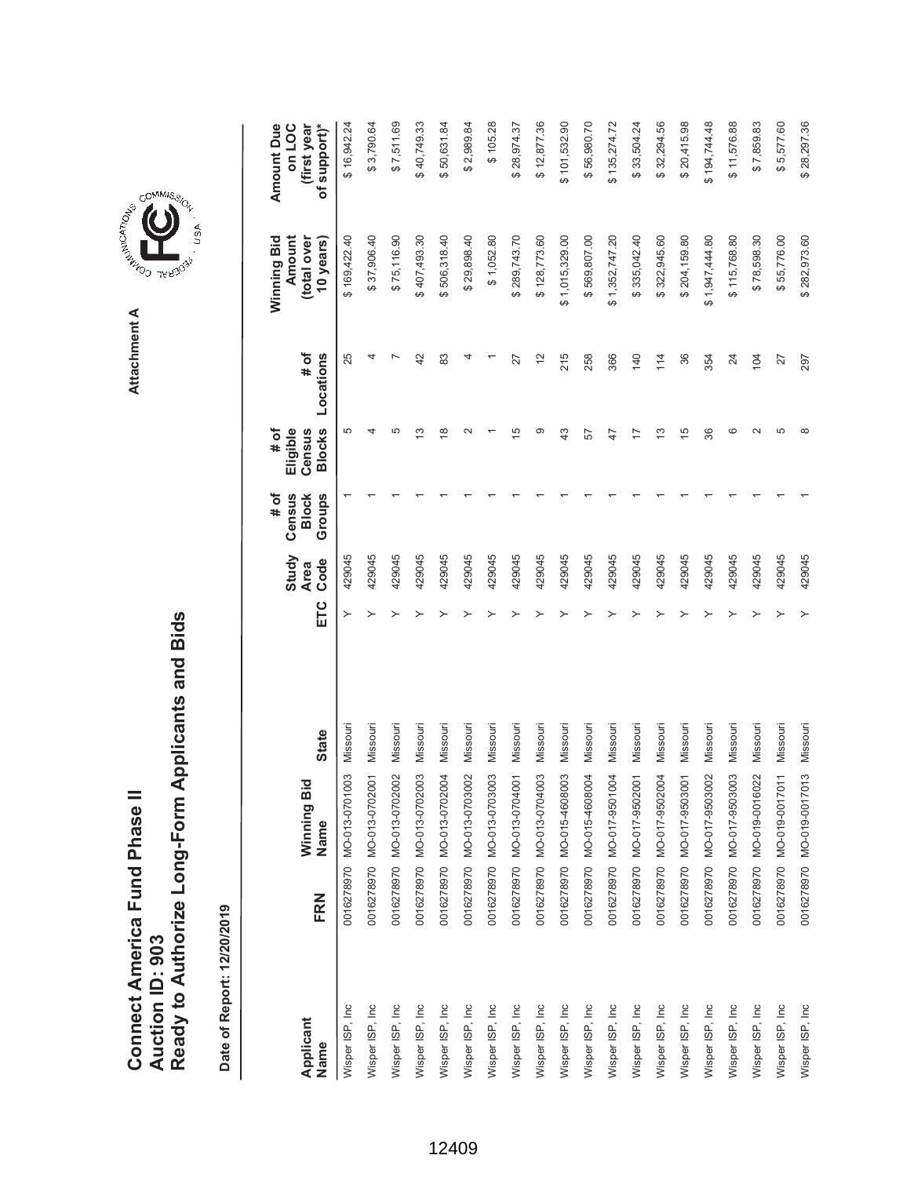| Connect America Fund Phase II |                 | Ready to Authorize Long-Form Applicants and Bids |
|-------------------------------|-----------------|--------------------------------------------------|
|                               | Auction ID: 903 |                                                  |

COMMIS<sub>SION</sub>

USA

| Applicant       |     | Winning Bid               |              |     | Study<br><b>Area</b> | # of<br>Census<br><b>Block</b> | # of<br>Eligible<br>Census | # of          | Winning Bid<br>Amount<br>total over | <b>Amount Due</b><br>on LOC<br>(first year |
|-----------------|-----|---------------------------|--------------|-----|----------------------|--------------------------------|----------------------------|---------------|-------------------------------------|--------------------------------------------|
| Name            | FRN | Name                      | <b>State</b> | ETC | Code                 | Groups                         | <b>Blocks</b>              | Locations     | 10 years)                           | of support)*                               |
| Wisper ISP, Inc |     | 0016278970 MO-013-0701003 | Missouri     | ≻   | 429045               |                                | 5                          | 25            | \$169,422.40                        | \$16,942.24                                |
| Wisper ISP, Inc |     | 0016278970 MO-013-0702001 | Missouri     |     | 429045               |                                |                            |               | \$37,906.40                         | \$3,790.64                                 |
| Wisper ISP, Inc |     | 0016278970 MO-013-0702002 | Missouri     |     | 429045               |                                | Ю                          |               | \$75,116.90                         | \$7,511.69                                 |
| Wisper ISP, Inc |     | 0016278970 MO-013-0702003 | Missouri     |     | 429045               |                                | 13                         | 42            | \$407,493.30                        | \$40,749.33                                |
| Wisper ISP, Inc |     | 0016278970 MO-013-0702004 | Missouri     |     | 429045               |                                | ≌                          | 83            | \$506,318.40                        | \$50,631.84                                |
| Wisper ISP, Inc |     | 0016278970 MO-013-0703002 | Missouri     |     | 429045               |                                |                            |               | \$29,898.40                         | \$2,989.84                                 |
| Wisper ISP, Inc |     | 0016278970 MO-013-0703003 | Missouri     |     | 429045               |                                |                            |               | \$1,052.80                          | \$105.28                                   |
| Wisper ISP, Inc |     | 0016278970 MO-013-0704001 | Missouri     |     | 429045               |                                | 15                         | 27            | \$289,743.70                        | \$28,974.37                                |
| Wisper ISP, Inc |     | 0016278970 MO-013-0704003 | Missouri     |     | 429045               |                                | တ                          | $\frac{2}{3}$ | \$128,773.60                        | \$12,877.36                                |
| Wisper ISP, Inc |     | 0016278970 MO-015-4608003 | Missouri     |     | 429045               |                                | $\frac{3}{4}$              | 215           | \$1,015,329.00                      | \$101,532.90                               |
| Wisper ISP, Inc |     | 0016278970 MO-015-4608004 | Missouri     |     | 429045               |                                | 57                         | 258           | \$569,807.00                        | \$56,980.70                                |
| Wisper ISP, Inc |     | 0016278970 MO-017-9501004 | Missouri     |     | 429045               |                                | 47                         | 366           | \$1,352,747.20                      | \$135,274.72                               |
| Wisper ISP, Inc |     | 0016278970 MO-017-9502001 | Missouri     |     | 429045               |                                | 17                         | 140           | \$335,042.40                        | \$33,504.24                                |
| Wisper ISP, Inc |     | 0016278970 MO-017-9502004 | Missouri     |     | 429045               |                                | 13                         | 114           | \$322,945.60                        | \$32,294.56                                |
| Wisper ISP, Inc |     | 0016278970 MO-017-9503001 | Missouri     |     | 429045               |                                | $\frac{15}{2}$             | 36            | \$204,159.80                        | \$20,415.98                                |
| Wisper ISP, Inc |     | 0016278970 MO-017-9503002 | Missouri     |     | 429045               |                                | 36                         | 354           | \$1,947,444.80                      | \$194,744.48                               |
| Wisper ISP, Inc |     | 0016278970 MO-017-9503003 | Missouri     |     | 429045               |                                | ဖ                          | 24            | \$115,768.80                        | \$11,576.88                                |
| Wisper ISP, Inc |     | 0016278970 MO-019-0016022 | Missouri     |     | 429045               |                                | $\sim$                     | 104           | \$78,598.30                         | \$7,859.83                                 |
| Wisper ISP, Inc |     | 0016278970 MO-019-0017011 | Missouri     |     | 429045               |                                | 5                          | 27            | \$55,776.00                         | \$5,577.60                                 |
| Wisper ISP, Inc |     | 0016278970 MO-019-0017013 | Missouri     | ≻   | 429045               |                                | $\infty$                   | 297           | \$282,973.60                        | \$28,297.36                                |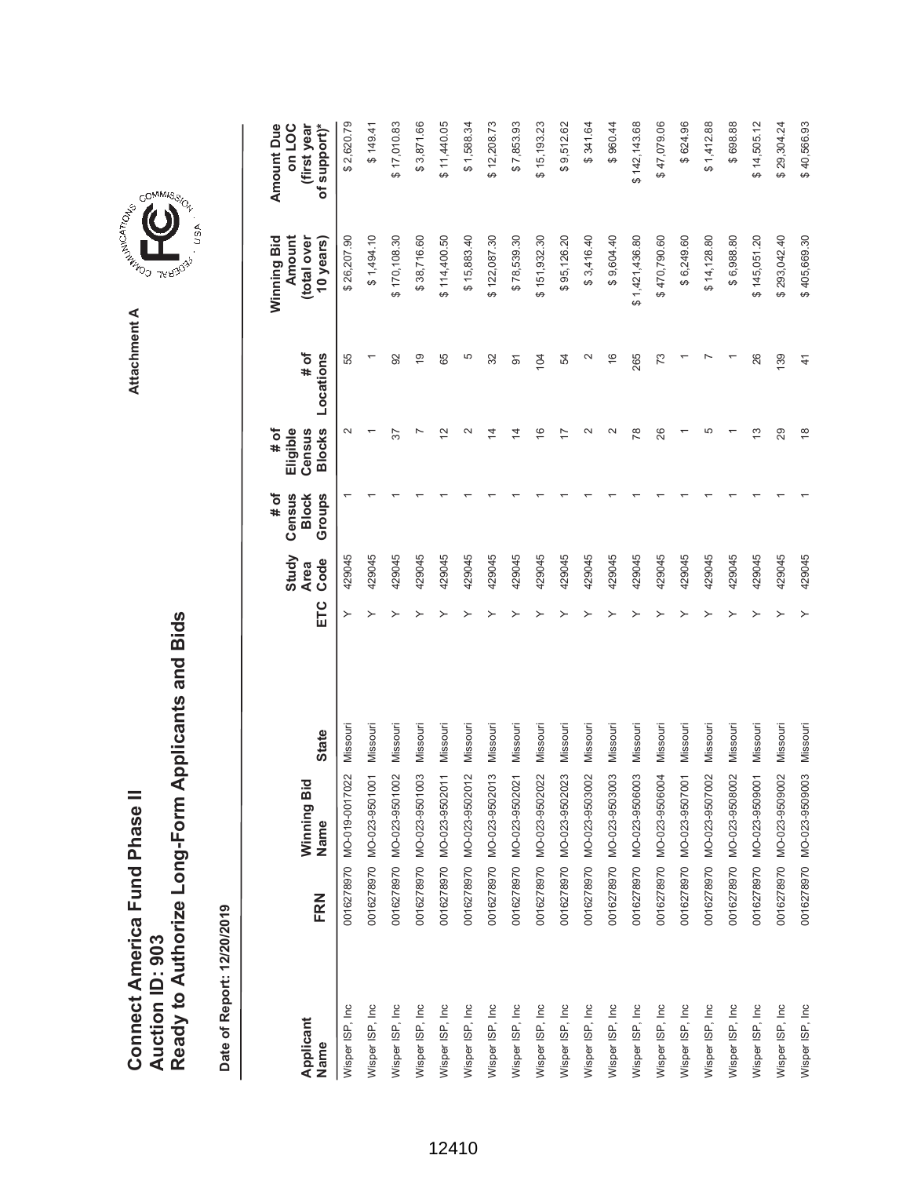Ready to Authorize Long-Form Applicants and Bids **Ready to Authorize Long-Form Applicants and Bids Connect America Fund Phase II**<br>Auction ID: 903 **Connect America Fund Phase II Auction ID: 903**

|                   |     |                                            |              |     |                              | # of                             | # of                                       |                   | Winning Bid                        | Amount Due                            |
|-------------------|-----|--------------------------------------------|--------------|-----|------------------------------|----------------------------------|--------------------------------------------|-------------------|------------------------------------|---------------------------------------|
| Applicant<br>Name | FRN | ਹ<br>Winning Bi<br>Name                    | <b>State</b> | ETC | Study<br>Code<br><b>Area</b> | Census<br><b>Block</b><br>Groups | <b>Blocks</b><br>Eligible<br>Census        | # of<br>Locations | Amount<br>(total over<br>10 years) | of support)*<br>(first year<br>on LOC |
| Wisper ISP, Inc.  |     | 22<br>0016278970 MO-019-00170              | Missour      | ≻   | 429045                       |                                  | $\sim$                                     | 55                | \$26,207.90                        | \$2,620.79                            |
| Wisper ISP, Inc   |     | 0016278970 MO-023-9501001                  | Missouri     |     | 429045                       |                                  |                                            |                   | \$1,494.10                         | \$149.41                              |
| Wisper ISP, Inc   |     | 0016278970 MO-023-9501002                  | Missouri     |     | 429045                       |                                  | 57                                         | 92                | \$170,108.30                       | \$17,010.83                           |
| Wisper ISP, Inc   |     | 0016278970 MO-023-9501003                  | Missouri     |     | 429045                       |                                  |                                            | $\frac{6}{1}$     | \$38,716.60                        | \$3,871.66                            |
| Wisper ISP, Inc   |     | 0016278970 MO-023-9502011                  | Missouri     |     | 429045                       |                                  | $\bar{\mathbin{\scriptstyle{\mathsf{2}}}}$ | 65                | \$114,400.50                       | \$11,440.05                           |
| Wisper ISP, Inc   |     | 0016278970 MO-023-9502012                  | Missouri     |     | 429045                       |                                  |                                            | 5                 | \$15,883.40                        | \$1,588.34                            |
| Wisper ISP, Inc   |     | 0016278970 MO-023-9502013                  | Missouri     |     | 429045                       |                                  | 4                                          | 32                | \$122,087.30                       | \$12,208.73                           |
| Wisper ISP, Inc   |     | 0016278970 MO-023-9502021                  | Missouri     |     | 429045                       |                                  | $\vec{4}$                                  | 5                 | \$78,539.30                        | \$7,853.93                            |
| Wisper ISP, Inc.  |     | 22<br>0016278970 MO-023-95020              | Missouri     |     | 429045                       |                                  | $\overline{6}$                             | 104               | \$151,932.30                       | \$15,193.23                           |
| Wisper ISP, Inc   |     | $\overline{23}$<br>0016278970 MO-023-95020 | Missouri     |     | 429045                       |                                  |                                            | 54                | \$95,126.20                        | \$9,512.62                            |
| Wisper ISP, Inc   |     | 0016278970 MO-023-9503002                  | Missouri     |     | 429045                       |                                  |                                            | $\mathbf{\sim}$   | \$3,416.40                         | \$341.64                              |
| Wisper ISP, Inc   |     | 0016278970 MO-023-9503003                  | Missouri     |     | 429045                       |                                  |                                            | $\frac{6}{5}$     | \$9,604.40                         | \$960.44                              |
| Wisper ISP, Inc   |     | 0016278970 MO-023-9506003                  | Missouri     |     | 429045                       |                                  | r8                                         | 265               | \$1,421,436.80                     | \$142,143.68                          |
| Wisper ISP, Inc   |     | 0016278970 MO-023-9506004                  | Missouri     |     | 429045                       |                                  | 26                                         | 73                | \$470,790.60                       | \$47,079.06                           |
| Wisper ISP, Inc   |     | 0016278970 MO-023-9507001                  | Missouri     |     | 429045                       |                                  |                                            |                   | \$6,249.60                         | \$624.96                              |
| Wisper ISP, Inc   |     | 0016278970 MO-023-9507002                  | Missouri     |     | 429045                       |                                  | 5                                          |                   | \$14,128.80                        | \$1,412.88                            |
| Wisper ISP, Inc   |     | 0016278970 MO-023-9508002                  | Missouri     |     | 429045                       |                                  |                                            |                   | \$6,988.80                         | \$698.88                              |
| Wisper ISP, Inc   |     | 0016278970 MO-023-9509001                  | Missouri     |     | 429045                       |                                  | ഇ                                          | 26                | \$145,051.20                       | \$14,505.12                           |
| Wisper ISP, Inc   |     | 0016278970 MO-023-9509002                  | Missouri     |     | 429045                       |                                  | 29                                         | 139               | \$293,042.40                       | \$29,304.24                           |
| Wisper ISP, Inc   |     | 0016278970 MO-023-9509003                  | Missouri     |     | 429045                       |                                  | $\frac{8}{1}$                              | $\frac{4}{1}$     | \$405,669.30                       | \$40,566.93                           |

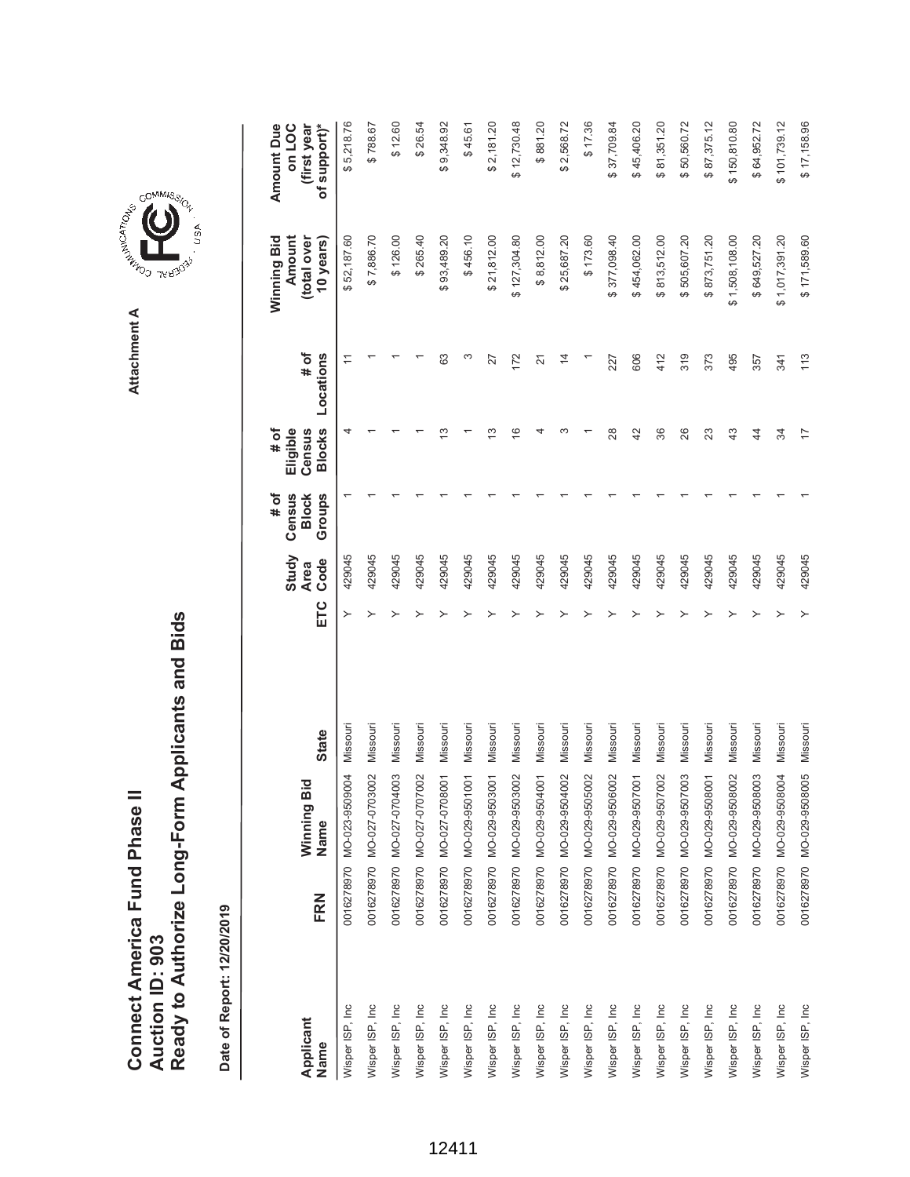| Connect America Fund Phase II |                 | Ready to Authorize Long-Form Applicants and Bids |
|-------------------------------|-----------------|--------------------------------------------------|
|                               | Auction ID: 903 |                                                  |



GOMMIS<sub>SION</sub>

USA

| Applicant<br>Name | FRN | Winning Bid<br>Name       | <b>State</b> | ETC | Study<br>Code<br><b>Area</b> | Groups<br># of<br>Census<br><b>Block</b> | <b>Blocks</b><br># of<br>Eligible<br>Census | # of<br>Locations | Winning Bid<br>Amount<br>(total over<br>10 years) | of support)*<br>Amount Due<br>on LOC<br>(first year |
|-------------------|-----|---------------------------|--------------|-----|------------------------------|------------------------------------------|---------------------------------------------|-------------------|---------------------------------------------------|-----------------------------------------------------|
| Wisper ISP, Inc   |     | 0016278970 MO-023-9509004 | Missouri     |     | 429045                       |                                          |                                             |                   | \$52,187.60                                       | \$5,218.76                                          |
| Wisper ISP, Inc   |     | 0016278970 MO-027-0703002 | Missouri     | ≻   | 429045                       |                                          |                                             |                   | \$7,886.70                                        | \$788.67                                            |
| Wisper ISP, Inc.  |     | 0016278970 MO-027-0704003 | Missouri     |     | 429045                       |                                          |                                             |                   | \$126.00                                          | \$12.60                                             |
| Wisper ISP, Inc   |     | 0016278970 MO-027-0707002 | Missouri     |     | 429045                       |                                          |                                             |                   | \$265.40                                          | \$26.54                                             |
| Wisper ISP, Inc   |     | 0016278970 MO-027-0708001 | Missouri     |     | 429045                       |                                          |                                             | 63                | \$93,489.20                                       | \$9,348.92                                          |
| Wisper ISP, Inc   |     | 0016278970 MO-029-9501001 | Missouri     |     | 429045                       |                                          |                                             | S                 | \$456.10                                          | \$45.61                                             |
| Wisper ISP, Inc   |     | 0016278970 MO-029-9503001 | Missouri     |     | 429045                       |                                          | ഇ                                           | 27                | \$21,812.00                                       | \$2,181.20                                          |
| Wisper ISP, Inc   |     | 0016278970 MO-029-9503002 | Missouri     |     | 429045                       |                                          | $\frac{6}{5}$                               | 172               | \$127,304.80                                      | \$12,730.48                                         |
| Wisper ISP, Inc   |     | 0016278970 MO-029-9504001 | Missouri     |     | 429045                       |                                          |                                             | $\overline{2}$    | \$8,812.00                                        | \$881.20                                            |
| Wisper ISP, Inc   |     | 0016278970 MO-029-9504002 | Missouri     |     | 429045                       |                                          |                                             | $\overline{4}$    | \$25,687.20                                       | \$2,568.72                                          |
| Wisper ISP, Inc   |     | 0016278970 MO-029-9505002 | Missouri     |     | 429045                       |                                          |                                             |                   | \$173.60                                          | \$17.36                                             |
| Wisper ISP, Inc   |     | 0016278970 MO-029-9506002 | Missouri     |     | 429045                       |                                          | 28                                          | 227               | \$377,098.40                                      | \$37,709.84                                         |
| Wisper ISP, Inc   |     | 0016278970 MO-029-9507001 | Missouri     |     | 429045                       |                                          | 42                                          | 606               | \$454,062.00                                      | \$45,406.20                                         |
| Wisper ISP, Inc   |     | 0016278970 MO-029-9507002 | Missouri     |     | 429045                       |                                          | 36                                          | 412               | \$813,512.00                                      | \$81,351.20                                         |
| Wisper ISP, Inc   |     | 0016278970 MO-029-9507003 | Missouri     |     | 429045                       |                                          | 26                                          | 319               | \$505,607.20                                      | \$50,560.72                                         |
| Wisper ISP, Inc   |     | 0016278970 MO-029-9508001 | Missouri     |     | 429045                       |                                          | 23                                          | 373               | \$873,751.20                                      | \$87,375.12                                         |
| Wisper ISP, Inc   |     | 0016278970 MO-029-9508002 | Missouri     |     | 429045                       |                                          | 43                                          | 495               | \$1,508,108.00                                    | \$150,810.80                                        |
| Wisper ISP, Inc.  |     | 0016278970 MO-029-9508003 | Missouri     |     | 429045                       |                                          | $\ddot{4}$                                  | 357               | \$649,527.20                                      | \$64,952.72                                         |
| Wisper ISP, Inc   |     | 0016278970 MO-029-9508004 | Missouri     |     | 429045                       |                                          | क्र                                         | 341               | \$1,017,391.20                                    | \$101,739.12                                        |
| Wisper ISP, Inc   |     | 0016278970 MO-029-9508005 | Missouri     |     | 429045                       |                                          | 17                                          | 113               | \$171,589.60                                      | \$17,158.96                                         |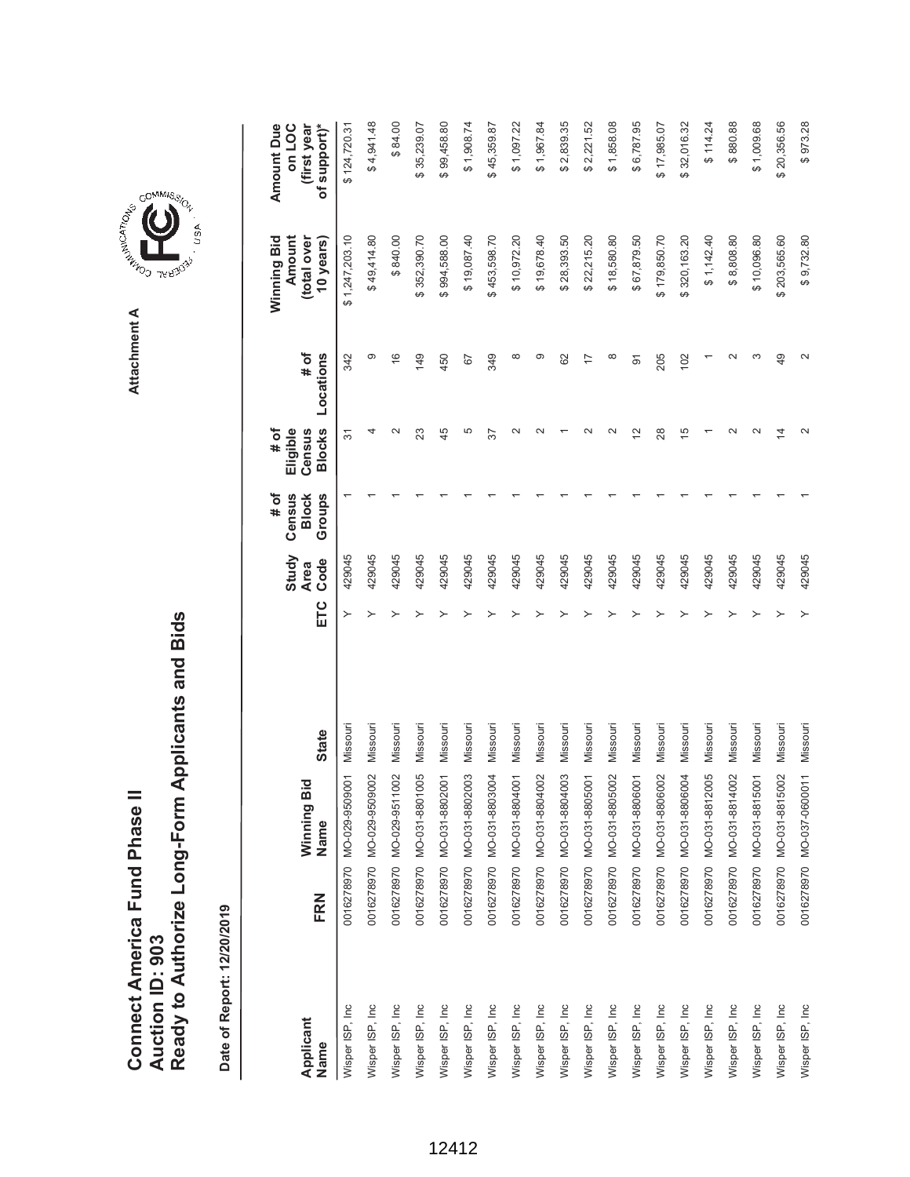Ready to Authorize Long-Form Applicants and Bids **Ready to Authorize Long-Form Applicants and Bids Connect America Fund Phase II**<br>Auction ID: 903 **Connect America Fund Phase II Auction ID: 903**

Date of Report: 12/20/2019

**Date of Report: 12/20/2019**

|                   |     |                           |              |     | Study               | # of                             | # of                                |                   | Winning Bid                        | Amount Due                            |
|-------------------|-----|---------------------------|--------------|-----|---------------------|----------------------------------|-------------------------------------|-------------------|------------------------------------|---------------------------------------|
| Applicant<br>Name | FRN | Winning Bid<br>Name       | <b>State</b> | ETC | Code<br><b>Area</b> | Census<br>Groups<br><b>Block</b> | <b>Blocks</b><br>Eligible<br>Census | # of<br>Locations | Amount<br>(total over<br>10 years) | of support)*<br>on LOC<br>(first year |
| Wisper ISP, Inc   |     | 0016278970 MO-029-9509001 | Missouri     |     | 429045              |                                  | 57                                  | 342               | \$1,247,203.10                     | \$124,720.31                          |
| Wisper ISP, Inc   |     | 0016278970 MO-029-9509002 | Missouri     |     | 429045              |                                  |                                     | ග                 | \$49,414.80                        | \$4,941.48                            |
| Wisper ISP, Inc   |     | 0016278970 MO-029-9511002 | Missouri     |     | 429045              |                                  | $\scriptstyle\sim$                  | $\frac{6}{5}$     | \$840.00                           | \$84.00                               |
| Wisper ISP, Inc   |     | 0016278970 MO-031-8801005 | Missouri     |     | 429045              |                                  | 23                                  | 149               | \$352,390.70                       | 35,239.07<br>ക                        |
| Wisper ISP, Inc   |     | 0016278970 MO-031-8802001 | Missouri     |     | 429045              |                                  | 45                                  | 450               | \$994,588.00                       | \$99,458.80                           |
| Wisper ISP, Inc   |     | 0016278970 MO-031-8802003 | Missouri     |     | 429045              |                                  | 5                                   | 67                | \$19,087.40                        | \$1,908.74                            |
| Wisper ISP, Inc   |     | 0016278970 MO-031-8803004 | Missouri     |     | 429045              |                                  | 57                                  | 349               | \$453,598.70                       | \$45,359.87                           |
| Wisper ISP, Inc   |     | 0016278970 MO-031-8804001 | Missouri     |     | 429045              |                                  | $\scriptstyle\sim$                  | ∞                 | \$10,972.20                        | \$1,097.22                            |
| Wisper ISP, Inc   |     | 0016278970 MO-031-8804002 | Missouri     |     | 429045              |                                  | $\scriptstyle\sim$                  | တ                 | \$19,678.40                        | \$1,967.84                            |
| Wisper ISP, Inc   |     | 0016278970 MO-031-8804003 | Missouri     |     | 429045              |                                  |                                     | 62                | \$28,393.50                        | \$2,839.35                            |
| Wisper ISP, Inc.  |     | 0016278970 MO-031-8805001 | Missouri     |     | 429045              |                                  |                                     |                   | \$22,215.20                        | \$2,221.52                            |
| Wisper ISP, Inc   |     | 0016278970 MO-031-8805002 | Missouri     |     | 429045              |                                  |                                     | $\infty$          | \$18,580.80                        | \$1,858.08                            |
| Wisper ISP, Inc   |     | 0016278970 MO-031-8806001 | Missouri     |     | 429045              |                                  | 12                                  | 5                 | \$67,879.50                        | \$6,787.95                            |
| Wisper ISP, Inc.  |     | 0016278970 MO-031-8806002 | Missouri     |     | 429045              |                                  | 28                                  | 205               | \$179,850.70                       | \$17,985.07                           |
| Wisper ISP, Inc   |     | 0016278970 MO-031-8806004 | Missouri     |     | 429045              |                                  | $\overline{5}$                      | 102               | \$320,163.20                       | \$32,016.32                           |
| Wisper ISP, Inc   |     | 0016278970 MO-031-8812005 | Missouri     |     | 429045              |                                  |                                     |                   | \$1,142.40                         | \$114.24                              |
| Wisper ISP, Inc   |     | 0016278970 MO-031-8814002 | Missouri     |     | 429045              |                                  |                                     |                   | \$8,808.80                         | \$880.88                              |
| Wisper ISP, Inc   |     | 0016278970 MO-031-8815001 | Missouri     |     | 429045              |                                  | $\scriptstyle\sim$                  |                   | \$10,096.80                        | \$1,009.68                            |
| Wisper ISP, Inc   |     | 0016278970 MO-031-8815002 | Missouri     |     | 429045              |                                  | 4                                   | 49                | \$203,565.60                       | \$20,356.56                           |
| Wisper ISP, Inc   |     | 0016278970 MO-037-0600011 | Missouri     |     | 429045              |                                  |                                     |                   | \$9,732.80                         | \$973.28                              |

**A REPORT OF SUITE ASSISTANCE** Attachment A **Attachment A**

GOMMIS<sub>SION</sub>

U<sub>SA</sub>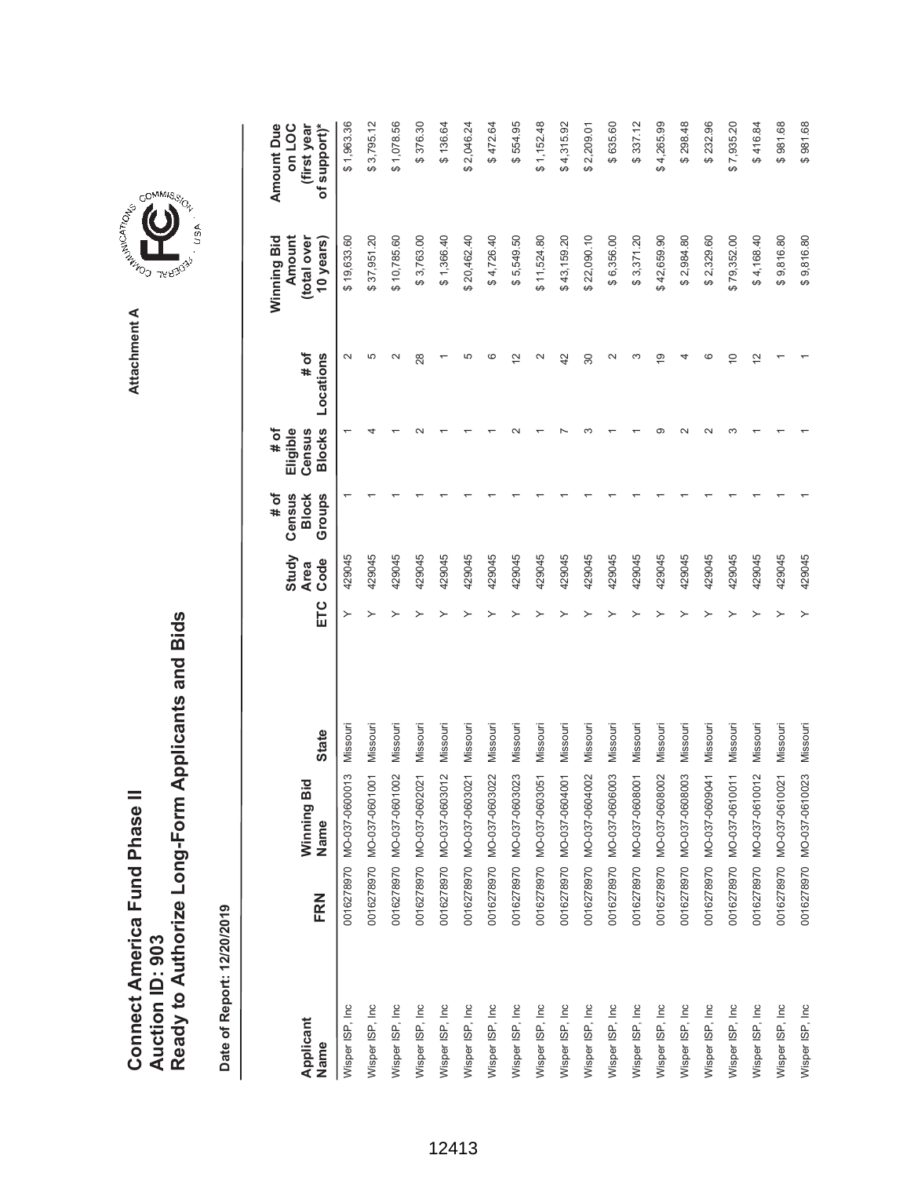Ready to Authorize Long-Form Applicants and Bids **Ready to Authorize Long-Form Applicants and Bids** Connect America Fund Phase II **Connect America Fund Phase II Auction ID: 903 Auction ID: 903**

Date of Report: 12/20/2019 **Date of Report: 12/20/2019**

\$554.95  $$337.12$ \$1,078.56 \$472.64  $$1,152.48$ \$298.48 **ETC Ode Oode Slocks Locations Blows Blows Sears)**  $$1,963.36$  $$3,795.12$ \$376.30 \$136.64 2,046.24  $$4,315.92$ \$2,209.01 \$635.60 \$4,265.99 \$232.96 \$7,935.20 \$981.68 \$981.68 **(first year** Wisper ISP, Inc 0016278970 MO-037-0600013 Missouri Y \$ 19,633.60 \$ 1,963.36 429045 1 1 2 Wisper ISP, Inc 0016278970 MO-037-0601001 Missouri Y \$ 37,951.20 \$ 3,795.12 429045 1 4 5 Wisper ISP, Inc 0016278970 MO-037-0601002 Missouri Y \$ 10,785.60 \$ 1,078.56 429045 1 1 2 Wisper ISP, Inc 0016278970 MO-037-0602021 Missouri Y \$ 3,763.00 \$ 376.30 429045 1 2 28 Wisper ISP, Inc 0016278970 MO-037-0603012 Missouri Y \$ 1,366.40 \$ 136.64 429045 1 1 1 で27.9も0.76 OP:29セ(02, SQ SQ D U U U UPD627 A SQ DD6227 A DD630000-250-000 OL682.252.00 2,095.02.020 DDF LSD D Windows Outled States of the Stock V and Stock of the Stock of the Stock of the Stock of the Stock of the Stock of the Stock of the Stock of the Stock of the Stock of the Stock of the Stock of the Stock of the Stock of t SPS4548970 2 2 12 2 1 2 2 1 2 35550 N 1 2 2 35550 N 554.050000 12.00000 12.0000 12.000 12.000 12.000 1 2 2 12. Wisper ISP, ISP, ISP, ISP, ISP, ISP, ISP, 2016, ISP, 2016, 2016, 2017, 2017, 2017, 2017, 2017, 2017, 2017, 201 N 20151513548970 MP 1 2 42,159.2010 DL682232000 2 4 1 43,159.92 4 42,159.92 4 4 42,159.20 429 4291 4 429 4 42 Wisper ISP, Inc 0016278970 MO-037-0606003 Missouri Y \$ 6,356.00 \$ 635.60 429045 1 1 2 Wisper ISP, Inc 0016278970 MO-037-0608001 Missouri Y \$ 3,371.20 \$ 337.12 429045 1 1 3 Wisper ISP, Inc 0016278970 MO-037-0608002 Missouri Y \$ 42,659.90 \$ 4,265.99 429045 1 9 19 Wisper ISP, Inc 0016278970 MO-037-0608003 Missouri Y \$ 2,984.80 \$ 298.48 429045 1 2 4 Wisper ISP, Inc 0016278970 MO-037-0609041 Missouri Y \$ 2,329.60 \$ 232.96 429045 1 2 6 Wisper ISP, Inc 0016278970 MO-037-0610011 Missouri Y \$ 79,352.00 \$ 7,935.20 429045 1 3 10  $$416.84$ Wisper ISP, Inc 0016278970 MO-037-0610012 Missouri Y \$ 4,168.40 \$ 416.84 429045 1 1 12 Wisper ISP, Inc 0016278970 MO-037-0610021 Missouri Y \$ 9,816.80 \$ 981.68 429045 1 1 1 Wisper ISP, Inc 0016278970 MO-037-0610023 Missouri Y \$ 9,816.80 \$ 981.68 429045 1 1 1 Amount Due **Amount Due on LOC** Wisper ISP, Inc 0016278970 MO-037-0604002 Missouri Y \$ 22,090.10 \$ 2,209.01 429045 1 3 30 **(total over**  \$19,633.60 \$37,951.20 \$10,785.60 \$3,763.00  $$1,366.40$ \$20,462.40 \$4,726.40 \$11,524.80 \$43,159.20 \$22,090.10 \$2,329.60 **Amount** total over \$5,549.50 \$6,356.00  $$3,371.20$ \$42,659.90 \$2,984.80 \$79,352.00 \$4,168.40 \$9,816.80 \$9,816.80 Winning Bid **Winning Bid 10 years) # of**  $\sim$ ယ  $\sim$ မာ  $\circ$  $\tilde{c}$  $\sim$  $\sim$  $\infty$  $\overline{6}$  $\overline{4}$  $\circ$  $\overline{C}$ Locations 28  $42$  $\tilde{c}$ **Locations**  $30^{\circ}$ **Eligible # of Census Blocks**  $\circ$  $\sim$  $\sim$  $\infty$ **# of Groups Census Block Study** 429045 429045 429045 429045 429045 429045 429045 429045 429045 429045 429045 429045 429045 429045 429045 429045 429045 429045 429045 429045 **Code Area** ETC  $\,>\,$  $\rightarrow$ Missouri Missouri Missouri Missouri Missouri Missouri Missouri Missouri Missouri Missouri Missouri Missouri Missouri Missouri Missouri Missouri Missouri Missouri Missouri Missouri **State Name State** 016278970 MO-037-0600013 MO-037-0601001 MO-037-0603012 MO-037-0603021 MO-037-0603022 MO-037-0603023 MO-037-0603051 MO-037-0604001 MO-037-0606003 MO-037-0608001 MO-037-0609041 MO-037-0610011 MO-037-0610012 0016278970 MO-037-0610023 MO-037-0601002 MO-037-0602021 MO-037-0604002 MO-037-0608002 MO-037-0608003 MO-037-0610021 Winning Bid **Winning Bid** Name 0016278970 0016278970 0016278970 0016278970 0016278970 0016278970 0016278970 0016278970 0016278970 0016278970 0016278970 0016278970 0016278970 0016278970 0016278970 0016278970 0016278970 0016278970 FRN **Name FRN** Nisper ISP, Inc Wisper ISP, Inc. Wisper ISP, Inc. Wisper ISP, Inc. Wisper ISP, Inc. Wisper ISP, Inc. Wisper ISP, Inc. Wisper ISP, Inc. Wisper ISP, Inc. Wisper ISP, Inc. Wisper ISP, Inc. Wisper ISP, Inc. Wisper ISP, Inc Wisper ISP, Inc Wisper ISP, Inc Wisper ISP, Inc Wisper ISP, Inc Wisper ISP, Inc Wisper ISP, Inc Wisper ISP, Inc **Applicant** Name



**Attachment A**

Attachment A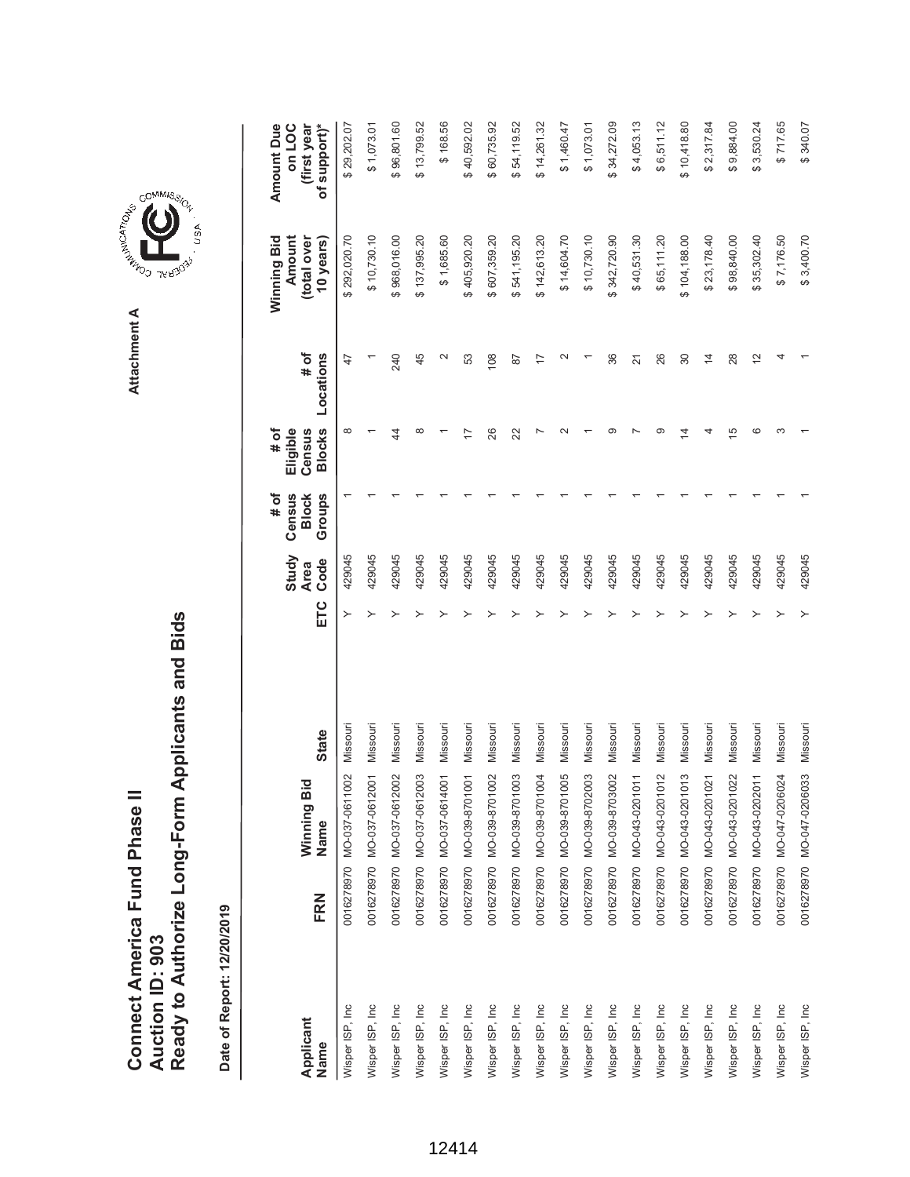Ready to Authorize Long-Form Applicants and Bids **Ready to Authorize Long-Form Applicants and Bids** Connect America Fund Phase II **Connect America Fund Phase II Auction ID: 903 Auction ID: 903**

Date of Report: 12/20/2019 **Date of Report: 12/20/2019**

 $$4,053.13$  $$6,511.12$ **ETC Ode Oode Slocks Locations Blows Blows Sears)** \$96,801.60 \$168.56 \$40,592.02 \$60,735.92 \$54,119.52 \$14,261.32  $$1,460.47$  $$1,073.01$ \$34,272.09 \$10,418.80 \$2,317.84 \$9,884.00 \$3,530.24  $$717.65$ **(first year** \$29,202.07 Wisper ISP, Inc 0016278970 MO-037-0611002 Missouri Y \$ 292,020.70 \$ 29,202.07 429045 1 8 47  $$1,073.01$ Wisper ISP, Inc 0016278970 MO-037-0612002 Missouri Y \$ 968,016.00 \$ 96,801.60 429045 1 44 240 \$13,799.52 Wisper ISP, Inc 0016278970 MO-037-0612003 Missouri Y \$ 137,995.20 \$ 13,799.52 429045 1 8 45 Wisper ISP, Inc 0016278970 MO-037-0614001 Missouri Y \$ 1,685.60 \$ 168.56 429045 1 1 2 Wisper ISP, Inc 0016278970 MO-039-8701001 Missouri Y \$ 405,920.20 \$ 40,592.02 429045 1 17 53 Wisper ISP, Inc 0016278970 MO-039-8701002 Missouri Y \$ 607,359.20 \$ 60,735.92 429045 1 26 108 Wisper ISP, Inc 0016278970 MO-039-8701003 Missouri Y \$ 541,195.20 \$ 54,119.52 429045 1 22 87 Wisper ISP, Inc 0016278970 MO-039-8701004 Missouri Y \$ 142,613.20 \$ 14,261.32 429045 1 7 17 Wisper ISP, Inc 0016278970 MO-039-8701005 Missouri Y \$ 14,604.70 \$ 1,460.47 429045 1 2 2 Wisper ISP, Inc 0016278970 MO-039-8703002 Missouri Y \$ 342,720.90 \$ 34,272.09 429045 1 9 36 Wisper ISP, Inc 0016278970 MO-043-0201011 Missouri Y \$ 40,531.30 \$ 4,053.13 429045 1 7 21 N.1.2.1.2.5 Soft 0.000 MO-04202 Missouri A 9 2010012 12.010201012 12.010201010101 020202010101 9 26,521.12 9 26 Wisper ISP, Inc 0016278970 MO-043-0201013 Missouri Y \$ 104,188.00 \$ 10,418.80 429045 1 14 30 Wisper ISP, Inc 0016278970 MO-043-0201021 Missouri Y \$ 23,178.40 \$ 2,317.84 429045 1 4 14 Wisper ISP, Inc 0016278970 MO-043-0201022 Missouri Y \$ 98,840.00 \$ 9,884.00 429045 1 15 28 Wisper ISP, Inc 0016278970 MO-043-0202011 Missouri Y \$ 35,302.40 \$ 3,530.24 429045 1 6 12 Wisper ISP, Inc 0016278970 MO-047-0206024 Missouri Y \$ 7,176.50 \$ 717.65 429045 1 3 4 \$340.07 Wisper ISP, Inc 0016278970 MO-047-0206033 Missouri Y \$ 3,400.70 \$ 340.07 429045 1 1 1 **Amount Due Amount Due on LOC** Wisper ISP, Inc 0016278970 MO-037-0612001 Missouri Y \$ 10,730.10 \$ 1,073.01 429045 1 1 1 USER ISP 2019021914 Missouri T T T SPD627 A 3 10,8820 20189228-660-004 0268223100 Due du du du du du (total over **(total over**   $$10,730.10$ 968,016.00 \$137,995.20 \$1,685.60 405,920.20 \$607,359.20 541, 195.20 \$14,604.70 \$10,730.10 \$23,178.40 **Amount** \$292,020.70 \$142,613.20 342,720.90  $$40,531.30$ \$65,111.20 \$104,188.00 \$98,840.00 \$35,302.40 \$7,176.50 Winning Bid **Winning Bid 10 years)**  $$3,400.70$ **# of** 45  $\sim$ Locations  $240$ 53  $\overline{0}8$  $\sim$ 36 26  $\overline{4}$ 28  $\frac{2}{3}$  $\overline{4}$ **Locations**  $47$  $\overline{8}$  $\overline{1}$  $\overline{2}1$  $\mathcal{S}^{\circ}$ **Eligible # of Census Blocks**  $\infty$  $\infty$  $\sim$  $\circ$  $\overline{a}$  $\circ$  $\vec{z}$  $\overline{4}$  $\overline{5}$  $\circ$  $\infty$ 4  $\overline{1}$ 26  $22$ **# of Groups Census Block Study** 429045 429045 429045 429045 429045 429045 429045 429045 429045 429045 429045 429045 429045 429045 429045 429045 429045 429045 429045 429045 **Code Area** ETC  $\,>\,$  $\rightarrow$ Missouri Missouri Missouri Missouri Missouri Missouri Missouri Missouri Missouri Missouri Missouri Missouri Missouri Missouri Missouri Missouri Missouri Missouri Missouri Missouri **State Name State** 0016278970 MO-047-0206033 0016278970 MO-037-0611002 MO-037-0612001 MO-039-8701003 MO-039-8701004 MO-039-8701005 MO-039-8702003 MO-039-8703002 MO-043-0201011 MO-043-0201012 MO-043-0201013 MO-037-0612002 MO-037-0612003 MO-037-0614001 MO-039-8701001 MO-039-8701002 MO-043-0201021 MO-043-0201022 MO-043-0202011 MO-047-0206024 Winning Bid **Winning Bid** Name 0016278970 0016278970 0016278970 0016278970 0016278970 0016278970 0016278970 0016278970 0016278970 0016278970 0016278970 0016278970 0016278970 0016278970 0016278970 0016278970 0016278970 0016278970 FRN **Name FRN** Wisper ISP, Inc. Wisper ISP, Inc. Wisper ISP, Inc. Wisper ISP, Inc. Wisper ISP, Inc. Wisper ISP, Inc. Wisper ISP, Inc. Wisper ISP, Inc. Wisper ISP, Inc. Wisper ISP, Inc. Wisper ISP, Inc. Wisper ISP, Inc Wisper ISP, Inc Wisper ISP, Inc Wisper ISP, Inc Wisper ISP, Inc Wisper ISP, Inc. Wisper ISP, Inc Wisper ISP, Inc Wisper ISP, Inc **Applicant** Name



**Attachment A**

Attachment A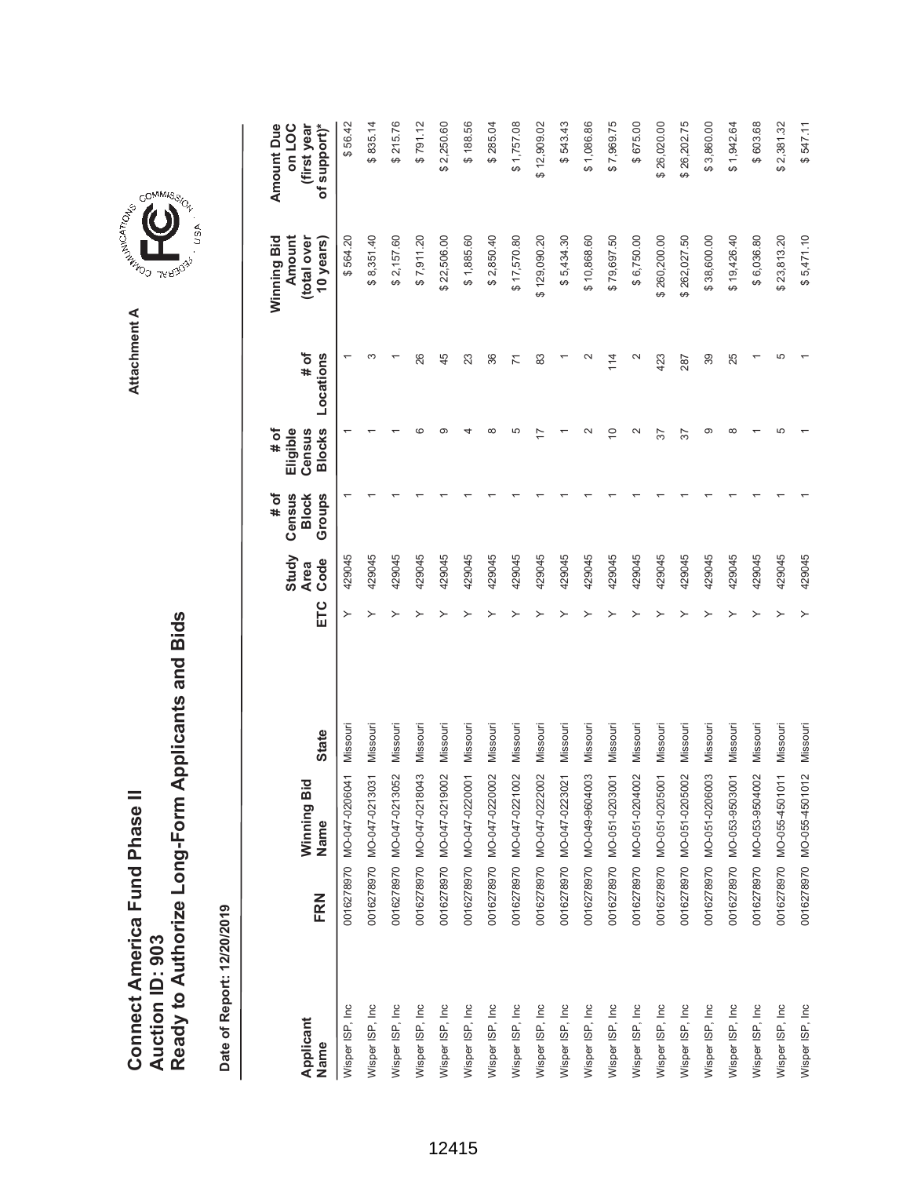| Connect America Fund Phase II |                 | Ready to Authorize Long-Form Applicants and Bids |
|-------------------------------|-----------------|--------------------------------------------------|
|                               | Auction ID: 903 |                                                  |



GOMMIS<sub>SION</sub>

USA

|                   |     |                           |          |     | Study               | # of<br>Census         | # of<br>Eligible        |                     | Winning Bid<br>Amount    | Amount Due<br>on LOC        |
|-------------------|-----|---------------------------|----------|-----|---------------------|------------------------|-------------------------|---------------------|--------------------------|-----------------------------|
| Applicant<br>Name | FRN | Winning Bid<br>Name       | State    | ETC | Code<br><b>Area</b> | Groups<br><b>Block</b> | <b>Blocks</b><br>Census | $#$ of<br>Locations | (total over<br>10 years) | of support)*<br>(first year |
| Wisper ISP, Inc   |     | 0016278970 MO-047-0206041 | Missouri | ≻   | 429045              |                        |                         |                     | \$564.20                 | \$56.42                     |
| Wisper ISP, Inc   |     | 0016278970 MO-047-0213031 | Missouri |     | 429045              |                        |                         |                     | \$8,351.40               | \$835.14                    |
| Wisper ISP, Inc   |     | 0016278970 MO-047-0213052 | Missouri |     | 429045              |                        |                         |                     | \$2,157.60               | \$215.76                    |
| Wisper ISP, Inc.  |     | 0016278970 MO-047-0218043 | Missouri |     | 429045              |                        | CO                      | 26                  | \$7,911.20               | \$791.12                    |
| Wisper ISP, Inc   |     | 0016278970 MO-047-0219002 | Missouri |     | 429045              |                        | ග                       | 45                  | \$22,506.00              | \$2,250.60                  |
| Wisper ISP, Inc   |     | 0016278970 MO-047-0220001 | Missouri |     | 429045              |                        |                         | 23                  | \$1,885.60               | \$188.56                    |
| Wisper ISP, Inc   |     | 0016278970 MO-047-0220002 | Missouri |     | 429045              |                        | ∞                       | 36                  | \$2,850.40               | \$285.04                    |
| Wisper ISP, Inc   |     | 0016278970 MO-047-0221002 | Missouri |     | 429045              |                        | 5                       | 71                  | \$17,570.80              | \$1,757.08                  |
| Wisper ISP, Inc   |     | 0016278970 MO-047-0222002 | Missouri |     | 429045              |                        |                         | 83                  | \$129,090.20             | \$12,909.02                 |
| Wisper ISP, Inc   |     | 0016278970 MO-047-0223021 | Missouri |     | 429045              |                        |                         |                     | \$5,434.30               | \$543.43                    |
| Wisper ISP, Inc   |     | 0016278970 MO-049-9604003 | Missouri |     | 429045              |                        |                         |                     | \$10,868.60              | \$1,086.86                  |
| Wisper ISP, Inc   |     | 0016278970 MO-051-0203001 | Missouri |     | 429045              |                        | $\overline{C}$          | 114                 | \$79,697.50              | \$7,969.75                  |
| Wisper ISP, Inc   |     | 0016278970 MO-051-0204002 | Missouri |     | 429045              |                        | $\mathbf{\Omega}$       | $\mathbf{\Omega}$   | \$6,750.00               | \$675.00                    |
| Wisper ISP, Inc   |     | 0016278970 MO-051-0205001 | Missouri |     | 429045              |                        | 57                      | 423                 | \$260,200.00             | \$26,020.00                 |
| Wisper ISP, Inc   |     | 0016278970 MO-051-0205002 | Missouri |     | 429045              |                        | 57                      | 287                 | \$262,027.50             | \$26,202.75                 |
| Wisper ISP, Inc   |     | 0016278970 MO-051-0206003 | Missouri |     | 429045              |                        | ග                       | 39                  | \$38,600.00              | \$3,860.00                  |
| Wisper ISP, Inc   |     | 0016278970 MO-053-9503001 | Missouri |     | 429045              |                        | ∞                       | 25                  | \$19,426.40              | \$1,942.64                  |
| Wisper ISP, Inc   |     | 0016278970 MO-053-9504002 | Missouri |     | 429045              |                        |                         |                     | \$6,036.80               | \$603.68                    |
| Wisper ISP, Inc   |     | 0016278970 MO-055-4501011 | Missouri |     | 429045              |                        | Ю                       | 5                   | \$23,813.20              | \$2,381.32                  |
| Wisper ISP, Inc   |     | 0016278970 MO-055-4501012 | Missouri |     | 429045              |                        |                         |                     | \$5,471.10               | \$547.11                    |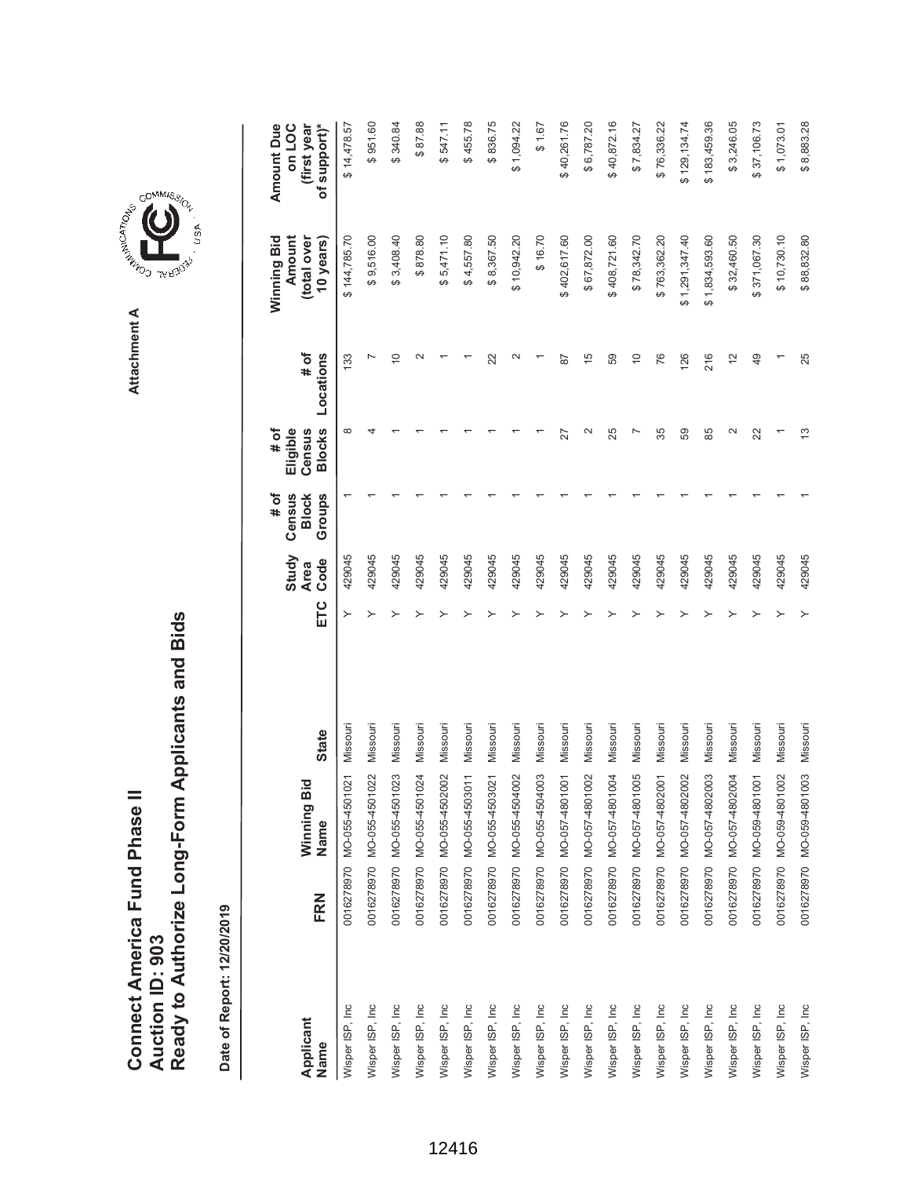| Connect America Fund Phase II |                 | Ready to Authorize Long-Form Applicants and Bids |
|-------------------------------|-----------------|--------------------------------------------------|
|                               | Auction ID: 903 |                                                  |



GOMMIS<sub>SION</sub>

USA

| Applicant       | FRN | Winning Bid               | <b>State</b> | ETC | Study<br>Code<br><b>Area</b> | # of<br>Census<br><b>Block</b> | <b>Blocks</b><br># of<br>Eligible<br>Census | # of           | Winning Bid<br>Amount<br>(total over | <b>Amount Due</b><br>on LOC<br>(first year |
|-----------------|-----|---------------------------|--------------|-----|------------------------------|--------------------------------|---------------------------------------------|----------------|--------------------------------------|--------------------------------------------|
| Name            |     | Name                      |              |     |                              | Groups                         |                                             | Locations      | 10 years)                            | of support)*                               |
| Wisper ISP, Inc |     | 0016278970 MO-055-4501021 | Missouri     | ≻   | 429045                       |                                | $\infty$                                    | 133            | \$144,785.70                         | \$14,478.57                                |
| Wisper ISP, Inc |     | 0016278970 MO-055-4501022 | Missouri     |     | 429045                       |                                |                                             |                | \$9,516.00                           | \$951.60                                   |
| Wisper ISP, Inc |     | 0016278970 MO-055-4501023 | Missouri     |     | 429045                       |                                |                                             | $\overline{C}$ | \$3,408.40                           | \$340.84                                   |
| Wisper ISP, Inc |     | 0016278970 MO-055-4501024 | Missouri     |     | 429045                       |                                |                                             |                | \$878.80                             | \$87.88                                    |
| Wisper ISP, Inc |     | 0016278970 MO-055-4502002 | Missouri     |     | 429045                       |                                |                                             |                | \$5,471.10                           | \$547.11                                   |
| Wisper ISP, Inc |     | 0016278970 MO-055-4503011 | Missouri     |     | 429045                       |                                |                                             |                | \$4,557.80                           | \$455.78                                   |
| Wisper ISP, Inc |     | 0016278970 MO-055-4503021 | Missouri     |     | 429045                       |                                |                                             | 22             | \$8,367.50                           | \$836.75                                   |
| Wisper ISP, Inc |     | 0016278970 MO-055-4504002 | Missouri     |     | 429045                       |                                |                                             |                | \$10,942.20                          | \$1,094.22                                 |
| Wisper ISP, Inc |     | 0016278970 MO-055-4504003 | Missouri     |     | 429045                       |                                |                                             |                | \$16.70                              | \$1.67                                     |
| Wisper ISP, Inc |     | 0016278970 MO-057-4801001 | Missouri     |     | 429045                       |                                | 27                                          | 87             | \$402,617.60                         | \$40,261.76                                |
| Wisper ISP, Inc |     | 0016278970 MO-057-4801002 | Missouri     |     | 429045                       |                                | $\mathbf{\Omega}$                           | $\frac{5}{1}$  | \$67,872.00                          | \$6,787.20                                 |
| Wisper ISP, Inc |     | 0016278970 MO-057-4801004 | Missouri     |     | 429045                       |                                | 25                                          | 59             | \$408,721.60                         | \$40,872.16                                |
| Wisper ISP, Inc |     | 0016278970 MO-057-4801005 | Missouri     |     | 429045                       |                                |                                             | $\overline{C}$ | \$78,342.70                          | \$7,834.27                                 |
| Wisper ISP, Inc |     | 0016278970 MO-057-4802001 | Missouri     |     | 429045                       |                                | 35                                          | 76             | \$763,362.20                         | \$76,336.22                                |
| Wisper ISP, Inc |     | 0016278970 MO-057-4802002 | Missouri     |     | 429045                       |                                | 59                                          | 126            | \$1,291,347.40                       | \$129,134.74                               |
| Wisper ISP, Inc |     | 0016278970 MO-057-4802003 | Missouri     |     | 429045                       |                                | 85                                          | 216            | \$1,834,593.60                       | \$183,459.36                               |
| Wisper ISP, Inc |     | 0016278970 MO-057-4802004 | Missouri     |     | 429045                       |                                | $\mathbf{\Omega}$                           | $\tilde{c}$    | \$32,460.50                          | \$3,246.05                                 |
| Wisper ISP, Inc |     | 0016278970 MO-059-4801001 | Missouri     |     | 429045                       |                                | 22                                          | 49             | \$371,067.30                         | \$37,106.73                                |
| Wisper ISP, Inc |     | 0016278970 MO-059-4801002 | Missouri     |     | 429045                       |                                |                                             |                | \$10,730.10                          | \$1,073.01                                 |
| Wisper ISP, Inc |     | 0016278970 MO-059-4801003 | Missouri     |     | 429045                       |                                | 13                                          | 25             | \$88,832.80                          | \$8,883.28                                 |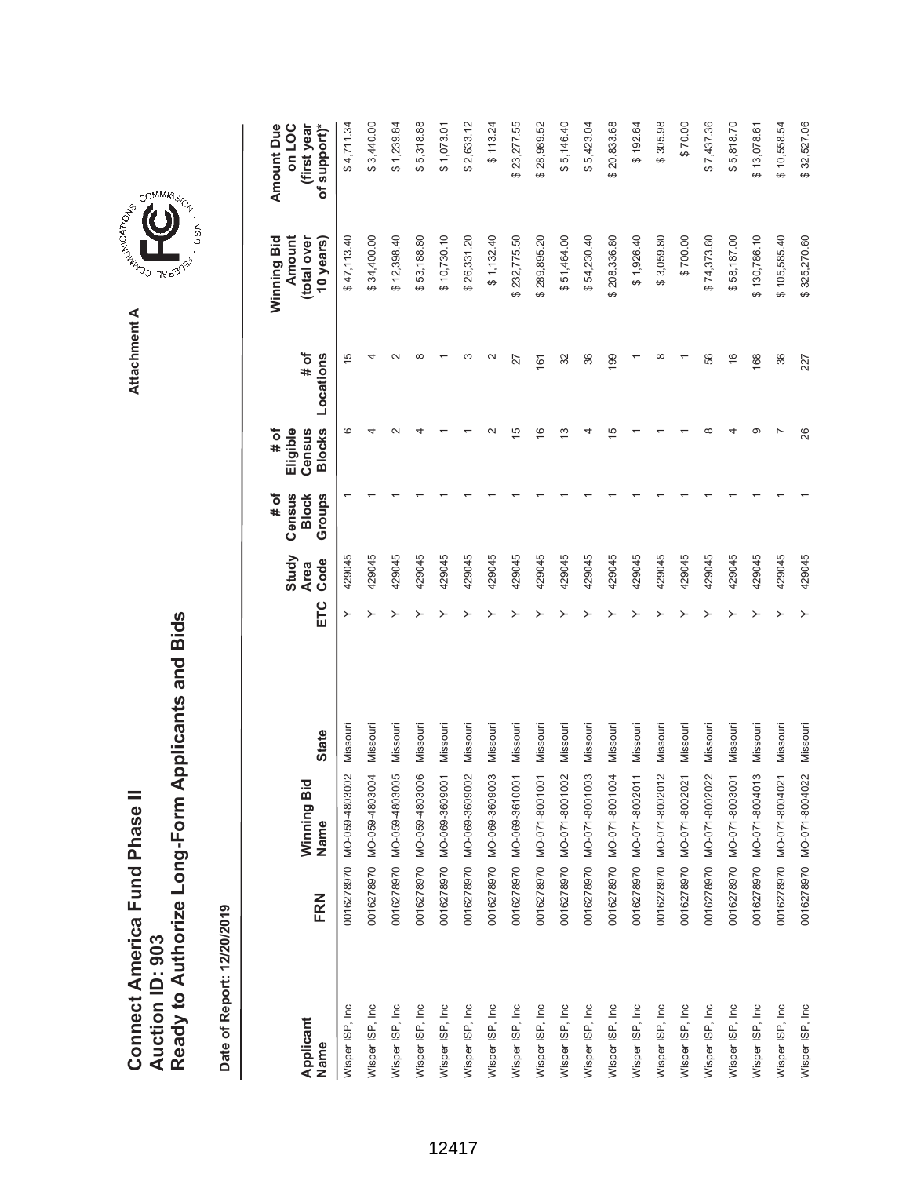|                   |     |                                            |              |     | Study               | Census<br># of         | Eligible<br># of        |                   | Winning Bid<br>Amount    | <b>Amount Due</b><br>on LOC |
|-------------------|-----|--------------------------------------------|--------------|-----|---------------------|------------------------|-------------------------|-------------------|--------------------------|-----------------------------|
| Applicant<br>Name | FRN | ਹ<br>Winning Bi<br>Name                    | <b>State</b> | ETC | Code<br><b>Area</b> | Groups<br><b>Block</b> | <b>Blocks</b><br>Census | # of<br>Locations | (total over<br>10 years) | (first year<br>of support)* |
| Wisper ISP, Inc   |     | $\approx$<br>0016278970 MO-059-48030       | Missour      | ≻   | 429045              |                        | ဖ                       | $\frac{5}{1}$     | \$47,113.40              | \$4,711.34                  |
| Wisper ISP, Inc   |     | $\overline{9}$<br>0016278970 MO-059-48030  | Missouri     |     | 429045              |                        |                         | 4                 | \$34,400.00              | \$3,440.00                  |
| Wisper ISP, Inc   |     | $\overline{6}$<br>0016278970 MO-059-48030  | Missouri     |     | 429045              |                        |                         | $\sim$            | \$12,398.40              | \$1,239.84                  |
| Wisper ISP, Inc   |     | 0016278970 MO-059-4803006                  | Missouri     |     | 429045              |                        |                         | œ                 | \$53,188.80              | \$5,318.88                  |
| Wisper ISP, Inc   |     | 0016278970 MO-069-3609001                  | Missouri     |     | 429045              |                        |                         |                   | \$10,730.10              | \$1,073.01                  |
| Wisper ISP, Inc   |     | $\approx$<br>0016278970 MO-069-36090       | Missouri     |     | 429045              |                        |                         |                   | \$26,331.20              | \$2,633.12                  |
| Wisper ISP, Inc   |     | $\overline{0}$<br>0016278970 MO-069-36090  | Missouri     |     | 429045              |                        |                         | $\mathbf{\Omega}$ | \$1,132.40               | \$113.24                    |
| Wisper ISP, Inc   |     | 0016278970 MO-069-3610001                  | Missouri     |     | 429045              |                        | 15                      | 27                | \$232,775.50             | \$23,277.55                 |
| Wisper ISP, Inc   |     | $\overline{5}$<br>0016278970 MO-071-80010  | Missouri     |     | 429045              |                        | $\frac{6}{2}$           | 161               | \$289,895.20             | \$28,989.52                 |
| Wisper ISP, Inc   |     | 0016278970 MO-071-8001002                  | Missouri     |     | 429045              |                        | ≌                       | 32                | \$51,464.00              | \$5,146.40                  |
| Wisper ISP, Inc   |     | 03<br>0016278970 MO-071-80010              | Missouri     |     | 429045              |                        |                         | 36                | \$54,230.40              | \$5,423.04                  |
| Wisper ISP, Inc   |     | $\overline{9}$<br>0016278970 MO-071-80010  | Missouri     |     | 429045              |                        | ഥ                       | 199               | \$208,336.80             | \$20,833.68                 |
| Wisper ISP, Inc   |     | $\overline{11}$<br>0016278970 MO-071-80020 | Missouri     |     | 429045              |                        |                         |                   | \$1,926.40               | \$192.64                    |
| Wisper ISP, Inc   |     | 0016278970 MO-071-8002012                  | Missouri     |     | 429045              |                        |                         | ∞                 | \$3,059.80               | \$305.98                    |
| Wisper ISP, Inc   |     | $\overline{2}$<br>0016278970 MO-071-80020  | Missouri     |     | 429045              |                        |                         |                   | \$700.00                 | \$70.00                     |
| Wisper ISP, Inc   |     | 22<br>0016278970 MO-071-80020              | Missouri     |     | 429045              |                        |                         | 56                | \$74,373.60              | \$7,437.36                  |
| Wisper ISP, Inc   |     | 0016278970 MO-071-8003001                  | Missouri     |     | 429045              |                        |                         | $\frac{6}{5}$     | \$58,187.00              | \$5,818.70                  |
| Wisper ISP, Inc   |     | 13<br>0016278970 MO-071-80040              | Missouri     |     | 429045              |                        |                         | 168               | \$130,786.10             | \$13,078.61                 |
| Wisper ISP, Inc   |     | $\tilde{2}$<br>0016278970 MO-071-80040     | Missouri     |     | 429045              |                        |                         | 36                | \$105,585.40             | \$10,558.54                 |
| Wisper ISP, Inc   |     | 0016278970 MO-071-8004022                  | Missouri     |     | 429045              |                        | 26                      | 227               | \$325,270.60             | \$32,527.06                 |

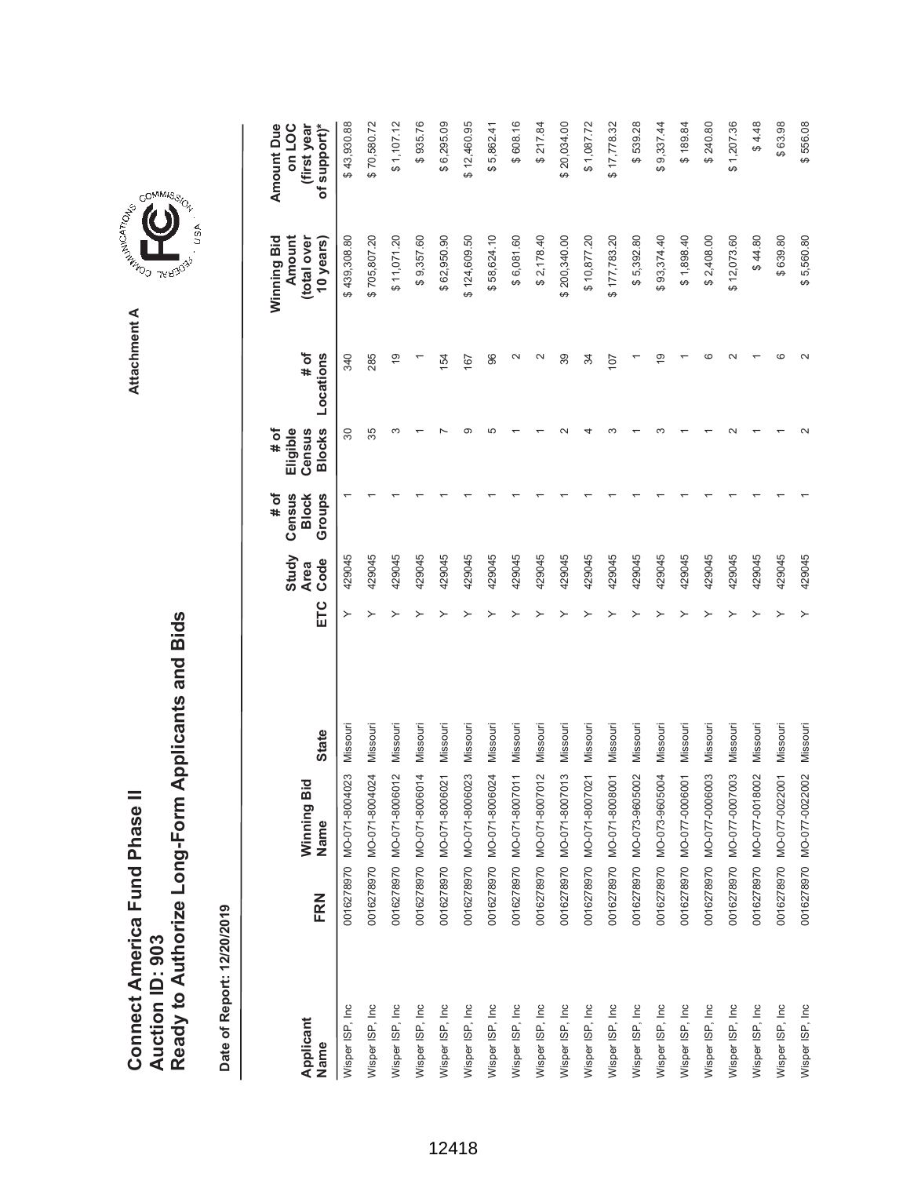Ready to Authorize Long-Form Applicants and Bids **Ready to Authorize Long-Form Applicants and Bids** Connect America Fund Phase II **Connect America Fund Phase II Auction ID: 903 Auction ID: 903**

Date of Report: 12/20/2019 **Date of Report: 12/20/2019**

\$70,580.72  $$1,107.12$ \$608.16 **ETC Ode Oode Slocks Locations Blows Blows Sears)** \$43,930.88 \$935.76 \$6,295.09 \$12,460.95 \$5,862.41  $$217.84$ 6 20,034.00  $$1,087.72$ \$17,778.32 \$539.28 \$9,337.44 \$240.80  $$1,207.36$  $$4.48$ \$63.98 \$556.08 **(first year** Wisper ISP, Inc 0016278970 MO-071-8004023 Missouri Y \$ 439,308.80 \$ 43,930.88 429045 1 30 340 Wisper ISP, Inc 0016278970 MO-071-8004024 Missouri Y \$ 705,807.20 \$ 70,580.72 429045 1 35 285 Wisper ISP, Inc 0016278970 MO-071-8006012 Missouri Y \$ 11,071.20 \$ 1,107.12 429045 1 3 19 Wisper ISP, Inc 0016278970 MO-071-8006014 Missouri Y \$ 9,357.60 \$ 935.76 429045 1 1 1 Wisper ISP, Inc 0016278970 MO-071-8006021 Missouri Y \$ 62,950.90 \$ 6,295.09 429045 1 7 154 Wisper ISP, Inc 0016278970 MO-071-8006023 Missouri Y \$ 124,609.50 \$ 12,460.95 429045 1 9 167 Wisper ISP, Inc 0016278970 MO-071-8007011 Missouri Y \$ 6,081.60 \$ 608.16 429045 1 1 2 Wisper ISP, Inc 0016278970 MO-071-8007012 Missouri Y \$ 2,178.40 \$ 217.84 429045 1 1 2 Wisper ISP, Inc 0016278970 MO-071-8007013 Missouri Y \$ 200,340.00 \$ 20,034.00 429045 1 2 39 7.2.2001 \$ 1,09.72.8.01 \$ 1 4 4 4 5 10,0000 12,00000 12,00000 12,00000 12,00000 12,0000 1,092.000 1 4 4 4 4 4 4 Wisper ISP, Inc 0016278970 MO-071-8008001 Missouri Y \$ 177,783.20 \$ 17,778.32 429045 1 3 107 Wisper ISP, Inc 0016278970 MO-073-9605002 Missouri Y \$ 5,392.80 \$ 539.28 429045 1 1 1 Wisper ISP, Inc 0016278970 MO-073-9605004 Missouri Y \$ 93,374.40 \$ 9,337.44 429045 1 3 19  $$189.84$ Wisper ISP, Inc 0016278970 MO-077-0006001 Missouri Y \$ 1,898.40 \$ 189.84 429045 1 1 1 Wisper ISP, Inc 0016278970 MO-077-0006003 Missouri Y \$ 2,408.00 \$ 240.80 429045 1 1 6 Wisper ISP, Inc 0016278970 MO-077-0007003 Missouri Y \$ 12,073.60 \$ 1,207.36 429045 1 2 2 Wisper ISP, Inc 0016278970 MO-077-0018002 Missouri Y \$ 44.80 \$ 4.48 429045 1 1 1 86:69 \$ 63.969 \$ 6 \$ 640000 \$ 6 \$ 640020 \$ 6400220 \$ 640022001 Missouri Wisport A 631.98.920 22902200 22902201 Wisper ISP 2 2 2 2 1 2 355.09 NO 2 2 355.0222007-120−077 2 2 2 2 2 2 2 2 2 2 2 2 355.56 356.08 2017/ Amount Due **Amount Due on LOC** Wisper ISP, Inc 0016278970 MO-071-8006024 Missouri Y \$ 58,624.10 \$ 5,862.41 429045 1 5 96 (total over **(total over**  \$439,308.80 \$705,807.20  $$11,071.20$ \$9,357.60 \$62,950.90 \$124,609.50 \$58,624.10 \$6,081.60  $$2,178.40$ 200,340.00 \$93,374.40 \$1,898.40  $$44.80$ \$639.80 **Amount** \$10,877.20 \$177,783.20 \$5,392.80 \$2,408.00 \$12,073.60 Winning Bid **Winning Bid 10 years)** \$5,560.80 **# of**  $\sim$  $\circ$  $\sim$  $\circ$  $\sim$ Locations  $\overline{9}$  $\sim$  $39$  $\overline{9}$ **Locations** 340 285  $54$ 67 96  $34$  $107$ **Eligible # of Census Blocks** 35 က  $\infty$ ယ  $\sim$  $\sim$  $80\,$ **# of Groups Census Block Study** 429045 429045 429045 429045 429045 429045 429045 429045 429045 429045 429045 429045 429045 429045 429045 429045 429045 429045 429045 429045 **Code Area** ETC  $\rightarrow$ Missouri Missouri Missouri Missouri Missouri Missouri Missouri Missouri Missouri Missouri Missouri Missouri Missouri Missouri Missouri Missouri Missouri Missouri Missouri 0016278970 MO-077-0022002 Missouri **State Name State** 0016278970 MO-071-8004023 0016278970 MO-071-8004024 MO-071-8006023 MO-071-8007011 MO-071-8007013 0016278970 MO-071-8008001 MO-077-0006001 MO-077-0006003 MO-077-0007003 MO-071-8006012 MO-071-8006014 MO-071-8006021 MO-071-8006024 MO-071-8007012 MO-071-8007021 0016278970 MO-073-9605002 MO-073-9605004 MO-077-0018002 MO-077-0022001 Winning Bid **Winning Bid** Name 0016278970 0016278970 0016278970 0016278970 0016278970 0016278970 0016278970 0016278970 0016278970 0016278970 0016278970 0016278970 0016278970 0016278970 0016278970 FRN **Name FRN** Wisper ISP, Inc. Wisper ISP, Inc. Wisper ISP, Inc. Wisper ISP, Inc. Wisper ISP, Inc. Wisper ISP, Inc. Wisper ISP, Inc. Wisper ISP, Inc. Wisper ISP, Inc. Wisper ISP, Inc. Wisper ISP, Inc. Wisper ISP, Inc. Wisper ISP, Inc Wisper ISP, Inc Wisper ISP, Inc Wisper ISP, Inc Wisper ISP, Inc Wisper ISP, Inc Wisper ISP, Inc Wisper ISP, Inc **Applicant** Name



**Attachment A**

Attachment A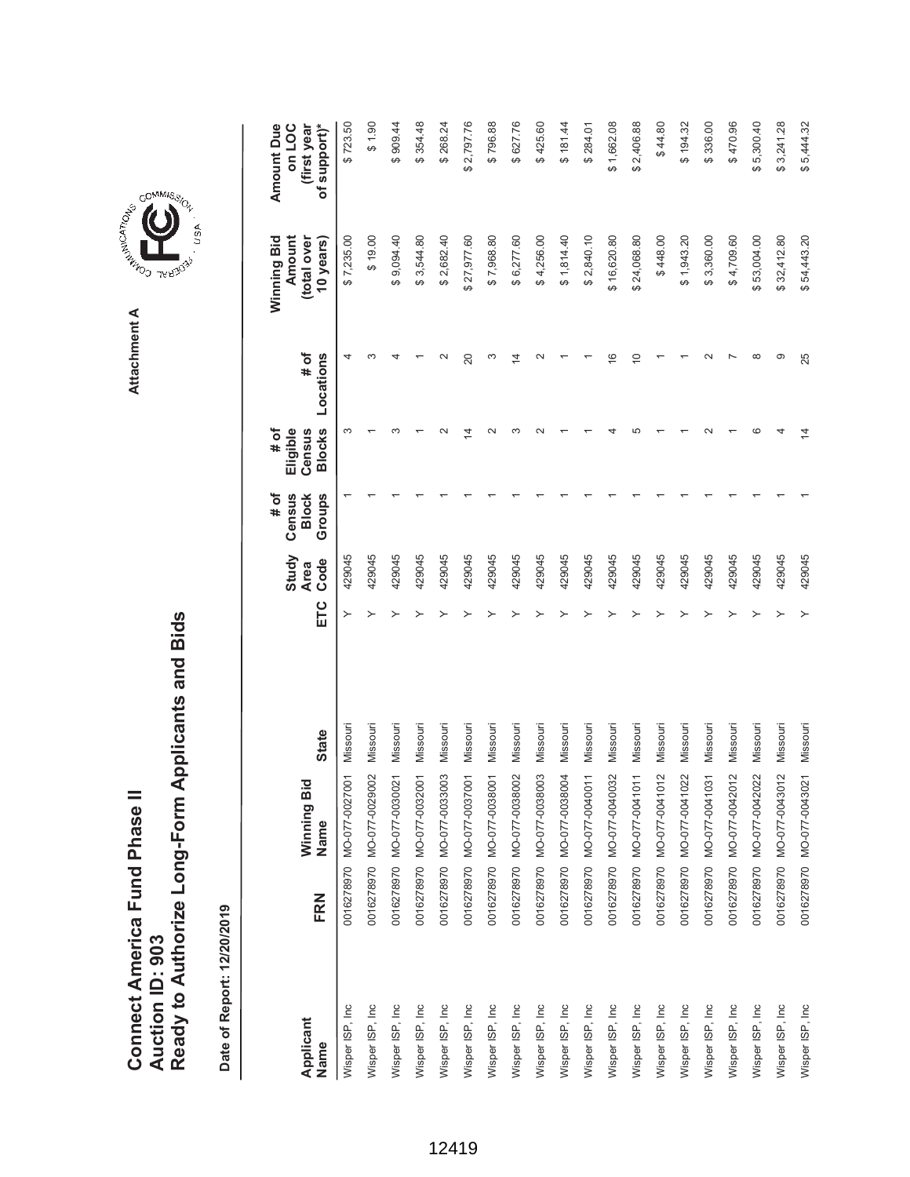| Connect America Fund Phase I. | Auction ID: 903 | Ready to Authorize Long-Form Applicants and Bids |
|-------------------------------|-----------------|--------------------------------------------------|
|                               |                 |                                                  |

**COMMISSION** Attachment A **Attachment A**

USA

| Applicant<br>Name | FRN | Winning Bid<br>Name       | <b>State</b> | ETC | Study<br>Code<br><b>Area</b> | # of<br>Census<br>Groups<br><b>Block</b> | <b>Blocks</b><br># of<br>Eligible<br>Census | # of<br>Locations | Winning Bid<br>Amount<br>(total over<br>10 years) | Amount Due<br>of support)*<br>on LOC<br>(first year |
|-------------------|-----|---------------------------|--------------|-----|------------------------------|------------------------------------------|---------------------------------------------|-------------------|---------------------------------------------------|-----------------------------------------------------|
| Wisper ISP, Inc   |     | 0016278970 MO-077-0027001 | Missouri     | ≻   | 429045                       |                                          | 3                                           | 4                 | \$7,235.00                                        | \$723.50                                            |
| Wisper ISP, Inc   |     | 0016278970 MO-077-0029002 | Missouri     |     | 429045                       |                                          |                                             |                   | \$19.00                                           | 06.130                                              |
| Wisper ISP, Inc   |     | 0016278970 MO-077-0030021 | Missouri     |     | 429045                       |                                          |                                             |                   | \$9,094.40                                        | \$909.44                                            |
| Wisper ISP, Inc.  |     | 0016278970 MO-077-0032001 | Missouri     |     | 429045                       |                                          |                                             |                   | \$3,544.80                                        | \$354.48                                            |
| Wisper ISP, Inc   |     | 0016278970 MO-077-0033003 | Missouri     |     | 429045                       |                                          |                                             |                   | \$2,682.40                                        | \$268.24                                            |
| Wisper ISP, Inc.  |     | 0016278970 MO-077-0037001 | Missouri     |     | 429045                       |                                          | 4                                           | 20                | \$27,977.60                                       | \$2,797.76                                          |
| Wisper ISP, Inc   |     | 0016278970 MO-077-0038001 | Missouri     |     | 429045                       |                                          |                                             | ო                 | \$7,968.80                                        | \$796.88                                            |
| Wisper ISP, Inc   |     | 0016278970 MO-077-0038002 | Missouri     |     | 429045                       |                                          |                                             | 4                 | \$6,277.60                                        | \$627.76                                            |
| Wisper ISP, Inc.  |     | 0016278970 MO-077-0038003 | Missouri     |     | 429045                       |                                          |                                             |                   | \$4,256.00                                        | \$425.60                                            |
| Wisper ISP, Inc   |     | 0016278970 MO-077-0038004 | Missouri     |     | 429045                       |                                          |                                             |                   | \$1,814.40                                        | \$181.44                                            |
| Wisper ISP, Inc   |     | 0016278970 MO-077-0040011 | Missouri     |     | 429045                       |                                          |                                             |                   | \$2,840.10                                        | \$284.01                                            |
| Wisper ISP, Inc.  |     | 0016278970 MO-077-0040032 | Missouri     |     | 429045                       |                                          |                                             | $\overline{6}$    | \$16,620.80                                       | \$1,662.08                                          |
| Wisper ISP, Inc   |     | 0016278970 MO-077-0041011 | Missouri     |     | 429045                       |                                          |                                             | $\overline{0}$    | \$24,068.80                                       | \$2,406.88                                          |
| Wisper ISP, Inc   |     | 0016278970 MO-077-0041012 | Missouri     |     | 429045                       |                                          |                                             |                   | \$448.00                                          | \$44.80                                             |
| Wisper ISP, Inc.  |     | 0016278970 MO-077-0041022 | Missouri     |     | 429045                       |                                          |                                             |                   | \$1,943.20                                        | \$194.32                                            |
| Wisper ISP, Inc   |     | 0016278970 MO-077-0041031 | Missouri     |     | 429045                       |                                          |                                             |                   | \$3,360.00                                        | \$336.00                                            |
| Wisper ISP, Inc   |     | 0016278970 MO-077-0042012 | Missouri     |     | 429045                       |                                          |                                             |                   | \$4,709.60                                        | \$470.96                                            |
| Wisper ISP, Inc.  |     | 0016278970 MO-077-0042022 | Missouri     |     | 429045                       |                                          |                                             | œ                 | \$53,004.00                                       | \$5,300.40                                          |
| Wisper ISP, Inc   |     | 0016278970 MO-077-0043012 | Missouri     |     | 429045                       |                                          |                                             | တ                 | \$32,412.80                                       | \$3,241.28                                          |
| Wisper ISP, Inc   |     | 0016278970 MO-077-0043021 | Missouri     |     | 429045                       |                                          | $\overline{4}$                              | 25                | \$54,443.20                                       | \$5,444.32                                          |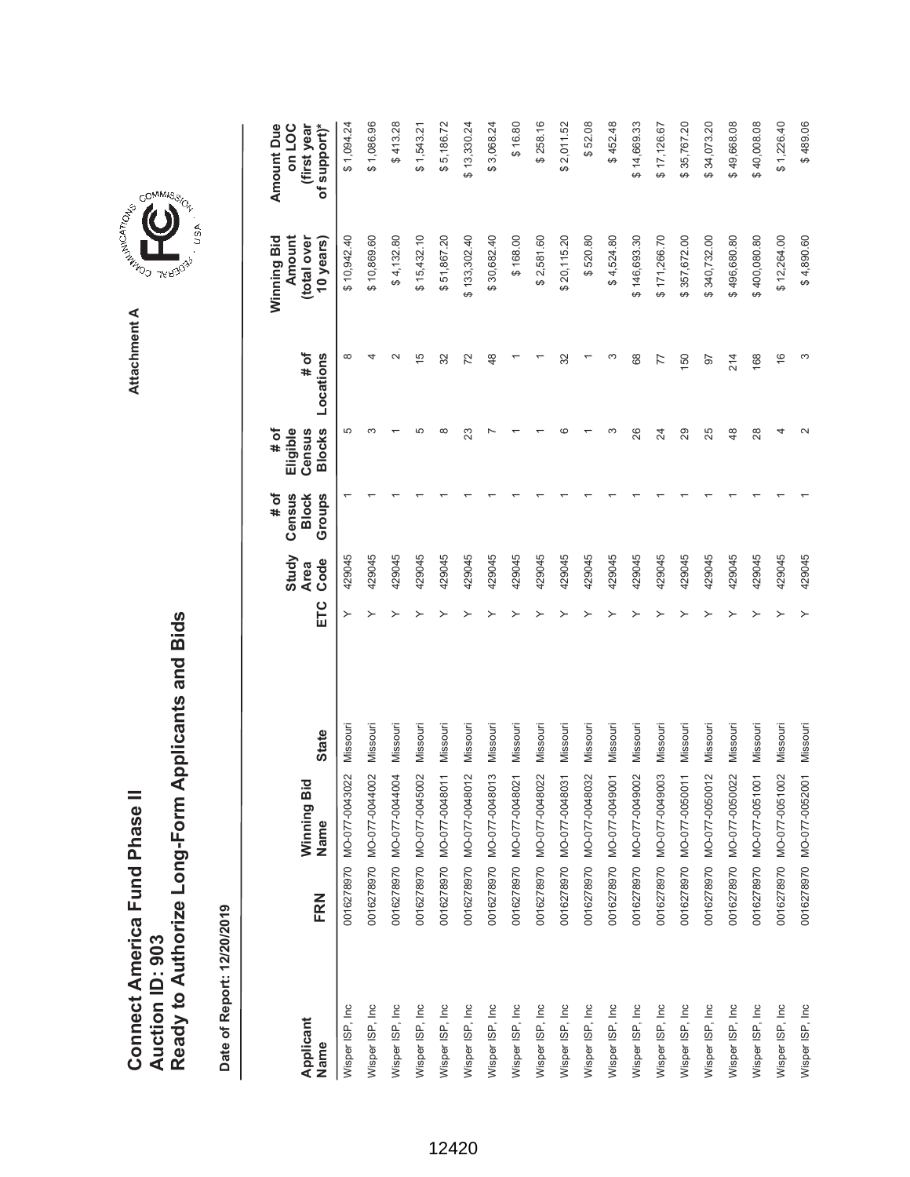**AREA COMMISSION** Attachment A **Attachment A**

COMMIS<sub>SION</sub>

, USA

|                   |     |                           |              |     | Study               | # of<br>Census         | # of<br>Eligible        |                   | Winning Bid<br>Amount    | <b>Amount Due</b><br>on LOC |
|-------------------|-----|---------------------------|--------------|-----|---------------------|------------------------|-------------------------|-------------------|--------------------------|-----------------------------|
| Applicant<br>Name | FRN | Winning Bid<br>Name       | <b>State</b> | ETC | Code<br><b>Area</b> | <b>Block</b><br>Groups | <b>Blocks</b><br>Census | Locations<br># of | (total over<br>10 years) | of support)*<br>(first year |
| Wisper ISP, Inc   |     | 0016278970 MO-077-0043022 | Missouri     | ≻   | 429045              |                        | 5                       | $\infty$          | \$10,942.40              | \$1,094.24                  |
| Wisper ISP, Inc   |     | 0016278970 MO-077-0044002 | Missouri     |     | 429045              |                        |                         |                   | \$10,869.60              | \$1,086.96                  |
| Wisper ISP, Inc   |     | 0016278970 MO-077-0044004 | Missouri     |     | 429045              |                        |                         | $\sim$            | \$4,132.80               | \$413.28                    |
| Wisper ISP, Inc   |     | 0016278970 MO-077-0045002 | Missouri     |     | 429045              |                        | Ю                       | 15                | \$15,432.10              | \$1,543.21                  |
| Wisper ISP, Inc   |     | 0016278970 MO-077-0048011 | Missouri     |     | 429045              |                        | $\infty$                | 32                | \$51,867.20              | \$5,186.72                  |
| Wisper ISP, Inc   |     | 0016278970 MO-077-0048012 | Missouri     |     | 429045              |                        | 23                      | 72                | \$133,302.40             | \$13,330.24                 |
| Wisper ISP, Inc   |     | 0016278970 MO-077-0048013 | Missouri     |     | 429045              |                        |                         | 48                | \$30,682.40              | \$3,068.24                  |
| Wisper ISP, Inc   |     | 0016278970 MO-077-0048021 | Missouri     |     | 429045              |                        |                         |                   | \$168.00                 | \$16.80                     |
| Wisper ISP, Inc   |     | 0016278970 MO-077-0048022 | Missouri     |     | 429045              |                        |                         |                   | \$2,581.60               | \$258.16                    |
| Wisper ISP, Inc   |     | 0016278970 MO-077-0048031 | Missouri     |     | 429045              |                        | c                       | 32                | \$20,115.20              | \$2,011.52                  |
| Wisper ISP, Inc   |     | 0016278970 MO-077-0048032 | Missouri     |     | 429045              |                        |                         |                   | \$520.80                 | \$52.08                     |
| Wisper ISP, Inc   |     | 0016278970 MO-077-0049001 | Missouri     |     | 429045              |                        | ∞                       |                   | \$4,524.80               | \$452.48                    |
| Wisper ISP, Inc   |     | 0016278970 MO-077-0049002 | Missouri     |     | 429045              |                        | 26                      | 68                | \$146,693.30             | \$14,669.33                 |
| Wisper ISP, Inc   |     | 0016278970 MO-077-0049003 | Missouri     |     | 429045              |                        | 24                      | 77                | \$171,266.70             | \$17,126.67                 |
| Wisper ISP, Inc   |     | 0016278970 MO-077-0050011 | Missouri     |     | 429045              |                        | 29                      | 150               | \$357,672.00             | \$35,767.20                 |
| Wisper ISP, Inc   |     | 0016278970 MO-077-0050012 | Missouri     |     | 429045              |                        | 25                      | 56                | \$340,732.00             | \$34,073.20                 |
| Wisper ISP, Inc   |     | 0016278970 MO-077-0050022 | Missouri     |     | 429045              |                        | $\frac{8}{3}$           | 214               | \$496,680.80             | \$49,668.08                 |
| Wisper ISP, Inc   |     | 0016278970 MO-077-0051001 | Missouri     |     | 429045              |                        | 28                      | 168               | \$400,080.80             | \$40,008.08                 |
| Wisper ISP, Inc   |     | 0016278970 MO-077-0051002 | Missouri     |     | 429045              |                        | 4                       | $\frac{6}{5}$     | \$12,264.00              | \$1,226.40                  |
| Wisper ISP, Inc   |     | 0016278970 MO-077-0052001 | Missouri     |     | 429045              |                        |                         | ω                 | \$4,890.60               | \$489.06                    |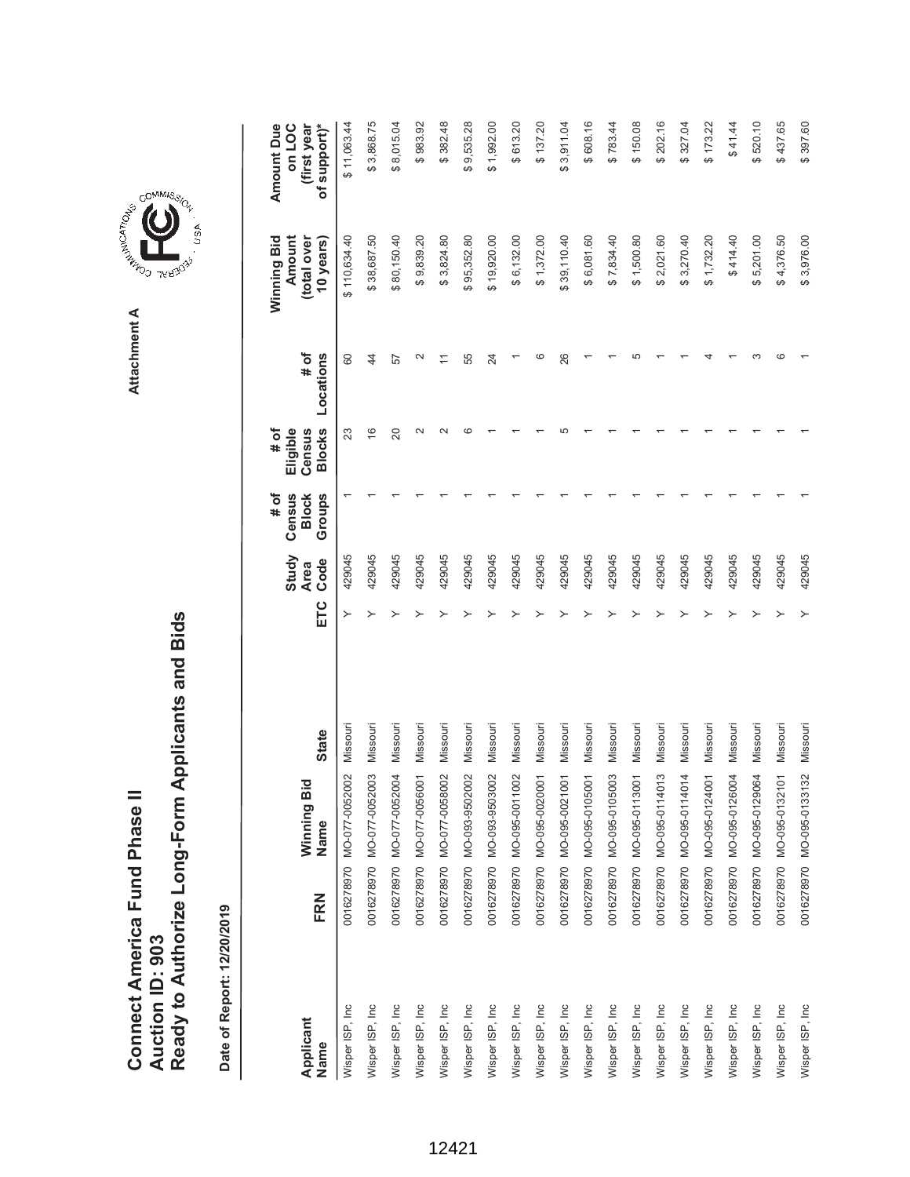**COMMISSION** Attachment A **Attachment A**

GOMMIS<sub>SION</sub>

, usA

|                   |     |                           |              |     | Study               | Census<br># of         | Eligible<br># of        |                   | Winning Bid<br>Amount    | Amount Due<br>on LOC        |
|-------------------|-----|---------------------------|--------------|-----|---------------------|------------------------|-------------------------|-------------------|--------------------------|-----------------------------|
| Applicant<br>Name | FRN | Winning Bid<br>Name       | <b>State</b> | ETC | Code<br><b>Area</b> | Groups<br><b>Block</b> | <b>Blocks</b><br>Census | # of<br>Locations | (total over<br>10 years) | of support)*<br>(first year |
| Wisper ISP, Inc   |     | 0016278970 MO-077-0052002 | Missouri     | ≻   | 429045              |                        | 23                      | 80                | \$110,634.40             | \$11,063.44                 |
| Wisper ISP, Inc   |     | 0016278970 MO-077-0052003 | Missouri     |     | 429045              |                        | $\frac{6}{5}$           | $\overline{4}$    | \$38,687.50              | \$3,868.75                  |
| Wisper ISP, Inc   |     | 0016278970 MO-077-0052004 | Missouri     |     | 429045              |                        | 20                      | 57                | \$80,150.40              | \$8,015.04                  |
| Wisper ISP, Inc   |     | 0016278970 MO-077-0056001 | Missouri     |     | 429045              |                        | $\mathbf{\Omega}$       | $\mathbf{\Omega}$ | \$9,839.20               | \$983.92                    |
| Wisper ISP, Inc   |     | 0016278970 MO-077-0058002 | Missouri     |     | 429045              |                        | $\sim$                  |                   | \$3,824.80               | \$382.48                    |
| Wisper ISP, Inc   |     | 0016278970 MO-093-9502002 | Missouri     |     | 429045              |                        | $\epsilon$              | 55                | \$95,352.80              | \$9,535.28                  |
| Wisper ISP, Inc   |     | 0016278970 MO-093-9503002 | Missouri     |     | 429045              |                        |                         | 24                | \$19,920.00              | \$1,992.00                  |
| Wisper ISP, Inc   |     | 0016278970 MO-095-0011002 | Missouri     |     | 429045              |                        |                         |                   | \$6,132.00               | \$613.20                    |
| Wisper ISP, Inc   |     | 0016278970 MO-095-0020001 | Missouri     |     | 429045              |                        |                         |                   | \$1,372.00               | \$137.20                    |
| Wisper ISP, Inc   |     | 0016278970 MO-095-0021001 | Missouri     |     | 429045              |                        |                         | 26                | \$39,110.40              | \$3,911.04                  |
| Wisper ISP, Inc   |     | 0016278970 MO-095-0105001 | Missouri     |     | 429045              |                        |                         |                   | \$6,081.60               | \$608.16                    |
| Wisper ISP, Inc   |     | 0016278970 MO-095-0105003 | Missouri     |     | 429045              |                        |                         |                   | \$7,834.40               | \$783.44                    |
| Wisper ISP, Inc   |     | 0016278970 MO-095-0113001 | Missouri     |     | 429045              |                        |                         |                   | \$1,500.80               | \$150.08                    |
| Wisper ISP, Inc   |     | 0016278970 MO-095-0114013 | Missouri     |     | 429045              |                        |                         |                   | \$2,021.60               | \$202.16                    |
| Wisper ISP, Inc   |     | 0016278970 MO-095-0114014 | Missouri     |     | 429045              |                        |                         |                   | \$3,270.40               | \$327.04                    |
| Wisper ISP, Inc   |     | 0016278970 MO-095-0124001 | Missouri     |     | 429045              |                        |                         |                   | \$1,732.20               | \$173.22                    |
| Wisper ISP, Inc   |     | 0016278970 MO-095-0126004 | Missouri     |     | 429045              |                        |                         |                   | \$414.40                 | \$41.44                     |
| Wisper ISP, Inc   |     | 0016278970 MO-095-0129064 | Missouri     |     | 429045              |                        |                         |                   | \$5,201.00               | \$520.10                    |
| Wisper ISP, Inc   |     | 0016278970 MO-095-0132101 | Missouri     |     | 429045              |                        |                         |                   | \$4,376.50               | \$437.65                    |
| Wisper ISP, Inc   |     | 0016278970 MO-095-0133132 | Missouri     |     | 429045              |                        |                         |                   | \$3,976.00               | \$397.60                    |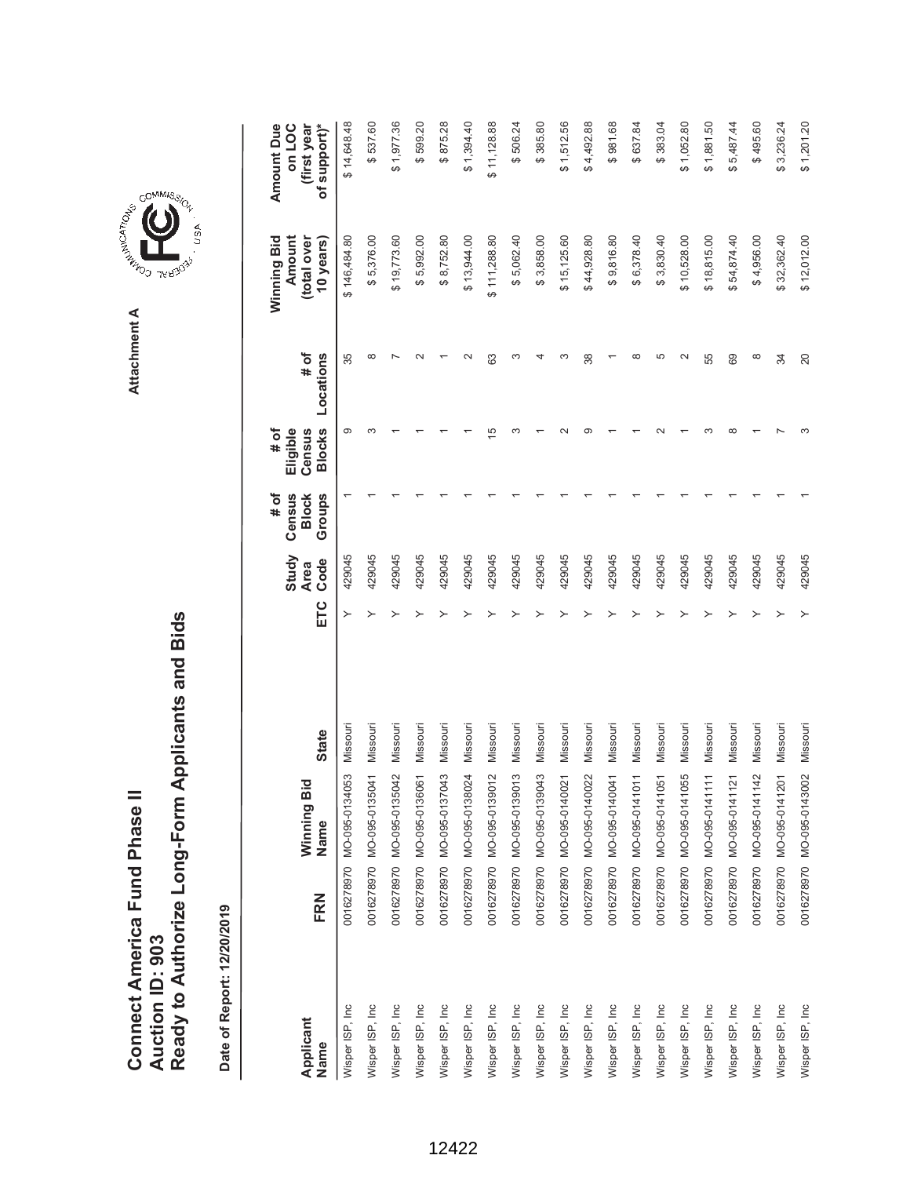| Connect America Fund Phase II | Auction ID: 903 | Ready to Authorize Long-Form Applicants and Bids |
|-------------------------------|-----------------|--------------------------------------------------|
|                               |                 |                                                  |

**A REAGAN AND SITE** Attachment A **Attachment A**

GOMMIS<sub>SION</sub>

USA

| Applicant<br>Name | FRN | Winning Bid<br>Name       | <b>State</b> | ETC | Study<br>Code<br><b>Area</b> | # of<br>Census<br>Groups<br><b>Block</b> | <b>Blocks</b><br># of<br>Eligible<br>Census | Locations<br># of | Winning Bid<br>Amount<br>(total over<br>10 years) | Amount Due<br>of support)*<br>on LOC<br>(first year |
|-------------------|-----|---------------------------|--------------|-----|------------------------------|------------------------------------------|---------------------------------------------|-------------------|---------------------------------------------------|-----------------------------------------------------|
| Wisper ISP, Inc   |     | 0016278970 MO-095-0134053 | Missouri     | ≻   | 429045                       |                                          | တ                                           | 35                | \$146,484.80                                      | \$14,648.48                                         |
| Wisper ISP, Inc   |     | 0016278970 MO-095-0135041 | Missouri     |     | 429045                       |                                          |                                             | $\infty$          | \$5,376.00                                        | \$537.60                                            |
| Wisper ISP, Inc   |     | 0016278970 MO-095-0135042 | Missouri     |     | 429045                       |                                          |                                             |                   | \$19,773.60                                       | \$1,977.36                                          |
| Wisper ISP, Inc   |     | 0016278970 MO-095-0136061 | Missouri     |     | 429045                       |                                          |                                             |                   | \$5,992.00                                        | \$599.20                                            |
| Wisper ISP, Inc   |     | 0016278970 MO-095-0137043 | Missouri     |     | 429045                       |                                          |                                             |                   | \$8,752.80                                        | \$875.28                                            |
| Wisper ISP, Inc   |     | 0016278970 MO-095-0138024 | Missouri     |     | 429045                       |                                          |                                             |                   | \$13,944.00                                       | 04.394.40                                           |
| Wisper ISP, Inc   |     | 0016278970 MO-095-0139012 | Missouri     |     | 429045                       |                                          | 15                                          | 63                | \$111,288.80                                      | \$11,128.88                                         |
| Wisper ISP, Inc   |     | 0016278970 MO-095-0139013 | Missouri     |     | 429045                       |                                          |                                             |                   | \$5,062.40                                        | \$506.24                                            |
| Wisper ISP, Inc   |     | 0016278970 MO-095-0139043 | Missouri     |     | 429045                       |                                          |                                             |                   | \$3,858.00                                        | \$385.80                                            |
| Wisper ISP, Inc   |     | 0016278970 MO-095-0140021 | Missouri     |     | 429045                       |                                          |                                             |                   | \$15,125.60                                       | \$1,512.56                                          |
| Wisper ISP, Inc   |     | 0016278970 MO-095-0140022 | Missouri     |     | 429045                       |                                          |                                             | 38                | \$44,928.80                                       | \$4,492.88                                          |
| Wisper ISP, Inc   |     | 0016278970 MO-095-0140041 | Missouri     |     | 429045                       |                                          |                                             |                   | \$9,816.80                                        | \$981.68                                            |
| Wisper ISP, Inc   |     | 0016278970 MO-095-0141011 | Missouri     |     | 429045                       |                                          |                                             | œ                 | \$6,378.40                                        | \$637.84                                            |
| Wisper ISP, Inc   |     | 0016278970 MO-095-0141051 | Missouri     |     | 429045                       |                                          |                                             | 5                 | \$3,830.40                                        | \$383.04                                            |
| Wisper ISP, Inc   |     | 0016278970 MO-095-0141055 | Missouri     |     | 429045                       |                                          |                                             | $\mathbf{\Omega}$ | \$10,528.00                                       | \$1,052.80                                          |
| Wisper ISP, Inc   |     | 0016278970 MO-095-0141111 | Missouri     |     | 429045                       |                                          |                                             | 55                | \$18,815.00                                       | \$1,881.50                                          |
| Wisper ISP, Inc   |     | 0016278970 MO-095-0141121 | Missouri     |     | 429045                       |                                          |                                             | 69                | \$54,874.40                                       | \$5,487.44                                          |
| Wisper ISP, Inc   |     | 0016278970 MO-095-0141142 | Missouri     |     | 429045                       |                                          |                                             | $\infty$          | \$4,956.00                                        | \$495.60                                            |
| Wisper ISP, Inc   |     | 0016278970 MO-095-0141201 | Missouri     |     | 429045                       |                                          |                                             | 34                | \$32,362.40                                       | \$3,236.24                                          |
| Wisper ISP, Inc.  |     | 0016278970 MO-095-0143002 | Missouri     |     | 429045                       |                                          |                                             | 20                | \$12,012.00                                       | \$1,201.20                                          |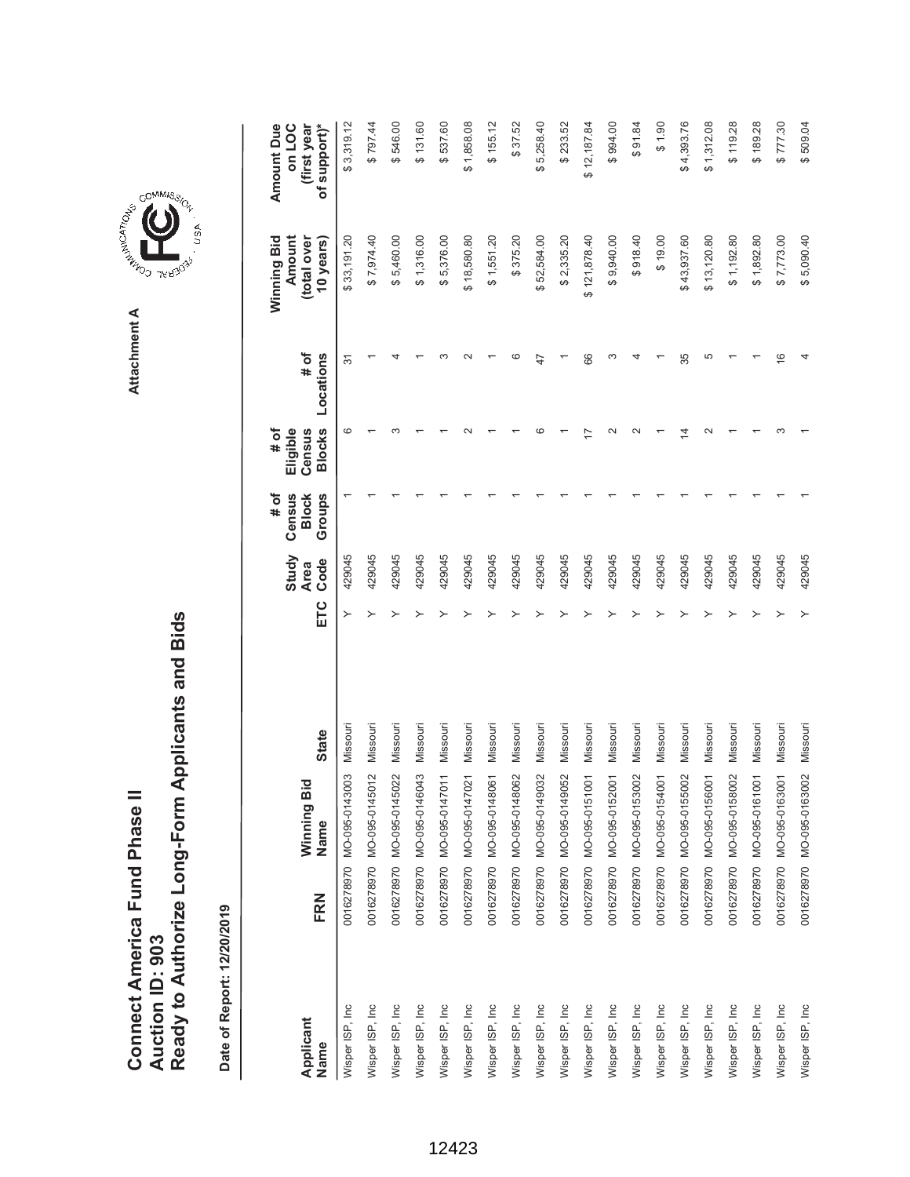| Connect America Fund Phase II | Auction ID: 903 | Ready to Authorize Long-Form Applicants and Bids |
|-------------------------------|-----------------|--------------------------------------------------|
|                               |                 |                                                  |



GOMMIS<sub>SION</sub>

USA

| Applicant<br>Name | FRN | Winning Bic<br>Name                | <b>State</b> | ETC | Study<br>Code<br><b>Area</b> | # of<br>Groups<br>Census<br><b>Block</b> | <b>Blocks</b><br># of<br>Eligible<br>Census | # of<br>Locations | Winning Bid<br>Amount<br>(total over<br>10 years) | <b>Amount Due</b><br>of support)*<br>on LOC<br>(first year |
|-------------------|-----|------------------------------------|--------------|-----|------------------------------|------------------------------------------|---------------------------------------------|-------------------|---------------------------------------------------|------------------------------------------------------------|
| Wisper ISP, Inc   |     | ღ<br>0016278970 MO-095-014300      | Missouri     | ≻   | 429045                       |                                          | ဖ                                           | 57                | \$33,191.20                                       | \$3,319.12                                                 |
| Wisper ISP, Inc   |     | $\sim$<br>0016278970 MO-095-014501 | Missouri     |     | 429045                       |                                          |                                             |                   | \$7,974.40                                        | \$797.44                                                   |
| Wisper ISP, Inc   |     | 0016278970 MO-095-0145022          | Missouri     |     | 429045                       |                                          |                                             |                   | \$5,460.00                                        | \$546.00                                                   |
| Wisper ISP, Inc   |     | 0016278970 MO-095-0146043          | Missouri     |     | 429045                       |                                          |                                             |                   | \$1,316.00                                        | \$131.60                                                   |
| Wisper ISP, Inc   |     | 0016278970 MO-095-0147011          | Missouri     |     | 429045                       |                                          |                                             |                   | \$5,376.00                                        | \$537.60                                                   |
| Wisper ISP, Inc   |     | 0016278970 MO-095-0147021          | Missouri     |     | 429045                       |                                          |                                             |                   | \$18,580.80                                       | \$1,858.08                                                 |
| Wisper ISP, Inc   |     | 0016278970 MO-095-0148061          | Missouri     |     | 429045                       |                                          |                                             |                   | \$1,551.20                                        | \$155.12                                                   |
| Wisper ISP, Inc   |     | 0016278970 MO-095-0148062          | Missouri     |     | 429045                       |                                          |                                             |                   | \$375.20                                          | \$37.52                                                    |
| Wisper ISP, Inc   |     | 0016278970 MO-095-0149032          | Missouri     |     | 429045                       |                                          |                                             |                   | \$52,584.00                                       | \$5,258.40                                                 |
| Wisper ISP, Inc   |     | 0016278970 MO-095-0149052          | Missouri     |     | 429045                       |                                          |                                             |                   | \$2,335.20                                        | \$233.52                                                   |
| Wisper ISP, Inc   |     | 0016278970 MO-095-0151001          | Missouri     |     | 429045                       |                                          |                                             | 66                | \$121,878.40                                      | \$12,187.84                                                |
| Wisper ISP, Inc   |     | 0016278970 MO-095-0152001          | Missouri     |     | 429045                       |                                          |                                             |                   | \$9,940.00                                        | \$994.00                                                   |
| Wisper ISP, Inc   |     | 0016278970 MO-095-0153002          | Missouri     |     | 429045                       |                                          |                                             |                   | \$918.40                                          | \$91.84                                                    |
| Wisper ISP, Inc   |     | 0016278970 MO-095-0154001          | Missouri     |     | 429045                       |                                          |                                             |                   | \$19.00                                           | 06.14                                                      |
| Wisper ISP, Inc   |     | 0016278970 MO-095-0155002          | Missouri     |     | 429045                       |                                          |                                             | 35                | \$43,937.60                                       | \$4,393.76                                                 |
| Wisper ISP, Inc   |     | 0016278970 MO-095-0156001          | Missouri     |     | 429045                       |                                          |                                             | 5                 | \$13,120.80                                       | \$1,312.08                                                 |
| Wisper ISP, Inc   |     | 0016278970 MO-095-0158002          | Missouri     |     | 429045                       |                                          |                                             |                   | \$1,192.80                                        | \$119.28                                                   |
| Wisper ISP, Inc   |     | 0016278970 MO-095-0161001          | Missouri     |     | 429045                       |                                          |                                             |                   | \$1,892.80                                        | \$189.28                                                   |
| Wisper ISP, Inc   |     | 0016278970 MO-095-0163001          | Missouri     |     | 429045                       |                                          |                                             | $\frac{6}{5}$     | \$7,773.00                                        | \$777.30                                                   |
| Wisper ISP, Inc   |     | 0016278970 MO-095-0163002          | Missouri     |     | 429045                       |                                          |                                             |                   | \$5,090.40                                        | \$509.04                                                   |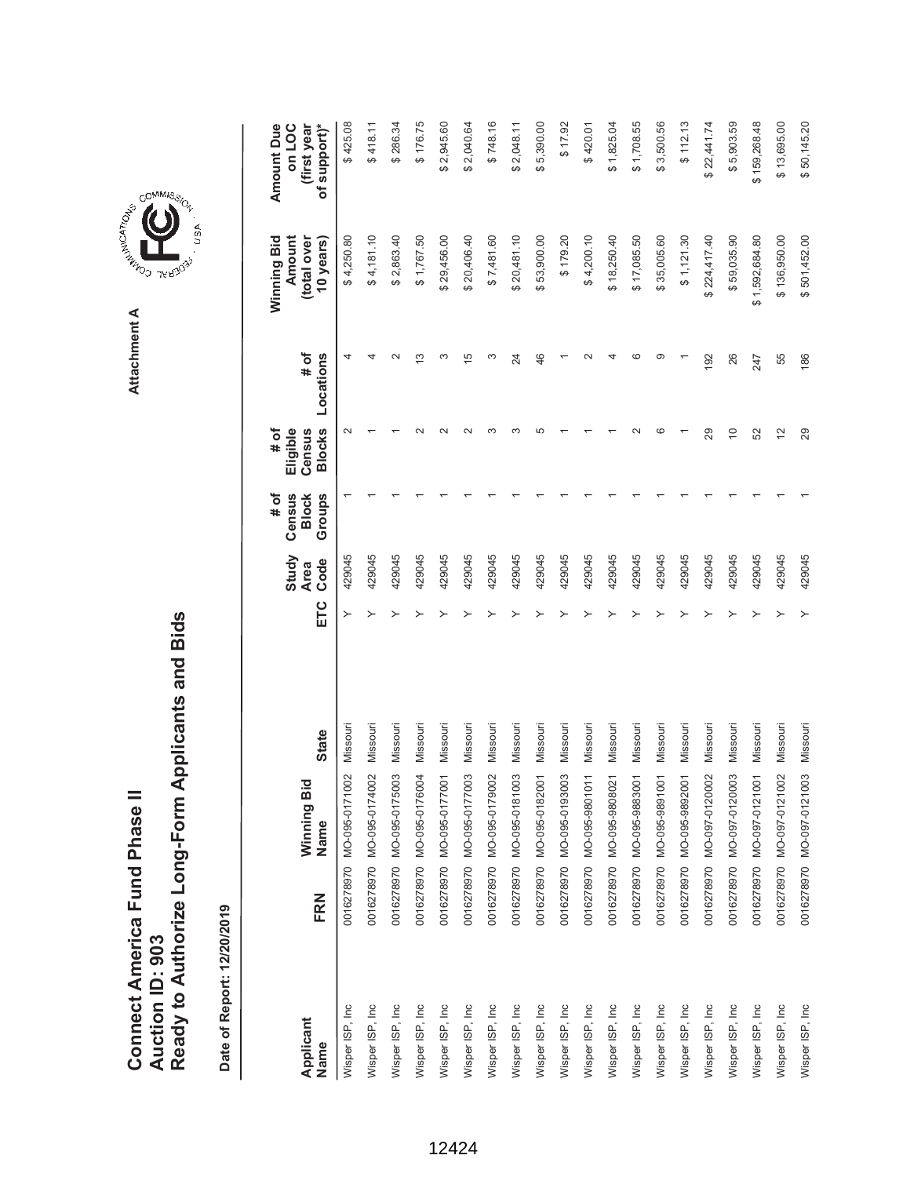|                               |                 | Ready to Authorize Long-Form Applicants and Bids |
|-------------------------------|-----------------|--------------------------------------------------|
| Connect America Fund Phase II |                 |                                                  |
|                               | Auction ID: 903 |                                                  |

**COMMISSIC**<br>SIRING THESE Attachment A **Attachment A**

GOMMIS<sub>SION</sub>

USA

| Applicant<br>Name | FRN | Winning Bid<br>Name       | <b>State</b> | ETC | Study<br>Code<br><b>Area</b> | # of<br>Groups<br>Census<br><b>Block</b> | <b>Blocks</b><br># of<br>Eligible<br>Census | # of<br>Locations | Winning Bid<br>Amount<br>(total over<br>10 years) | <b>Amount Due</b><br>of support)*<br>on LOC<br>(first year |
|-------------------|-----|---------------------------|--------------|-----|------------------------------|------------------------------------------|---------------------------------------------|-------------------|---------------------------------------------------|------------------------------------------------------------|
| Wisper ISP, Inc   |     | 0016278970 MO-095-0171002 | Missouri     | ≻   | 429045                       |                                          |                                             | 4                 | \$4,250.80                                        | \$425.08                                                   |
| Wisper ISP, Inc   |     | 0016278970 MO-095-0174002 | Missouri     |     | 429045                       |                                          |                                             |                   | \$4,181.10                                        | \$418.11                                                   |
| Wisper ISP, Inc.  |     | 0016278970 MO-095-0175003 | Missouri     |     | 429045                       |                                          |                                             |                   | \$2,863.40                                        | \$286.34                                                   |
| Wisper ISP, Inc   |     | 0016278970 MO-095-0176004 | Missouri     |     | 429045                       |                                          |                                             | S                 | \$1,767.50                                        | \$176.75                                                   |
| Wisper ISP, Inc   |     | 0016278970 MO-095-0177001 | Missouri     |     | 429045                       |                                          |                                             | ∞                 | \$29,456.00                                       | \$2,945.60                                                 |
| Wisper ISP, Inc   |     | 0016278970 MO-095-0177003 | Missouri     |     | 429045                       |                                          |                                             | $\overline{5}$    | \$20,406.40                                       | \$2,040.64                                                 |
| Wisper ISP, Inc   |     | 0016278970 MO-095-0179002 | Missouri     |     | 429045                       |                                          |                                             | S                 | \$7,481.60                                        | \$748.16                                                   |
| Wisper ISP, Inc   |     | 0016278970 MO-095-0181003 | Missouri     |     | 429045                       |                                          |                                             | 24                | \$20,481.10                                       | \$2,048.11                                                 |
| Wisper ISP, Inc   |     | 0016278970 MO-095-0182001 | Missouri     |     | 429045                       |                                          |                                             | 46                | \$53,900.00                                       | \$5,390.00                                                 |
| Wisper ISP, Inc   |     | 0016278970 MO-095-0193003 | Missouri     |     | 429045                       |                                          |                                             |                   | \$179.20                                          | \$17.92                                                    |
| Wisper ISP, Inc   |     | 0016278970 MO-095-9801011 | Missouri     |     | 429045                       |                                          |                                             |                   | \$4,200.10                                        | \$420.01                                                   |
| Wisper ISP, Inc   |     | 0016278970 MO-095-9808021 | Missouri     |     | 429045                       |                                          |                                             |                   | \$18,250.40                                       | \$1,825.04                                                 |
| Wisper ISP, Inc   |     | 0016278970 MO-095-9883001 | Missouri     |     | 429045                       |                                          |                                             | ဖ                 | \$17,085.50                                       | \$1,708.55                                                 |
| Wisper ISP, Inc   |     | 0016278970 MO-095-989100  | Missouri     |     | 429045                       |                                          |                                             | ග                 | \$35,005.60                                       | \$3,500.56                                                 |
| Wisper ISP, Inc   |     | 0016278970 MO-095-9892001 | Missouri     |     | 429045                       |                                          |                                             |                   | \$1,121.30                                        | \$112.13                                                   |
| Wisper ISP, Inc   |     | 0016278970 MO-097-0120002 | Missouri     |     | 429045                       |                                          | 29                                          | 192               | \$224,417.40                                      | \$22,441.74                                                |
| Wisper ISP, Inc   |     | 0016278970 MO-097-0120003 | Missouri     |     | 429045                       |                                          | $\Rightarrow$                               | 26                | \$59,035.90                                       | \$5,903.59                                                 |
| Wisper ISP, Inc.  |     | 0016278970 MO-097-0121001 | Missouri     |     | 429045                       |                                          | 52                                          | 247               | \$1,592,684.80                                    | \$159,268.48                                               |
| Wisper ISP, Inc   |     | 0016278970 MO-097-0121002 | Missouri     |     | 429045                       |                                          | $\overline{2}$                              | 55                | \$136,950.00                                      | \$13,695.00                                                |
| Wisper ISP, Inc   |     | 0016278970 MO-097-0121003 | Missouri     |     | 429045                       |                                          | 29                                          | 186               | \$501,452.00                                      | \$50,145.20                                                |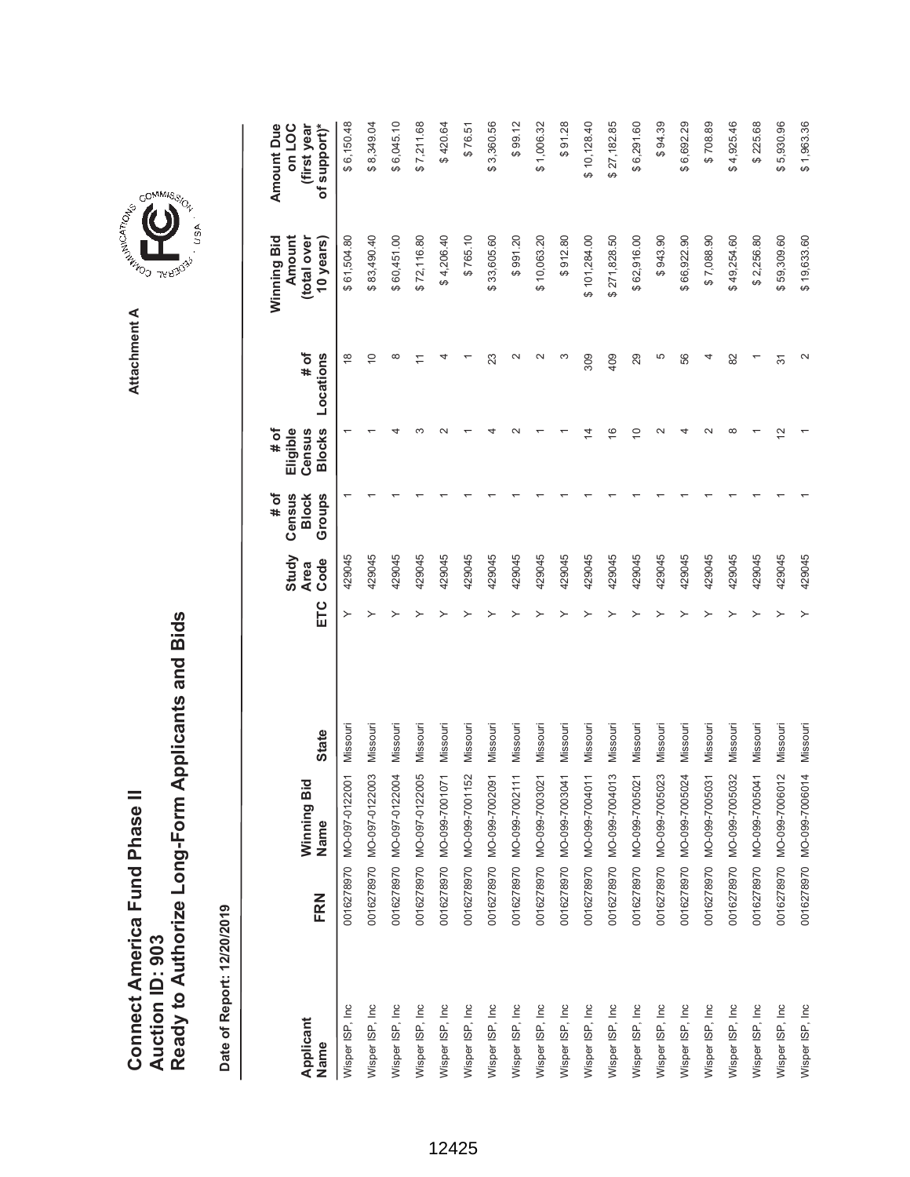| Connect America Fund Phase II | Auction ID: 903 | Ready to Authorize Long-Form Applicants and Bids |
|-------------------------------|-----------------|--------------------------------------------------|
|                               |                 |                                                  |

**A REAGAN AND SITE** Attachment A **Attachment A**

GOMMIS<sub>SION</sub>

USA

|                   |     |                           |              |     | Study               | # of<br>Census         | # of<br>Eligible        |                    | Winning Bid<br>Amount   | <b>Amount Due</b><br>on LOC |
|-------------------|-----|---------------------------|--------------|-----|---------------------|------------------------|-------------------------|--------------------|-------------------------|-----------------------------|
| Applicant<br>Name | FRN | Winning Bid<br>Name       | <b>State</b> | ETC | Code<br><b>Area</b> | <b>Block</b><br>Groups | <b>Blocks</b><br>Census | Locations<br># of  | total over<br>10 years) | of support)*<br>(first year |
| Wisper ISP, Inc   |     | 0016278970 MO-097-0122001 | Missouri     | ≻   | 429045              |                        |                         | $\frac{8}{1}$      | \$61,504.80             | \$6,150.48                  |
| Wisper ISP, Inc   |     | 0016278970 MO-097-0122003 | Missouri     |     | 429045              |                        |                         | $\overline{C}$     | \$83,490.40             | \$8,349.04                  |
| Wisper ISP, Inc   |     | 0016278970 MO-097-0122004 | Missouri     |     | 429045              |                        |                         | $\infty$           | \$60,451.00             | \$6,045.10                  |
| Wisper ISP, Inc   |     | 0016278970 MO-097-0122005 | Missouri     |     | 429045              |                        |                         |                    | \$72,116.80             | \$7,211.68                  |
| Wisper ISP, Inc   |     | 0016278970 MO-099-7001071 | Missouri     |     | 429045              |                        |                         |                    | \$4,206.40              | \$420.64                    |
| Wisper ISP, Inc   |     | 0016278970 MO-099-7001152 | Missouri     |     | 429045              |                        |                         |                    | \$765.10                | \$76.51                     |
| Wisper ISP, Inc   |     | 0016278970 MO-099-7002091 | Missouri     |     | 429045              |                        |                         | 23                 | \$33,605.60             | \$3,360.56                  |
| Wisper ISP, Inc   |     | 0016278970 MO-099-7002111 | Missouri     |     | 429045              |                        |                         | $\scriptstyle\sim$ | \$991.20                | \$99.12                     |
| Wisper ISP, Inc   |     | 0016278970 MO-099-7003021 | Missouri     |     | 429045              |                        |                         | $\sim$             | \$10,063.20             | \$1,006.32                  |
| Wisper ISP, Inc   |     | 0016278970 MO-099-7003041 | Missouri     |     | 429045              |                        |                         | ∞                  | \$912.80                | \$91.28                     |
| Wisper ISP, Inc   |     | 0016278970 MO-099-7004011 | Missouri     |     | 429045              |                        | 4                       | 309                | \$101,284.00            | \$10,128.40                 |
| Wisper ISP, Inc   |     | 0016278970 MO-099-7004013 | Missouri     |     | 429045              |                        | $\frac{6}{2}$           | 409                | \$271,828.50            | \$27,182.85                 |
| Wisper ISP, Inc   |     | 0016278970 MO-099-7005021 | Missouri     |     | 429045              |                        | $\overline{C}$          | 29                 | \$62,916.00             | \$6,291.60                  |
| Wisper ISP, Inc   |     | 0016278970 MO-099-7005023 | Missouri     |     | 429045              |                        | $\scriptstyle\sim$      | 5                  | \$943.90                | \$94.39                     |
| Wisper ISP, Inc   |     | 0016278970 MO-099-7005024 | Missouri     |     | 429045              |                        |                         | 56                 | \$66,922.90             | \$6,692.29                  |
| Wisper ISP, Inc   |     | 0016278970 MO-099-7005031 | Missouri     |     | 429045              |                        |                         | 4                  | \$7,088.90              | \$708.89                    |
| Wisper ISP, Inc   |     | 0016278970 MO-099-7005032 | Missouri     |     | 429045              |                        | $\infty$                | 82                 | \$49,254.60             | \$4,925.46                  |
| Wisper ISP, Inc   |     | 0016278970 MO-099-7005041 | Missouri     |     | 429045              |                        |                         |                    | \$2,256.80              | \$225.68                    |
| Wisper ISP, Inc   |     | 0016278970 MO-099-7006012 | Missouri     |     | 429045              |                        | 12                      | 5                  | \$59,309.60             | \$5,930.96                  |
| Wisper ISP, Inc   |     | 0016278970 MO-099-7006014 | Missouri     |     | 429045              |                        |                         | $\scriptstyle\sim$ | \$19,633.60             | \$1,963.36                  |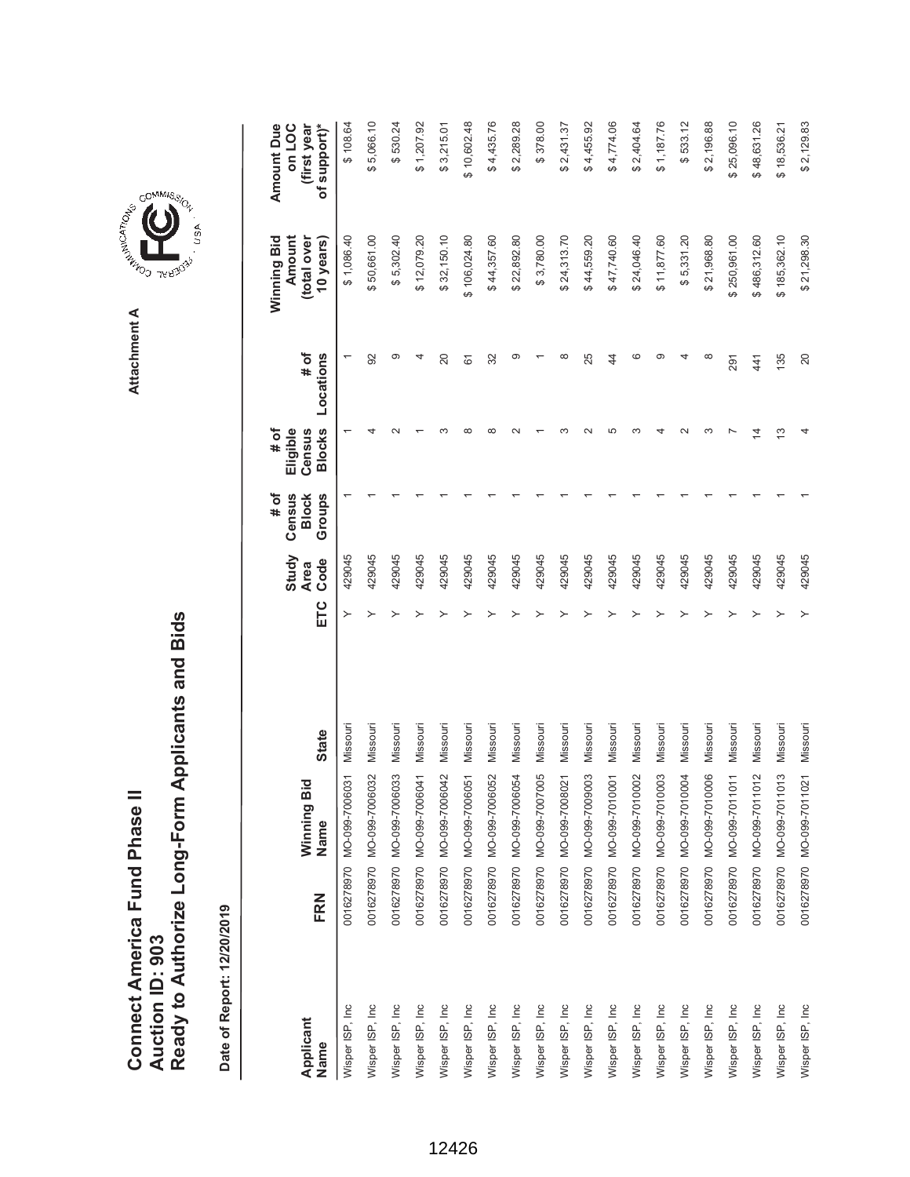**COMMISSION** Attachment A **Attachment A**

GOMMIS<sub>SION</sub>

, usA

| Applicant        |     | Winning Bid               |              |     | Study<br><b>Area</b> | Census<br># of<br><b>Block</b> | Eligible<br>Census<br># of | # of      | Winning Bid<br>Amount<br>(total over | Amount Due<br>on LOC<br>(first year |
|------------------|-----|---------------------------|--------------|-----|----------------------|--------------------------------|----------------------------|-----------|--------------------------------------|-------------------------------------|
| Name             | FRN | Name                      | <b>State</b> | ETC | Code                 | Groups                         | <b>Blocks</b>              | Locations | 10 years)                            | of support)*                        |
| Wisper ISP, Inc  |     | 0016278970 MO-099-7006031 | Missouri     |     | 429045               |                                |                            |           | \$1,086.40                           | \$108.64                            |
| Wisper ISP, Inc  |     | 0016278970 MO-099-7006032 | Missouri     |     | 429045               |                                |                            | 92        | \$50,661.00                          | \$5,066.10                          |
| Wisper ISP, Inc  |     | 0016278970 MO-099-7006033 | Missouri     |     | 429045               |                                |                            | ග         | \$5,302.40                           | \$530.24                            |
| Wisper ISP, Inc  |     | 0016278970 MO-099-7006041 | Missouri     |     | 429045               |                                |                            |           | \$12,079.20                          | \$1,207.92                          |
| Wisper ISP, Inc  |     | 0016278970 MO-099-7006042 | Missouri     |     | 429045               |                                |                            | 20        | \$32,150.10                          | \$3,215.01                          |
| Wisper ISP, Inc  |     | 0016278970 MO-099-7006051 | Missouri     |     | 429045               |                                |                            | 61        | \$106,024.80                         | \$10,602.48                         |
| Wisper ISP, Inc  |     | 0016278970 MO-099-7006052 | Missouri     |     | 429045               |                                | $\infty$                   | 32        | \$44,357.60                          | \$4,435.76                          |
| Wisper ISP, Inc  |     | 0016278970 MO-099-7006054 | Missouri     |     | 429045               |                                |                            | ග         | \$22,892.80                          | \$2,289.28                          |
| Wisper ISP, Inc. |     | 0016278970 MO-099-7007005 | Missouri     |     | 429045               |                                |                            |           | \$3,780.00                           | \$378.00                            |
| Wisper ISP, Inc  |     | 0016278970 MO-099-7008021 | Missouri     |     | 429045               |                                |                            | ∞         | \$24,313.70                          | \$2,431.37                          |
| Wisper ISP, Inc  |     | 0016278970 MO-099-7009003 | Missouri     |     | 429045               |                                |                            | 25        | \$44,559.20                          | \$4,455.92                          |
| Wisper ISP, Inc  |     | 0016278970 MO-099-7010001 | Missouri     |     | 429045               |                                | Ю                          | 44        | \$47,740.60                          | \$4,774.06                          |
| Wisper ISP, Inc  |     | 0016278970 MO-099-7010002 | Missouri     |     | 429045               |                                |                            | ဖ         | \$24,046.40                          | \$2,404.64                          |
| Wisper ISP, Inc  |     | 0016278970 MO-099-7010003 | Missouri     |     | 429045               |                                |                            | တ         | \$11,877.60                          | \$1,187.76                          |
| Wisper ISP, Inc  |     | 0016278970 MO-099-7010004 | Missouri     |     | 429045               |                                |                            |           | \$5,331.20                           | \$533.12                            |
| Wisper ISP, Inc  |     | 0016278970 MO-099-7010006 | Missouri     |     | 429045               |                                |                            | ∞         | \$21,968.80                          | \$2,196.88                          |
| Wisper ISP, Inc  |     | 0016278970 MO-099-7011011 | Missouri     |     | 429045               |                                |                            | 291       | \$250,961.00                         | \$25,096.10                         |
| Wisper ISP, Inc  |     | 0016278970 MO-099-7011012 | Missouri     |     | 429045               |                                | ⋣                          | 441       | \$486,312.60                         | \$48,631.26                         |
| Wisper ISP, Inc  |     | 0016278970 MO-099-7011013 | Missouri     |     | 429045               |                                | <u>ო</u>                   | 135       | \$185,362.10                         | \$18,536.21                         |
| Wisper ISP, Inc  |     | 0016278970 MO-099-7011021 | Missouri     |     | 429045               |                                |                            | 20        | \$21,298.30                          | \$2,129.83                          |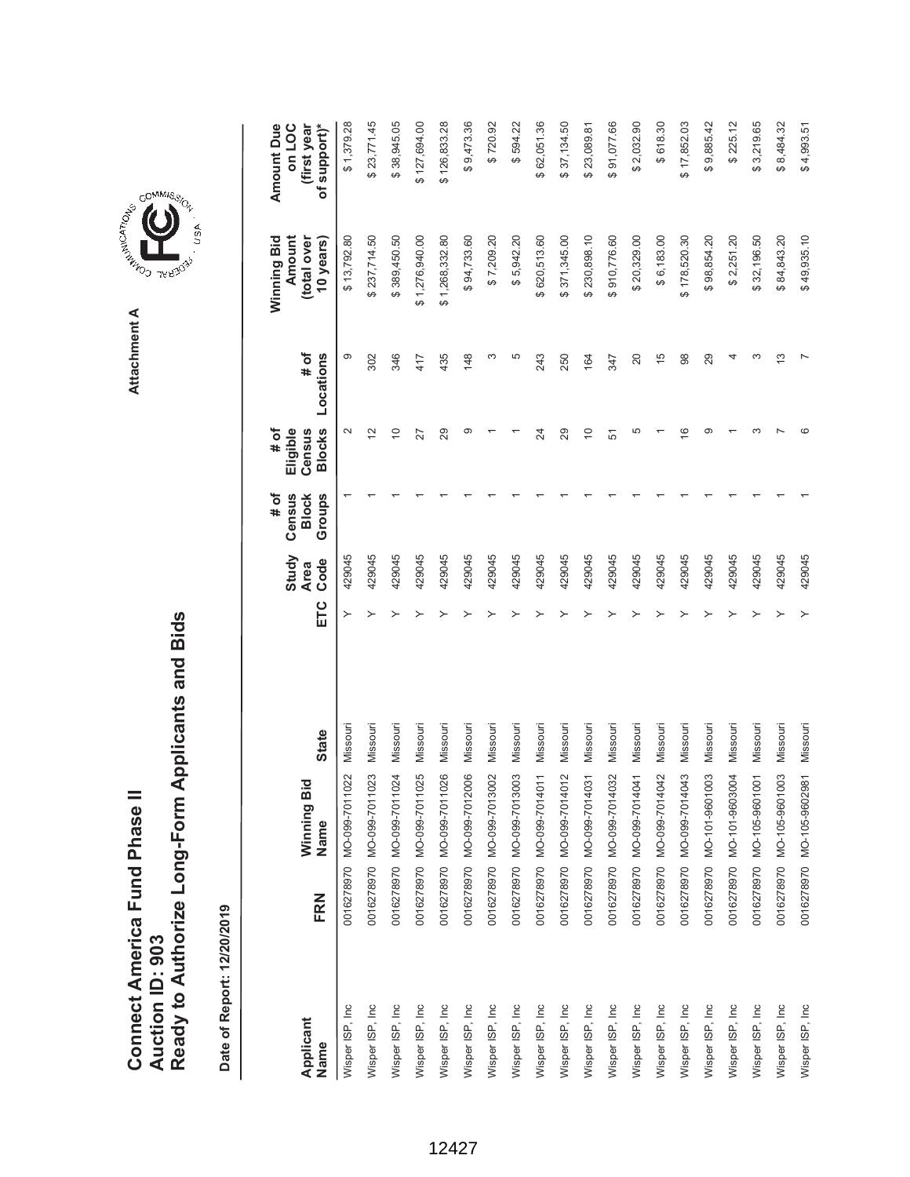Attachment A **Attachment A**

GOMMIS<sub>SION</sub>

, usA

**COMMISSION** 



| Applicant        |     | Winning Bid               |              |     | Study<br><b>Area</b> | Census<br># of<br><b>Block</b> | # of<br>Eligible<br>Census | # of          | Winning Bid<br>Amount<br>(total over | <b>Amount Due</b><br>on LOC<br>(first year |
|------------------|-----|---------------------------|--------------|-----|----------------------|--------------------------------|----------------------------|---------------|--------------------------------------|--------------------------------------------|
| Name             | FRN | Name                      | <b>State</b> | ETC | Code                 | Groups                         | <b>Blocks</b>              | Locations     | 10 years)                            | of support)*                               |
| Wisper ISP, Inc  |     | 0016278970 MO-099-7011022 | Missouri     |     | 429045               |                                | $\mathbf{\Omega}$          | တ             | \$13,792.80                          | \$1,379.28                                 |
| Wisper ISP, Inc  |     | 0016278970 MO-099-7011023 | Missouri     |     | 429045               |                                | $\tilde{C}$                | 302           | \$237,714.50                         | \$23,771.45                                |
| Wisper ISP, Inc  |     | 0016278970 MO-099-7011024 | Missouri     |     | 429045               |                                | $\widetilde{C}$            | 346           | \$389,450.50                         | \$38,945.05                                |
| Wisper ISP, Inc. |     | 0016278970 MO-099-7011025 | Missouri     |     | 429045               |                                | 27                         | 417           | \$1,276,940.00                       | \$127,694.00                               |
| Wisper ISP, Inc  |     | 0016278970 MO-099-7011026 | Missouri     |     | 429045               |                                | 29                         | 435           | \$1,268,332.80                       | \$126,833.28                               |
| Wisper ISP, Inc  |     | 0016278970 MO-099-7012006 | Missouri     |     | 429045               |                                | တ                          | 148           | \$94,733.60                          | \$9,473.36                                 |
| Wisper ISP, Inc  |     | 0016278970 MO-099-7013002 | Missouri     |     | 429045               |                                |                            | S             | \$7,209.20                           | \$720.92                                   |
| Wisper ISP, Inc  |     | 0016278970 MO-099-7013003 | Missouri     |     | 429045               |                                |                            | 5             | \$5,942.20                           | \$594.22                                   |
| Wisper ISP, Inc. |     | 0016278970 MO-099-7014011 | Missouri     |     | 429045               |                                | 24                         | 243           | \$620,513.60                         | \$62,051.36                                |
| Wisper ISP, Inc  |     | 0016278970 MO-099-7014012 | Missouri     |     | 429045               |                                | 29                         | 250           | \$371,345.00                         | \$37,134.50                                |
| Wisper ISP, Inc  |     | 0016278970 MO-099-7014031 | Missouri     |     | 429045               |                                | $\Rightarrow$              | 164           | \$230,898.10                         | \$23,089.81                                |
| Wisper ISP, Inc  |     | 0016278970 MO-099-7014032 | Missouri     |     | 429045               |                                | 51                         | 347           | \$910,776.60                         | \$91,077.66                                |
| Wisper ISP, Inc  |     | 0016278970 MO-099-7014041 | Missouri     |     | 429045               |                                | 5                          | 20            | \$20,329.00                          | \$2,032.90                                 |
| Wisper ISP, Inc  |     | 0016278970 MO-099-7014042 | Missouri     |     | 429045               |                                |                            | $\frac{5}{1}$ | \$6,183.00                           | \$618.30                                   |
| Wisper ISP, Inc  |     | 0016278970 MO-099-7014043 | Missouri     |     | 429045               |                                | $\circ$                    | 98            | \$178,520.30                         | \$17,852.03                                |
| Wisper ISP, Inc  |     | 0016278970 MO-101-9601003 | Missouri     |     | 429045               |                                | ග                          | 29            | \$98,854.20                          | \$9,885.42                                 |
| Wisper ISP, Inc  |     | 0016278970 MO-101-9603004 | Missouri     |     | 429045               |                                |                            |               | \$2,251.20                           | \$225.12                                   |
| Wisper ISP, Inc  |     | 0016278970 MO-105-9601001 | Missouri     |     | 429045               |                                |                            |               | \$32,196.50                          | \$3,219.65                                 |
| Wisper ISP, Inc. |     | 0016278970 MO-105-9601003 | Missouri     |     | 429045               |                                |                            | ო             | \$84,843.20                          | \$8,484.32                                 |
| Wisper ISP, Inc  |     | 0016278970 MO-105-9602981 | Missouri     |     | 429045               |                                |                            |               | \$49,935.10                          | \$4,993.51                                 |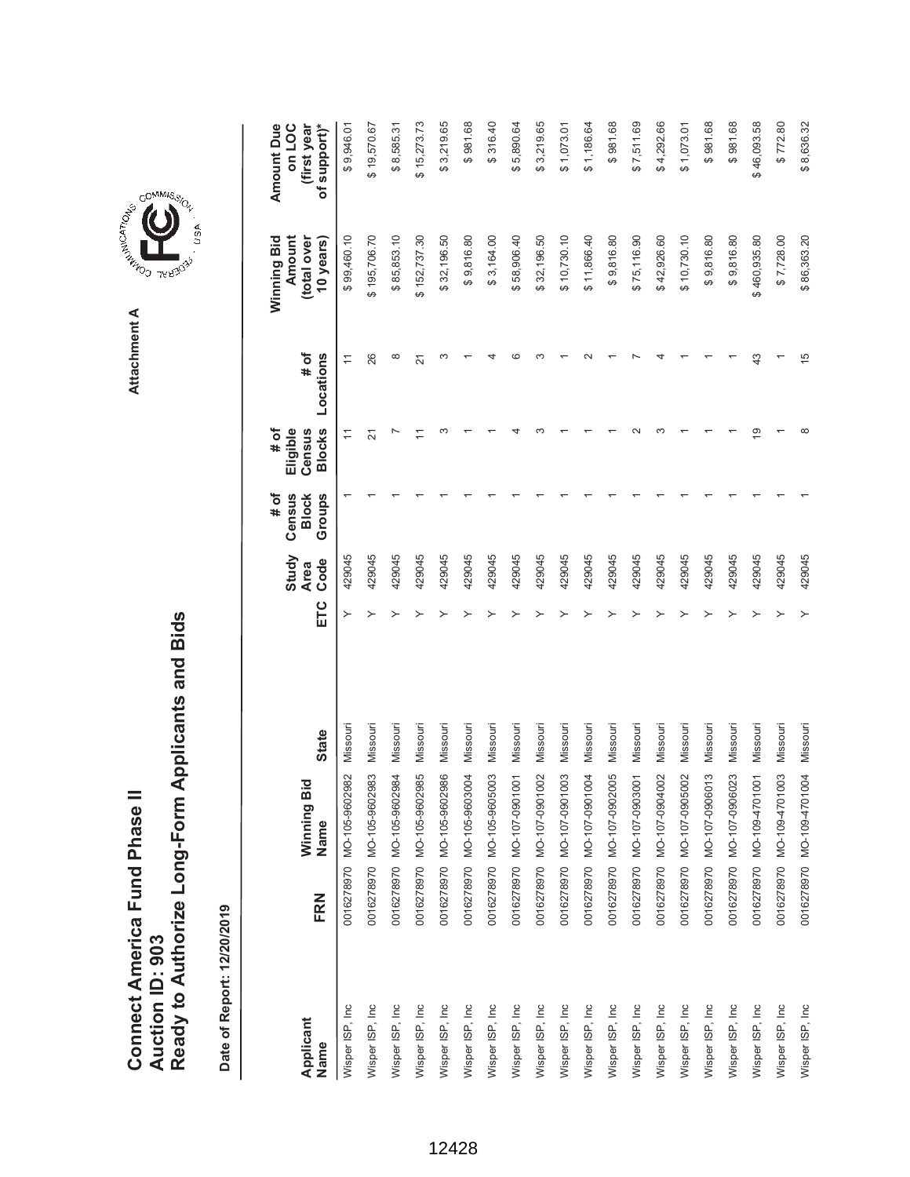**AREA COMMISSION** Attachment A **Attachment A**

COMMIS<sub>SION</sub>

, USA

| Applicant<br>Name | FRN | Winning Bid<br>Name       | <b>State</b> | ETC | Study<br>Code<br><b>Area</b> | # of<br>Census<br>Groups<br><b>Block</b> | <b>Blocks</b><br>$#$ of<br>Eligible<br>Census | $\frac{4}{10}$<br>Locations | Winning Bid<br>(total over<br>Amount<br>10 years) | Amount Due<br>of support)*<br>on LOC<br>(first year |
|-------------------|-----|---------------------------|--------------|-----|------------------------------|------------------------------------------|-----------------------------------------------|-----------------------------|---------------------------------------------------|-----------------------------------------------------|
| Wisper ISP, Inc   |     | 0016278970 MO-105-9602982 | Missouri     | ≻   | 429045                       |                                          | $\overline{1}$                                | $\overline{ }$              | \$99,460.10                                       | \$9,946.01                                          |
| Wisper ISP, Inc   |     | 0016278970 MO-105-9602983 | Missouri     |     | 429045                       |                                          | 21                                            | 26                          | \$195,706.70                                      | \$19,570.67                                         |
| Wisper ISP, Inc.  |     | 0016278970 MO-105-9602984 | Missouri     |     | 429045                       |                                          |                                               | $\infty$                    | \$85,853.10                                       | \$8,585.31                                          |
| Wisper ISP, Inc   |     | 0016278970 MO-105-9602985 | Missouri     |     | 429045                       |                                          |                                               | 21                          | \$152,737.30                                      | \$15,273.73                                         |
| Wisper ISP, Inc   |     | 0016278970 MO-105-9602986 | Missouri     |     | 429045                       |                                          |                                               |                             | \$32,196.50                                       | \$3,219.65                                          |
| Wisper ISP, Inc   |     | 0016278970 MO-105-9603004 | Missouri     |     | 429045                       |                                          |                                               |                             | \$9,816.80                                        | \$981.68                                            |
| Wisper ISP, Inc   |     | 0016278970 MO-105-9605003 | Missouri     |     | 429045                       |                                          |                                               |                             | \$3,164.00                                        | \$316.40                                            |
| Wisper ISP, Inc   |     | 0016278970 MO-107-0901001 | Missouri     |     | 429045                       |                                          |                                               |                             | \$58,906.40                                       | \$5,890.64                                          |
| Wisper ISP, Inc.  |     | 0016278970 MO-107-0901002 | Missouri     |     | 429045                       |                                          |                                               |                             | \$32,196.50                                       | \$3,219.65                                          |
| Wisper ISP, Inc   |     | 0016278970 MO-107-0901003 | Missouri     |     | 429045                       |                                          |                                               |                             | \$10,730.10                                       | \$1,073.01                                          |
| Wisper ISP, Inc   |     | 0016278970 MO-107-0901004 | Missouri     |     | 429045                       |                                          |                                               |                             | \$11,866.40                                       | \$1,186.64                                          |
| Wisper ISP, Inc   |     | 0016278970 MO-107-0902005 | Missouri     |     | 429045                       |                                          |                                               |                             | \$9,816.80                                        | \$981.68                                            |
| Wisper ISP, Inc   |     | 0016278970 MO-107-0903001 | Missouri     |     | 429045                       |                                          |                                               |                             | \$75,116.90                                       | \$7,511.69                                          |
| Wisper ISP, Inc   |     | 0016278970 MO-107-0904002 | Missouri     |     | 429045                       |                                          |                                               |                             | \$42,926.60                                       | \$4,292.66                                          |
| Wisper ISP, Inc   |     | 0016278970 MO-107-0905002 | Missouri     |     | 429045                       |                                          |                                               |                             | \$10,730.10                                       | \$1,073.01                                          |
| Wisper ISP, Inc   |     | 0016278970 MO-107-0906013 | Missouri     |     | 429045                       |                                          |                                               |                             | \$9,816.80                                        | \$981.68                                            |
| Wisper ISP, Inc.  |     | 0016278970 MO-107-0906023 | Missouri     |     | 429045                       |                                          |                                               |                             | \$9,816.80                                        | \$981.68                                            |
| Wisper ISP, Inc.  |     | 0016278970 MO-109-4701001 | Missouri     |     | 429045                       |                                          | ഉ                                             | 43                          | \$460,935.80                                      | \$46,093.58                                         |
| Wisper ISP, Inc   |     | 0016278970 MO-109-4701003 | Missouri     |     | 429045                       |                                          |                                               |                             | \$7,728.00                                        | \$772.80                                            |
| Wisper ISP, Inc   |     | 0016278970 MO-109-4701004 | Missouri     |     | 429045                       |                                          |                                               | 15                          | \$86,363.20                                       | \$8,636.32                                          |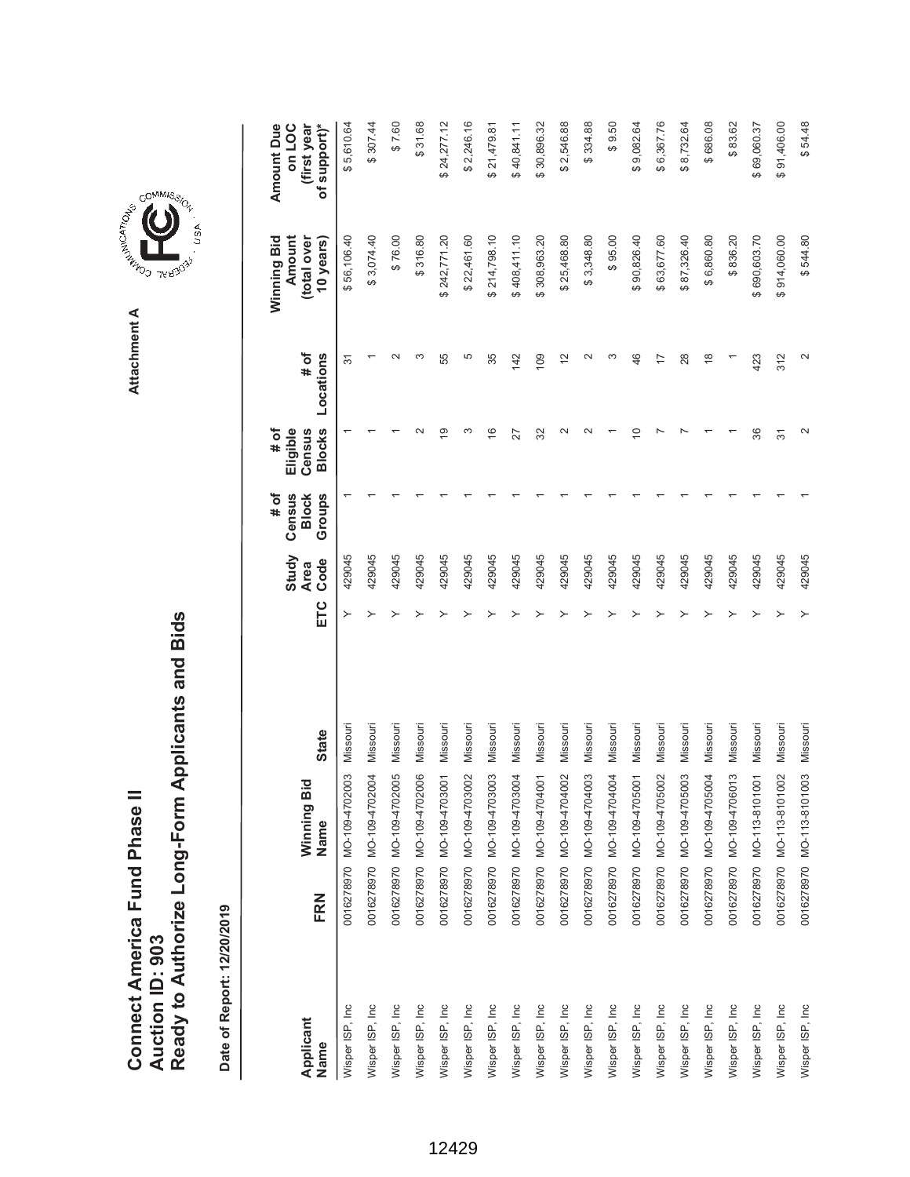|                               |                 | Ready to Authorize Long-Form Applicants and Bids |
|-------------------------------|-----------------|--------------------------------------------------|
| Connect America Fund Phase II |                 |                                                  |
|                               | Auction ID: 903 |                                                  |



GOMMIS<sub>SION</sub>

USA

| Applicant<br>Name | FRN | Winning Bid<br>Name       | <b>State</b> | ETC | Study<br>Code<br><b>Area</b> | # of<br>Census<br><b>Block</b><br>Groups | <b>Blocks</b><br># of<br>Census<br>Eligible | Locations<br># of | Winning Bid<br>(total over<br>Amount<br>10 years) | Amount Due<br>of support)*<br>on LOC<br>(first year |
|-------------------|-----|---------------------------|--------------|-----|------------------------------|------------------------------------------|---------------------------------------------|-------------------|---------------------------------------------------|-----------------------------------------------------|
| Wisper ISP, Inc   |     | 0016278970 MO-109-4702003 | Missouri     | ≻   | 429045                       |                                          |                                             | 5                 | \$56,106.40                                       | \$5,610.64                                          |
| Wisper ISP, Inc   |     | 0016278970 MO-109-4702004 | Missouri     |     | 429045                       |                                          |                                             |                   | \$3,074.40                                        | \$307.44                                            |
| Wisper ISP, Inc.  |     | 0016278970 MO-109-4702005 | Missouri     |     | 429045                       |                                          |                                             |                   | \$76.00                                           | \$7.60                                              |
| Wisper ISP, Inc   |     | 0016278970 MO-109-4702006 | Missouri     |     | 429045                       |                                          |                                             | ∞                 | \$316.80                                          | \$31.68                                             |
| Wisper ISP, Inc   |     | 0016278970 MO-109-4703001 | Missouri     |     | 429045                       |                                          | ഇ                                           | 55                | \$242,771.20                                      | \$24,277.12                                         |
| Wisper ISP, Inc   |     | 0016278970 MO-109-4703002 | Missouri     |     | 429045                       |                                          | ω                                           | 5                 | \$22,461.60                                       | \$2,246.16                                          |
| Wisper ISP, Inc   |     | 0016278970 MO-109-4703003 | Missouri     |     | 429045                       |                                          | $\frac{6}{5}$                               | 35                | 214,798.10                                        | \$21,479.81                                         |
| Wisper ISP, Inc   |     | 0016278970 MO-1094703004  | Missouri     |     | 429045                       |                                          | 27                                          | 142               | \$408,411.10                                      | \$40,841.11                                         |
| Wisper ISP, Inc   |     | 0016278970 MO-109-4704001 | Missouri     |     | 429045                       |                                          | 32                                          | 109               | \$308,963.20                                      | \$30,896.32                                         |
| Wisper ISP, Inc   |     | 0016278970 MO-109-4704002 | Missouri     |     | 429045                       |                                          | $\sim$                                      | $\frac{2}{3}$     | \$25,468.80                                       | \$2,546.88                                          |
| Wisper ISP, Inc   |     | 0016278970 MO-109-4704003 | Missouri     |     | 429045                       |                                          |                                             | $\sim$            | \$3,348.80                                        | \$334.88                                            |
| Wisper ISP, Inc   |     | 0016278970 MO-109-4704004 | Missouri     |     | 429045                       |                                          |                                             | S                 | \$95.00                                           | \$9.50                                              |
| Wisper ISP, Inc   |     | 0016278970 MO-109-4705001 | Missouri     |     | 429045                       |                                          | ₽                                           | 46                | \$90,826.40                                       | \$9,082.64                                          |
| Wisper ISP, Inc   |     | 0016278970 MO-109-4705002 | Missouri     |     | 429045                       |                                          |                                             | 17                | \$63,677.60                                       | \$6,367.76                                          |
| Wisper ISP, Inc   |     | 0016278970 MO-109-4705003 | Missouri     |     | 429045                       |                                          |                                             | 28                | \$87,326.40                                       | \$8,732.64                                          |
| Wisper ISP, Inc   |     | 0016278970 MO-109-4705004 | Missouri     |     | 429045                       |                                          |                                             | $\frac{8}{3}$     | \$6,860.80                                        | \$686.08                                            |
| Wisper ISP, Inc   |     | 0016278970 MO-109-4706013 | Missouri     |     | 429045                       |                                          |                                             |                   | \$836.20                                          | \$83.62                                             |
| Wisper ISP, Inc   |     | 0016278970 MO-113-8101001 | Missouri     |     | 429045                       |                                          | 36                                          | 423               | \$690,603.70                                      | \$69,060.37                                         |
| Wisper ISP, Inc   |     | 0016278970 MO-113-8101002 | Missouri     |     | 429045                       |                                          | $\overline{5}$                              | 312               | \$914,060.00                                      | \$91,406.00                                         |
| Wisper ISP, Inc   |     | 0016278970 MO-113-8101003 | Missouri     |     | 429045                       |                                          | $\sim$                                      | $\mathbf{\sim}$   | \$544.80                                          | \$54.48                                             |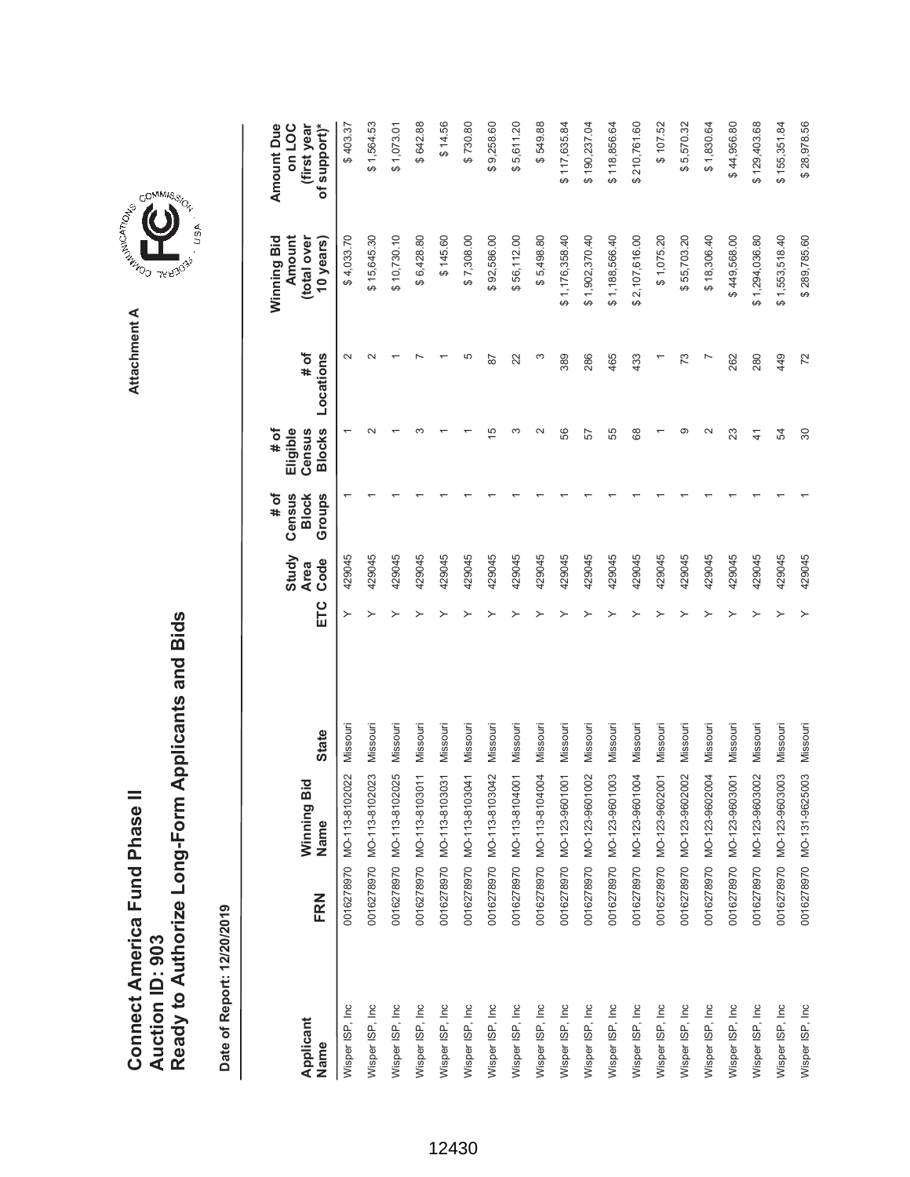| Connect America Fund Phase II |                 | Ready to Authorize Long-Form Applicants and Bids |
|-------------------------------|-----------------|--------------------------------------------------|
|                               | Auction ID: 903 |                                                  |

**COMMISSIC**<br>SIRING THESE Attachment A **Attachment A**

GOMMIS<sub>SION</sub>

USA

|                   |     |                           |              | Study                      |        | # of<br>Census         | # of<br>Eligible        |                   | Winning Bid<br>Amount    | Amount Due<br>on LOC        |
|-------------------|-----|---------------------------|--------------|----------------------------|--------|------------------------|-------------------------|-------------------|--------------------------|-----------------------------|
| Applicant<br>Name | FRN | Winning Bid<br>Name       | <b>State</b> | Code<br><b>Area</b><br>ETC |        | Groups<br><b>Block</b> | <b>Blocks</b><br>Census | Locations<br># of | (total over<br>10 years) | of support)*<br>(first year |
| Wisper ISP, Inc   |     | 0016278970 MO-113-8102022 | Missouri     |                            | 429045 |                        |                         | $\sim$            | \$4,033.70               | \$403.37                    |
| Wisper ISP, Inc   |     | 0016278970 MO-113-8102023 | Missouri     |                            | 429045 |                        |                         |                   | \$15,645.30              | \$1,564.53                  |
| Wisper ISP, Inc   |     | 0016278970 MO-113-8102025 | Missouri     |                            | 429045 |                        |                         |                   | \$10,730.10              | \$1,073.01                  |
| Wisper ISP, Inc   |     | 0016278970 MO-113-8103011 | Missouri     |                            | 429045 |                        |                         |                   | \$6,428.80               | \$642.88                    |
| Wisper ISP, Inc   |     | 0016278970 MO-113-8103031 | Missouri     |                            | 429045 |                        |                         |                   | \$145.60                 | \$14.56                     |
| Wisper ISP, Inc   |     | 0016278970 MO-113-8103041 | Missouri     |                            | 429045 |                        |                         | 5                 | \$7,308.00               | \$730.80                    |
| Wisper ISP, Inc   |     | 0016278970 MO-113-8103042 | Missouri     |                            | 429045 |                        | 15                      | $\overline{8}$    | \$92,586.00              | \$9,258.60                  |
| Wisper ISP, Inc   |     | 0016278970 MO-113-8104001 | Missouri     |                            | 429045 |                        |                         | 22                | \$56,112.00              | \$5,611.20                  |
| Wisper ISP, Inc   |     | 0016278970 MO-113-8104004 | Missouri     |                            | 429045 |                        |                         | ო                 | \$5,498.80               | \$549.88                    |
| Wisper ISP, Inc   |     | 0016278970 MO-123-9601001 | Missouri     |                            | 429045 |                        | 56                      | 389               | \$1,176,358.40           | \$117,635.84                |
| Wisper ISP, Inc   |     | 0016278970 MO-123-9601002 | Missouri     |                            | 429045 |                        | 57                      | 286               | \$1,902,370.40           | \$190,237.04                |
| Wisper ISP, Inc   |     | 0016278970 MO-123-9601003 | Missouri     |                            | 429045 |                        | 55                      | 465               | \$1,188,566.40           | \$118,856.64                |
| Wisper ISP, Inc   |     | 0016278970 MO-123-9601004 | Missouri     |                            | 429045 |                        | 89                      | 433               | \$2,107,616.00           | \$210,761.60                |
| Wisper ISP, Inc   |     | 0016278970 MO-123-9602001 | Missouri     |                            | 429045 |                        |                         |                   | \$1,075.20               | \$107.52                    |
| Wisper ISP, Inc   |     | 0016278970 MO-123-9602002 | Missouri     |                            | 429045 |                        | σ.                      | 73                | \$55,703.20              | \$5,570.32                  |
| Wisper ISP, Inc   |     | 0016278970 MO-123-9602004 | Missouri     |                            | 429045 |                        | $\mathbf{\sim}$         |                   | \$18,306.40              | \$1,830.64                  |
| Wisper ISP, Inc   |     | 0016278970 MO-123-9603001 | Missouri     |                            | 429045 |                        | 23                      | 262               | \$449,568.00             | \$44,956.80                 |
| Wisper ISP, Inc   |     | 0016278970 MO-123-9603002 | Missouri     |                            | 429045 |                        | $\frac{4}{3}$           | 280               | \$1,294,036.80           | \$129,403.68                |
| Wisper ISP, Inc   |     | 0016278970 MO-123-9603003 | Missouri     |                            | 429045 |                        | R,                      | 449               | \$1,553,518.40           | \$155,351.84                |
| Wisper ISP, Inc   |     | 0016278970 MO-131-9625003 | Missouri     |                            | 429045 |                        | 80                      | 72                | \$289,785.60             | \$28,978.56                 |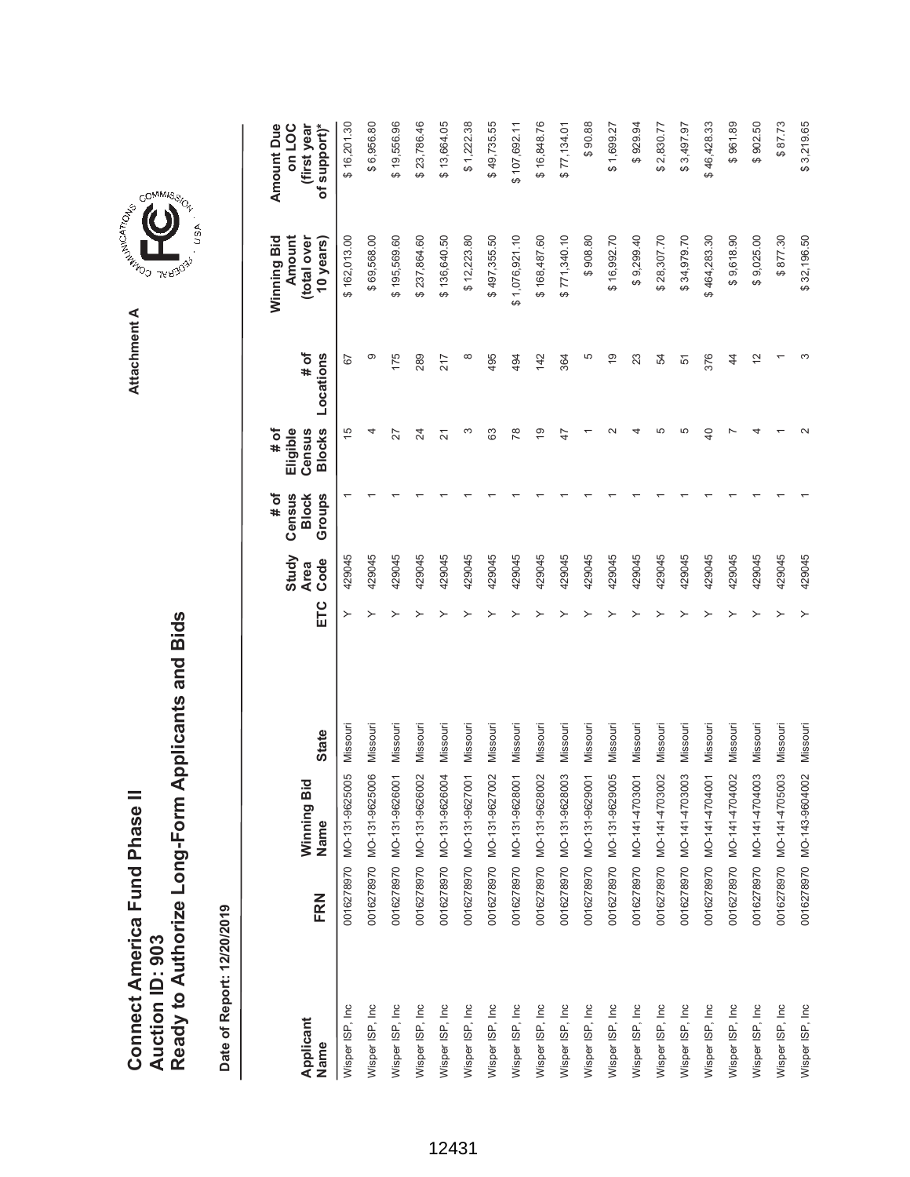| Connect America Fund Phase II |                 | Ready to Authorize Long-Form Applicants and Bids |
|-------------------------------|-----------------|--------------------------------------------------|
|                               | Auction ID: 903 |                                                  |

Date of Report: 12/20/2019 **Date of Report: 12/20/2019**

| Applicant       |     | ਠ<br>Winning Bi                            |              |     | Study<br><b>Area</b> | Census<br># of<br><b>Block</b> | Eligible<br># of<br>Census | # of           | Winning Bid<br>Amount<br>(total over | (first year<br><b>Amount Due</b><br>on LOC |
|-----------------|-----|--------------------------------------------|--------------|-----|----------------------|--------------------------------|----------------------------|----------------|--------------------------------------|--------------------------------------------|
| Name            | FRN | Name                                       | <b>State</b> | ETC | Code                 | Groups                         | <b>Blocks</b>              | Locations      | 10 years)                            | of support)*                               |
| Wisper ISP, Inc |     | 90<br>0016278970 MO-131-96250              | Missour      |     | 429045               |                                | 15                         | 67             | \$162,013.00                         | \$16,201.30                                |
| Wisper ISP, Inc |     | $\overline{0}$<br>0016278970 MO-131-96250  | Missouri     |     | 429045               |                                | 4                          | တ              | \$69,568.00                          | \$6,956.80                                 |
| Wisper ISP, Inc |     | $\overline{6}$<br>0016278970 MO-131-96260  | Missouri     |     | 429045               |                                | 27                         | 175            | \$195,569.60                         | \$19,556.96                                |
| Wisper ISP, Inc |     | 02<br>0016278970 MO-131-96260              | Missouri     |     | 429045               |                                | $\overline{\mathcal{Z}}$   | 289            | \$237,864.60                         | \$23,786.46                                |
| Wisper ISP, Inc |     | $\overline{9}$<br>0016278970 MO-131-96260  | Missouri     |     | 429045               |                                | 21                         | 217            | \$136,640.50                         | \$13,664.05                                |
| Wisper ISP, Inc |     | $\overline{6}$<br>0016278970 MO-131-96270  | Missouri     |     | 429045               |                                | ω                          | ∞              | \$12,223.80                          | \$1,222.38                                 |
| Wisper ISP, Inc |     | 0016278970 MO-131-9627002                  | Missouri     |     | 429045               |                                | 63                         | 495            | \$497,355.50                         | \$49,735.55                                |
| Wisper ISP, Inc |     | $\overline{5}$<br>0016278970 MO-131-96280  | Missouri     |     | 429045               |                                | 78                         | 494            | \$1,076,921.10                       | \$107,692.11                               |
| Wisper ISP, Inc |     | $\approx$<br>0016278970 MO-131-96280       | Missouri     |     | 429045               |                                | $\overline{9}$             | 142            | \$168,487.60                         | \$16,848.76                                |
| Wisper ISP, Inc |     | $\overline{0}3$<br>0016278970 MO-131-96280 | Missouri     |     | 429045               |                                | 47                         | 364            | \$771,340.10                         | \$77,134.01                                |
| Wisper ISP, Inc |     | $\overline{5}$<br>0016278970 MO-131-96290  | Missouri     |     | 429045               |                                |                            | 5              | \$908.80                             | \$90.88                                    |
| Wisper ISP, Inc |     | 05<br>0016278970 MO-131-96290              | Missouri     |     | 429045               |                                |                            | $\frac{6}{5}$  | \$16,992.70                          | \$1,699.27                                 |
| Wisper ISP, Inc |     | $\overline{5}$<br>0016278970 MO-141-47030  | Missouri     |     | 429045               |                                |                            | 23             | \$9,299.40                           | \$929.94                                   |
| Wisper ISP, Inc |     | 0016278970 MO-141-4703002                  | Missouri     |     | 429045               |                                | 5                          | 54             | \$28,307.70                          | \$2,830.77                                 |
| Wisper ISP, Inc |     | $\overline{0}3$<br>0016278970 MO-141-47030 | Missouri     |     | 429045               |                                | 5                          | 51             | \$34,979.70                          | \$3,497.97                                 |
| Wisper ISP, Inc |     | $\overline{5}$<br>0016278970 MO-141-47040  | Missouri     |     | 429045               |                                | $\overline{a}$             | 376            | \$464,283.30                         | \$46,428.33                                |
| Wisper ISP, Inc |     | 0016278970 MO-141-4704002                  | Missouri     |     | 429045               |                                |                            | $\overline{4}$ | \$9,618.90                           | \$961.89                                   |
| Wisper ISP, Inc |     | $\overline{0}$<br>0016278970 MO-141-47040  | Missouri     |     | 429045               |                                |                            | $\tilde{c}$    | \$9,025.00                           | \$902.50                                   |
| Wisper ISP, Inc |     | $\overline{0}$<br>0016278970 MO-141-47050  | Missouri     |     | 429045               |                                |                            |                | \$877.30                             | \$87.73                                    |
| Wisper ISP, Inc |     | 0016278970 MO-143-9604002                  | Missouri     |     | 429045               |                                |                            |                | \$32,196.50                          | \$3,219.65                                 |



USA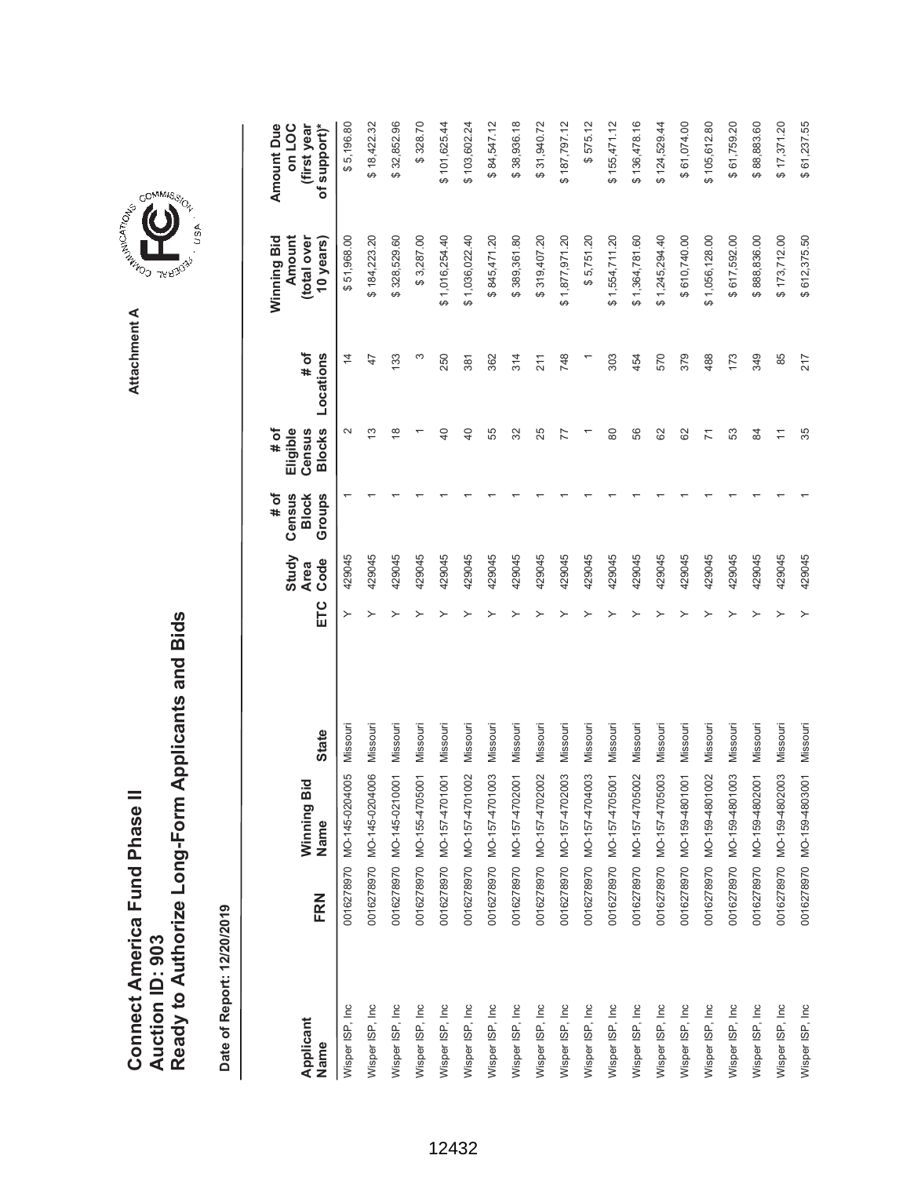Ready to Authorize Long-Form Applicants and Bids **Ready to Authorize Long-Form Applicants and Bids** Connect America Fund Phase II **Connect America Fund Phase II Auction ID: 903 Auction ID: 903**

Date of Report: 12/20/2019 **Date of Report: 12/20/2019**

 $$187,797.12$  $$575.12$  $$155,471.12$ \$136,478.16 **ETC Ode Oode Slocks Locations Blows Blows Sears)** \$5,196.80 \$32,852.96 \$328.70 \$101,625.44 \$103,602.24 \$84,547.12 \$38,936.18 \$31,940.72 \$124,529.44 \$61,074.00 105,612.80 \$61,759.20  $$17,371.20$ **(first year** Wisper ISP, Inc 0016278970 MO-145-0204005 Missouri Y \$ 51,968.00 \$ 5,196.80 429045 1 2 14 \$18,422.32 Wisper ISP, Inc 0016278970 MO-145-0204006 Missouri Y \$ 184,223.20 \$ 18,422.32 429045 1 13 47 Wisper ISP, Inc 0016278970 MO-145-0210001 Missouri Y \$ 328,529.60 \$ 32,852.96 429045 1 18 133 Wisper ISP, Inc 0016278970 MO-155-4705001 Missouri Y \$ 3,287.00 \$ 328.70 429045 1 1 3 τις 2015/19101 Missouri Sa 1020 Ot Γ βτ062τ λ Ξηρωες του ΣΑΣ 1,021014 1,0210101 21,020123100 20102 1 41,020100 र2:209:601 \$ 00122019:601 \$ 1,036 De a 1,040021 > 1,040021 2,036,020 1,036,020 1,036,020 1 401,092.02 0,082.29100 Wisper ISP, Inc 0016278970 MO-157-4701003 Missouri Y \$ 845,471.20 \$ 84,547.12 429045 1 55 362 Wisper ISP, Inc 0016278970 MO-157-4702001 Missouri Y \$ 389,361.80 \$ 38,936.18 429045 1 32 314 Wisper ISP, Inc 0016278970 MO-157-4702002 Missouri Y \$ 319,407.20 \$ 31,940.72 429045 1 25 211 Wisper ISP, Inc 0016278970 MO-157-4702003 Missouri Y \$ 1,877,971.20 \$ 187,797.12 429045 1 77 748 Wisper ISP, Inc 0016278970 MO-157-4704003 Missouri Y \$ 5,751.20 \$ 575.12 429045 1 1 1 Wisper ISP, Inc 0016278970 MO-157-4705001 Missouri Y \$ 1,554,711.20 \$ 155,471.12 429045 1 80 303 Wisper ISP, Inc 0016278970 MO-157-4705002 Missouri Y \$ 1,364,781.60 \$ 136,478.16 429045 1 56 454 Wisper ISP, Inc 0016278970 MO-157-4705003 Missouri Y \$ 1,245,294.40 \$ 124,529.44 429045 1 62 570 Wisper ISP, Inc 0016278970 MO-159-4801001 Missouri Y \$ 610,740.00 \$ 61,074.00 429045 1 62 379 O8/25/0504 SO 884 N T → StO62t X → Emerical 200108469-OM O268223100 No.62.20100 - 201-658.00 AS8.02. Wisper ISP, Inc 0016278970 MO-159-4801003 Missouri Y \$ 617,592.00 \$ 61,759.20 429045 1 53 173 \$88,883.60 Wisper ISP, Inc 0016278970 MO-159-4802001 Missouri Y \$ 888,836.00 \$ 88,883.60 429045 1 84 349 Wisper ISP, Inc 0016278970 MO-159-4802003 Missouri Y \$ 173,712.00 \$ 17,371.20 429045 1 11 85 \$61,237.55 Wisper ISP, Inc 0016278970 MO-159-4803001 Missouri Y \$ 612,375.50 \$ 61,237.55 429045 1 35 217 **Amount Due Amount Due on LOC** (total over **(total over**  \$51,968.00 \$328,529.60 \$1,016,254.40 \$1,036,022.40 \$845,471.20 \$389,361.80 \$319,407.20 \$1,877,971.20 \$1,364,781.60 \$1,245,294.40 **Amount** \$184,223.20 \$3,287.00  $$5,751.20$ \$1,554,711.20 \$610,740.00 \$1,056,128.00 \$617,592.00 \$888,836.00 Winning Bid **Winning Bid 10 years)**  $$173,712.00$ \$612,375.50 **# of**  $\infty$ Locations  $\overline{4}$ 133 303 570 379 349 85 **Locations**  $\overline{4}$ 250 381 362  $314$  $211$  $748$ 454 188 **173**  $217$ **Eligible # of Census Blocks**  $\sim$  $\frac{1}{2}$  $\frac{8}{1}$  $\overline{a}$  $\overline{a}$ 25 35 55  $\mathfrak{B}$  $\overline{7}$  $\pmb{\mathbb{S}}$ 56 62 62  $\overline{r}$ 53  $\mathfrak{A}$  $\overline{z}$ **# of Groups Census Block Study** 429045 429045 429045 429045 429045 429045 429045 429045 429045 429045 429045 429045 429045 429045 429045 429045 429045 429045 429045 429045 **Code Area** ETC  $\rightarrow$ Missouri Missouri Missouri Missouri Missouri Missouri Missouri Missouri Missouri Missouri Missouri Missouri Missouri Missouri Missouri Missouri Missouri Missouri Missouri 0016278970 MO-159-4803001 Missouri **State Name State** 0016278970 MO-145-0204005 MO-157-4702001 MO-157-4702003 MO-145-0204006 MO-145-0210001 MO-155-4705001 MO-157-4701001 MO-157-4701003 MO-157-4704003 0016278970 MO-157-4705001 0016278970 MO-157-4705002 MO-159-4801002 MO-159-4801003 MO-159-4802001 MO-157-4701002 MO-157-4702002 MO-157-4705003 MO-159-4801001 MO-159-4802003 Winning Bid **Winning Bid** Name 0016278970 0016278970 0016278970 0016278970 0016278970 0016278970 0016278970 0016278970 0016278970 0016278970 0016278970 0016278970 0016278970 0016278970 0016278970 0016278970 FRN **Name FRN** Wisper ISP, Inc. Wisper ISP, Inc. Wisper ISP, Inc. Wisper ISP, Inc. Wisper ISP, Inc. Wisper ISP, Inc. Wisper ISP, Inc. Wisper ISP, Inc. Wisper ISP, Inc Wisper ISP, Inc. Wisper ISP, Inc Wisper ISP, Inc Wisper ISP, Inc Wisper ISP, Inc Wisper ISP, Inc Wisper ISP, Inc Wisper ISP, Inc. Wisper ISP, Inc Wisper ISP, Inc Wisper ISP, Inc **Applicant** Name



GOMMIS<sub>SION</sub>

Attachment A **Attachment A**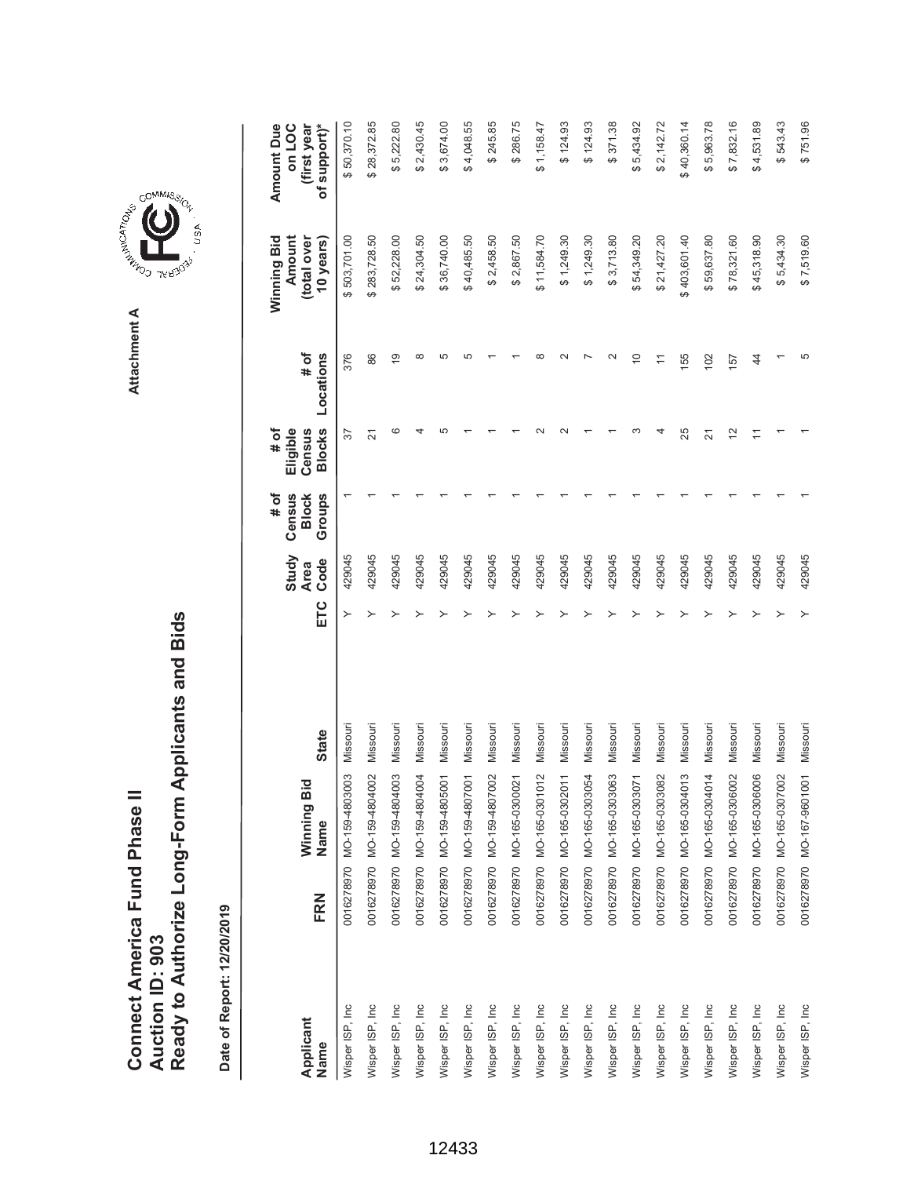Ready to Authorize Long-Form Applicants and Bids **Ready to Authorize Long-Form Applicants and Bids** Connect America Fund Phase II **Connect America Fund Phase II Auction ID: 903 Auction ID: 903**

Date of Report: 12/20/2019 **Date of Report: 12/20/2019**

\$371.38  $$2,430.45$ \$4,048.55 \$286.75 \$7,832.16 **ETC Ode Oode Slocks Locations Blows Blows Sears)** \$50,370.10 \$28,372.85 \$5,222.80 \$3,674.00 \$245.85  $$1,158.47$  $$124.93$  $$124.93$ \$5,434.92 \$2,142.72 \$40,360.14 \$5,963.78  $$4,531.89$ \$543.43  $$751.96$ **(first year** Wisper ISP, Inc 0016278970 MO-159-4803003 Missouri Y \$ 503,701.00 \$ 50,370.10 429045 1 37 376 Wisper ISP, Inc 0016278970 MO-159-4804002 Missouri Y \$ 283,728.50 \$ 28,372.85 429045 1 21 86 Wisper ISP, Inc 0016278970 MO-159-4804003 Missouri Y \$ 52,228.00 \$ 5,222.80 429045 1 6 19 Wisper ISP, Inc 0016278970 MO-159-4804004 Missouri Y \$ 24,304.50 \$ 2,430.45 429045 1 4 8 Wisper ISP, Inc 0016278970 MO-159-4805001 Missouri Y \$ 36,740.00 \$ 3,674.00 429045 1 5 5 9505945910 MD-15945910101 Missouri T T T St0627 X JunissiM UDI2084F991-OM OL682L32100 Due LSL Junissouri De L Wisper ISP, ISP, ISP, 2016, ISP, 2016, 2017, 2016, 2017, 2017, 2017, 2017, 2017, 2017, 2017, 2017, 2017, 2017, 2017, 2017, 2017, 2017, 2017, 2017, 2017, 2017, 2017, 2017, 2017, 2017, 2017, 2017, 2017, 2017, 2017, 2017, 2 Wisper ISP, Inc 0016278970 MO-165-0300021 Missouri Y \$ 2,867.50 \$ 286.75 429045 1 1 1 Wisper ISP, Inc 0016278970 MO-165-0301012 Missouri Y \$ 11,584.70 \$ 1,158.47 429045 1 2 8 Wisper ISP, Inc 0016278970 MO-165-0302011 Missouri Y \$ 1,249.30 \$ 124.93 429045 1 2 2 80.1721 \$ 20.6972.11 \$ 1 \$ 1,269260+39-020 \$ 1,269200-09-020 1,269220100 1,249.30 1,249.30 1,249.30 1 \$ 124.9 Wisper ISP, Inc 0016278970 MO-165-0303063 Missouri Y \$ 3,713.80 \$ 371.38 429045 1 1 2 26.1454's\$P\$(\*\$ \$ 54,349.201 \$ 54,0621 A 54,0624 A 5,1089000-990-000 DL682.20100 DL682.20100 DL61.451.949.92 4 Wisper ISP, Inc 0016278970 MO-165-0303082 Missouri Y \$ 21,427.20 \$ 2,142.72 429045 1 4 11 τ1.096.0τ\$ 0τ.091.60τ\$ 921 501 502 1 9τ062τ1 λ = 19π062τ1 21.098.021.0201001091-000 02.682.231.000 0 041.09.601.791.00 Wisper ISP, Inc 0016278970 MO-165-0304014 Missouri Y \$ 59,637.80 \$ 5,963.78 429045 1 21 102 Wisper ISP, Inc 0016278970 MO-165-0306002 Missouri Y \$ 78,321.60 \$ 7,832.16 429045 1 12 157 Wisper ISP, Inc 0016278970 MO-165-0306006 Missouri Y \$ 45,318.90 \$ 4,531.89 429045 1 11 44 Wisper ISP, Inc 0016278970 MO-165-0307002 Missouri Y \$ 5,434.30 \$ 543.43 429045 1 1 1 Wisper ISP, Inc 0016278970 MO-167-9601001 Missouri Y \$ 7,519.60 \$ 751.96 429045 1 1 5 **Amount Due Amount Due on LOC (total over**  \$503,701.00 \$52,228.00 \$24,304.50 \$36,740.00 \$2,867.50 \$11,584.70 \$403,601.40 **Amount** total over \$283,728.50 \$40,485.50 \$2,458.50  $$1,249.30$  $$1,249.30$ \$3,713.80 \$54,349.20  $$21,427.20$ \$59,637.80 \$78,321.60 \$45,318.90  $$5,434.30$ Winning Bid **Winning Bid 10 years)**  $$7,519.60$ **# of**  $\infty$ မာ မာ  $\infty$  $\sim$  $\overline{a}$  $\sim$  $\overline{0}$ Ю Locations  $\overline{9}$  $\overline{a}$ 55 **Locations** 376 86  $\infty$ 57  $44$ **Eligible # of Census Blocks**  $\circ$  $\overline{a}$ Ю  $\sim$  $\sim$ ന  $\overline{4}$ 25  $\tilde{c}$  $57$  $\overline{2}$  $\overline{z}$  $\overline{ }$ **# of Groups Census Block Study** 429045 429045 429045 429045 429045 429045 429045 429045 429045 429045 429045 429045 429045 429045 429045 429045 429045 429045 429045 429045 **Code Area** ETC  $\rightarrow$ Missouri Missouri Missouri Missouri Missouri Missouri Missouri Missouri Missouri Missouri Missouri Missouri Missouri Missouri Missouri Missouri Missouri Missouri Missouri 0016278970 MO-167-9601001 Missouri **State Name State** 0016278970 MO-159-4803003 MO-159-4804002 MO-159-4807001 MO-159-4807002 MO-165-0300021 MO-165-0301012 MO-165-0302011 0016278970 MO-165-0303063 MO-165-0303071 MO-165-0304014 MO-159-4804003 MO-159-4804004 MO-159-4805001 MO-165-0303054 MO-165-0303082 MO-165-0304013 MO-165-0306002 MO-165-0306006 MO-165-0307002 Winning Bid **Winning Bid** Name 0016278970 0016278970 0016278970 0016278970 0016278970 0016278970 0016278970 0016278970 0016278970 0016278970 0016278970 0016278970 0016278970 0016278970 0016278970 0016278970 0016278970 FRN **Name FRN** Wisper ISP, Inc. Wisper ISP, Inc. Wisper ISP, Inc. Wisper ISP, Inc. Wisper ISP, Inc. Wisper ISP, Inc. Wisper ISP, Inc. Wisper ISP, Inc. Wisper ISP, Inc. Wisper ISP, Inc. Wisper ISP, Inc. Wisper ISP, Inc. Wisper ISP, Inc Wisper ISP, Inc Wisper ISP, Inc Wisper ISP, Inc Wisper ISP, Inc Wisper ISP, Inc Wisper ISP, Inc Wisper ISP, Inc **Applicant** Name



**Attachment A**

Attachment A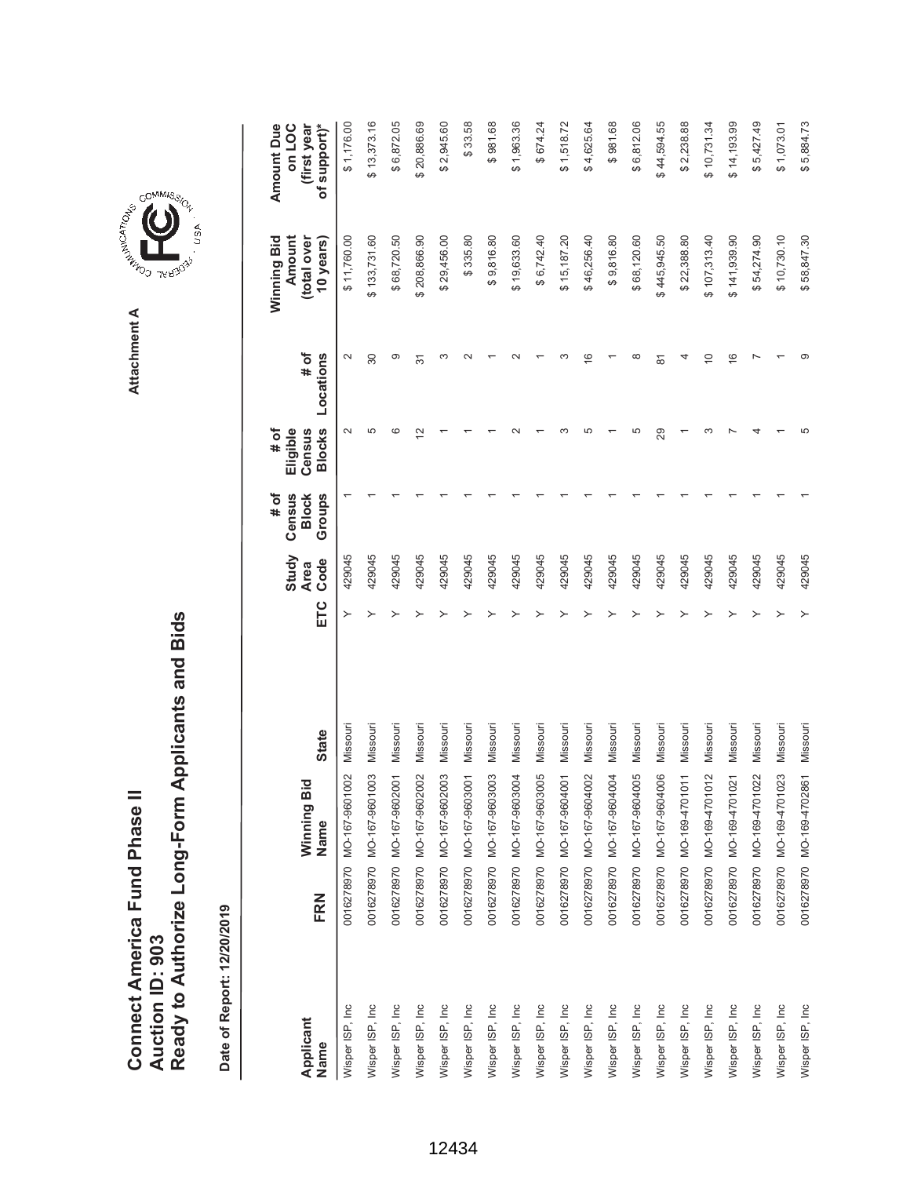COMMIS<sub>SION</sub> **AREA COMMISSION** Attachment A **Attachment A**

, USA

| Applicant        |     | Winning Bid               |              |     | Study<br><b>Area</b> | # of<br>Census<br><b>Block</b> | # of<br>Eligible<br>Census | # of           | Winning Bid<br>Amount<br>(total over | Amount Due<br>on LOC<br>(first year |
|------------------|-----|---------------------------|--------------|-----|----------------------|--------------------------------|----------------------------|----------------|--------------------------------------|-------------------------------------|
| Name             | FRN | Name                      | <b>State</b> | ETC | Code                 | Groups                         | <b>Blocks</b>              | Locations      | 10 years)                            | of support)*                        |
| Wisper ISP, Inc  |     | 0016278970 MO-167-9601002 | Missouri     | ≻   | 429045               |                                | $\sim$                     | $\sim$         | \$11,760.00                          | \$1,176.00                          |
| Wisper ISP, Inc  |     | 0016278970 MO-167-9601003 | Missouri     |     | 429045               |                                | 5                          | 30             | \$133,731.60                         | \$13,373.16                         |
| Wisper ISP, Inc. |     | 0016278970 MO-167-9602001 | Missouri     |     | 429045               |                                | ဖ                          | တ              | \$68,720.50                          | \$6,872.05                          |
| Wisper ISP, Inc. |     | 0016278970 MO-167-9602002 | Missouri     |     | 429045               |                                | 2                          | 31             | \$208,866.90                         | \$20,886.69                         |
| Wisper ISP, Inc  |     | 0016278970 MO-167-9602003 | Missouri     |     | 429045               |                                |                            | S              | \$29,456.00                          | \$2,945.60                          |
| Wisper ISP, Inc  |     | 0016278970 MO-167-9603001 | Missouri     |     | 429045               |                                |                            |                | \$335.80                             | \$33.58                             |
| Wisper ISP, Inc  |     | 0016278970 MO-167-9603003 | Missouri     |     | 429045               |                                |                            |                | \$9,816.80                           | \$981.68                            |
| Wisper ISP, Inc  |     | 0016278970 MO-167-9603004 | Missouri     |     | 429045               |                                |                            |                | \$19,633.60                          | \$1,963.36                          |
| Wisper ISP, Inc  |     | 0016278970 MO-167-9603005 | Missouri     |     | 429045               |                                |                            |                | \$6,742.40                           | \$674.24                            |
| Wisper ISP, Inc  |     | 0016278970 MO-167-9604001 | Missouri     |     | 429045               |                                |                            |                | \$15,187.20                          | \$1,518.72                          |
| Wisper ISP, Inc  |     | 0016278970 MO-167-9604002 | Missouri     |     | 429045               |                                | Ю                          | $\frac{6}{5}$  | \$46,256.40                          | \$4,625.64                          |
| Wisper ISP, Inc  |     | 0016278970 MO-167-9604004 | Missouri     |     | 429045               |                                |                            |                | \$9,816.80                           | \$981.68                            |
| Wisper ISP, Inc  |     | 0016278970 MO-167-9604005 | Missouri     |     | 429045               |                                | 5                          | œ              | \$68,120.60                          | \$6,812.06                          |
| Wisper ISP, Inc  |     | 0016278970 MO-167-9604006 | Missouri     |     | 429045               |                                | 29                         | $\overline{8}$ | \$445,945.50                         | \$44,594.55                         |
| Wisper ISP, Inc  |     | 0016278970 MO-169-4701011 | Missouri     |     | 429045               |                                |                            |                | \$22,388.80                          | \$2,238.88                          |
| Wisper ISP, Inc  |     | 0016278970 MO-169-4701012 | Missouri     |     | 429045               |                                |                            | $\overline{0}$ | \$107,313.40                         | \$10,731.34                         |
| Wisper ISP, Inc  |     | 0016278970 MO-169-4701021 | Missouri     |     | 429045               |                                |                            | $\frac{6}{1}$  | \$141,939.90                         | \$14,193.99                         |
| Wisper ISP, Inc  |     | 0016278970 MO-169-4701022 | Missouri     |     | 429045               |                                |                            |                | \$54,274.90                          | \$5,427.49                          |
| Wisper ISP, Inc. |     | 0016278970 MO-169-4701023 | Missouri     |     | 429045               |                                |                            |                | \$10,730.10                          | \$1,073.01                          |
| Wisper ISP, Inc  |     | 0016278970 MO-169-4702861 | Missouri     | ≻   | 429045               |                                |                            |                | \$58,847.30                          | \$5,884.73                          |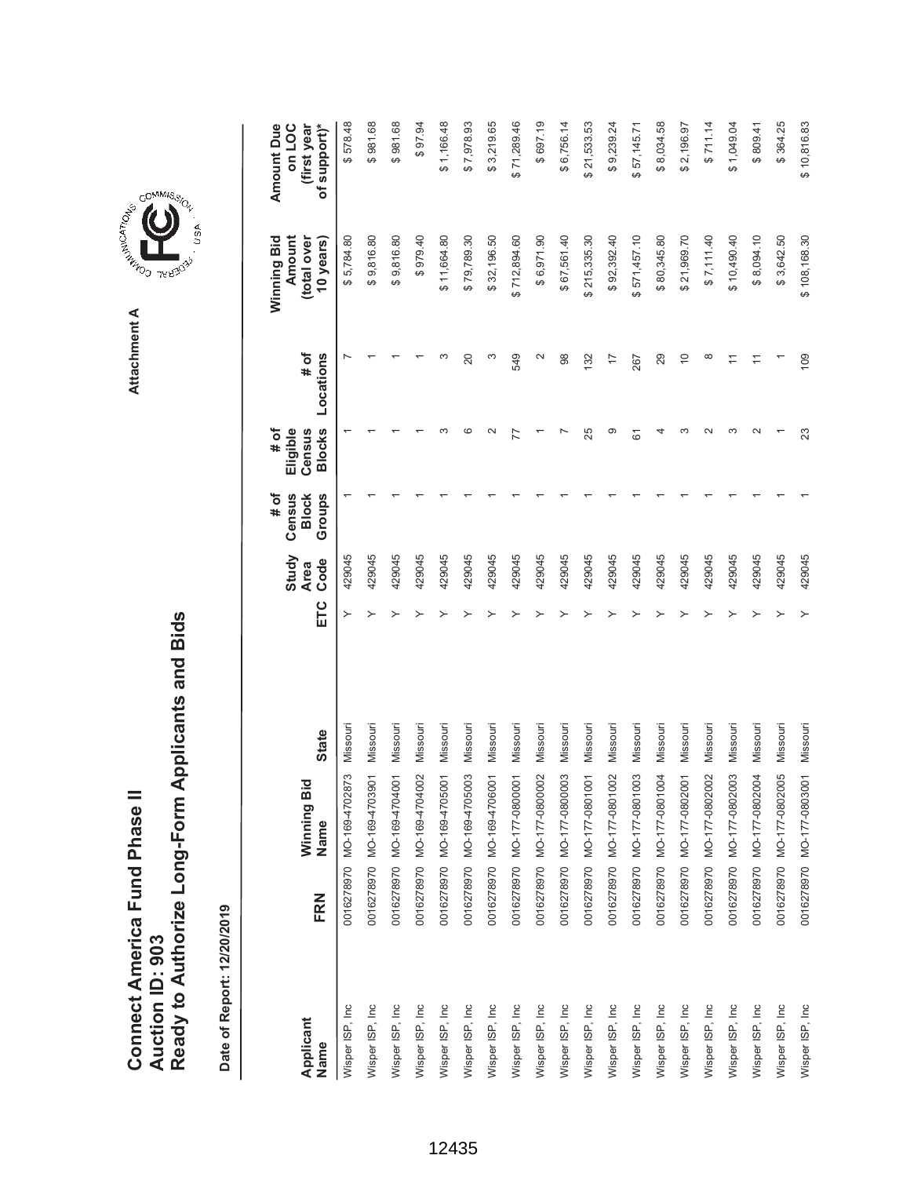| Connect America Fund Phase II | Auction ID: 903 | Ready to Authorize Long-Form Applicants and Bids |
|-------------------------------|-----------------|--------------------------------------------------|
|                               |                 |                                                  |

COMMIS<sub>SION</sub>

USA

| Applicant<br>Name | FRN | Winning Bic<br>Name           | <b>State</b> | ETC | Study<br>Code<br><b>Area</b> | # of<br>Groups<br>Census<br><b>Block</b> | <b>Blocks</b><br># of<br>Eligible<br>Census | # of<br>Locations | Winning Bid<br>Amount<br>(total over<br>10 years) | <b>Amount Due</b><br>of support)*<br>on LOC<br>(first year |
|-------------------|-----|-------------------------------|--------------|-----|------------------------------|------------------------------------------|---------------------------------------------|-------------------|---------------------------------------------------|------------------------------------------------------------|
| Wisper ISP, Inc   |     | ო<br>0016278970 MO-169-470287 | Missouri     | ≻   | 429045                       |                                          |                                             |                   | \$5,784.80                                        | \$578.48                                                   |
| Wisper ISP, Inc   |     | 0016278970 MO-169-4703901     | Missouri     |     | 429045                       |                                          |                                             |                   | \$9,816.80                                        | \$981.68                                                   |
| Wisper ISP, Inc   |     | 0016278970 MO-169-4704001     | Missouri     |     | 429045                       |                                          |                                             |                   | \$9,816.80                                        | \$981.68                                                   |
| Wisper ISP, Inc   |     | 0016278970 MO-169-4704002     | Missouri     |     | 429045                       |                                          |                                             |                   | \$979.40                                          | \$97.94                                                    |
| Wisper ISP, Inc   |     | 0016278970 MO-169-4705001     | Missouri     |     | 429045                       |                                          |                                             |                   | \$11,664.80                                       | \$1,166.48                                                 |
| Wisper ISP, Inc   |     | 0016278970 MO-169-4705003     | Missouri     |     | 429045                       |                                          | c                                           | 20                | \$79,789.30                                       | \$7,978.93                                                 |
| Wisper ISP, Inc   |     | 0016278970 MO-169-4706001     | Missouri     |     | 429045                       |                                          | $\sim$                                      | S                 | \$32,196.50                                       | \$3,219.65                                                 |
| Wisper ISP, Inc   |     | 0016278970 MO-177-0800001     | Missouri     |     | 429045                       |                                          |                                             | 549               | \$712,894.60                                      | \$71,289.46                                                |
| Wisper ISP, Inc   |     | 0016278970 MO-177-0800002     | Missouri     |     | 429045                       |                                          |                                             | $\mathbf{\Omega}$ | \$6,971.90                                        | \$697.19                                                   |
| Wisper ISP, Inc   |     | 0016278970 MO-177-0800003     | Missouri     |     | 429045                       |                                          |                                             | 98                | \$67,561.40                                       | \$6,756.14                                                 |
| Wisper ISP, Inc   |     | 0016278970 MO-177-0801001     | Missouri     |     | 429045                       |                                          | 25                                          | 132               | \$215,335.30                                      | \$21,533.53                                                |
| Wisper ISP, Inc   |     | 0016278970 MO-177-0801002     | Missouri     |     | 429045                       |                                          | တ                                           | $\overline{1}$    | \$92,392.40                                       | \$9,239.24                                                 |
| Wisper ISP, Inc   |     | 0016278970 MO-177-0801003     | Missouri     |     | 429045                       |                                          | 67                                          | 267               | \$571,457.10                                      | \$57,145.71                                                |
| Wisper ISP, Inc   |     | 0016278970 MO-177-0801004     | Missouri     |     | 429045                       |                                          |                                             | 29                | \$80,345.80                                       | \$8,034.58                                                 |
| Wisper ISP, Inc   |     | 0016278970 MO-177-0802001     | Missouri     |     | 429045                       |                                          | ო                                           | $\overline{C}$    | \$21,969.70                                       | \$2,196.97                                                 |
| Wisper ISP, Inc   |     | 0016278970 MO-177-0802002     | Missouri     |     | 429045                       |                                          | $\sim$                                      | $\infty$          | \$7,111.40                                        | \$711.14                                                   |
| Wisper ISP, Inc   |     | 0016278970 MO-177-0802003     | Missouri     |     | 429045                       |                                          | ∞                                           |                   | \$10,490.40                                       | \$1,049.04                                                 |
| Wisper ISP, Inc.  |     | 0016278970 MO-177-0802004     | Missouri     |     | 429045                       |                                          |                                             |                   | \$8,094.10                                        | \$809.41                                                   |
| Wisper ISP, Inc   |     | 0016278970 MO-177-0802005     | Missouri     |     | 429045                       |                                          |                                             |                   | \$3,642.50                                        | \$364.25                                                   |
| Wisper ISP, Inc   |     | 0016278970 MO-177-0803001     | Missouri     |     | 429045                       |                                          | 23                                          | 109               | \$108,168.30                                      | \$10,816.83                                                |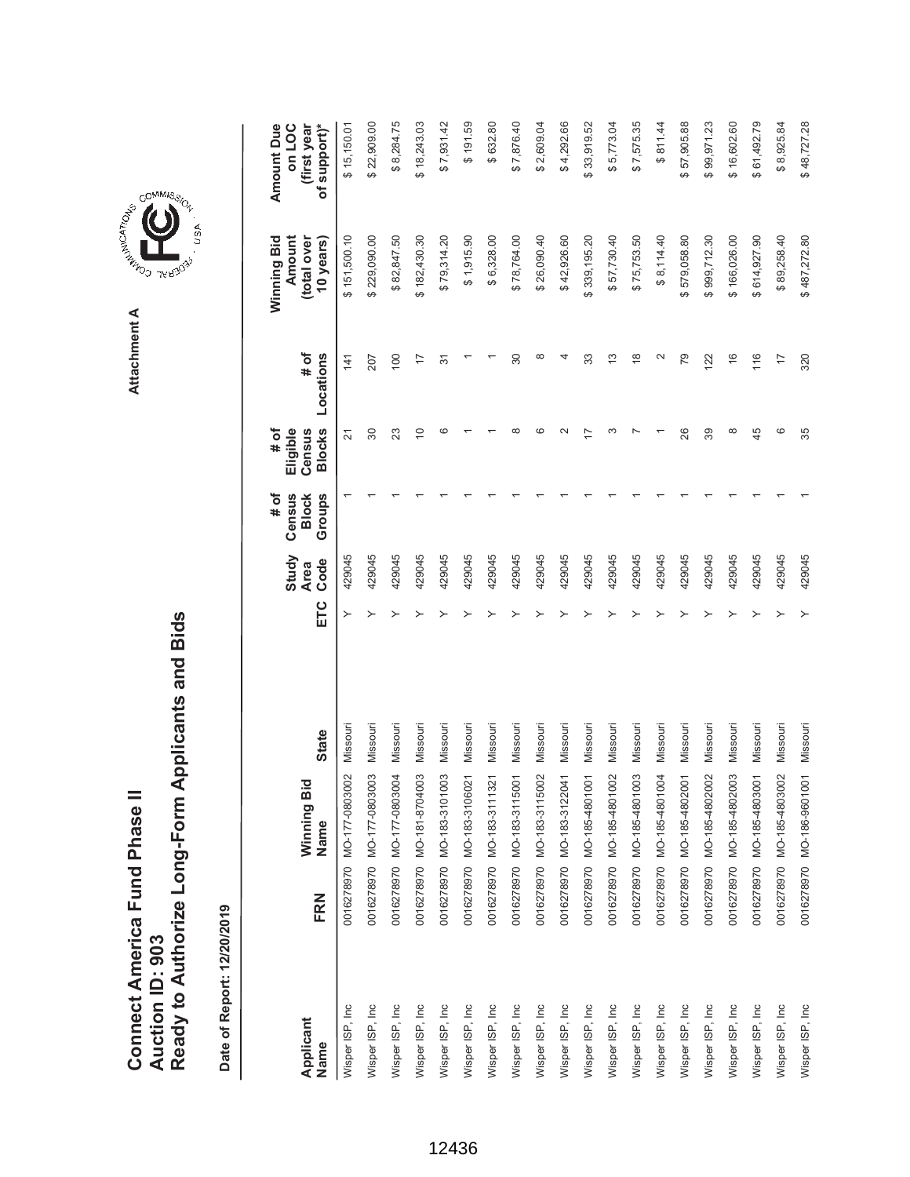|                   |     |                                            |              |     | Study               | Census<br># of         | Eligible<br># of        |                   | Winning Bid<br>Amount    | <b>Amount Due</b><br>on LOC |
|-------------------|-----|--------------------------------------------|--------------|-----|---------------------|------------------------|-------------------------|-------------------|--------------------------|-----------------------------|
| Applicant<br>Name | FRN | ਹ<br>Winning Bi<br>Name                    | <b>State</b> | ETC | Code<br><b>Area</b> | Groups<br><b>Block</b> | <b>Blocks</b><br>Census | # of<br>Locations | (total over<br>10 years) | (first year<br>of support)* |
| Wisper ISP, Inc   |     | $\approx$<br>0016278970 MO-177-08030       | Missour      | ≻   | 429045              |                        | 21                      | 141               | \$151,500.10             | \$15,150.01                 |
| Wisper ISP, Inc   |     | $\overline{0}$<br>0016278970 MO-177-08030  | Missouri     |     | 429045              |                        | 30                      | 207               | \$229,090.00             | \$22,909.00                 |
| Wisper ISP, Inc   |     | $\overline{5}$<br>0016278970 MO-177-08030  | Missouri     |     | 429045              |                        | 23                      | 100               | \$82,847.50              | \$8,284.75                  |
| Wisper ISP, Inc   |     | $\overline{0}$<br>0016278970 MO-181-87040  | Missouri     |     | 429045              |                        | $\overline{C}$          | $\overline{1}$    | \$182,430.30             | \$18,243.03                 |
| Wisper ISP, Inc   |     | $\overline{0}$<br>0016278970 MO-183-31010  | Missouri     |     | 429045              |                        | ဖ                       | $\overline{5}$    | \$79,314.20              | \$7,931.42                  |
| Wisper ISP, Inc   |     | $\overline{2}$<br>0016278970 MO-183-31060  | Missouri     |     | 429045              |                        |                         |                   | \$1,915.90               | \$191.59                    |
| Wisper ISP, Inc   |     | $\tilde{2}$<br>0016278970 MO-183-31113     | Missouri     |     | 429045              |                        |                         |                   | \$6,328.00               | \$632.80                    |
| Wisper ISP, Inc   |     | 0016278970 MO-183-3115001                  | Missouri     |     | 429045              |                        |                         | 30                | \$78,764.00              | \$7,876.40                  |
| Wisper ISP, Inc   |     | 02<br>0016278970 MO-183-31150              | Missouri     |     | 429045              |                        |                         | ∞                 | \$26,090.40              | \$2,609.04                  |
| Wisper ISP, Inc   |     | $\overline{41}$<br>0016278970 MO-183-31220 | Missouri     |     | 429045              |                        |                         |                   | \$42,926.60              | \$4,292.66                  |
| Wisper ISP, Inc   |     | $\overline{5}$<br>0016278970 MO-185-48010  | Missouri     |     | 429045              |                        |                         | 33                | \$339,195.20             | \$33,919.52                 |
| Wisper ISP, Inc   |     | $\approx$<br>0016278970 MO-185-48010       | Missouri     |     | 429045              |                        |                         | $\frac{3}{2}$     | \$57,730.40              | \$5,773.04                  |
| Wisper ISP, Inc   |     | $\overline{0}3$<br>0016278970 MO-185-48010 | Missouri     |     | 429045              |                        |                         | $\frac{8}{1}$     | \$75,753.50              | \$7,575.35                  |
| Wisper ISP, Inc   |     | $\overline{9}$<br>0016278970 MO-185-48010  | Missouri     |     | 429045              |                        |                         | $\mathbf{\Omega}$ | \$8,114.40               | \$811.44                    |
| Wisper ISP, Inc   |     | $\overline{6}$<br>0016278970 MO-185-48020  | Missouri     |     | 429045              |                        | 26                      | 79                | \$579,058.80             | \$57,905.88                 |
| Wisper ISP, Inc   |     | $\approx$<br>0016278970 MO-185-48020       | Missouri     |     | 429045              |                        | 89                      | 122               | \$999,712.30             | \$99,971.23                 |
| Wisper ISP, Inc   |     | 0016278970 MO-185-4802003                  | Missouri     |     | 429045              |                        | ∞                       | $\frac{6}{5}$     | \$166,026.00             | \$16,602.60                 |
| Wisper ISP, Inc   |     | $\overline{6}$<br>0016278970 MO-185-48030  | Missouri     |     | 429045              |                        | 45                      | 116               | \$614,927.90             | \$61,492.79                 |
| Wisper ISP, Inc   |     | $\overline{0}$<br>0016278970 MO-185-48030  | Missouri     |     | 429045              |                        | ဖ                       | $\overline{1}$    | \$89,258.40              | \$8,925.84                  |
| Wisper ISP, Inc   |     | 0016278970 MO-186-9601001                  | Missouri     |     | 429045              |                        | 35                      | 320               | \$487,272.80             | \$48,727.28                 |

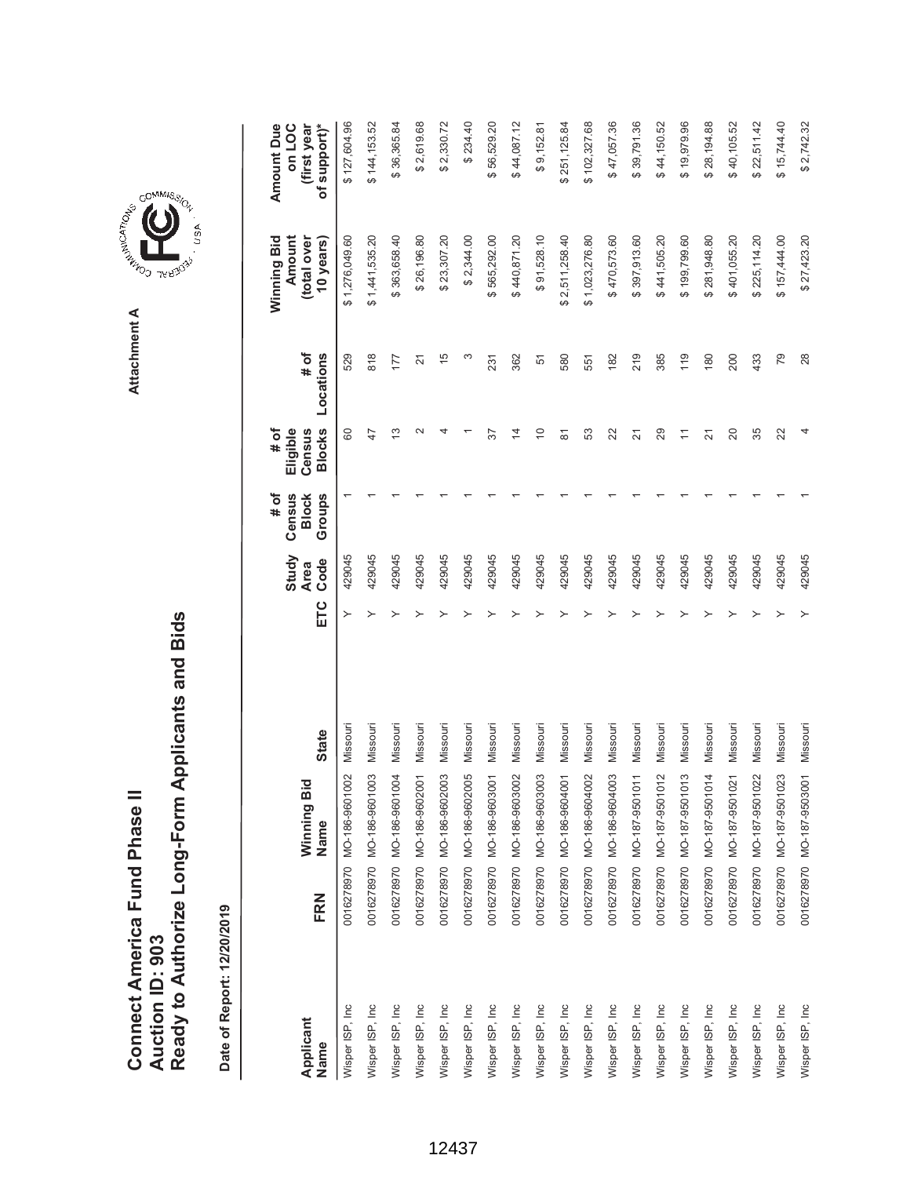**AREA COMMISSION** Attachment A **Attachment A**

COMMIS<sub>SION</sub>

, USA

| Applicant       | FRN | Winning Bic                          | <b>State</b> | ETC | Study<br><b>Area</b> | # of<br>Census<br><b>Block</b> | # of<br>Eligible<br>Census                                    | # of           | Winning Bid<br>Amount<br>(total over | <b>Amount Due</b><br>on LOC<br>(first year |
|-----------------|-----|--------------------------------------|--------------|-----|----------------------|--------------------------------|---------------------------------------------------------------|----------------|--------------------------------------|--------------------------------------------|
| Name            |     | Name                                 |              |     | Code                 | Groups                         | <b>Blocks</b>                                                 | Locations      | 10 years)                            | of support)*                               |
| Wisper ISP, Inc |     | 0016278970 MO-186-9601002            | Missouri     | ≻   | 429045               |                                | 8                                                             | 529            | \$1,276,049.60                       | \$127,604.96                               |
| Wisper ISP, Inc |     | 0016278970 MO-186-9601003            | Missouri     |     | 429045               |                                | 47                                                            | 818            | \$1,441,535.20                       | \$144,153.52                               |
| Wisper ISP, Inc |     | 0016278970 MO-186-9601004            | Missouri     |     | 429045               |                                | 13                                                            | 177            | \$363,658.40                         | \$36,365.84                                |
| Wisper ISP, Inc |     | 0016278970 MO-186-9602001            | Missouri     |     | 429045               |                                | $\scriptstyle\sim$                                            | $\overline{2}$ | \$26,196.80                          | \$2,619.68                                 |
| Wisper ISP, Inc |     | 0016278970 MO-186-9602003            | Missouri     |     | 429045               |                                |                                                               | $\frac{5}{2}$  | \$23,307.20                          | \$2,330.72                                 |
| Wisper ISP, Inc |     | 0016278970 MO-186-9602005            | Missouri     |     | 429045               |                                |                                                               | ω              | \$2,344.00                           | \$234.40                                   |
| Wisper ISP, Inc |     | 0016278970 MO-186-9603001            | Missouri     |     | 429045               |                                | 57                                                            | 231            | \$565,292.00                         | \$56,529.20                                |
| Wisper ISP, Inc |     | 0016278970 MO-186-9603002            | Missouri     |     | 429045               |                                | $\overline{4}$                                                | 362            | \$440,871.20                         | \$44,087.12                                |
| Wisper ISP, Inc |     | 0016278970 MO-186-9603003            | Missouri     |     | 429045               |                                | $\Rightarrow$                                                 | 51             | \$91,528.10                          | \$9,152.81                                 |
| Wisper ISP, Inc |     | 0016278970 MO-186-9604001            | Missouri     |     | 429045               |                                | $\overline{\infty}$                                           | 580            | \$2,511,258.40                       | \$251,125.84                               |
| Wisper ISP, Inc |     | 0016278970 MO-186-9604002            | Missouri     |     | 429045               |                                | S3                                                            | 551            | \$1,023,276.80                       | \$102,327.68                               |
| Wisper ISP, Inc |     | 0016278970 MO-186-9604003            | Missouri     |     | 429045               |                                | 22                                                            | 182            | \$470,573.60                         | \$47,057.36                                |
| Wisper ISP, Inc |     | 0016278970 MO-187-9501011            | Missouri     |     | 429045               |                                | $\overline{2}$                                                | 219            | \$397,913.60                         | \$39,791.36                                |
| Wisper ISP, Inc |     | 2<br>0016278970 MO-187-950101        | Missouri     |     | 429045               |                                | 29                                                            | 385            | \$441,505.20                         | \$44,150.52                                |
| Wisper ISP, Inc |     | $\infty$<br>0016278970 MO-187-950101 | Missouri     |     | 429045               |                                | $\stackrel{\textstyle\scriptstyle\smile}{\scriptstyle\!\sim}$ | 119            | \$199,799.60                         | \$19,979.96                                |
| Wisper ISP, Inc |     | 0016278970 MO-187-9501014            | Missouri     |     | 429045               |                                | 21                                                            | 180            | \$281,948.80                         | \$28,194.88                                |
| Wisper ISP, Inc |     | 0016278970 MO-187-9501021            | Missouri     |     | 429045               |                                | 20                                                            | 200            | \$401,055.20                         | \$40,105.52                                |
| Wisper ISP, Inc |     | 0016278970 MO-187-9501022            | Missouri     |     | 429045               |                                | 35                                                            | 433            | \$225,114.20                         | \$22,511.42                                |
| Wisper ISP, Inc |     | 0016278970 MO-187-9501023            | Missouri     |     | 429045               |                                | $\approx$                                                     | 79             | \$157,444.00                         | \$15,744.40                                |
| Wisper ISP, Inc |     | 0016278970 MO-187-9503001            | Missouri     |     | 429045               |                                |                                                               | 28             | \$27,423.20                          | \$2,742.32                                 |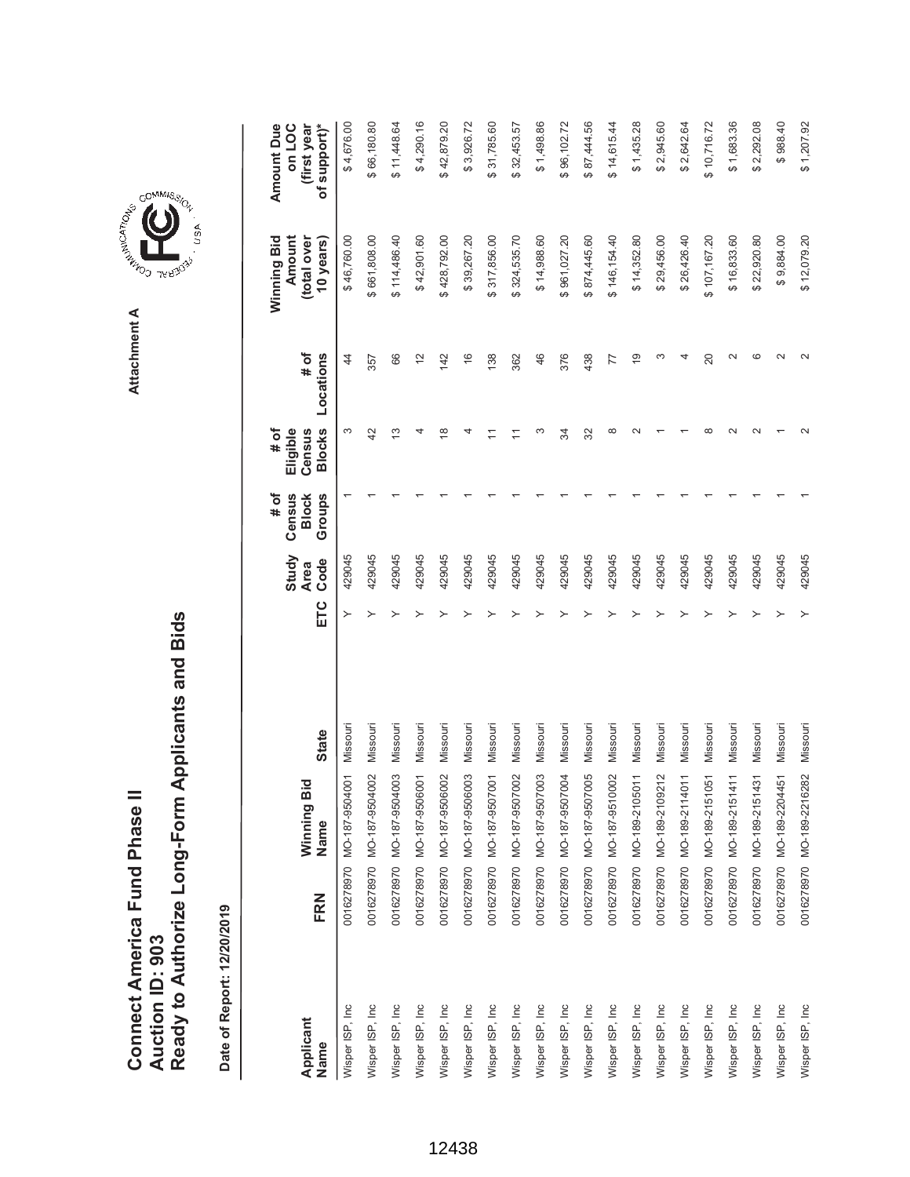Date of Report: 12/20/2019 **Date of Report: 12/20/2019**

|                   |     |                           |              |     | Study               | Census<br># of         | Eligible<br># of        |                   | Amount<br>Winning Bid    | <b>Amount Due</b><br>on LOC |
|-------------------|-----|---------------------------|--------------|-----|---------------------|------------------------|-------------------------|-------------------|--------------------------|-----------------------------|
| Applicant<br>Name | FRN | Winning Bid<br>Name       | <b>State</b> | ETC | Code<br><b>Area</b> | Groups<br><b>Block</b> | <b>Blocks</b><br>Census | # of<br>Locations | (total over<br>10 years) | of support)*<br>(first year |
| Wisper ISP, Inc   |     | 0016278970 MO-187-9504001 | Missouri     |     | 429045              |                        | S                       | 44                | \$46,760.00              | \$4,676.00                  |
| Wisper ISP, Inc   |     | 0016278970 MO-187-9504002 | Missouri     |     | 429045              |                        | $\overline{4}$          | 357               | \$661,808.00             | \$66,180.80                 |
| Wisper ISP, Inc   |     | 0016278970 MO-187-9504003 | Missouri     |     | 429045              |                        | 13                      | 66                | \$114,486.40             | \$11,448.64                 |
| Wisper ISP, Inc   |     | 0016278970 MO-187-9506001 | Missouri     |     | 429045              |                        |                         | $\frac{2}{3}$     | \$42,901.60              | \$4,290.16                  |
| Wisper ISP, Inc   |     | 0016278970 MO-187-9506002 | Missouri     |     | 429045              |                        | $\infty$                | 142               | \$428,792.00             | \$42,879.20                 |
| Wisper ISP, Inc   |     | 0016278970 MO-187-9506003 | Missouri     |     | 429045              |                        |                         | $\frac{6}{5}$     | \$39,267.20              | \$3,926.72                  |
| Wisper ISP, Inc   |     | 0016278970 MO-187-9507001 | Missouri     |     | 429045              |                        |                         | 138               | \$317,856.00             | \$31,785.60                 |
| Wisper ISP, Inc   |     | 0016278970 MO-187-9507002 | Missouri     |     | 429045              |                        |                         | 362               | \$324,535.70             | \$32,453.57                 |
| Wisper ISP, Inc   |     | 0016278970 MO-187-9507003 | Missouri     |     | 429045              |                        |                         | 46                | \$14,988.60              | \$1,498.86                  |
| Wisper ISP, Inc   |     | 0016278970 MO-187-9507004 | Missouri     |     | 429045              |                        | रू                      | 376               | \$961,027.20             | \$96,102.72                 |
| Wisper ISP, Inc   |     | 0016278970 MO-187-9507005 | Missouri     |     | 429045              |                        | 32                      | 438               | \$874,445.60             | \$87,444.56                 |
| Wisper ISP, Inc   |     | 0016278970 MO-187-9510002 | Missouri     |     | 429045              |                        | ∞                       | 77                | \$146,154.40             | \$14,615.44                 |
| Wisper ISP, Inc   |     | 0016278970 MO-189-2105011 | Missouri     |     | 429045              |                        |                         | $\overline{9}$    | \$14,352.80              | \$1,435.28                  |
| Wisper ISP, Inc   |     | 0016278970 MO-189-2109212 | Missouri     |     | 429045              |                        |                         |                   | \$29,456.00              | \$2,945.60                  |
| Wisper ISP, Inc   |     | 0016278970 MO-189-2114011 | Missouri     |     | 429045              |                        |                         |                   | \$26,426.40              | \$2,642.64                  |
| Wisper ISP, Inc   |     | 0016278970 MO-189-2151051 | Missouri     |     | 429045              |                        | œ                       | 20                | \$107,167.20             | \$10,716.72                 |
| Wisper ISP, Inc   |     | 0016278970 MO-189-2151411 | Missouri     |     | 429045              |                        |                         |                   | \$16,833.60              | \$1,683.36                  |
| Wisper ISP, Inc   |     | 0016278970 MO-189-2151431 | Missouri     |     | 429045              |                        |                         | c                 | \$22,920.80              | \$2,292.08                  |
| Wisper ISP, Inc   |     | 0016278970 MO-189-2204451 | Missouri     |     | 429045              |                        |                         |                   | \$9,884.00               | \$988.40                    |
| Wisper ISP, Inc   |     | 0016278970 MO-189-2216282 | Missouri     |     | 429045              |                        |                         |                   | \$12,079.20              | \$1,207.92                  |



, usA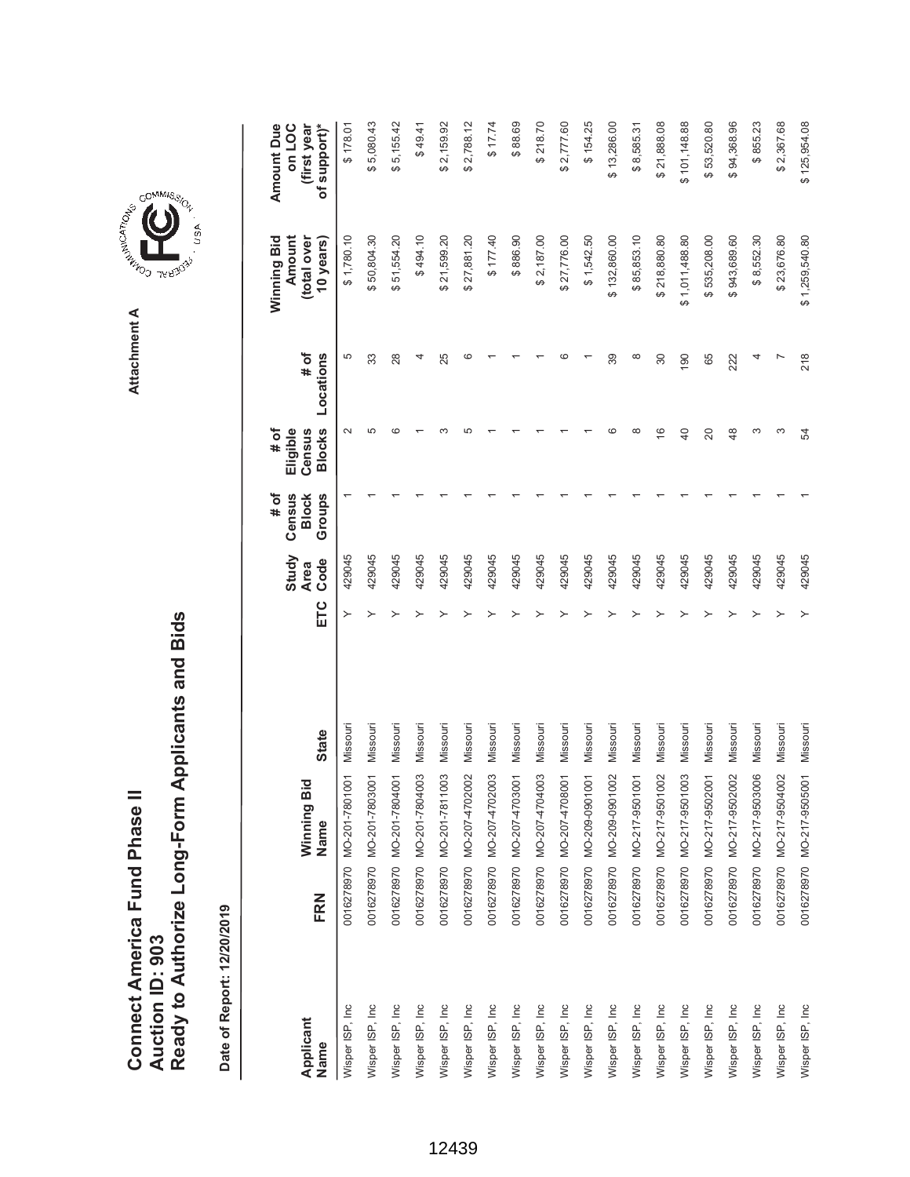Ready to Authorize Long-Form Applicants and Bids **Ready to Authorize Long-Form Applicants and Bids** Connect America Fund Phase II **Connect America Fund Phase II Auction ID: 903 Auction ID: 903**

Date of Report: 12/20/2019 **Date of Report: 12/20/2019**





GOMMIS<sub>SION</sub>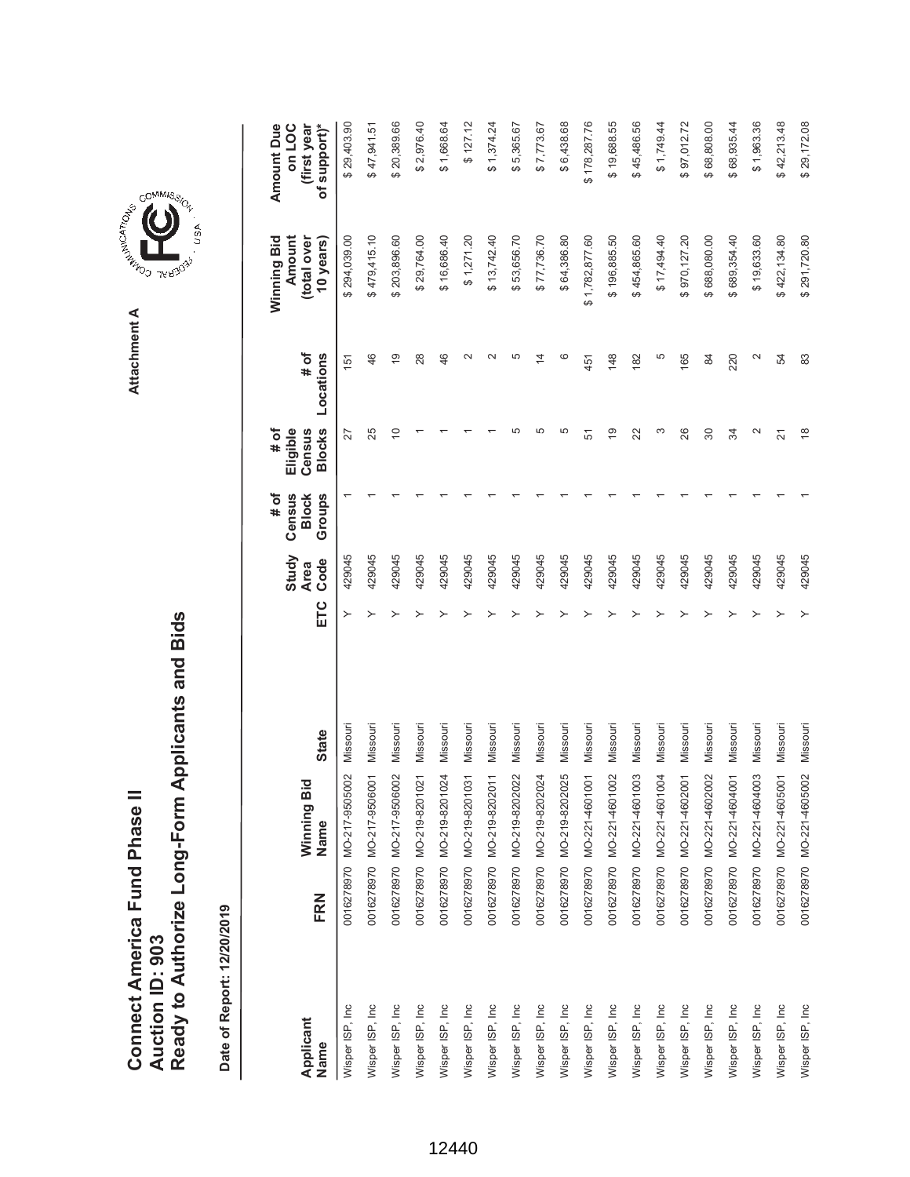|                               |                 | Ready to Authorize Long-Form Applicants and Bids |
|-------------------------------|-----------------|--------------------------------------------------|
| Connect America Fund Phase II |                 |                                                  |
|                               | Auction ID: 903 |                                                  |



GOMMIS<sub>SION</sub>

USA

| Applicant<br>Name | FRN | Winning Bid<br>Name       | <b>State</b> | ETC | Study<br>Code<br><b>Area</b> | # of<br>Groups<br>Census<br><b>Block</b> | <b>Blocks</b><br># of<br>Eligible<br>Census | # of<br>Locations  | Winning Bid<br>Amount<br>(total over<br>10 years) | <b>Amount Due</b><br>of support)*<br>on LOC<br>(first year |
|-------------------|-----|---------------------------|--------------|-----|------------------------------|------------------------------------------|---------------------------------------------|--------------------|---------------------------------------------------|------------------------------------------------------------|
|                   |     |                           |              | ≻   |                              |                                          |                                             |                    |                                                   |                                                            |
| Wisper ISP, Inc   |     | 0016278970 MO-217-9505002 | Missouri     |     | 429045                       |                                          | 27                                          | 151                | \$294,039.00                                      | \$29,403.90                                                |
| Wisper ISP, Inc   |     | 0016278970 MO-217-9506001 | Missouri     |     | 429045                       |                                          | 25                                          | 46                 | \$479,415.10                                      | \$47,941.51                                                |
| Wisper ISP, Inc   |     | 0016278970 MO-217-9506002 | Missouri     |     | 429045                       |                                          | 5                                           | $\overline{9}$     | \$203,896.60                                      | \$20,389.66                                                |
| Wisper ISP, Inc   |     | 0016278970 MO-219-8201021 | Missouri     |     | 429045                       |                                          |                                             | 28                 | \$29,764.00                                       | \$2,976.40                                                 |
| Wisper ISP, Inc   |     | 0016278970 MO-219-8201024 | Missouri     |     | 429045                       |                                          |                                             | 46                 | \$16,686.40                                       | \$1,668.64                                                 |
| Wisper ISP, Inc   |     | 0016278970 MO-219-8201031 | Missouri     |     | 429045                       |                                          |                                             |                    | \$1,271.20                                        | \$127.12                                                   |
| Wisper ISP, Inc   |     | 0016278970 MO-219-8202011 | Missouri     |     | 429045                       |                                          |                                             |                    | \$13,742.40                                       | \$1,374.24                                                 |
| Wisper ISP, Inc   |     | 0016278970 MO-219-8202022 | Missouri     |     | 429045                       |                                          | 5                                           |                    | \$53,656.70                                       | \$5,365.67                                                 |
| Wisper ISP, Inc   |     | 0016278970 MO-219-8202024 | Missouri     |     | 429045                       |                                          | 5                                           | 14                 | \$77,736.70                                       | \$7,773.67                                                 |
| Wisper ISP, Inc   |     | 0016278970 MO-219-8202025 | Missouri     |     | 429045                       |                                          | 5                                           | ဖ                  | \$64,386.80                                       | \$6,438.68                                                 |
| Wisper ISP, Inc   |     | 0016278970 MO-221-4601001 | Missouri     |     | 429045                       |                                          | 5                                           | 451                | \$1,782,877.60                                    | \$178,287.76                                               |
| Wisper ISP, Inc   |     | 0016278970 MO-221-4601002 | Missouri     |     | 429045                       |                                          | $\overline{9}$                              | 148                | \$196,885.50                                      | \$19,688.55                                                |
| Wisper ISP, Inc   |     | 0016278970 MO-221-4601003 | Missouri     |     | 429045                       |                                          | 22                                          | 182                | \$454,865.60                                      | \$45,486.56                                                |
| Wisper ISP, Inc   |     | 0016278970 MO-221-4601004 | Missouri     |     | 429045                       |                                          | ო                                           | 5                  | \$17,494.40                                       | \$1,749.44                                                 |
| Wisper ISP, Inc   |     | 0016278970 MO-221-4602001 | Missouri     |     | 429045                       |                                          | 26                                          | 165                | \$970,127.20                                      | \$97,012.72                                                |
| Wisper ISP, Inc   |     | 0016278970 MO-221-4602002 | Missouri     |     | 429045                       |                                          | 30                                          | 84                 | \$688,080.00                                      | \$68,808.00                                                |
| Wisper ISP, Inc   |     | 0016278970 MO-221-4604001 | Missouri     |     | 429045                       |                                          | R                                           | 220                | \$689,354.40                                      | \$68,935.44                                                |
| Wisper ISP, Inc.  |     | 0016278970 MO-221-4604003 | Missouri     |     | 429045                       |                                          | $\mathbf{\sim}$                             | $\scriptstyle\sim$ | \$19,633.60                                       | \$1,963.36                                                 |
| Wisper ISP, Inc   |     | 0016278970 MO-221-4605001 | Missouri     |     | 429045                       |                                          | 21                                          | 54                 | \$422,134.80                                      | \$42,213.48                                                |
| Wisper ISP, Inc   |     | 0016278970 MO-221-4605002 | Missouri     |     | 429045                       |                                          | $\frac{8}{1}$                               | 83                 | \$291,720.80                                      | \$29,172.08                                                |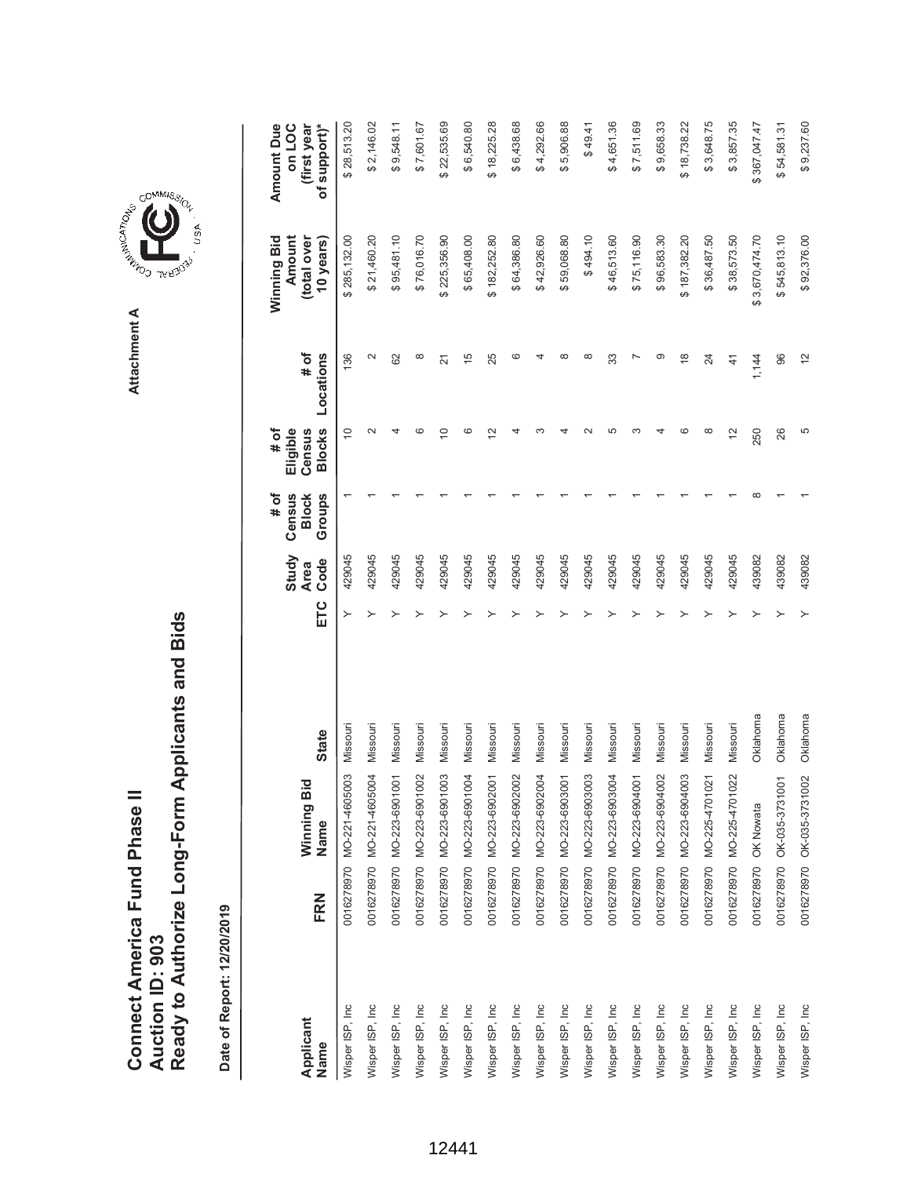Date of Report: 12/20/2019 **Date of Report: 12/20/2019**

| Applicant        |                      | ਹ<br>Winning Bi                            |              |     | Study<br><b>Area</b> | Census<br># of<br><b>Block</b> | Eligible<br># of<br>Census | # of            | Winning Bid<br>Amount<br>(total over | (first year<br><b>Amount Due</b><br>on LOC |
|------------------|----------------------|--------------------------------------------|--------------|-----|----------------------|--------------------------------|----------------------------|-----------------|--------------------------------------|--------------------------------------------|
| Name             | FRN                  | Name                                       | <b>State</b> | ETC | Code                 | Groups                         | <b>Blocks</b>              | Locations       | 10 years)                            | of support)*                               |
| Wisper ISP, Inc  |                      | $\overline{0}3$<br>0016278970 MO-221-46050 | Missour      | ≻   | 429045               |                                | $\tilde{0}$                | 136             | \$285,132.00                         | \$28,513.20                                |
| Wisper ISP, Inc  |                      | $\overline{9}$<br>0016278970 MO-221-46050  | Missouri     |     | 429045               |                                |                            | $\sim$          | \$21,460.20                          | \$2,146.02                                 |
| Wisper ISP, Inc  |                      | $\overline{6}$<br>0016278970 MO-223-69010  | Missouri     |     | 429045               |                                |                            | 62              | \$95,481.10                          | \$9,548.11                                 |
| Wisper ISP, Inc  |                      | 0016278970 MO-223-6901002                  | Missouri     |     | 429045               |                                |                            | $\infty$        | \$76,016.70                          | \$7,601.67                                 |
| Wisper ISP, Inc  |                      | $\overline{0}$<br>0016278970 MO-223-69010  | Missouri     |     | 429045               |                                | $\subseteq$                | $\overline{21}$ | \$225,356.90                         | \$22,535.69                                |
| Wisper ISP, Inc  |                      | $\overline{9}$<br>0016278970 MO-223-69010  | Missouri     |     | 429045               |                                |                            | $\frac{5}{2}$   | \$65,408.00                          | \$6,540.80                                 |
| Wisper ISP, Inc  |                      | $\overline{5}$<br>0016278970 MO-223-69020  | Missouri     |     | 429045               |                                | $\overline{\mathbf{C}}$    | 25              | \$182,252.80                         | \$18,225.28                                |
| Wisper ISP, Inc  |                      | 0016278970 MO-223-6902002                  | Missouri     |     | 429045               |                                |                            | ဖ               | \$64,386.80                          | \$6,438.68                                 |
| Wisper ISP, Inc  |                      | $\overline{9}$<br>0016278970 MO-223-69020  | Missouri     |     | 429045               |                                |                            |                 | \$42,926.60                          | \$4,292.66                                 |
| Wisper ISP, Inc  |                      | $\overline{5}$<br>0016278970 MO-223-69030  | Missouri     |     | 429045               |                                |                            |                 | \$59,068.80                          | \$5,906.88                                 |
| Wisper ISP, Inc  |                      | 03<br>0016278970 MO-223-69030              | Missouri     |     | 429045               |                                |                            | ∞               | \$494.10                             | \$49.41                                    |
| Wisper ISP, Inc  |                      | $\overline{9}$<br>0016278970 MO-223-69030  | Missouri     |     | 429045               |                                |                            | 33              | \$46,513.60                          | \$4,651.36                                 |
| Wisper ISP, Inc  |                      | $\overline{5}$<br>0016278970 MO-223-69040  | Missouri     |     | 429045               |                                |                            |                 | \$75,116.90                          | \$7,511.69                                 |
| Wisper ISP, Inc  |                      | 0016278970 MO-223-6904002                  | Missouri     |     | 429045               |                                |                            | ග               | \$96,583.30                          | \$9,658.33                                 |
| Wisper ISP, Inc  |                      | $\overline{0}$<br>0016278970 MO-223-69040  | Missouri     |     | 429045               |                                |                            | $\frac{8}{1}$   | \$187,382.20                         | \$18,738.22                                |
| Wisper ISP, Inc  |                      | $\overline{2}$<br>0016278970 MO-225-47010  | Missouri     |     | 429045               |                                | ∞                          | 24              | \$36,487.50                          | \$3,648.75                                 |
| Wisper ISP, Inc  |                      | 0016278970 MO-225-4701022                  | Missouri     |     | 429045               |                                | 12                         | $\frac{4}{1}$   | \$38,573.50                          | \$3,857.35                                 |
| Wisper ISP, Inc  | 0016278970 OK Nowata |                                            | Oklahoma     |     | 439082               |                                | 250                        | 1,144           | 3,670,474.70<br>ക                    | \$367,047.47                               |
| Wisper ISP, Inc. |                      | 0016278970 OK-035-3731001                  | Oklahoma     |     | 439082               |                                | 26                         | 96              | \$545,813.10                         | \$54,581.31                                |
| Wisper ISP, Inc  |                      | 0016278970 OK-035-3731002                  | Oklahoma     |     | 439082               |                                | 5                          | $\frac{2}{3}$   | \$92,376.00                          | \$9,237.60                                 |



## **COMMISSION**

, usA

**Attachment A**

Attachment A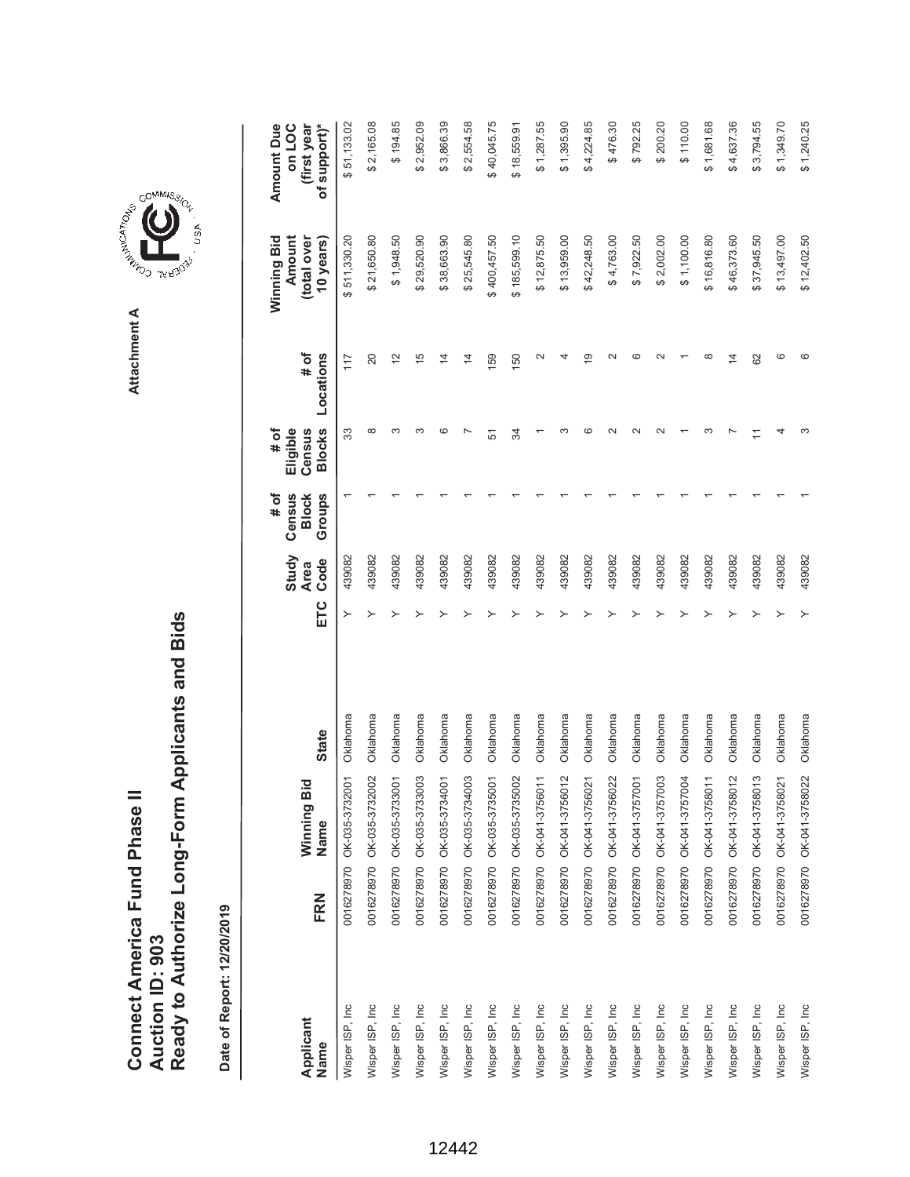Ready to Authorize Long-Form Applicants and Bids **Ready to Authorize Long-Form Applicants and Bids** Connect America Fund Phase II **Connect America Fund Phase II Auction ID: 903 Auction ID: 903**

Date of Report: 12/20/2019 **Date of Report: 12/20/2019**

\$2,554.58  $$200.20$ **ETC Ode Oode Slocks Locations Blows Blows Sears)** \$51,133.02 \$2,165.08 \$194.85 \$2,952.09 \$3,866.39 \$40,045.75  $$1,287.55$  $$1,395.90$ \$4,224.85 \$476.30 \$792.25  $$110.00$ \$1,681.68 \$4,637.36 \$3,794.55 \$1,349.70 \$1,240.25 **(first year** Wisper ISP, Inc 0016278970 OK-035-3732001 Oklahoma Y \$ 511,330.20 \$ 51,133.02 439082 1 33 117 80199470 OK-03591041 OK-020 OK-031052 OK-0320050 A 2020022 OK1022 DENENIO 2002220 OK82220100 OK82220 201 ASI 8491 Wisper ISP, Inc 0016278970 OK-035-3733001 Oklahoma Y \$ 1,948.50 \$ 194.85 439082 1 3 12 Wisper ISP, Inc 0016278970 OK-035-3733003 Oklahoma Y \$ 29,520.90 \$ 2,952.09 439082 1 3 15 Wisper ISP, Inc 0016278970 OK-035-3734001 Oklahoma Y \$ 38,663.90 \$ 3,866.39 439082 1 6 14 Wisper ISP, Inc 0016278970 OK-035-3734003 Oklahoma Y \$ 25,545.80 \$ 2,554.58 439082 1 7 14 Wisper ISP, Inc 0016278970 OK-035-3735001 Oklahoma Y \$ 400,457.50 \$ 40,045.75 439082 1 51 159 \$18,559.91 Wisper ISP, Inc 0016278970 OK-041-3756011 Oklahoma Y \$ 12,875.50 \$ 1,287.55 439082 1 1 2 Wisper ISP, Inc 0016278970 OK-041-3756012 Oklahoma Y \$ 13,959.00 \$ 1,395.90 439082 1 3 4 981678178141851 OK-04212145941 OK-041-4120 OK-041-41-375692120 DAS8223100 DAS8223100 DAS8223100 DAS8 4131 420 Wisper ISP, Inc 0016278970 OK-041-3756022 Oklahoma Y \$ 4,763.00 \$ 476.30 439082 1 2 2 2/2016/04/2010100 OK/04/2020100 OK/04/2020100 OK/04/2020100 OK/04/2020100 OK/04/2020100 OK/04/2020100 OK/04/20<br>V 7,922.50 43902/202010 OK/04/2020100 OK/04/2020100 OK/04/2020100 OK/04/2020100 OK/04/2020100 OK/04/20201010 Wisper ISP, Inc 0016278970 OK-041-3757003 Oklahoma Y \$ 2,002.00 \$ 200.20 439082 1 2 2 Wisper ISP, Inc 0016278970 OK-041-3757004 Oklahoma Y \$ 1,100.00 \$ 110.00 439082 1 1 1 Wisper ISP, Inc 0016278970 OK-041-3758011 Oklahoma Y \$ 16,816.80 \$ 1,681.68 439082 1 3 8 Wisper ISP, Inc 0016278970 OK-041-3758012 Oklahoma Y \$ 46,373.60 \$ 4,637.36 439082 1 7 14 Wisper ISP, Inc 0016278970 OK-041-3758013 Oklahoma Y \$ 37,945.50 \$ 3,794.55 439082 1 11 62 Wisper ISP, Inc 0016278970 OK-041-3758021 Oklahoma Y \$ 13,497.00 \$ 1,349.70 439082 1 4 6 921047.1 \$ 001.0104.21 \$ 001.0104.215 \$ 1 7 2800654 A 12,402.502.02.0892.691.40-24O 22,0892.691.49-25 431.46-25 43908 **Amount Due Amount Due on LOC** Wisper ISP, Inc 0016278970 OK-035-3735002 Oklahoma Y \$ 185,599.10 \$ 18,559.91 439082 1 34 150 (total over **(total over**  \$511,330.20 \$21,650.80 \$1,948.50 \$29,520.90 \$38,663.90 \$25,545.80 400,457.50 \$185,599.10 \$12,875.50 **Amount** \$13,959.00 \$42,248.50 \$4,763.00 \$7,922.50 \$2,002.00  $$1,100.00$ \$16,816.80 \$46,373.60 \$37,945.50 \$13,497.00 Winning Bid **Winning Bid 10 years)** \$12,402.50 **# of**  $\frac{5}{1}$  $\sim$  $\sim$  $\circ$  $\sim$  $\infty$  $\circ$  $\circ$ Locations  $\frac{1}{2}$  $\overline{4}$  $\overline{4}$ 59 4  $\overline{9}$  $\overline{4}$ **Locations**  $117$ 20 50 62 **Eligible # of Census Blocks**  $\infty$ က က  $\circ$  $\overline{ }$ ന  $\circ$  $\sim$  $\sim$  $\sim$ က  $\overline{a}$ ო 33 51  $\mathfrak{F}$  $\overline{a}$ **# of Groups Census Block Study** 439082 439082 **Code** 439082 439082 439082 439082 439082 439082 439082 439082 439082 439082 439082 439082 439082 439082 439082 439082 439082 439082 **Area** ETC  $\rightarrow$ Oklahoma Oklahoma Oklahoma Oklahoma Oklahoma Oklahoma Oklahoma Oklahoma Oklahoma Oklahoma Oklahoma Oklahoma Oklahoma Oklahoma Oklahoma Oklahoma Oklahoma Oklahoma Oklahoma Oklahoma **State Name State** 0016278970 OK-035-3732001 OK-035-3734003 OK-035-3735001 OK-041-3756011 OK-041-3756012 OK-041-3756021 OK-041-3756022 OK-041-3757001 OK-041-3757003 OK-041-3757004 OK-041-3758011 OK-041-3758012 OK-041-3758013 OK-041-3758021 0016278970 OK-041-3758022 OK-035-3732002 OK-035-3733001 OK-035-3733003 OK-035-3734001 OK-035-3735002 Winning Bid **Winning Bid** Name 0016278970 0016278970 0016278970 0016278970 0016278970 0016278970 0016278970 0016278970 0016278970 0016278970 0016278970 0016278970 0016278970 0016278970 0016278970 0016278970 0016278970 0016278970 FRN **Name FRN** Nisper ISP, Inc Wisper ISP, Inc. Wisper ISP, Inc. Wisper ISP, Inc. Wisper ISP, Inc. Wisper ISP, Inc. Wisper ISP, Inc. Wisper ISP, Inc. Wisper ISP, Inc. Wisper ISP, Inc. Wisper ISP, Inc. Wisper ISP, Inc. Wisper ISP, Inc Wisper ISP, Inc Wisper ISP, Inc Wisper ISP, Inc Wisper ISP, Inc Wisper ISP, Inc Wisper ISP, Inc Wisper ISP, Inc **Applicant** Name

## 12442

GOMMIS<sub>SION</sub> **COMMISSION** 

Attachment A **Attachment A**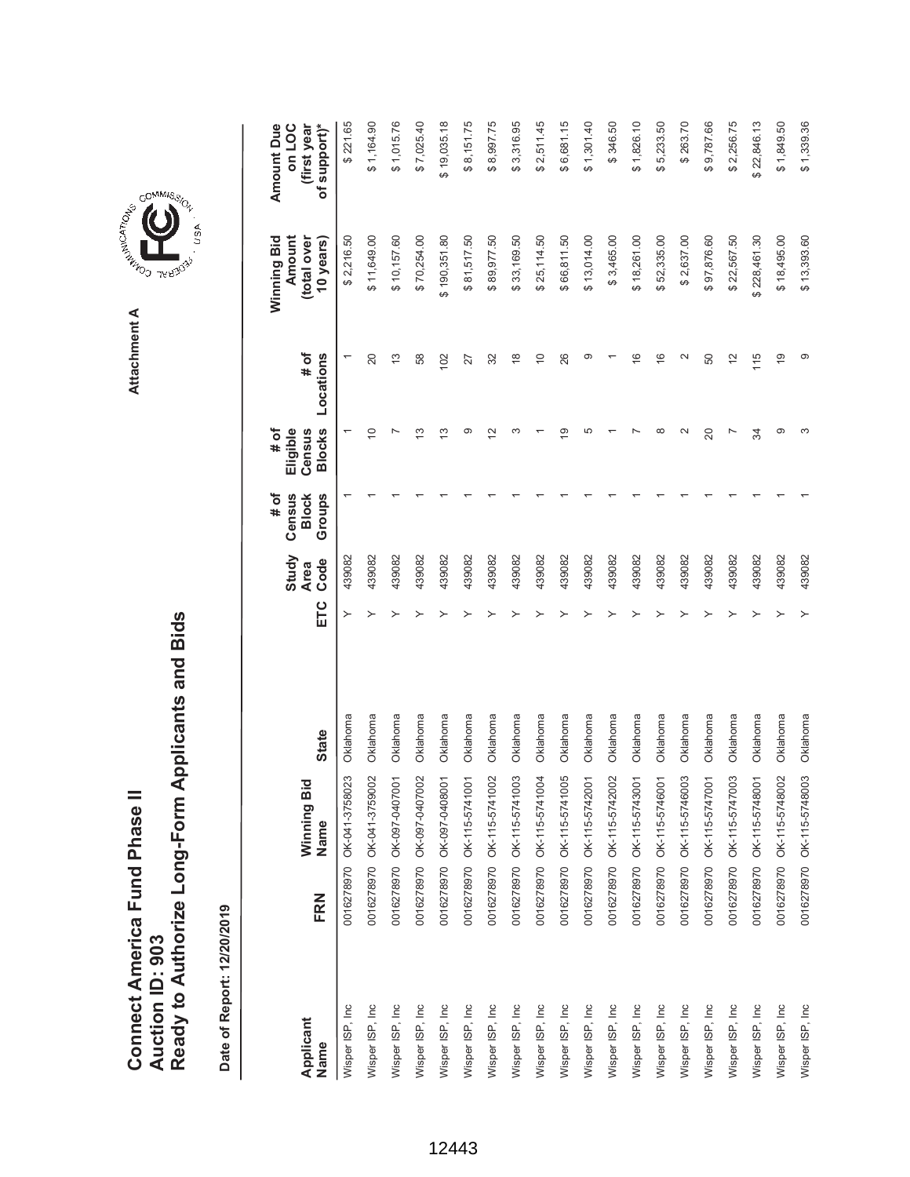**AREA COMMISSION** Attachment A **Attachment A**

COMMIS<sub>SION</sub>

ASh.

|                   |     |                           |          |     | Study               | # of<br>Census         | Eligible<br># of        |                   | Winning Bid<br>Amount    | <b>Amount Due</b><br>on LOC |
|-------------------|-----|---------------------------|----------|-----|---------------------|------------------------|-------------------------|-------------------|--------------------------|-----------------------------|
| Applicant<br>Name | FRN | Winning Bid<br>Name       | State    | ETC | Code<br><b>Area</b> | Groups<br><b>Block</b> | <b>Blocks</b><br>Census | Locations<br># of | (total over<br>10 years) | of support)*<br>(first year |
| Wisper ISP, Inc   |     | 0016278970 OK-041-3758023 | Oklahoma | ≻   | 439082              |                        |                         |                   | \$2,216.50               | \$221.65                    |
| Wisper ISP, Inc   |     | 0016278970 OK-041-3759002 | Oklahoma |     | 439082              |                        | $\overline{C}$          | 20                | \$11,649.00              | \$1,164.90                  |
| Wisper ISP, Inc   |     | 0016278970 OK-097-0407001 | Oklahoma |     | 439082              |                        |                         | 13                | \$10,157.60              | \$1,015.76                  |
| Wisper ISP, Inc   |     | 0016278970 OK-097-0407002 | Oklahoma |     | 439082              |                        | <u>ო</u>                | 58                | \$70,254.00              | \$7,025.40                  |
| Wisper ISP, Inc   |     | 0016278970 OK-097-0408001 | Oklahoma |     | 439082              |                        | $\frac{3}{2}$           | 102               | \$190,351.80             | \$19,035.18                 |
| Wisper ISP, Inc   |     | 0016278970 OK-115-5741001 | Oklahoma |     | 439082              |                        | ග                       | 27                | \$81,517.50              | \$8,151.75                  |
| Wisper ISP, Inc   |     | 0016278970 OK-115-5741002 | Oklahoma |     | 439082              |                        | $\overline{2}$          | 32                | \$89,977.50              | \$8,997.75                  |
| Wisper ISP, Inc   |     | 0016278970 OK-115-5741003 | Oklahoma |     | 439082              |                        |                         | $\frac{8}{1}$     | \$33,169.50              | \$3,316.95                  |
| Wisper ISP, Inc   |     | 0016278970 OK-115-5741004 | Oklahoma |     | 439082              |                        |                         | $\overline{0}$    | \$25,114.50              | \$2,511.45                  |
| Wisper ISP, Inc   |     | 0016278970 OK-115-5741005 | Oklahoma |     | 439082              |                        | $\overline{9}$          | 26                | \$66,811.50              | \$6,681.15                  |
| Wisper ISP, Inc   |     | 0016278970 OK-115-5742001 | Oklahoma |     | 439082              |                        | 5                       | ග                 | \$13,014.00              | \$1,301.40                  |
| Wisper ISP, Inc   |     | 0016278970 OK-115-5742002 | Oklahoma |     | 439082              |                        |                         |                   | \$3,465.00               | \$346.50                    |
| Wisper ISP, Inc   |     | 0016278970 OK-115-5743001 | Oklahoma |     | 439082              |                        |                         | $\frac{6}{5}$     | \$18,261.00              | \$1,826.10                  |
| Wisper ISP, Inc   |     | 0016278970 OK-115-5746001 | Oklahoma |     | 439082              |                        |                         | $\frac{6}{5}$     | \$52,335.00              | \$5,233.50                  |
| Wisper ISP, Inc   |     | 0016278970 OK-115-5746003 | Oklahoma |     | 439082              |                        |                         | 2                 | \$2,637.00               | \$263.70                    |
| Wisper ISP, Inc   |     | 0016278970 OK-115-5747001 | Oklahoma |     | 439082              |                        | 20                      | 50                | \$97,876.60              | \$9,787.66                  |
| Wisper ISP, Inc   |     | 0016278970 OK-115-5747003 | Oklahoma |     | 439082              |                        |                         | $\frac{2}{3}$     | \$22,567.50              | \$2,256.75                  |
| Wisper ISP, Inc   |     | 0016278970 OK-115-5748001 | Oklahoma |     | 439082              |                        | रू                      | 115               | \$228,461.30             | \$22,846.13                 |
| Wisper ISP, Inc.  |     | 0016278970 OK-115-5748002 | Oklahoma |     | 439082              |                        | ග                       | $\frac{6}{5}$     | \$18,495.00              | \$1,849.50                  |
| Wisper ISP, Inc   |     | 0016278970 OK-115-5748003 | Oklahoma |     | 439082              |                        |                         | တ                 | \$13,393.60              | \$1,339.36                  |